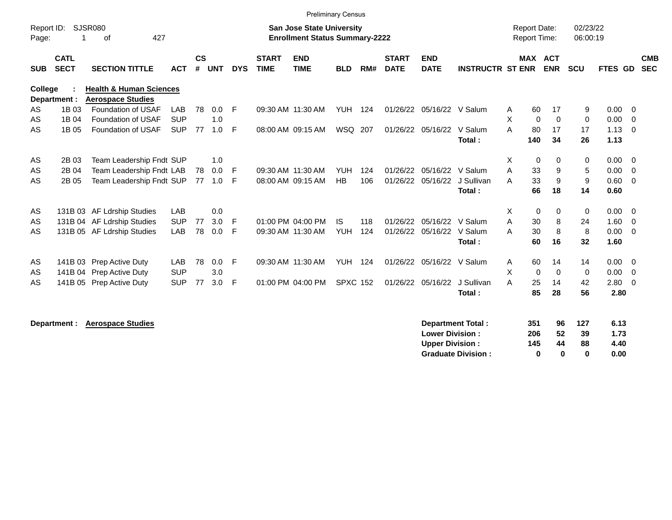|                     |                            |                                          |            |                    |            |            |                             |                                                                           | <b>Preliminary Census</b> |     |                             |                           |                         |        |                                            |                |                      |                |                          |
|---------------------|----------------------------|------------------------------------------|------------|--------------------|------------|------------|-----------------------------|---------------------------------------------------------------------------|---------------------------|-----|-----------------------------|---------------------------|-------------------------|--------|--------------------------------------------|----------------|----------------------|----------------|--------------------------|
| Report ID:<br>Page: |                            | SJSR080<br>427<br>οf                     |            |                    |            |            |                             | <b>San Jose State University</b><br><b>Enrollment Status Summary-2222</b> |                           |     |                             |                           |                         |        | <b>Report Date:</b><br><b>Report Time:</b> |                | 02/23/22<br>06:00:19 |                |                          |
| <b>SUB</b>          | <b>CATL</b><br><b>SECT</b> | <b>SECTION TITTLE</b>                    | <b>ACT</b> | $\mathsf{cs}$<br># | <b>UNT</b> | <b>DYS</b> | <b>START</b><br><b>TIME</b> | <b>END</b><br><b>TIME</b>                                                 | <b>BLD</b>                | RM# | <b>START</b><br><b>DATE</b> | <b>END</b><br><b>DATE</b> | <b>INSTRUCTR ST ENR</b> |        | <b>MAX ACT</b>                             | <b>ENR</b>     | <b>SCU</b>           | <b>FTES GD</b> | <b>CMB</b><br><b>SEC</b> |
| College             |                            | <b>Health &amp; Human Sciences</b>       |            |                    |            |            |                             |                                                                           |                           |     |                             |                           |                         |        |                                            |                |                      |                |                          |
|                     | Department :<br>1B 03      | <b>Aerospace Studies</b>                 | <b>LAB</b> |                    |            |            |                             |                                                                           |                           |     | 01/26/22                    |                           |                         |        |                                            |                |                      |                |                          |
| AS<br>AS            | 1B 04                      | Foundation of USAF<br>Foundation of USAF | <b>SUP</b> | 78                 | 0.0<br>1.0 | -F         |                             | 09:30 AM 11:30 AM                                                         | YUH                       | 124 |                             | 05/16/22 V Salum          |                         | A<br>X | 60<br>0                                    | 17<br>$\Omega$ | 9<br>$\mathbf 0$     | 0.00<br>0.00   | $\overline{0}$<br>- 0    |
| AS                  | 1B 05                      | Foundation of USAF                       | <b>SUP</b> | 77                 | 1.0        | E          |                             | 08:00 AM 09:15 AM                                                         | WSQ 207                   |     | 01/26/22                    | 05/16/22                  | V Salum                 | A      | 80                                         | 17             | 17                   | 1.13           | $\overline{0}$           |
|                     |                            |                                          |            |                    |            |            |                             |                                                                           |                           |     |                             |                           | Total:                  |        | 140                                        | 34             | 26                   | 1.13           |                          |
| AS                  | 2B 03                      | Team Leadership Fndt SUP                 |            |                    | 1.0        |            |                             |                                                                           |                           |     |                             |                           |                         | X      | 0                                          | $\Omega$       | 0                    | 0.00           | $\overline{0}$           |
| AS                  | 2B 04                      | Team Leadership Fndt LAB                 |            | 78                 | 0.0        | F          |                             | 09:30 AM 11:30 AM                                                         | <b>YUH</b>                | 124 | 01/26/22                    | 05/16/22                  | V Salum                 | A      | 33                                         | 9              | 5                    | 0.00           | $\overline{0}$           |
| AS                  | 2B 05                      | Team Leadership Fndt SUP                 |            | 77                 | 1.0        | F          |                             | 08:00 AM 09:15 AM                                                         | HB                        | 106 | 01/26/22                    | 05/16/22                  | J Sullivan              | A      | 33                                         | 9              | 9                    | 0.60           | $\overline{0}$           |
|                     |                            |                                          |            |                    |            |            |                             |                                                                           |                           |     |                             |                           | Total:                  |        | 66                                         | 18             | 14                   | 0.60           |                          |
| AS                  |                            | 131B 03 AF Ldrship Studies               | <b>LAB</b> |                    | 0.0        |            |                             |                                                                           |                           |     |                             |                           |                         | X      | 0                                          | $\Omega$       | $\Omega$             | $0.00 \quad 0$ |                          |
| AS                  |                            | 131B 04 AF Ldrship Studies               | <b>SUP</b> | 77                 | 3.0        | -F         |                             | 01:00 PM 04:00 PM                                                         | <b>IS</b>                 | 118 | 01/26/22                    | 05/16/22                  | V Salum                 | A      | 30                                         | 8              | 24                   | 1.60           | $\overline{0}$           |
| AS                  |                            | 131B 05 AF Ldrship Studies               | LAB        | 78                 | 0.0        | F          |                             | 09:30 AM 11:30 AM                                                         | <b>YUH</b>                | 124 | 01/26/22                    | 05/16/22                  | V Salum                 | A      | 30                                         | 8              | 8                    | 0.00           | $\overline{0}$           |
|                     |                            |                                          |            |                    |            |            |                             |                                                                           |                           |     |                             |                           | Total:                  |        | 60                                         | 16             | 32                   | 1.60           |                          |
| AS                  |                            | 141B 03 Prep Active Duty                 | LAB        | 78                 | 0.0        | F          |                             | 09:30 AM 11:30 AM                                                         | YUH                       | 124 | 01/26/22                    | 05/16/22                  | V Salum                 | A      | 60                                         | 14             | 14                   | 0.00           | $\overline{\phantom{0}}$ |
| AS                  |                            | 141B 04 Prep Active Duty                 | <b>SUP</b> |                    | 3.0        |            |                             |                                                                           |                           |     |                             |                           |                         | X      | 0                                          | $\Omega$       | $\mathbf 0$          | 0.00           | $\overline{0}$           |
| AS                  |                            | 141B 05 Prep Active Duty                 | <b>SUP</b> | 77                 | 3.0        | F          |                             | 01:00 PM 04:00 PM                                                         | <b>SPXC 152</b>           |     |                             | 01/26/22 05/16/22         | J Sullivan              | A      | 25                                         | 14             | 42                   | 2.80           | $\overline{0}$           |
|                     |                            |                                          |            |                    |            |            |                             |                                                                           |                           |     |                             |                           | Total:                  |        | 85                                         | 28             | 56                   | 2.80           |                          |
|                     |                            |                                          |            |                    |            |            |                             |                                                                           |                           |     |                             |                           |                         |        |                                            |                |                      |                |                          |

**Department : Aerospace Studies** 

| <b>Department Total:</b>  | 351 | 96 | 127 | 6.13 |
|---------------------------|-----|----|-----|------|
| <b>Lower Division:</b>    | 206 | 52 | 39  | 1.73 |
| Upper Division:           | 145 | 44 | 88  | 4.40 |
| <b>Graduate Division:</b> | o   | o  | o   | 0.00 |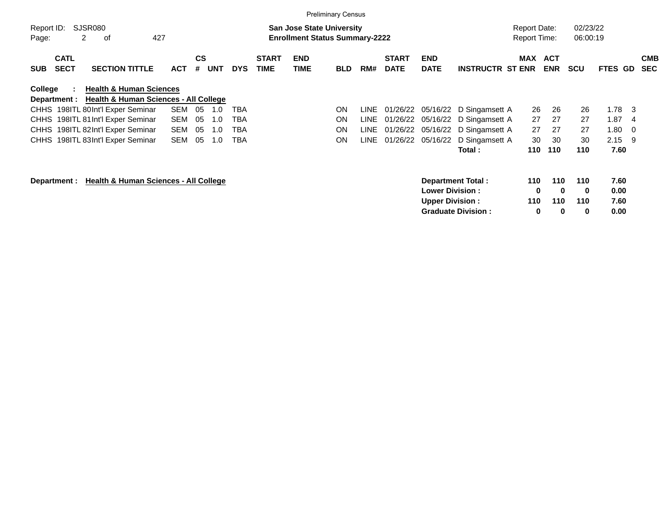|                     |                              |                                                                                        |            |                |            |            |                             |                                                                           | <b>Preliminary Census</b> |      |                             |                                                     |                         |                                            |                          |                      |              |     |                          |
|---------------------|------------------------------|----------------------------------------------------------------------------------------|------------|----------------|------------|------------|-----------------------------|---------------------------------------------------------------------------|---------------------------|------|-----------------------------|-----------------------------------------------------|-------------------------|--------------------------------------------|--------------------------|----------------------|--------------|-----|--------------------------|
| Report ID:<br>Page: |                              | SJSR080<br>427<br>2<br>οf                                                              |            |                |            |            |                             | <b>San Jose State University</b><br><b>Enrollment Status Summary-2222</b> |                           |      |                             |                                                     |                         | <b>Report Date:</b><br><b>Report Time:</b> |                          | 02/23/22<br>06:00:19 |              |     |                          |
| <b>SUB</b>          | <b>CATL</b><br><b>SECT</b>   | <b>SECTION TITTLE</b>                                                                  | <b>ACT</b> | <b>CS</b><br># | <b>UNT</b> | <b>DYS</b> | <b>START</b><br><b>TIME</b> | <b>END</b><br>TIME                                                        | <b>BLD</b>                | RM#  | <b>START</b><br><b>DATE</b> | <b>END</b><br><b>DATE</b>                           | <b>INSTRUCTR ST ENR</b> | <b>MAX</b>                                 | <b>ACT</b><br><b>ENR</b> | <b>SCU</b>           | FTES GD      |     | <b>CMB</b><br><b>SEC</b> |
| College             | $\mathbf{L}$<br>Department : | <b>Health &amp; Human Sciences</b><br><b>Health &amp; Human Sciences - All College</b> |            |                |            |            |                             |                                                                           |                           |      |                             |                                                     |                         |                                            |                          |                      |              |     |                          |
|                     |                              | CHHS 198ITL 80Int'l Exper Seminar                                                      | SEM        | 05             | 1.0        | TBA        |                             |                                                                           | ON                        | LINE |                             | 01/26/22 05/16/22                                   | D Singamsett A          | 26                                         | 26                       | 26                   | 1.78         | - 3 |                          |
|                     |                              | CHHS 198ITL 81 Int'l Exper Seminar                                                     | SEM        | 05             | 1.0        | TBA        |                             |                                                                           | ON                        | LINE | 01/26/22                    | 05/16/22                                            | D Singamsett A          | 27                                         | 27                       | 27                   | 1.87         | -4  |                          |
|                     |                              | CHHS 198ITL 82Int'l Exper Seminar                                                      | SEM        | 05             | 1.0        | TBA        |                             |                                                                           | ON                        | LINE | 01/26/22                    | 05/16/22                                            | D Singamsett A          | 27                                         | 27                       | 27                   | 1.80         | -0  |                          |
|                     |                              | CHHS 198ITL 83Int'l Exper Seminar                                                      | <b>SEM</b> | 05             | 1.0        | TBA        |                             |                                                                           | ΟN                        | LINE | 01/26/22                    | 05/16/22                                            | D Singamsett A          | 30                                         | 30                       | 30                   | 2.15         | -9  |                          |
|                     |                              |                                                                                        |            |                |            |            |                             |                                                                           |                           |      |                             |                                                     | Total:                  | 110                                        | 110                      | 110                  | 7.60         |     |                          |
|                     | Department :                 | <b>Health &amp; Human Sciences - All College</b>                                       |            |                |            |            |                             |                                                                           |                           |      |                             | <b>Department Total:</b><br><b>Lower Division :</b> |                         | 110<br>0                                   | 110<br>0                 | 110<br>0             | 7.60<br>0.00 |     |                          |

**Upper Division : 110 110 110 7.60 Graduate Division : 0 0 0 0.00**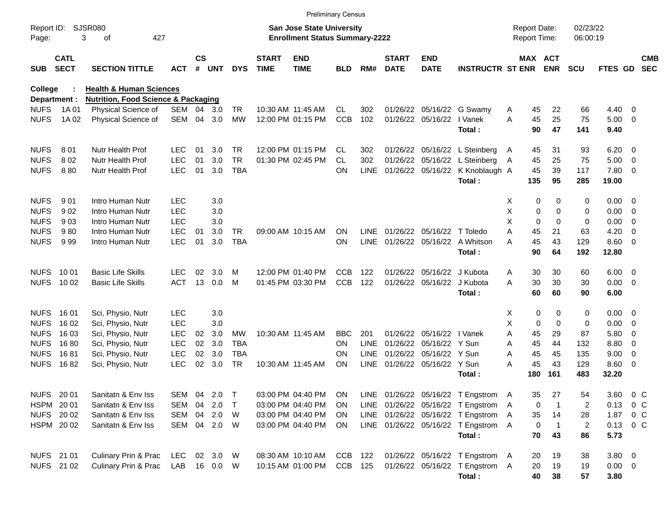|                     |                            |                                                |              |               |        |            |                             | <b>Preliminary Census</b>                                                 |            |             |                             |                           |                                   |   |                                     |                |                      |              |                          |                          |
|---------------------|----------------------------|------------------------------------------------|--------------|---------------|--------|------------|-----------------------------|---------------------------------------------------------------------------|------------|-------------|-----------------------------|---------------------------|-----------------------------------|---|-------------------------------------|----------------|----------------------|--------------|--------------------------|--------------------------|
| Report ID:<br>Page: |                            | SJSR080<br>427<br>3<br>оf                      |              |               |        |            |                             | <b>San Jose State University</b><br><b>Enrollment Status Summary-2222</b> |            |             |                             |                           |                                   |   | <b>Report Date:</b><br>Report Time: |                | 02/23/22<br>06:00:19 |              |                          |                          |
| <b>SUB</b>          | <b>CATL</b><br><b>SECT</b> | <b>SECTION TITTLE</b>                          | ACT          | $\mathsf{cs}$ | # UNT  | <b>DYS</b> | <b>START</b><br><b>TIME</b> | <b>END</b><br><b>TIME</b>                                                 | <b>BLD</b> | RM#         | <b>START</b><br><b>DATE</b> | <b>END</b><br><b>DATE</b> | <b>INSTRUCTR ST ENR</b>           |   | <b>MAX ACT</b>                      | <b>ENR</b>     | <b>SCU</b>           | FTES GD      |                          | <b>CMB</b><br><b>SEC</b> |
| <b>College</b>      |                            | <b>Health &amp; Human Sciences</b>             |              |               |        |            |                             |                                                                           |            |             |                             |                           |                                   |   |                                     |                |                      |              |                          |                          |
| Department :        |                            | <b>Nutrition, Food Science &amp; Packaging</b> |              |               |        |            |                             |                                                                           |            |             |                             |                           |                                   |   |                                     |                |                      |              |                          |                          |
| <b>NUFS</b>         | 1A 01                      | Physical Science of                            | SEM          | 04            | 3.0    | <b>TR</b>  |                             | 10:30 AM 11:45 AM                                                         | <b>CL</b>  | 302         | 01/26/22                    |                           | 05/16/22 G Swamy                  | A | 45                                  | 22             | 66                   | 4.40         | - 0                      |                          |
| <b>NUFS</b>         | 1A 02                      | Physical Science of                            | SEM          | 04            | 3.0    | <b>MW</b>  |                             | 12:00 PM 01:15 PM                                                         | <b>CCB</b> | 102         | 01/26/22                    | 05/16/22                  | I Vanek<br>Total:                 | A | 45<br>90                            | 25<br>47       | 75<br>141            | 5.00<br>9.40 | - 0                      |                          |
| <b>NUFS</b>         | 801                        | <b>Nutr Health Prof</b>                        | <b>LEC</b>   | 01            | 3.0    | <b>TR</b>  |                             | 12:00 PM 01:15 PM                                                         | CL         | 302         | 01/26/22                    |                           | 05/16/22 L Steinberg              | A | 45                                  | 31             | 93                   | 6.20         | - 0                      |                          |
| <b>NUFS</b>         | 802                        | Nutr Health Prof                               | <b>LEC</b>   | 01            | 3.0    | <b>TR</b>  |                             | 01:30 PM 02:45 PM                                                         | CL.        | 302         | 01/26/22                    |                           | 05/16/22 L Steinberg              | A | 45                                  | 25             | 75                   | 5.00         | $\overline{\mathbf{0}}$  |                          |
| <b>NUFS</b>         | 880                        | Nutr Health Prof                               | <b>LEC</b>   | 01            | 3.0    | <b>TBA</b> |                             |                                                                           | <b>ON</b>  | <b>LINE</b> | 01/26/22 05/16/22           |                           | K Knoblaugh A                     |   | 45                                  | 39             | 117                  | 7.80         | - 0                      |                          |
|                     |                            |                                                |              |               |        |            |                             |                                                                           |            |             |                             |                           | Total:                            |   | 135                                 | 95             | 285                  | 19.00        |                          |                          |
| <b>NUFS</b>         | 901                        | Intro Human Nutr                               | <b>LEC</b>   |               | 3.0    |            |                             |                                                                           |            |             |                             |                           |                                   | X | 0                                   | 0              | 0                    | 0.00         | - 0                      |                          |
| <b>NUFS</b>         | 902                        | Intro Human Nutr                               | <b>LEC</b>   |               | 3.0    |            |                             |                                                                           |            |             |                             |                           |                                   | X | 0                                   | 0              | 0                    | 0.00         | - 0                      |                          |
| <b>NUFS</b>         | 903                        | Intro Human Nutr                               | <b>LEC</b>   |               | 3.0    |            |                             |                                                                           |            |             |                             |                           |                                   | X | $\mathbf 0$                         | $\Omega$       | $\mathbf 0$          | 0.00         | - 0                      |                          |
| <b>NUFS</b>         | 980                        | Intro Human Nutr                               | <b>LEC</b>   | 01            | 3.0    | TR         |                             | 09:00 AM 10:15 AM                                                         | <b>ON</b>  | LINE.       | 01/26/22                    | 05/16/22                  | T Toledo                          | A | 45                                  | 21             | 63                   | 4.20         | - 0                      |                          |
| <b>NUFS</b>         | 999                        | Intro Human Nutr                               | <b>LEC</b>   | 01            | 3.0    | <b>TBA</b> |                             |                                                                           | <b>ON</b>  | <b>LINE</b> | 01/26/22 05/16/22           |                           | A Whitson                         | A | 45                                  | 43             | 129                  | 8.60         | $\overline{\phantom{0}}$ |                          |
|                     |                            |                                                |              |               |        |            |                             |                                                                           |            |             |                             |                           | Total:                            |   | 90                                  | 64             | 192                  | 12.80        |                          |                          |
| <b>NUFS</b>         | 10 01                      | <b>Basic Life Skills</b>                       | <b>LEC</b>   | 02            | 3.0    | м          |                             | 12:00 PM 01:40 PM                                                         | <b>CCB</b> | 122         | 01/26/22                    | 05/16/22                  | J Kubota                          | Α | 30                                  | 30             | 60                   | 6.00         | $\overline{\phantom{0}}$ |                          |
| <b>NUFS</b>         | 10 02                      | <b>Basic Life Skills</b>                       | <b>ACT</b>   | 13            | 0.0    | M          |                             | 01:45 PM 03:30 PM                                                         | <b>CCB</b> | 122         | 01/26/22                    | 05/16/22                  | J Kubota                          | A | 30                                  | 30             | 30                   | 0.00         | $\overline{\phantom{0}}$ |                          |
|                     |                            |                                                |              |               |        |            |                             |                                                                           |            |             |                             |                           | Total:                            |   | 60                                  | 60             | 90                   | 6.00         |                          |                          |
| <b>NUFS</b>         | 16 01                      | Sci, Physio, Nutr                              | LEC          |               | 3.0    |            |                             |                                                                           |            |             |                             |                           |                                   | Χ | 0                                   | 0              | 0                    | 0.00         | $\overline{\mathbf{0}}$  |                          |
| <b>NUFS</b>         | 16 02                      | Sci, Physio, Nutr                              | <b>LEC</b>   |               | 3.0    |            |                             |                                                                           |            |             |                             |                           |                                   | Χ | 0                                   | $\mathbf 0$    | 0                    | 0.00         | - 0                      |                          |
| <b>NUFS</b>         | 16 03                      | Sci, Physio, Nutr                              | <b>LEC</b>   | 02            | 3.0    | МW         |                             | 10:30 AM 11:45 AM                                                         | BBC.       | 201         | 01/26/22                    | 05/16/22                  | I Vanek                           | A | 45                                  | 29             | 87                   | 5.80         | 0                        |                          |
| <b>NUFS</b>         | 1680                       | Sci, Physio, Nutr                              | <b>LEC</b>   | 02            | 3.0    | <b>TBA</b> |                             |                                                                           | <b>ON</b>  | <b>LINE</b> | 01/26/22                    | 05/16/22                  | Y Sun                             | A | 45                                  | 44             | 132                  | 8.80         | 0                        |                          |
| <b>NUFS</b>         | 1681                       | Sci, Physio, Nutr                              | <b>LEC</b>   | 02            | 3.0    | <b>TBA</b> |                             |                                                                           | <b>ON</b>  | <b>LINE</b> | 01/26/22                    | 05/16/22                  | Y Sun                             | A | 45                                  | 45             | 135                  | 9.00         | 0                        |                          |
| <b>NUFS</b>         | 1682                       | Sci, Physio, Nutr                              | <b>LEC</b>   | 02            | 3.0    | <b>TR</b>  |                             | 10:30 AM 11:45 AM                                                         | <b>ON</b>  | <b>LINE</b> |                             | 01/26/22 05/16/22 Y Sun   |                                   | A | 45                                  | 43             | 129                  | 8.60         | - 0                      |                          |
|                     |                            |                                                |              |               |        |            |                             |                                                                           |            |             |                             |                           | Total:                            |   | 180                                 | 161            | 483                  | 32.20        |                          |                          |
| NUFS 20 01          |                            | Sanitatn & Env Iss                             | SEM 04 2.0   |               |        | $\top$     |                             | 03:00 PM 04:40 PM                                                         | ON         |             |                             |                           | LINE 01/26/22 05/16/22 T Engstrom | A | 35                                  | 27             | 54                   | 3.60         | $0\,$ C                  |                          |
| HSPM 2001           |                            | Sanitatn & Env Iss                             | SEM          | 04            | 2.0    | $\top$     |                             | 03:00 PM 04:40 PM                                                         | <b>ON</b>  |             |                             |                           | LINE 01/26/22 05/16/22 T Engstrom | A | 0                                   | -1             | 2                    | 0.13         | $0\,$ C                  |                          |
| NUFS 2002           |                            | Sanitatn & Env Iss                             | SEM          |               | 04 2.0 | W          |                             | 03:00 PM 04:40 PM                                                         | ON.        |             |                             |                           | LINE 01/26/22 05/16/22 T Engstrom | Α | 35                                  | 14             | 28                   | 1.87         | $0\,$ C                  |                          |
|                     | HSPM 2002                  | Sanitatn & Env Iss                             | SEM 04 2.0 W |               |        |            |                             | 03:00 PM 04:40 PM                                                         | <b>ON</b>  |             |                             |                           | LINE 01/26/22 05/16/22 T Engstrom | A | $\mathbf 0$                         | $\overline{1}$ | $\overline{c}$       | 0.13 0 C     |                          |                          |
|                     |                            |                                                |              |               |        |            |                             |                                                                           |            |             |                             |                           | Total:                            |   | 70                                  | 43             | 86                   | 5.73         |                          |                          |
| NUFS 21 01          |                            | Culinary Prin & Prac                           | LEC 02 3.0   |               |        | <b>W</b>   |                             | 08:30 AM 10:10 AM                                                         | CCB 122    |             |                             |                           | 01/26/22 05/16/22 T Engstrom A    |   | 20                                  | 19             | 38                   | $3.80\ 0$    |                          |                          |
| NUFS 21 02          |                            | Culinary Prin & Prac                           | LAB 16 0.0 W |               |        |            |                             | 10:15 AM 01:00 PM                                                         | CCB 125    |             |                             |                           | 01/26/22 05/16/22 T Engstrom A    |   | 20                                  | 19             | 19                   | $0.00 \t 0$  |                          |                          |
|                     |                            |                                                |              |               |        |            |                             |                                                                           |            |             |                             |                           | Total:                            |   | 40                                  | 38             | 57                   | 3.80         |                          |                          |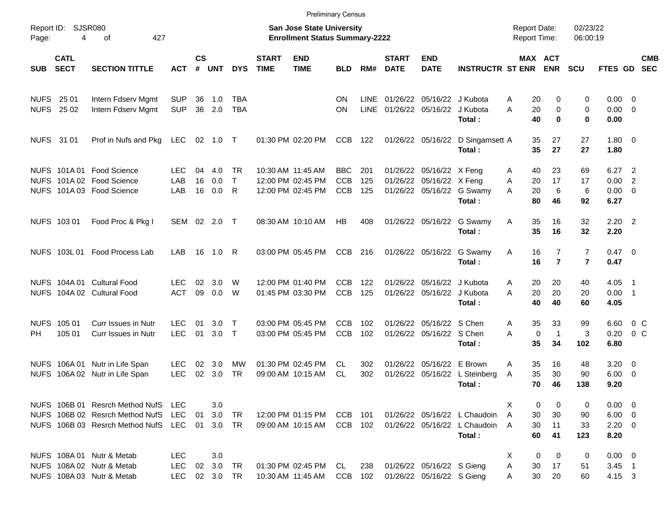|                            |                         |                                                                                                       |                                        |                    |                         |                                |                             | <b>Preliminary Census</b>                                                 |                                        |                     |                             |                                                        |                                                                        |                     |                                        |                                                                      |                                                   |                                                    |            |
|----------------------------|-------------------------|-------------------------------------------------------------------------------------------------------|----------------------------------------|--------------------|-------------------------|--------------------------------|-----------------------------|---------------------------------------------------------------------------|----------------------------------------|---------------------|-----------------------------|--------------------------------------------------------|------------------------------------------------------------------------|---------------------|----------------------------------------|----------------------------------------------------------------------|---------------------------------------------------|----------------------------------------------------|------------|
| Page:                      | Report ID: SJSR080<br>4 | 427<br>οf                                                                                             |                                        |                    |                         |                                |                             | <b>San Jose State University</b><br><b>Enrollment Status Summary-2222</b> |                                        |                     |                             |                                                        |                                                                        | <b>Report Date:</b> | <b>Report Time:</b>                    | 02/23/22<br>06:00:19                                                 |                                                   |                                                    |            |
| SUB SECT                   | <b>CATL</b>             | <b>SECTION TITTLE</b>                                                                                 | <b>ACT</b>                             | $\mathsf{cs}$<br># | <b>UNT</b>              | <b>DYS</b>                     | <b>START</b><br><b>TIME</b> | <b>END</b><br><b>TIME</b>                                                 | <b>BLD</b>                             | RM#                 | <b>START</b><br><b>DATE</b> | <b>END</b><br><b>DATE</b>                              | <b>INSTRUCTR ST ENR</b>                                                |                     | MAX ACT<br><b>ENR</b>                  | <b>SCU</b>                                                           | FTES GD SEC                                       |                                                    | <b>CMB</b> |
| <b>NUFS</b><br><b>NUFS</b> | 25 01<br>25 02          | Intern Fdserv Mgmt<br>Intern Fdserv Mgmt                                                              | <b>SUP</b><br><b>SUP</b>               | 36<br>36           | 1.0<br>2.0              | TBA<br><b>TBA</b>              |                             |                                                                           | <b>ON</b><br><b>ON</b>                 | LINE<br><b>LINE</b> |                             | 01/26/22 05/16/22 J Kubota<br>01/26/22 05/16/22        | J Kubota<br>Total :                                                    | A<br>Α              | 20<br>20<br>40                         | 0<br>0<br>0<br>0<br>$\bf{0}$<br>0                                    | $0.00 \t 0$<br>$0.00 \t 0$<br>0.00                |                                                    |            |
|                            | NUFS 31 01              | Prof in Nufs and Pkg                                                                                  | LEC                                    |                    | 02 1.0 T                |                                |                             | 01:30 PM 02:20 PM                                                         | <b>CCB</b>                             | 122                 |                             | 01/26/22 05/16/22                                      | D Singamsett A<br>Total:                                               |                     | 27<br>35<br>35<br>27                   | 27<br>27                                                             | $1.80 \ 0$<br>1.80                                |                                                    |            |
|                            |                         | NUFS 101A 01 Food Science<br>NUFS 101A 02 Food Science<br>NUFS 101A 03 Food Science                   | LEC.<br>LAB<br>LAB                     | 04<br>16<br>16     | 4.0<br>0.0<br>0.0       | <b>TR</b><br>$\mathsf{T}$<br>R |                             | 10:30 AM 11:45 AM<br>12:00 PM 02:45 PM<br>12:00 PM 02:45 PM               | <b>BBC</b><br><b>CCB</b><br><b>CCB</b> | 201<br>125<br>125   | 01/26/22                    | 01/26/22 05/16/22 X Feng<br>05/16/22 X Feng            | 01/26/22 05/16/22 G Swamy<br>Total:                                    | A<br>A<br>A         | 40<br>23<br>17<br>20<br>20<br>80<br>46 | 69<br>17<br>6<br>6<br>92                                             | 6.27<br>0.00<br>$0.00 \ 0$<br>6.27                | $\overline{\phantom{0}}^2$<br>2                    |            |
|                            | NUFS 103 01             | Food Proc & Pkg I                                                                                     | SEM 02                                 |                    | $2.0$ T                 |                                |                             | 08:30 AM 10:10 AM                                                         | HB                                     | 408                 |                             | 01/26/22 05/16/22                                      | G Swamy<br>Total:                                                      | Α                   | 35<br>16<br>35<br>16                   | 32<br>32                                                             | $2.20$ 2<br>2.20                                  |                                                    |            |
|                            |                         | NUFS 103L 01 Food Process Lab                                                                         | <b>LAB</b>                             | 16                 | 1.0                     | R                              |                             | 03:00 PM 05:45 PM                                                         | <b>CCB</b>                             | 216                 |                             | 01/26/22 05/16/22                                      | G Swamy<br>Total:                                                      | Α                   | 16<br>16                               | $\overline{7}$<br>$\overline{7}$<br>$\overline{7}$<br>$\overline{7}$ | $0.47 \quad 0$<br>0.47                            |                                                    |            |
|                            |                         | NUFS 104A 01 Cultural Food<br>NUFS 104A 02 Cultural Food                                              | LEC.<br><b>ACT</b>                     | 02<br>09           | 3.0<br>0.0              | W<br>W                         |                             | 12:00 PM 01:40 PM<br>01:45 PM 03:30 PM                                    | <b>CCB</b><br><b>CCB</b>               | 122<br>125          |                             | 01/26/22 05/16/22<br>01/26/22 05/16/22                 | J Kubota<br>J Kubota<br>Total:                                         | A<br>A              | 20<br>20<br>20<br>20<br>40<br>40       | 40<br>20<br>60                                                       | 4.05<br>$0.00$ 1<br>4.05                          | $\overline{\phantom{1}}$                           |            |
| PH.                        | NUFS 105 01<br>105 01   | <b>Curr Issues in Nutr</b><br>Curr Issues in Nutr                                                     | LEC.<br><b>LEC</b>                     | 01<br>01           | 3.0 <sub>2</sub><br>3.0 | $\top$<br>$\top$               |                             | 03:00 PM 05:45 PM<br>03:00 PM 05:45 PM                                    | <b>CCB</b><br><b>CCB</b>               | 102<br>102          |                             | 01/26/22 05/16/22<br>01/26/22 05/16/22 S Chen          | S Chen<br>Total:                                                       | A<br>A              | 33<br>35<br>0<br>35<br>34              | 99<br>3<br>$\mathbf{1}$<br>102                                       | 6.60<br>0.20<br>6.80                              | 0 C<br>0 <sup>o</sup>                              |            |
| <b>NUFS</b>                | NUFS 106A01<br>106A02   | Nutr in Life Span<br>Nutr in Life Span                                                                | <b>LEC</b><br><b>LEC</b>               | 02<br>02           | 3.0<br>3.0              | MW<br><b>TR</b>                |                             | 01:30 PM 02:45 PM<br>09:00 AM 10:15 AM                                    | CL.<br>CL                              | 302<br>302          | 01/26/22                    | 01/26/22 05/16/22<br>05/16/22                          | E Brown<br>L Steinberg<br>Total:                                       | A<br>A              | 35<br>16<br>35<br>30<br>70<br>46       | 48<br>90<br>138                                                      | 3.20<br>6.00<br>9.20                              | $\overline{\mathbf{0}}$<br>$\overline{\mathbf{0}}$ |            |
|                            |                         | NUFS 106B 01 Resrch Method NufS<br>NUFS 106B 02 Resrch Method NufS<br>NUFS 106B 03 Resrch Method NufS | <b>LEC</b><br><b>LEC</b><br><b>LEC</b> | 01<br>01           | 3.0<br>3.0<br>3.0 TR    | TR                             |                             | 12:00 PM 01:15 PM<br>09:00 AM 10:15 AM                                    | CCB 101<br>CCB 102                     |                     |                             |                                                        | 01/26/22 05/16/22 L Chaudoin<br>01/26/22 05/16/22 L Chaudoin<br>Total: | X<br>A<br>A         | 0<br>30<br>30<br>11<br>30<br>60<br>41  | $\Omega$<br>0<br>90<br>33<br>123                                     | $0.00 \t 0$<br>$6.00 \t 0$<br>$2.20 \t 0$<br>8.20 |                                                    |            |
|                            |                         | NUFS 108A 01 Nutr & Metab<br>NUFS 108A 02 Nutr & Metab<br>NUFS 108A 03 Nutr & Metab                   | <b>LEC</b><br>LEC<br><b>LEC</b>        | 02                 | 3.0<br>3.0<br>02 3.0 TR | TR                             |                             | 01:30 PM 02:45 PM<br>10:30 AM 11:45 AM                                    | CL<br>CCB                              | 238<br>102          |                             | 01/26/22 05/16/22 S Gieng<br>01/26/22 05/16/22 S Gieng |                                                                        | X<br>A<br>A         | 0<br>30<br>17<br>30<br>20              | 0<br>0<br>51<br>60                                                   | $0.00 \t 0$<br>$3.45$ 1<br>4.15 3                 |                                                    |            |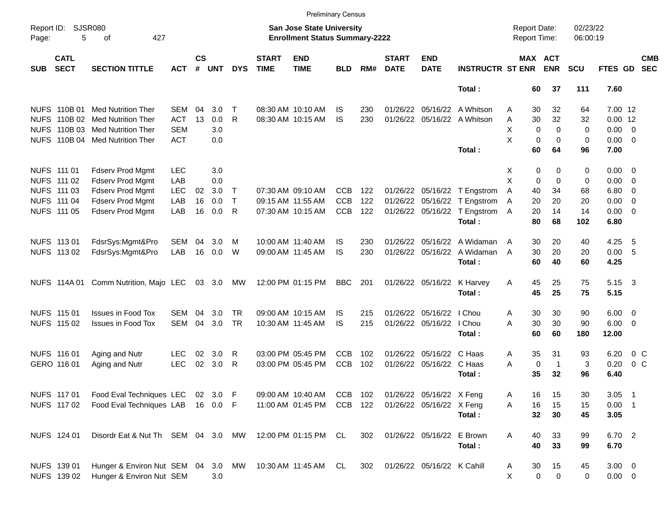|            |                            |                                    |            |                    |            |              |                             | <b>Preliminary Census</b>                                          |            |     |                             |                            |                              |                                     |                |                      |                |                            |                          |
|------------|----------------------------|------------------------------------|------------|--------------------|------------|--------------|-----------------------------|--------------------------------------------------------------------|------------|-----|-----------------------------|----------------------------|------------------------------|-------------------------------------|----------------|----------------------|----------------|----------------------------|--------------------------|
| Page:      | Report ID: SJSR080<br>5    | 427<br>οf                          |            |                    |            |              |                             | San Jose State University<br><b>Enrollment Status Summary-2222</b> |            |     |                             |                            |                              | <b>Report Date:</b><br>Report Time: |                | 02/23/22<br>06:00:19 |                |                            |                          |
| <b>SUB</b> | <b>CATL</b><br><b>SECT</b> | <b>SECTION TITTLE</b>              | <b>ACT</b> | $\mathsf{cs}$<br># | <b>UNT</b> | <b>DYS</b>   | <b>START</b><br><b>TIME</b> | <b>END</b><br><b>TIME</b>                                          | <b>BLD</b> | RM# | <b>START</b><br><b>DATE</b> | <b>END</b><br><b>DATE</b>  | <b>INSTRUCTR ST ENR</b>      | MAX ACT                             | <b>ENR</b>     | <b>SCU</b>           | FTES GD        |                            | <b>CMB</b><br><b>SEC</b> |
|            |                            |                                    |            |                    |            |              |                             |                                                                    |            |     |                             |                            | Total:                       | 60                                  | 37             | 111                  | 7.60           |                            |                          |
|            |                            | NUFS 110B 01 Med Nutrition Ther    | SEM        | 04                 | 3.0        | $\mathsf{T}$ |                             | 08:30 AM 10:10 AM                                                  | IS         | 230 | 01/26/22                    |                            | 05/16/22 A Whitson           | 30<br>Α                             | 32             | 64                   | 7.00 12        |                            |                          |
|            |                            | NUFS 110B 02 Med Nutrition Ther    | <b>ACT</b> | 13                 | 0.0        | R            |                             | 08:30 AM 10:15 AM                                                  | IS         | 230 |                             |                            | 01/26/22 05/16/22 A Whitson  | 30<br>Α                             | 32             | 32                   | $0.00$ 12      |                            |                          |
|            | NUFS 110B 03               | Med Nutrition Ther                 | <b>SEM</b> |                    | 3.0        |              |                             |                                                                    |            |     |                             |                            |                              | X<br>$\Omega$                       | $\Omega$       | 0                    | $0.00 \t 0$    |                            |                          |
|            |                            | NUFS 110B 04 Med Nutrition Ther    | <b>ACT</b> |                    | 0.0        |              |                             |                                                                    |            |     |                             |                            |                              | X<br>0                              | $\mathbf 0$    | 0                    | $0.00 \t 0$    |                            |                          |
|            |                            |                                    |            |                    |            |              |                             |                                                                    |            |     |                             |                            | Total:                       | 60                                  | 64             | 96                   | 7.00           |                            |                          |
|            | NUFS 111 01                | <b>Fdserv Prod Mgmt</b>            | <b>LEC</b> |                    | 3.0        |              |                             |                                                                    |            |     |                             |                            |                              | 0<br>X                              | 0              | 0                    | $0.00 \t 0$    |                            |                          |
|            | NUFS 111 02                | <b>Fdserv Prod Mgmt</b>            | LAB        |                    | 0.0        |              |                             |                                                                    |            |     |                             |                            |                              | X<br>0                              | $\mathbf 0$    | 0                    | 0.00           | $\overline{\phantom{0}}$   |                          |
|            | NUFS 111 03                | <b>Fdserv Prod Mgmt</b>            | <b>LEC</b> | 02                 | 3.0        | $\mathsf{T}$ |                             | 07:30 AM 09:10 AM                                                  | <b>CCB</b> | 122 |                             |                            | 01/26/22 05/16/22 T Engstrom | Α<br>40                             | 34             | 68                   | 6.80           | $\overline{\phantom{0}}$   |                          |
|            | NUFS 111 04                | Fdserv Prod Mgmt                   | LAB        | 16                 | 0.0        | $\mathsf{T}$ |                             | 09:15 AM 11:55 AM                                                  | <b>CCB</b> | 122 |                             |                            | 01/26/22 05/16/22 T Engstrom | 20<br>A                             | 20             | 20                   | 0.00           | $\overline{\mathbf{0}}$    |                          |
|            | NUFS 111 05                | Fdserv Prod Mgmt                   | LAB        | 16                 | 0.0        | R            |                             | 07:30 AM 10:15 AM                                                  | <b>CCB</b> | 122 |                             | 01/26/22 05/16/22          | T Engstrom                   | 20<br>A                             | 14             | 14                   | $0.00 \t 0$    |                            |                          |
|            |                            |                                    |            |                    |            |              |                             |                                                                    |            |     |                             |                            | Total:                       | 80                                  | 68             | 102                  | 6.80           |                            |                          |
|            | NUFS 113 01                | FdsrSys:Mgmt&Pro                   | SEM        | 04                 | 3.0        | M            |                             | 10:00 AM 11:40 AM                                                  | IS         | 230 | 01/26/22                    |                            | 05/16/22 A Widaman           | 30<br>A                             | 20             | 40                   | 4.25           | - 5                        |                          |
|            | NUFS 113 02                | FdsrSys:Mgmt&Pro                   | LAB        | 16                 | 0.0        | W            |                             | 09:00 AM 11:45 AM                                                  | IS         | 230 |                             | 01/26/22 05/16/22          | A Widaman                    | 30<br>A                             | 20             | 20                   | 0.00 5         |                            |                          |
|            |                            |                                    |            |                    |            |              |                             |                                                                    |            |     |                             |                            | Total:                       | 60                                  | 40             | 60                   | 4.25           |                            |                          |
|            | NUFS 114A 01               | Comm Nutrition, Majo LEC           |            |                    | 03 3.0     | МW           |                             | 12:00 PM 01:15 PM                                                  | <b>BBC</b> | 201 |                             | 01/26/22 05/16/22          | K Harvey                     | 45<br>A                             | 25             | 75                   | 5.15 3         |                            |                          |
|            |                            |                                    |            |                    |            |              |                             |                                                                    |            |     |                             |                            | Total:                       | 45                                  | 25             | 75                   | 5.15           |                            |                          |
|            | NUFS 115 01                | <b>Issues in Food Tox</b>          | SEM        | 04                 | 3.0        | <b>TR</b>    |                             | 09:00 AM 10:15 AM                                                  | IS         | 215 |                             | 01/26/22 05/16/22          | I Chou                       | 30<br>Α                             | 30             | 90                   | $6.00 \quad 0$ |                            |                          |
|            | NUFS 115 02                | <b>Issues in Food Tox</b>          | <b>SEM</b> | 04                 | 3.0        | <b>TR</b>    |                             | 10:30 AM 11:45 AM                                                  | IS         | 215 |                             | 01/26/22 05/16/22          | I Chou                       | A<br>30                             | 30             | 90                   | $6.00 \quad 0$ |                            |                          |
|            |                            |                                    |            |                    |            |              |                             |                                                                    |            |     |                             |                            | Total:                       | 60                                  | 60             | 180                  | 12.00          |                            |                          |
|            | NUFS 116 01                | Aging and Nutr                     | <b>LEC</b> | 02                 | 3.0        | R            |                             | 03:00 PM 05:45 PM                                                  | <b>CCB</b> | 102 | 01/26/22                    | 05/16/22 C Haas            |                              | 35<br>Α                             | 31             | 93                   | 6.20           | 0 <sup>o</sup>             |                          |
|            | GERO 116 01                | Aging and Nutr                     | <b>LEC</b> | 02                 | 3.0        | R            |                             | 03:00 PM 05:45 PM                                                  | <b>CCB</b> | 102 |                             | 01/26/22 05/16/22 C Haas   |                              | A<br>$\mathbf 0$                    | $\mathbf{1}$   | 3                    | 0.20           | 0 <sup>o</sup>             |                          |
|            |                            |                                    |            |                    |            |              |                             |                                                                    |            |     |                             |                            | Total:                       | 35                                  | 32             | 96                   | 6.40           |                            |                          |
|            | NUFS 117 01                | Food Eval Techniques LEC 02 3.0 F  |            |                    |            |              |                             | 09:00 AM 10:40 AM CCB 102                                          |            |     |                             | 01/26/22 05/16/22 X Feng   |                              | Α<br>16                             | 15             | 30                   | 3.05           | $\overline{\phantom{0}}$ 1 |                          |
|            | NUFS 117 02                | Food Eval Techniques LAB 16 0.0 F  |            |                    |            |              |                             | 11:00 AM 01:45 PM                                                  | CCB 122    |     |                             | 01/26/22 05/16/22 X Feng   |                              | Α<br>16                             | 15             | 15                   | $0.00$ 1       |                            |                          |
|            |                            |                                    |            |                    |            |              |                             |                                                                    |            |     |                             |                            | Total:                       | 32                                  | 30             | 45                   | 3.05           |                            |                          |
|            | NUFS 124 01                | Disordr Eat & Nut Th SEM 04 3.0 MW |            |                    |            |              |                             | 12:00 PM 01:15 PM CL                                               |            | 302 |                             | 01/26/22 05/16/22 E Brown  |                              | Α<br>40                             | 33             | 99                   | 6.70 2         |                            |                          |
|            |                            |                                    |            |                    |            |              |                             |                                                                    |            |     |                             |                            | Total:                       | 40                                  | 33             | 99                   | 6.70           |                            |                          |
|            | NUFS 139 01                | Hunger & Environ Nut SEM 04 3.0 MW |            |                    |            |              |                             | 10:30 AM 11:45 AM CL                                               |            | 302 |                             | 01/26/22 05/16/22 K Cahill |                              | 30<br>A                             | 15             | 45                   | $3.00 \ 0$     |                            |                          |
|            | NUFS 139 02                | Hunger & Environ Nut SEM           |            |                    | 3.0        |              |                             |                                                                    |            |     |                             |                            |                              | $\pmb{0}$<br>X                      | $\overline{0}$ | 0                    | $0.00 \t 0$    |                            |                          |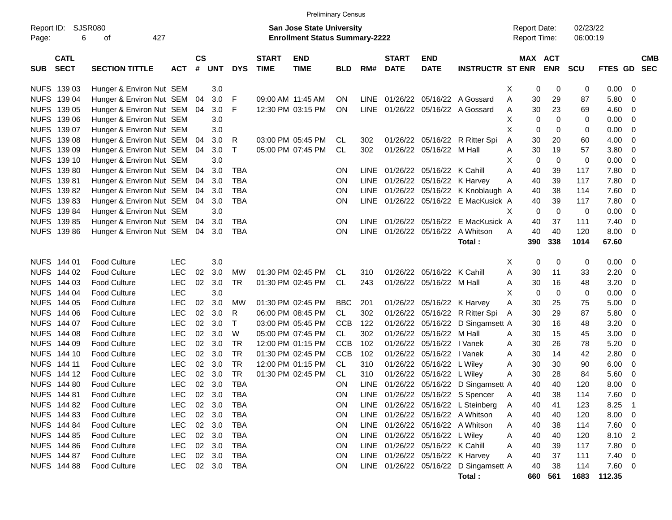|                                          |                             |            |           |        |            |                             |                                       | <b>Preliminary Census</b> |             |                             |                            |                                       |                     |             |             |            |                |                          |                          |
|------------------------------------------|-----------------------------|------------|-----------|--------|------------|-----------------------------|---------------------------------------|---------------------------|-------------|-----------------------------|----------------------------|---------------------------------------|---------------------|-------------|-------------|------------|----------------|--------------------------|--------------------------|
| Report ID:                               | <b>SJSR080</b>              |            |           |        |            |                             | <b>San Jose State University</b>      |                           |             |                             |                            |                                       | <b>Report Date:</b> |             |             | 02/23/22   |                |                          |                          |
| 6<br>Page:                               | 427<br>οf                   |            |           |        |            |                             | <b>Enrollment Status Summary-2222</b> |                           |             |                             |                            |                                       | <b>Report Time:</b> |             |             | 06:00:19   |                |                          |                          |
| <b>CATL</b><br><b>SECT</b><br><b>SUB</b> | <b>SECTION TITTLE</b>       | <b>ACT</b> | <b>CS</b> | # UNT  | <b>DYS</b> | <b>START</b><br><b>TIME</b> | <b>END</b><br><b>TIME</b>             | <b>BLD</b>                | RM#         | <b>START</b><br><b>DATE</b> | <b>END</b><br><b>DATE</b>  | <b>INSTRUCTR ST ENR</b>               | MAX ACT             |             | <b>ENR</b>  | <b>SCU</b> | <b>FTES GD</b> |                          | <b>CMB</b><br><b>SEC</b> |
| NUFS 139 03                              | Hunger & Environ Nut SEM    |            |           | 3.0    |            |                             |                                       |                           |             |                             |                            |                                       | X                   | 0           | 0           | 0          | 0.00           | - 0                      |                          |
| NUFS 139 04                              | Hunger & Environ Nut SEM 04 |            |           | 3.0    | $\mid$ F   |                             | 09:00 AM 11:45 AM                     | ON                        | <b>LINE</b> | 01/26/22                    |                            | 05/16/22 A Gossard                    | Α                   | 30          | 29          | 87         | 5.80           | 0                        |                          |
| NUFS 139 05                              | Hunger & Environ Nut SEM 04 |            |           | 3.0    | F          |                             | 12:30 PM 03:15 PM                     | ON                        | LINE        |                             |                            | 01/26/22 05/16/22 A Gossard           | A                   | 30          | 23          | 69         | 4.60           | 0                        |                          |
| NUFS 139 06                              | Hunger & Environ Nut SEM    |            |           | 3.0    |            |                             |                                       |                           |             |                             |                            |                                       | Х                   | $\mathbf 0$ | 0           | 0          | 0.00           | 0                        |                          |
| NUFS 139 07                              | Hunger & Environ Nut SEM    |            |           | 3.0    |            |                             |                                       |                           |             |                             |                            |                                       | X                   | 0           | 0           | 0          | 0.00           | 0                        |                          |
| NUFS 139 08                              | Hunger & Environ Nut SEM 04 |            |           | 3.0    | R          |                             | 03:00 PM 05:45 PM                     | CL                        | 302         | 01/26/22                    |                            | 05/16/22 R Ritter Spi                 | Α                   | 30          | 20          | 60         | 4.00           | 0                        |                          |
| NUFS 139 09                              | Hunger & Environ Nut SEM 04 |            |           | 3.0    | $\top$     |                             | 05:00 PM 07:45 PM                     | CL                        | 302         | 01/26/22                    | 05/16/22 M Hall            |                                       | A                   | 30          | 19          | 57         | 3.80           | 0                        |                          |
| NUFS 139 10                              | Hunger & Environ Nut SEM    |            |           | 3.0    |            |                             |                                       |                           |             |                             |                            |                                       | Х                   | $\mathbf 0$ | $\mathbf 0$ | 0          | 0.00           | 0                        |                          |
| NUFS 139 80                              | Hunger & Environ Nut SEM 04 |            |           | 3.0    | <b>TBA</b> |                             |                                       | <b>ON</b>                 | <b>LINE</b> | 01/26/22                    | 05/16/22 K Cahill          |                                       | A                   | 40          | 39          | 117        | 7.80           | 0                        |                          |
| NUFS 139 81                              | Hunger & Environ Nut SEM 04 |            |           | 3.0    | <b>TBA</b> |                             |                                       | ON                        | LINE        | 01/26/22                    |                            | 05/16/22 K Harvey                     | A                   | 40          | 39          | 117        | 7.80           | 0                        |                          |
| NUFS 139 82                              | Hunger & Environ Nut SEM 04 |            |           | 3.0    | <b>TBA</b> |                             |                                       | ON                        | <b>LINE</b> | 01/26/22                    |                            | 05/16/22 K Knoblaugh A                |                     | 40          | 38          | 114        | 7.60           | 0                        |                          |
| NUFS 139 83                              | Hunger & Environ Nut SEM 04 |            |           | 3.0    | <b>TBA</b> |                             |                                       | <b>ON</b>                 | <b>LINE</b> | 01/26/22                    |                            | 05/16/22 E MacKusick A                |                     | 40          | 39          | 117        | 7.80           | 0                        |                          |
| NUFS 139 84                              | Hunger & Environ Nut SEM    |            |           | 3.0    |            |                             |                                       |                           |             |                             |                            |                                       | X                   | 0           | $\mathbf 0$ | 0          | 0.00           | $\mathbf 0$              |                          |
| NUFS 139 85                              | Hunger & Environ Nut SEM 04 |            |           | 3.0    | <b>TBA</b> |                             |                                       | <b>ON</b>                 | LINE        |                             |                            | 01/26/22 05/16/22 E MacKusick A       |                     | 40          | 37          | 111        | 7.40           | 0                        |                          |
| NUFS 139 86                              | Hunger & Environ Nut SEM 04 |            |           | 3.0    | <b>TBA</b> |                             |                                       | ON                        | LINE        |                             |                            | 01/26/22 05/16/22 A Whitson           | A                   | 40          | 40          | 120        | 8.00           | 0                        |                          |
|                                          |                             |            |           |        |            |                             |                                       |                           |             |                             |                            | Total :                               |                     | 390         | 338         | 1014       | 67.60          |                          |                          |
| NUFS 144 01                              | <b>Food Culture</b>         | <b>LEC</b> |           | 3.0    |            |                             |                                       |                           |             |                             |                            |                                       | Х                   | 0           | 0           | 0          | 0.00           | - 0                      |                          |
| NUFS 144 02                              | <b>Food Culture</b>         | <b>LEC</b> | 02        | 3.0    | <b>MW</b>  |                             | 01:30 PM 02:45 PM                     | CL                        | 310         | 01/26/22                    | 05/16/22 K Cahill          |                                       | A                   | 30          | 11          | 33         | 2.20           | 0                        |                          |
| NUFS 144 03                              | <b>Food Culture</b>         | <b>LEC</b> | 02        | 3.0    | <b>TR</b>  |                             | 01:30 PM 02:45 PM                     | <b>CL</b>                 | 243         |                             | 01/26/22 05/16/22 M Hall   |                                       | A                   | 30          | 16          | 48         | 3.20           | 0                        |                          |
| NUFS 144 04                              | <b>Food Culture</b>         | <b>LEC</b> |           | 3.0    |            |                             |                                       |                           |             |                             |                            |                                       | X                   | 0           | $\mathbf 0$ | 0          | 0.00           | 0                        |                          |
| NUFS 144 05                              | <b>Food Culture</b>         | <b>LEC</b> | 02        | 3.0    | <b>MW</b>  |                             | 01:30 PM 02:45 PM                     | <b>BBC</b>                | 201         | 01/26/22                    | 05/16/22 K Harvey          |                                       | A                   | 30          | 25          | 75         | 5.00           | 0                        |                          |
| NUFS 144 06                              | <b>Food Culture</b>         | <b>LEC</b> | 02        | 3.0    | R          |                             | 06:00 PM 08:45 PM                     | <b>CL</b>                 | 302         | 01/26/22                    |                            | 05/16/22 R Ritter Spi                 | A                   | 30          | 29          | 87         | 5.80           | 0                        |                          |
| NUFS 144 07                              | <b>Food Culture</b>         | <b>LEC</b> | 02        | 3.0    | $\top$     |                             | 03:00 PM 05:45 PM                     | <b>CCB</b>                | 122         | 01/26/22                    |                            | 05/16/22 D Singamsett A               |                     | 30          | 16          | 48         | 3.20           | 0                        |                          |
| NUFS 144 08                              | <b>Food Culture</b>         | <b>LEC</b> | 02        | 3.0    | W          |                             | 05:00 PM 07:45 PM                     | CL                        | 302         | 01/26/22                    | 05/16/22 M Hall            |                                       | A                   | 30          | 15          | 45         | 3.00           | 0                        |                          |
| NUFS 144 09                              | <b>Food Culture</b>         | <b>LEC</b> | 02        | 3.0    | <b>TR</b>  |                             | 12:00 PM 01:15 PM                     | <b>CCB</b>                | 102         | 01/26/22                    | 05/16/22   Vanek           |                                       | A                   | 30          | 26          | 78         | 5.20           | 0                        |                          |
| NUFS 144 10                              | <b>Food Culture</b>         | <b>LEC</b> | 02        | 3.0    | <b>TR</b>  |                             | 01:30 PM 02:45 PM                     | <b>CCB</b>                | 102         | 01/26/22                    | 05/16/22   Vanek           |                                       | A                   | 30          | 14          | 42         | 2.80           | 0                        |                          |
| NUFS 144 11                              | <b>Food Culture</b>         | <b>LEC</b> | 02        | 3.0    | <b>TR</b>  |                             | 12:00 PM 01:15 PM                     | CL.                       | 310         | 01/26/22                    | 05/16/22 L Wiley           |                                       | A                   | 30          | 30          | 90         | 6.00           | 0                        |                          |
| NUFS 144 12                              | <b>Food Culture</b>         | LEC        | 02        | 3.0    | <b>TR</b>  |                             | 01:30 PM 02:45 PM                     | CL.                       | 310         | 01/26/22                    | 05/16/22 L Wiley           |                                       | A                   | 30          | 28          | 84         | 5.60           | 0                        |                          |
| NUFS 144 80                              | <b>Food Culture</b>         | <b>LEC</b> |           | 02 3.0 | <b>TBA</b> |                             |                                       | ON                        | <b>LINE</b> |                             |                            | 01/26/22 05/16/22 D Singamsett A      |                     | 40          | 40          | 120        | 8.00           | - 0                      |                          |
| NUFS 144 81                              | <b>Food Culture</b>         | LEC        |           | 02 3.0 | <b>TBA</b> |                             |                                       | ON                        |             |                             |                            | LINE 01/26/22 05/16/22 S Spencer      | A                   | 40          | 38          | 114        | 7.60           | $\overline{\phantom{0}}$ |                          |
| NUFS 144 82                              | <b>Food Culture</b>         | <b>LEC</b> |           | 02 3.0 | <b>TBA</b> |                             |                                       | ON                        |             |                             |                            | LINE 01/26/22 05/16/22 L Steinberg    | A                   | 40          | 41          | 123        | 8.25           | $\overline{1}$           |                          |
| NUFS 144 83                              | <b>Food Culture</b>         | <b>LEC</b> |           | 02 3.0 | <b>TBA</b> |                             |                                       | ON                        |             |                             |                            | LINE 01/26/22 05/16/22 A Whitson      | A                   | 40          | 40          | 120        | $8.00 \t 0$    |                          |                          |
| NUFS 144 84                              | <b>Food Culture</b>         | <b>LEC</b> |           | 02 3.0 | <b>TBA</b> |                             |                                       | ON                        |             |                             |                            | LINE 01/26/22 05/16/22 A Whitson      | A                   | 40          | 38          | 114        | $7.60$ 0       |                          |                          |
| NUFS 144 85                              | <b>Food Culture</b>         | <b>LEC</b> |           | 02 3.0 | <b>TBA</b> |                             |                                       | ON                        | LINE        |                             | 01/26/22 05/16/22 L Wiley  |                                       | Α                   | 40          | 40          | 120        | 8.10           | $\overline{2}$           |                          |
| NUFS 144 86                              | <b>Food Culture</b>         | <b>LEC</b> |           | 02 3.0 | <b>TBA</b> |                             |                                       | ON                        | <b>LINE</b> |                             | 01/26/22 05/16/22 K Cahill |                                       | A                   | 40          | 39          | 117        | 7.80           | $\overline{\mathbf{0}}$  |                          |
| NUFS 144 87                              | <b>Food Culture</b>         | <b>LEC</b> |           | 02 3.0 | <b>TBA</b> |                             |                                       | ON                        | <b>LINE</b> |                             | 01/26/22 05/16/22 K Harvey |                                       | A                   | 40          | 37          | 111        | $7.40 \ 0$     |                          |                          |
| NUFS 144 88                              | <b>Food Culture</b>         | LEC        |           | 02 3.0 | <b>TBA</b> |                             |                                       | ON                        |             |                             |                            | LINE 01/26/22 05/16/22 D Singamsett A |                     | 40          | 38          | 114        | 7.60 0         |                          |                          |

**Total : 660 561 1683 112.35**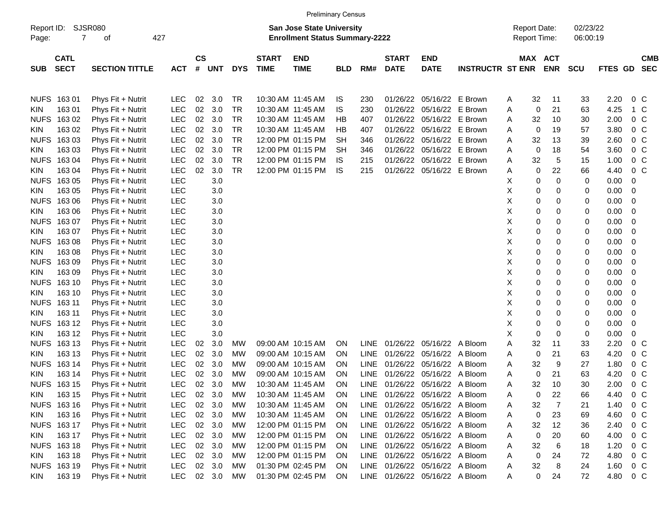|                     |                            |                             |            |                |        |            |                             | <b>Preliminary Census</b>                                          |            |             |                             |                                |                         |                                     |    |                       |                      |         |                |                          |
|---------------------|----------------------------|-----------------------------|------------|----------------|--------|------------|-----------------------------|--------------------------------------------------------------------|------------|-------------|-----------------------------|--------------------------------|-------------------------|-------------------------------------|----|-----------------------|----------------------|---------|----------------|--------------------------|
| Report ID:<br>Page: | $\overline{7}$             | <b>SJSR080</b><br>427<br>οf |            |                |        |            |                             | San Jose State University<br><b>Enrollment Status Summary-2222</b> |            |             |                             |                                |                         | <b>Report Date:</b><br>Report Time: |    |                       | 02/23/22<br>06:00:19 |         |                |                          |
| <b>SUB</b>          | <b>CATL</b><br><b>SECT</b> | <b>SECTION TITTLE</b>       | <b>ACT</b> | <b>CS</b><br># | UNT    | <b>DYS</b> | <b>START</b><br><b>TIME</b> | <b>END</b><br><b>TIME</b>                                          | <b>BLD</b> | RM#         | <b>START</b><br><b>DATE</b> | <b>END</b><br><b>DATE</b>      | <b>INSTRUCTR ST ENR</b> |                                     |    | MAX ACT<br><b>ENR</b> | <b>SCU</b>           | FTES GD |                | <b>CMB</b><br><b>SEC</b> |
|                     | NUFS 163 01                | Phys Fit + Nutrit           | <b>LEC</b> | 02             | 3.0    | TR         | 10:30 AM 11:45 AM           |                                                                    | IS         | 230         |                             | 01/26/22 05/16/22 E Brown      |                         | A                                   | 32 | 11                    | 33                   | 2.20    | 0 <sub>c</sub> |                          |
| KIN.                | 16301                      | Phys Fit + Nutrit           | <b>LEC</b> | 02             | 3.0    | <b>TR</b>  | 10:30 AM 11:45 AM           |                                                                    | IS         | 230         |                             | 01/26/22 05/16/22 E Brown      |                         | A                                   | 0  | 21                    | 63                   | 4.25    | 1 C            |                          |
| <b>NUFS</b>         | 16302                      | Phys Fit + Nutrit           | <b>LEC</b> | 02             | 3.0    | TR         | 10:30 AM 11:45 AM           |                                                                    | HВ         | 407         |                             | 01/26/22 05/16/22              | E Brown                 | Α                                   | 32 | 10                    | 30                   | 2.00    | 0 <sup>o</sup> |                          |
| <b>KIN</b>          | 163 02                     | Phys Fit + Nutrit           | <b>LEC</b> | 02             | 3.0    | <b>TR</b>  | 10:30 AM 11:45 AM           |                                                                    | HВ         | 407         |                             | 01/26/22 05/16/22 E Brown      |                         | Α                                   | 0  | 19                    | 57                   | 3.80    | 0 <sup>o</sup> |                          |
| <b>NUFS</b>         | 16303                      | Phys Fit + Nutrit           | LEC        | 02             | 3.0    | <b>TR</b>  | 12:00 PM 01:15 PM           |                                                                    | SН         | 346         |                             | 01/26/22 05/16/22 E Brown      |                         | Α                                   | 32 | 13                    | 39                   | 2.60    | 0 <sup>o</sup> |                          |
| <b>KIN</b>          | 163 03                     | Phys Fit + Nutrit           | LEC        | 02             | 3.0    | <b>TR</b>  | 12:00 PM 01:15 PM           |                                                                    | SН         | 346         |                             | 01/26/22 05/16/22              | E Brown                 | Α                                   | 0  | 18                    | 54                   | 3.60    | 0 <sup>o</sup> |                          |
| <b>NUFS</b>         | 16304                      | Phys Fit + Nutrit           | LEC        | 02             | 3.0    | <b>TR</b>  | 12:00 PM 01:15 PM           |                                                                    | IS.        | 215         |                             | 01/26/22 05/16/22 E Brown      |                         | Α                                   | 32 | 5                     | 15                   | 1.00    | 0 <sup>o</sup> |                          |
| <b>KIN</b>          | 163 04                     | Phys Fit + Nutrit           | <b>LEC</b> | 02             | 3.0    | <b>TR</b>  | 12:00 PM 01:15 PM           |                                                                    | IS.        | 215         |                             | 01/26/22 05/16/22 E Brown      |                         | Α                                   | 0  | 22                    | 66                   | 4.40    | $0\,C$         |                          |
| <b>NUFS</b>         | 16305                      | Phys Fit + Nutrit           | <b>LEC</b> |                | 3.0    |            |                             |                                                                    |            |             |                             |                                |                         | х                                   | 0  | 0                     | 0                    | 0.00    | 0              |                          |
| <b>KIN</b>          | 163 05                     | Phys Fit + Nutrit           | <b>LEC</b> |                | 3.0    |            |                             |                                                                    |            |             |                             |                                |                         | х                                   | 0  | 0                     | 0                    | 0.00    | 0              |                          |
| <b>NUFS</b>         | 16306                      | Phys Fit + Nutrit           | <b>LEC</b> |                | 3.0    |            |                             |                                                                    |            |             |                             |                                |                         | X                                   | 0  | 0                     | 0                    | 0.00    | 0              |                          |
| <b>KIN</b>          | 163 06                     | Phys Fit + Nutrit           | <b>LEC</b> |                | 3.0    |            |                             |                                                                    |            |             |                             |                                |                         | х                                   | 0  | 0                     | 0                    | 0.00    | 0              |                          |
| <b>NUFS</b>         | 16307                      | Phys Fit + Nutrit           | <b>LEC</b> |                | 3.0    |            |                             |                                                                    |            |             |                             |                                |                         | х                                   | 0  | 0                     | 0                    | 0.00    | 0              |                          |
| <b>KIN</b>          | 163 07                     | Phys Fit + Nutrit           | <b>LEC</b> |                | 3.0    |            |                             |                                                                    |            |             |                             |                                |                         | X                                   | 0  | 0                     | 0                    | 0.00    | 0              |                          |
| <b>NUFS</b>         | 16308                      | Phys Fit + Nutrit           | <b>LEC</b> |                | 3.0    |            |                             |                                                                    |            |             |                             |                                |                         | х                                   | 0  | 0                     | 0                    | 0.00    | 0              |                          |
| <b>KIN</b>          | 163 08                     | Phys Fit + Nutrit           | <b>LEC</b> |                | 3.0    |            |                             |                                                                    |            |             |                             |                                |                         | х                                   | 0  | 0                     | 0                    | 0.00    | 0              |                          |
| <b>NUFS</b>         | 16309                      | Phys Fit + Nutrit           | <b>LEC</b> |                | 3.0    |            |                             |                                                                    |            |             |                             |                                |                         | х                                   | 0  | 0                     | 0                    | 0.00    | 0              |                          |
| <b>KIN</b>          | 163 09                     | Phys Fit + Nutrit           | <b>LEC</b> |                | 3.0    |            |                             |                                                                    |            |             |                             |                                |                         | X                                   | 0  | 0                     | 0                    | 0.00    | 0              |                          |
| <b>NUFS</b>         | 163 10                     | Phys Fit + Nutrit           | <b>LEC</b> |                | 3.0    |            |                             |                                                                    |            |             |                             |                                |                         | х                                   | 0  | 0                     | 0                    | 0.00    | 0              |                          |
| <b>KIN</b>          | 163 10                     | Phys Fit + Nutrit           | <b>LEC</b> |                | 3.0    |            |                             |                                                                    |            |             |                             |                                |                         | х                                   | 0  | 0                     | 0                    | 0.00    | 0              |                          |
| <b>NUFS</b>         | 163 11                     | Phys Fit + Nutrit           | <b>LEC</b> |                | 3.0    |            |                             |                                                                    |            |             |                             |                                |                         | X                                   | 0  | 0                     | 0                    | 0.00    | 0              |                          |
| <b>KIN</b>          | 163 11                     | Phys Fit + Nutrit           | <b>LEC</b> |                | 3.0    |            |                             |                                                                    |            |             |                             |                                |                         | х                                   | 0  | 0                     | 0                    | 0.00    | 0              |                          |
| <b>NUFS</b>         | 163 12                     | Phys Fit + Nutrit           | <b>LEC</b> |                | 3.0    |            |                             |                                                                    |            |             |                             |                                |                         | х                                   | 0  | 0                     | 0                    | 0.00    | 0              |                          |
| <b>KIN</b>          | 163 12                     | Phys Fit + Nutrit           | <b>LEC</b> |                | 3.0    |            |                             |                                                                    |            |             |                             |                                |                         | X                                   | 0  | 0                     | 0                    | 0.00    | 0              |                          |
| <b>NUFS</b>         | 163 13                     | Phys Fit + Nutrit           | <b>LEC</b> | 02             | 3.0    | MW         | 09:00 AM 10:15 AM           |                                                                    | ON.        |             |                             | LINE 01/26/22 05/16/22 A Bloom |                         | Α                                   | 32 | 11                    | 33                   | 2.20    | 0 <sub>C</sub> |                          |
| <b>KIN</b>          | 163 13                     | Phys Fit + Nutrit           | <b>LEC</b> | 02             | 3.0    | <b>MW</b>  | 09:00 AM 10:15 AM           |                                                                    | 0N         | <b>LINE</b> | 01/26/22 05/16/22           |                                | A Bloom                 | Α                                   | 0  | 21                    | 63                   | 4.20    | 0 <sub>C</sub> |                          |
| <b>NUFS</b>         | 163 14                     | Phys Fit + Nutrit           | <b>LEC</b> | 02             | 3.0    | <b>MW</b>  | 09:00 AM 10:15 AM           |                                                                    | 0N         | LINE        |                             | 01/26/22 05/16/22 A Bloom      |                         | A                                   | 32 | 9                     | 27                   | 1.80    | 0 <sup>o</sup> |                          |
| KIN.                | 163 14                     | Phys Fit + Nutrit           | <b>LEC</b> | 02             | 3.0    | <b>MW</b>  | 09:00 AM 10:15 AM           |                                                                    | 0N         | <b>LINE</b> | 01/26/22                    | 05/16/22 A Bloom               |                         | Α                                   | 0  | 21                    | 63                   | 4.20    | 0 <sup>o</sup> |                          |
|                     | NUFS 16315                 | Phys Fit + Nutrit           | <b>LEC</b> | 02             | 3.0    | MW         | 10:30 AM 11:45 AM           |                                                                    | ON         |             |                             | LINE 01/26/22 05/16/22 A Bloom |                         | Α                                   | 32 | 10                    | 30                   | 2.00    | 0 <sup>o</sup> |                          |
| <b>KIN</b>          | 163 15                     | Phys Fit + Nutrit           | LEC        | $02\,$         | 3.0    | МW         | 10:30 AM 11:45 AM           |                                                                    | <b>ON</b>  |             |                             | LINE 01/26/22 05/16/22 A Bloom |                         | A                                   | 0  | 22                    | 66                   | 4.40    | $0\,C$         |                          |
|                     | NUFS 163 16                | Phys Fit + Nutrit           | <b>LEC</b> |                | 02 3.0 | MW         | 10:30 AM 11:45 AM           |                                                                    | <b>ON</b>  |             |                             | LINE 01/26/22 05/16/22 A Bloom |                         | Α                                   | 32 | 7                     | 21                   | 1.40    | $0\,C$         |                          |
| KIN                 | 163 16                     | Phys Fit + Nutrit           | <b>LEC</b> |                | 02 3.0 | <b>MW</b>  | 10:30 AM 11:45 AM           |                                                                    | <b>ON</b>  |             |                             | LINE 01/26/22 05/16/22 A Bloom |                         | Α                                   | 0  | 23                    | 69                   | 4.60    | $0\,C$         |                          |
|                     | NUFS 163 17                | Phys Fit + Nutrit           | <b>LEC</b> |                | 02 3.0 | <b>MW</b>  |                             | 12:00 PM 01:15 PM                                                  | <b>ON</b>  |             |                             | LINE 01/26/22 05/16/22 A Bloom |                         | A                                   | 32 | 12                    | 36                   | 2.40    | $0\,C$         |                          |
| KIN                 | 163 17                     | Phys Fit + Nutrit           | <b>LEC</b> |                | 02 3.0 | <b>MW</b>  |                             | 12:00 PM 01:15 PM                                                  | <b>ON</b>  |             |                             | LINE 01/26/22 05/16/22 A Bloom |                         | Α                                   | 0  | 20                    | 60                   | 4.00    | $0\,C$         |                          |
|                     | NUFS 163 18                | Phys Fit + Nutrit           | <b>LEC</b> |                | 02 3.0 | <b>MW</b>  |                             | 12:00 PM 01:15 PM                                                  | <b>ON</b>  |             |                             | LINE 01/26/22 05/16/22 A Bloom |                         | Α                                   | 32 | 6                     | 18                   | 1.20    | $0\,C$         |                          |
|                     | 163 18                     | Phys Fit + Nutrit           | <b>LEC</b> |                | 02 3.0 | <b>MW</b>  |                             | 12:00 PM 01:15 PM                                                  | <b>ON</b>  |             |                             | LINE 01/26/22 05/16/22 A Bloom |                         | Α                                   | 0  | 24                    | 72                   | 4.80    | $0\,C$         |                          |
| KIN                 | NUFS 163 19                | Phys Fit + Nutrit           | LEC        |                | 02 3.0 | <b>MW</b>  |                             | 01:30 PM 02:45 PM                                                  | <b>ON</b>  |             |                             | LINE 01/26/22 05/16/22 A Bloom |                         |                                     | 32 | 8                     | 24                   | 1.60    | $0\,C$         |                          |
|                     | 163 19                     |                             | LEC        |                | 02 3.0 |            |                             | 01:30 PM 02:45 PM                                                  |            |             |                             | LINE 01/26/22 05/16/22 A Bloom |                         | A                                   |    | 24                    | 72                   | 4.80    |                |                          |
| <b>KIN</b>          |                            | Phys Fit + Nutrit           |            |                |        | МW         |                             |                                                                    | ON         |             |                             |                                |                         | A                                   | 0  |                       |                      |         | $0\,C$         |                          |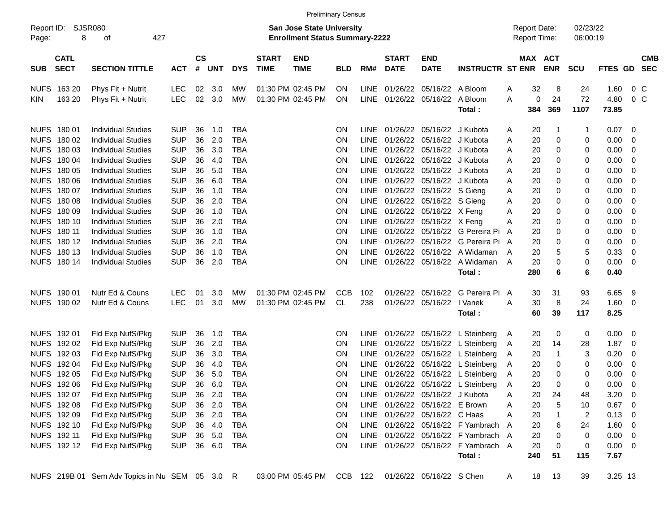|                     |                            |                                                |            |                |            |            |                             |                                                                           | <b>Preliminary Census</b> |             |                             |                                 |                                     |        |                                     |              |                      |             |                         |            |
|---------------------|----------------------------|------------------------------------------------|------------|----------------|------------|------------|-----------------------------|---------------------------------------------------------------------------|---------------------------|-------------|-----------------------------|---------------------------------|-------------------------------------|--------|-------------------------------------|--------------|----------------------|-------------|-------------------------|------------|
| Report ID:<br>Page: | 8                          | SJSR080<br>427<br>οf                           |            |                |            |            |                             | <b>San Jose State University</b><br><b>Enrollment Status Summary-2222</b> |                           |             |                             |                                 |                                     |        | <b>Report Date:</b><br>Report Time: |              | 02/23/22<br>06:00:19 |             |                         |            |
| <b>SUB</b>          | <b>CATL</b><br><b>SECT</b> | <b>SECTION TITTLE</b>                          | <b>ACT</b> | <b>CS</b><br># | <b>UNT</b> | <b>DYS</b> | <b>START</b><br><b>TIME</b> | <b>END</b><br><b>TIME</b>                                                 | <b>BLD</b>                | RM#         | <b>START</b><br><b>DATE</b> | <b>END</b><br><b>DATE</b>       | <b>INSTRUCTR ST ENR</b>             |        | MAX ACT                             | <b>ENR</b>   | <b>SCU</b>           | FTES GD SEC |                         | <b>CMB</b> |
|                     | NUFS 163 20                | Phys Fit + Nutrit                              | <b>LEC</b> | 02             | 3.0        | МW         |                             | 01:30 PM 02:45 PM                                                         | <b>ON</b>                 | <b>LINE</b> |                             | 01/26/22 05/16/22 A Bloom       |                                     | Α      | 32                                  | 8            | 24                   | 1.60        | $0\,$ C                 |            |
| KIN.                | 163 20                     | Phys Fit + Nutrit                              | <b>LEC</b> |                | 02 3.0     | MW         |                             | 01:30 PM 02:45 PM                                                         | <b>ON</b>                 |             |                             | LINE 01/26/22 05/16/22 A Bloom  |                                     | A      | 0                                   | 24           | 72                   | 4.80        | $0\,C$                  |            |
|                     |                            |                                                |            |                |            |            |                             |                                                                           |                           |             |                             |                                 | Total:                              |        | 384                                 | 369          | 1107                 | 73.85       |                         |            |
|                     | NUFS 180 01                | <b>Individual Studies</b>                      | <b>SUP</b> | 36             | 1.0        | <b>TBA</b> |                             |                                                                           | <b>ON</b>                 | <b>LINE</b> |                             | 01/26/22 05/16/22 J Kubota      |                                     | Α      | 20                                  | $\mathbf 1$  | 1                    | 0.07        | $\overline{0}$          |            |
|                     | NUFS 180 02                | <b>Individual Studies</b>                      | <b>SUP</b> | 36             | 2.0        | <b>TBA</b> |                             |                                                                           | <b>ON</b>                 | <b>LINE</b> |                             | 01/26/22 05/16/22 J Kubota      |                                     | Α      | 20                                  | 0            | 0                    | 0.00        | $\mathbf 0$             |            |
|                     | NUFS 180 03                | <b>Individual Studies</b>                      | <b>SUP</b> | 36             | 3.0        | <b>TBA</b> |                             |                                                                           | <b>ON</b>                 | <b>LINE</b> |                             | 01/26/22 05/16/22 J Kubota      |                                     | Α      | 20                                  | 0            | 0                    | 0.00        | 0                       |            |
|                     | NUFS 180 04                | <b>Individual Studies</b>                      | <b>SUP</b> | 36             | 4.0        | <b>TBA</b> |                             |                                                                           | ON                        | <b>LINE</b> |                             | 01/26/22 05/16/22 J Kubota      |                                     | Α      | 20                                  | 0            | 0                    | 0.00        | 0                       |            |
|                     | NUFS 180 05                | <b>Individual Studies</b>                      | <b>SUP</b> | 36             | 5.0        | <b>TBA</b> |                             |                                                                           | ON                        | LINE        |                             | 01/26/22 05/16/22 J Kubota      |                                     | Α      | 20                                  | 0            | 0                    | 0.00        | 0                       |            |
|                     | NUFS 180 06                | <b>Individual Studies</b>                      | <b>SUP</b> | 36             | 6.0        | <b>TBA</b> |                             |                                                                           | ON                        | LINE        |                             | 01/26/22 05/16/22 J Kubota      |                                     | Α      | 20                                  | 0            | 0                    | 0.00        | 0                       |            |
|                     | NUFS 180 07                | <b>Individual Studies</b>                      | <b>SUP</b> | 36             | 1.0        | <b>TBA</b> |                             |                                                                           | ON                        | LINE        |                             | 01/26/22 05/16/22 S Gieng       |                                     | Α      | 20                                  | 0            | 0                    | 0.00        | 0                       |            |
|                     | NUFS 180 08                | <b>Individual Studies</b>                      | <b>SUP</b> | 36             | 2.0        | <b>TBA</b> |                             |                                                                           | ON                        |             |                             | LINE 01/26/22 05/16/22 S Gieng  |                                     | Α      | 20                                  | 0            | 0                    | 0.00        | 0                       |            |
|                     | NUFS 180 09                | <b>Individual Studies</b>                      | <b>SUP</b> | 36             | 1.0        | <b>TBA</b> |                             |                                                                           | ON                        |             |                             | LINE 01/26/22 05/16/22 X Feng   |                                     | Α      | 20                                  | 0            | 0                    | 0.00        | 0                       |            |
|                     | NUFS 180 10                | <b>Individual Studies</b>                      | <b>SUP</b> | 36             | 2.0        | <b>TBA</b> |                             |                                                                           | ON                        |             |                             | LINE 01/26/22 05/16/22 X Feng   |                                     | A      | 20                                  | 0            | 0                    | 0.00        | 0                       |            |
|                     | NUFS 180 11                | <b>Individual Studies</b>                      | <b>SUP</b> | 36             | 1.0        | <b>TBA</b> |                             |                                                                           | ON                        | LINE        |                             |                                 | 01/26/22 05/16/22 G Pereira Pi      | A      | 20                                  | 0            | 0                    | 0.00        | 0                       |            |
|                     | NUFS 180 12                | <b>Individual Studies</b>                      | <b>SUP</b> | 36             | 2.0        | <b>TBA</b> |                             |                                                                           | ON                        | LINE        |                             |                                 | 01/26/22 05/16/22 G Pereira Pi A    |        | 20                                  | 0            | 0                    | 0.00        | 0                       |            |
|                     | NUFS 180 13                | <b>Individual Studies</b>                      | <b>SUP</b> | 36             | 1.0        | <b>TBA</b> |                             |                                                                           | ON                        | <b>LINE</b> |                             |                                 | 01/26/22 05/16/22 A Widaman         | A      | 20                                  | 5            | 5                    | 0.33        | 0                       |            |
|                     | NUFS 180 14                | <b>Individual Studies</b>                      | <b>SUP</b> | 36             | 2.0        | <b>TBA</b> |                             |                                                                           | <b>ON</b>                 |             |                             |                                 | LINE 01/26/22 05/16/22 A Widaman    | A      | 20                                  | 0            | 0                    | 0.00        | 0                       |            |
|                     |                            |                                                |            |                |            |            |                             |                                                                           |                           |             |                             |                                 | Total:                              |        | 280                                 | 6            | 6                    | 0.40        |                         |            |
|                     | NUFS 190 01                | Nutr Ed & Couns                                | <b>LEC</b> | 01             | 3.0        | MW         |                             | 01:30 PM 02:45 PM                                                         | <b>CCB</b>                | 102         |                             | 01/26/22 05/16/22               | G Pereira Pi A                      |        | 30                                  | 31           | 93                   | 6.65        | - 9                     |            |
|                     | NUFS 190 02                | Nutr Ed & Couns                                | <b>LEC</b> | 01             | 3.0        | MW         |                             | 01:30 PM 02:45 PM                                                         | CL                        | 238         |                             | 01/26/22 05/16/22 I Vanek       |                                     | A      | 30                                  | 8            | 24                   | 1.60        | $\overline{0}$          |            |
|                     |                            |                                                |            |                |            |            |                             |                                                                           |                           |             |                             |                                 | Total:                              |        | 60                                  | 39           | 117                  | 8.25        |                         |            |
|                     | NUFS 192 01                | Fld Exp NufS/Pkg                               | <b>SUP</b> | 36             | 1.0        | <b>TBA</b> |                             |                                                                           | <b>ON</b>                 | <b>LINE</b> |                             |                                 | 01/26/22 05/16/22 L Steinberg       |        | 20                                  | 0            | 0                    | 0.00        |                         |            |
|                     | NUFS 192 02                | Fld Exp NufS/Pkg                               | <b>SUP</b> | 36             | 2.0        | <b>TBA</b> |                             |                                                                           | ON                        |             |                             |                                 | LINE 01/26/22 05/16/22 L Steinberg  | A      | 20                                  | 14           | 28                   | 1.87        | $\overline{0}$<br>0     |            |
|                     | NUFS 192 03                | Fld Exp NufS/Pkg                               | <b>SUP</b> | 36             | 3.0        | <b>TBA</b> |                             |                                                                           | <b>ON</b>                 | LINE        |                             |                                 | 01/26/22 05/16/22 L Steinberg       | A<br>A | 20                                  | $\mathbf{1}$ | 3                    | 0.20        | 0                       |            |
|                     | NUFS 192 04                | Fld Exp NufS/Pkg                               | <b>SUP</b> | 36             | 4.0        | <b>TBA</b> |                             |                                                                           | <b>ON</b>                 | LINE        |                             |                                 | 01/26/22 05/16/22 L Steinberg       |        | 20                                  | 0            | 0                    | 0.00        | 0                       |            |
|                     | NUFS 192 05                | Fld Exp NufS/Pkg                               | <b>SUP</b> | 36             | 5.0        | <b>TBA</b> |                             |                                                                           | <b>ON</b>                 | LINE        |                             |                                 | 01/26/22 05/16/22 L Steinberg       | A      | 20                                  | 0            | 0                    | 0.00        |                         |            |
|                     | NUFS 192 06                |                                                | <b>SUP</b> | 36             | 6.0        | <b>TBA</b> |                             |                                                                           | <b>ON</b>                 |             |                             |                                 | LINE 01/26/22 05/16/22 L Steinberg  | A      | 20                                  | 0            | 0                    | 0.00        | 0<br>0                  |            |
|                     | NUFS 192 07                | Fld Exp NufS/Pkg<br>Fld Exp NufS/Pkg           | SUP 36 2.0 |                |            | <b>TBA</b> |                             |                                                                           | ON                        |             |                             | LINE 01/26/22 05/16/22 J Kubota |                                     | A      | 20                                  | 24           | 48                   | 3.20        | $\overline{0}$          |            |
|                     |                            |                                                |            |                |            |            |                             |                                                                           |                           |             |                             |                                 |                                     | Α      |                                     |              |                      |             |                         |            |
|                     | NUFS 192 08                | Fld Exp NufS/Pkg                               | <b>SUP</b> |                | 36 2.0     | TBA        |                             |                                                                           | <b>ON</b>                 |             |                             | LINE 01/26/22 05/16/22 E Brown  |                                     | Α      | 20                                  | 5            | 10                   | 0.67        | $\overline{0}$          |            |
|                     | NUFS 192 09                | Fld Exp NufS/Pkg                               | <b>SUP</b> |                | 36 2.0     | <b>TBA</b> |                             |                                                                           | ON                        |             |                             | LINE 01/26/22 05/16/22 C Haas   |                                     | Α      | 20                                  |              | $\overline{2}$       | 0.13        | $\overline{\mathbf{0}}$ |            |
|                     | NUFS 192 10                | Fld Exp NufS/Pkg                               | <b>SUP</b> | 36             | 4.0        | TBA        |                             |                                                                           | ON                        |             |                             |                                 | LINE 01/26/22 05/16/22 F Yambrach   | A      | 20                                  | 6            | 24                   | 1.60        | $\overline{0}$          |            |
|                     | NUFS 192 11                | Fld Exp NufS/Pkg                               | <b>SUP</b> |                | 36 5.0     | <b>TBA</b> |                             |                                                                           | ON                        |             |                             |                                 | LINE 01/26/22 05/16/22 F Yambrach A |        | 20                                  | 0            | 0                    | 0.00        | $\overline{\mathbf{0}}$ |            |
|                     | NUFS 192 12                | Fld Exp NufS/Pkg                               | <b>SUP</b> |                | 36 6.0     | TBA        |                             |                                                                           | ON                        |             |                             |                                 | LINE 01/26/22 05/16/22 F Yambrach A |        | 20                                  | 0            | 0                    | $0.00 \t 0$ |                         |            |
|                     |                            |                                                |            |                |            |            |                             |                                                                           |                           |             |                             |                                 | Total:                              |        | 240                                 | 51           | 115                  | 7.67        |                         |            |
|                     |                            | NUFS 219B 01 Sem Adv Topics in Nu SEM 05 3.0 R |            |                |            |            |                             | 03:00 PM 05:45 PM                                                         | CCB 122                   |             |                             | 01/26/22 05/16/22 S Chen        |                                     | A      | 18                                  | 13           | 39                   | 3.25 13     |                         |            |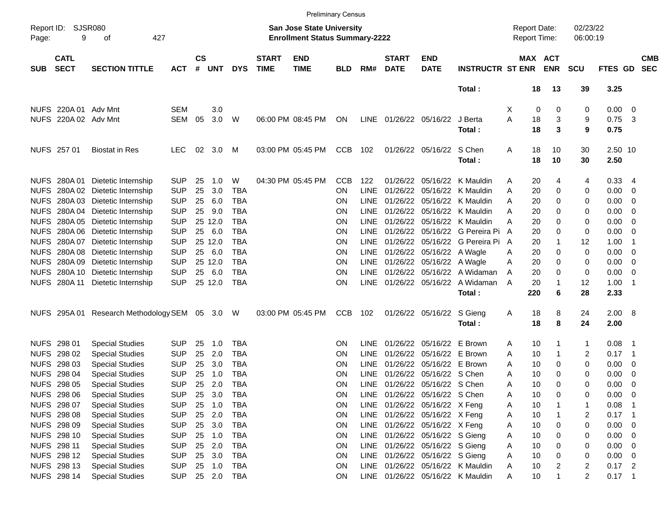|             |                            |                                                |            |                    |              |            |                             |                                                                           | <b>Preliminary Census</b> |             |                             |                               |                                  |                                     |                              |                         |                |                          |                          |
|-------------|----------------------------|------------------------------------------------|------------|--------------------|--------------|------------|-----------------------------|---------------------------------------------------------------------------|---------------------------|-------------|-----------------------------|-------------------------------|----------------------------------|-------------------------------------|------------------------------|-------------------------|----------------|--------------------------|--------------------------|
| Page:       | Report ID: SJSR080<br>9    | 427<br>οf                                      |            |                    |              |            |                             | <b>San Jose State University</b><br><b>Enrollment Status Summary-2222</b> |                           |             |                             |                               |                                  | <b>Report Date:</b><br>Report Time: |                              | 02/23/22<br>06:00:19    |                |                          |                          |
| <b>SUB</b>  | <b>CATL</b><br><b>SECT</b> | <b>SECTION TITTLE</b>                          | <b>ACT</b> | $\mathsf{cs}$<br># | <b>UNT</b>   | <b>DYS</b> | <b>START</b><br><b>TIME</b> | <b>END</b><br><b>TIME</b>                                                 | <b>BLD</b>                | RM#         | <b>START</b><br><b>DATE</b> | <b>END</b><br><b>DATE</b>     | <b>INSTRUCTR ST ENR</b>          |                                     | <b>MAX ACT</b><br><b>ENR</b> | <b>SCU</b>              | <b>FTES GD</b> |                          | <b>CMB</b><br><b>SEC</b> |
|             |                            |                                                |            |                    |              |            |                             |                                                                           |                           |             |                             |                               | Total:                           | 18                                  | 13                           | 39                      | 3.25           |                          |                          |
|             | NUFS 220A 01 Adv Mnt       |                                                | <b>SEM</b> |                    | 3.0          |            |                             |                                                                           |                           |             |                             |                               |                                  | Х                                   | 0<br>0                       | 0                       | 0.00           | $\overline{\mathbf{0}}$  |                          |
|             | NUFS 220A 02 Adv Mnt       |                                                | SEM        | 05                 | 3.0          | W          |                             | 06:00 PM 08:45 PM                                                         | ON                        | <b>LINE</b> |                             | 01/26/22 05/16/22             | J Berta                          | 18<br>Α                             | 3                            | 9                       | 0.75           | - 3                      |                          |
|             |                            |                                                |            |                    |              |            |                             |                                                                           |                           |             |                             |                               | Total:                           | 18                                  | 3                            | 9                       | 0.75           |                          |                          |
|             | NUFS 257 01                | <b>Biostat in Res</b>                          | <b>LEC</b> | 02                 | 3.0          | M          |                             | 03:00 PM 05:45 PM                                                         | CCB                       | 102         |                             | 01/26/22 05/16/22 S Chen      |                                  | 18<br>A                             | 10                           | 30                      | 2.50 10        |                          |                          |
|             |                            |                                                |            |                    |              |            |                             |                                                                           |                           |             |                             |                               | Total:                           | 18                                  | 10                           | 30                      | 2.50           |                          |                          |
|             |                            | NUFS 280A 01 Dietetic Internship               | <b>SUP</b> | 25                 | 1.0          | W          |                             | 04:30 PM 05:45 PM                                                         | <b>CCB</b>                | 122         |                             |                               | 01/26/22 05/16/22 K Mauldin      | 20<br>Α                             | 4                            | 4                       | 0.33           | -4                       |                          |
|             |                            | NUFS 280A 02 Dietetic Internship               | <b>SUP</b> | 25                 | 3.0          | <b>TBA</b> |                             |                                                                           | ΟN                        | <b>LINE</b> |                             |                               | 01/26/22 05/16/22 K Mauldin      | 20<br>Α                             | 0                            | 0                       | 0.00           | 0                        |                          |
| <b>NUFS</b> |                            | 280A 03 Dietetic Internship                    | <b>SUP</b> | 25                 | 6.0          | <b>TBA</b> |                             |                                                                           | ΟN                        | LINE        |                             |                               | 01/26/22 05/16/22 K Mauldin      | Α<br>20                             | 0                            | 0                       | 0.00           | 0                        |                          |
| <b>NUFS</b> |                            | 280A 04 Dietetic Internship                    | <b>SUP</b> | 25                 | 9.0          | <b>TBA</b> |                             |                                                                           | ΟN                        | LINE        |                             |                               | 01/26/22 05/16/22 K Mauldin      | Α<br>20                             | 0                            | 0                       | 0.00           | 0                        |                          |
| <b>NUFS</b> |                            | 280A 05 Dietetic Internship                    | <b>SUP</b> |                    | 25 12.0      | <b>TBA</b> |                             |                                                                           | ΟN                        | LINE        |                             |                               | 01/26/22 05/16/22 K Mauldin      | 20<br>Α                             | 0                            | 0                       | 0.00           | 0                        |                          |
| <b>NUFS</b> |                            | 280A 06 Dietetic Internship                    | <b>SUP</b> | 25                 | 6.0          | <b>TBA</b> |                             |                                                                           | ΟN                        | LINE        |                             |                               | 01/26/22 05/16/22 G Pereira Pi   | 20<br>A                             | 0                            | 0                       | 0.00           | 0                        |                          |
| <b>NUFS</b> |                            | 280A 07 Dietetic Internship                    | <b>SUP</b> |                    | 25 12.0      | <b>TBA</b> |                             |                                                                           | ΟN                        | LINE        |                             |                               | 01/26/22 05/16/22 G Pereira Pi   | 20<br>A                             | 1                            | 12                      | 1.00           | -1                       |                          |
| <b>NUFS</b> |                            | 280A 08 Dietetic Internship                    | <b>SUP</b> | 25                 | 6.0          | <b>TBA</b> |                             |                                                                           | ON                        | <b>LINE</b> |                             | 01/26/22 05/16/22 A Wagle     |                                  | 20<br>Α                             | 0                            | 0                       | 0.00           | 0                        |                          |
|             |                            | NUFS 280A 09 Dietetic Internship               | <b>SUP</b> |                    | 25 12.0      | <b>TBA</b> |                             |                                                                           | ON                        | <b>LINE</b> |                             | 01/26/22 05/16/22 A Wagle     |                                  | 20<br>Α                             | 0                            | 0                       | 0.00           | 0                        |                          |
| <b>NUFS</b> |                            | 280A 10 Dietetic Internship                    | <b>SUP</b> | 25                 | 6.0          | <b>TBA</b> |                             |                                                                           | ΟN                        | <b>LINE</b> |                             |                               | 01/26/22 05/16/22 A Widaman      | 20<br>A                             | 0                            | 0                       | 0.00           | 0                        |                          |
|             |                            | NUFS 280A 11 Dietetic Internship               | <b>SUP</b> |                    | 25 12.0      | <b>TBA</b> |                             |                                                                           | ON                        | <b>LINE</b> |                             |                               | 01/26/22 05/16/22 A Widaman      | 20<br>A                             |                              | 12                      | 1.00           | -1                       |                          |
|             |                            |                                                |            |                    |              |            |                             |                                                                           |                           |             |                             |                               | Total:                           | 220                                 | 6                            | 28                      | 2.33           |                          |                          |
|             |                            | NUFS 295A 01 Research Methodology SEM 05 3.0 W |            |                    |              |            |                             | 03:00 PM 05:45 PM                                                         | <b>CCB</b>                | 102         |                             | 01/26/22 05/16/22 S Gieng     |                                  | 18<br>Α                             | 8                            | 24                      | 2.00 8         |                          |                          |
|             |                            |                                                |            |                    |              |            |                             |                                                                           |                           |             |                             |                               | Total:                           | 18                                  | 8                            | 24                      | 2.00           |                          |                          |
|             | NUFS 298 01                | <b>Special Studies</b>                         | <b>SUP</b> | 25                 | 1.0          | TBA        |                             |                                                                           | ΟN                        | LINE        |                             | 01/26/22 05/16/22 E Brown     |                                  | 10<br>Α                             |                              | 1                       | 0.08           | -1                       |                          |
|             | NUFS 298 02                | <b>Special Studies</b>                         | <b>SUP</b> | 25                 | 2.0          | <b>TBA</b> |                             |                                                                           | ΟN                        | <b>LINE</b> |                             | 01/26/22 05/16/22 E Brown     |                                  | 10<br>Α                             |                              | 2                       | 0.17           | - 1                      |                          |
|             | NUFS 298 03                | <b>Special Studies</b>                         | <b>SUP</b> | 25                 | 3.0          | <b>TBA</b> |                             |                                                                           | ON                        | <b>LINE</b> |                             | 01/26/22 05/16/22 E Brown     |                                  | 10<br>Α                             | 0                            | 0                       | 0.00           | 0                        |                          |
|             | NUFS 298 04                | <b>Special Studies</b>                         | <b>SUP</b> | 25                 | 1.0          | <b>TBA</b> |                             |                                                                           | ΟN                        | <b>LINE</b> |                             | 01/26/22 05/16/22 S Chen      |                                  | 10<br>Α                             | 0                            | 0                       | 0.00           | 0                        |                          |
|             | NUFS 298 05                | <b>Special Studies</b>                         | <b>SUP</b> | 25                 | 2.0          | <b>TBA</b> |                             |                                                                           | ΟN                        | LINE        |                             | 01/26/22 05/16/22 S Chen      |                                  | 10<br>A                             | 0                            | 0                       | 0.00           | 0                        |                          |
|             | NUFS 298 06                | <b>Special Studies</b>                         | <b>SUP</b> | 25                 | 3.0          | <b>TBA</b> |                             |                                                                           | ON                        | LINE        |                             | 01/26/22 05/16/22 S Chen      |                                  | 10<br>A                             | 0                            | 0                       | 0.00           | $\overline{\phantom{0}}$ |                          |
|             | NUFS 298 07                | <b>Special Studies</b>                         | <b>SUP</b> | 25                 | 1.0          | <b>TBA</b> |                             |                                                                           | <b>ON</b>                 | LINE        |                             | 01/26/22 05/16/22 X Feng      |                                  | 10<br>Α                             |                              | 1                       | 0.08           | - 1                      |                          |
|             | NUFS 298 08                | <b>Special Studies</b>                         | <b>SUP</b> |                    | 25 2.0       | <b>TBA</b> |                             |                                                                           | <b>ON</b>                 |             |                             | LINE 01/26/22 05/16/22 X Feng |                                  | 10<br>Α                             |                              | 2                       | $0.17$ 1       |                          |                          |
|             | NUFS 298 09                | <b>Special Studies</b>                         | <b>SUP</b> | 25                 | 3.0          | TBA        |                             |                                                                           | <b>ON</b>                 |             |                             | LINE 01/26/22 05/16/22 X Feng |                                  | 10<br>Α                             | 0                            | 0                       | 0.00           | 0                        |                          |
|             | NUFS 298 10                | <b>Special Studies</b>                         | <b>SUP</b> |                    | 25 1.0       | TBA        |                             |                                                                           | <b>ON</b>                 | LINE        |                             | 01/26/22 05/16/22 S Gieng     |                                  | 10<br>Α                             | 0                            | 0                       | 0.00           | 0                        |                          |
|             | NUFS 298 11                | <b>Special Studies</b>                         | <b>SUP</b> |                    | 25 2.0       | TBA        |                             |                                                                           | <b>ON</b>                 | LINE        |                             | 01/26/22 05/16/22 S Gieng     |                                  | 10<br>Α                             | 0                            | 0                       | 0.00           | 0                        |                          |
|             | NUFS 298 12                | <b>Special Studies</b>                         | <b>SUP</b> | 25                 | 3.0          | TBA        |                             |                                                                           | <b>ON</b>                 | LINE        |                             | 01/26/22 05/16/22 S Gieng     |                                  | Α<br>10                             | 0                            | 0                       | 0.00           | $\overline{\phantom{0}}$ |                          |
|             | NUFS 298 13                | <b>Special Studies</b>                         | <b>SUP</b> |                    | 25 1.0       | TBA        |                             |                                                                           | <b>ON</b>                 | LINE        |                             |                               | 01/26/22 05/16/22 K Mauldin      | 10<br>Α                             | 2                            | $\overline{\mathbf{c}}$ | $0.17$ 2       |                          |                          |
|             | NUFS 298 14                | <b>Special Studies</b>                         | <b>SUP</b> |                    | 25  2.0  TBA |            |                             |                                                                           | ON                        |             |                             |                               | LINE 01/26/22 05/16/22 K Mauldin | 10<br>A                             |                              | $\overline{2}$          | $0.17$ 1       |                          |                          |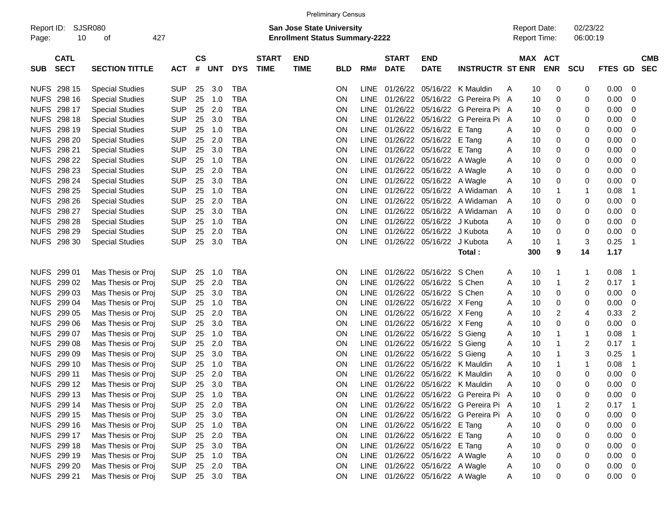|                     |                            |                        |            |                |            |            |                             |                                                                    | <b>Preliminary Census</b> |             |                             |                                |                                       |                                     |                       |                      |                |                          |
|---------------------|----------------------------|------------------------|------------|----------------|------------|------------|-----------------------------|--------------------------------------------------------------------|---------------------------|-------------|-----------------------------|--------------------------------|---------------------------------------|-------------------------------------|-----------------------|----------------------|----------------|--------------------------|
| Report ID:<br>Page: | 10                         | SJSR080<br>427<br>οf   |            |                |            |            |                             | San Jose State University<br><b>Enrollment Status Summary-2222</b> |                           |             |                             |                                |                                       | <b>Report Date:</b><br>Report Time: |                       | 02/23/22<br>06:00:19 |                |                          |
| <b>SUB</b>          | <b>CATL</b><br><b>SECT</b> | <b>SECTION TITTLE</b>  | <b>ACT</b> | <b>CS</b><br># | <b>UNT</b> | <b>DYS</b> | <b>START</b><br><b>TIME</b> | <b>END</b><br><b>TIME</b>                                          | BLD                       | RM#         | <b>START</b><br><b>DATE</b> | <b>END</b><br><b>DATE</b>      | <b>INSTRUCTR ST ENR</b>               |                                     | MAX ACT<br><b>ENR</b> | <b>SCU</b>           | <b>FTES GD</b> | <b>CMB</b><br><b>SEC</b> |
|                     | NUFS 298 15                | <b>Special Studies</b> | <b>SUP</b> | 25             | 3.0        | <b>TBA</b> |                             |                                                                    | <b>ON</b>                 | <b>LINE</b> | 01/26/22                    |                                | 05/16/22 K Mauldin                    | 10<br>Α                             | 0                     | 0                    | 0.00           | 0                        |
|                     | NUFS 298 16                | <b>Special Studies</b> | <b>SUP</b> | 25             | 1.0        | <b>TBA</b> |                             |                                                                    | ON                        | <b>LINE</b> | 01/26/22                    |                                | 05/16/22 G Pereira Pi A               | 10                                  | 0                     | 0                    | 0.00           | 0                        |
|                     | NUFS 298 17                | <b>Special Studies</b> | <b>SUP</b> | 25             | 2.0        | <b>TBA</b> |                             |                                                                    | ON                        | LINE        | 01/26/22                    |                                | 05/16/22 G Pereira Pi A               | 10                                  | 0                     | 0                    | 0.00           | 0                        |
|                     | <b>NUFS 298 18</b>         | <b>Special Studies</b> | <b>SUP</b> | 25             | 3.0        | <b>TBA</b> |                             |                                                                    | ON                        | LINE        | 01/26/22                    |                                | 05/16/22 G Pereira Pi                 | 10<br>A                             | 0                     | 0                    | 0.00           | 0                        |
|                     | NUFS 298 19                | <b>Special Studies</b> | <b>SUP</b> | 25             | 1.0        | <b>TBA</b> |                             |                                                                    | ON                        | LINE        |                             | 01/26/22 05/16/22 E Tang       |                                       | 10<br>Α                             | 0                     | 0                    | 0.00           | 0                        |
|                     | <b>NUFS 298 20</b>         | <b>Special Studies</b> | <b>SUP</b> | 25             | 2.0        | <b>TBA</b> |                             |                                                                    | ON                        | <b>LINE</b> |                             | 01/26/22 05/16/22 E Tang       |                                       | 10<br>Α                             | 0                     | 0                    | 0.00           | 0                        |
|                     | NUFS 298 21                | <b>Special Studies</b> | <b>SUP</b> | 25             | 3.0        | <b>TBA</b> |                             |                                                                    | ON                        | <b>LINE</b> |                             | 01/26/22 05/16/22 E Tang       |                                       | 10<br>Α                             | 0                     | 0                    | 0.00           | 0                        |
|                     | <b>NUFS 298 22</b>         | <b>Special Studies</b> | <b>SUP</b> | 25             | 1.0        | <b>TBA</b> |                             |                                                                    | ON                        | <b>LINE</b> |                             | 01/26/22 05/16/22 A Wagle      |                                       | 10<br>Α                             | 0                     | 0                    | 0.00           | 0                        |
|                     | <b>NUFS 298 23</b>         | <b>Special Studies</b> | <b>SUP</b> | 25             | 2.0        | <b>TBA</b> |                             |                                                                    | ON                        | <b>LINE</b> |                             | 01/26/22 05/16/22 A Wagle      |                                       | Α<br>10                             | 0                     | 0                    | 0.00           | 0                        |
|                     | NUFS 298 24                | <b>Special Studies</b> | <b>SUP</b> | 25             | 3.0        | <b>TBA</b> |                             |                                                                    | ON                        | <b>LINE</b> |                             | 01/26/22 05/16/22 A Wagle      |                                       | Α<br>10                             | 0                     | 0                    | 0.00           | 0                        |
|                     | <b>NUFS 298 25</b>         | <b>Special Studies</b> | <b>SUP</b> | 25             | 1.0        | <b>TBA</b> |                             |                                                                    | ON                        | LINE        |                             |                                | 01/26/22 05/16/22 A Widaman           | 10<br>Α                             |                       | -1                   | 0.08           | 1                        |
|                     | <b>NUFS 298 26</b>         | <b>Special Studies</b> | <b>SUP</b> | 25             | 2.0        | <b>TBA</b> |                             |                                                                    | ON                        | LINE        |                             |                                | 01/26/22 05/16/22 A Widaman           | 10<br>A                             | 0                     | 0                    | 0.00           | 0                        |
|                     | NUFS 298 27                | <b>Special Studies</b> | <b>SUP</b> | 25             | 3.0        | <b>TBA</b> |                             |                                                                    | ON                        | LINE        |                             |                                | 01/26/22 05/16/22 A Widaman           | 10<br>A                             | 0                     | 0                    | 0.00           | 0                        |
|                     | NUFS 298 28                | <b>Special Studies</b> | <b>SUP</b> | 25             | 1.0        | <b>TBA</b> |                             |                                                                    | ON                        | LINE        |                             | 01/26/22 05/16/22 J Kubota     |                                       | 10<br>Α                             | 0                     | 0                    | 0.00           | 0                        |
|                     | NUFS 298 29                | <b>Special Studies</b> | <b>SUP</b> | 25             | 2.0        | <b>TBA</b> |                             |                                                                    | ON                        | LINE        |                             | 01/26/22 05/16/22 J Kubota     |                                       | 10<br>Α                             | 0                     | 0                    | 0.00           | 0                        |
|                     | NUFS 298 30                | <b>Special Studies</b> | <b>SUP</b> | 25             | 3.0        | <b>TBA</b> |                             |                                                                    | ON                        | <b>LINE</b> |                             | 01/26/22 05/16/22 J Kubota     |                                       | 10<br>Α                             | 1                     | 3                    | 0.25           | 1                        |
|                     |                            |                        |            |                |            |            |                             |                                                                    |                           |             |                             |                                | Total:                                | 300                                 | 9                     | 14                   | 1.17           |                          |
|                     |                            |                        |            |                |            |            |                             |                                                                    |                           |             |                             |                                |                                       |                                     |                       |                      |                |                          |
|                     | NUFS 299 01                | Mas Thesis or Proj     | <b>SUP</b> | 25             | 1.0        | <b>TBA</b> |                             |                                                                    | ON                        | <b>LINE</b> |                             | 01/26/22 05/16/22 S Chen       |                                       | 10<br>Α                             | 1                     | $\mathbf 1$          | 0.08           | -1                       |
|                     | NUFS 299 02                | Mas Thesis or Proj     | <b>SUP</b> | 25             | 2.0        | <b>TBA</b> |                             |                                                                    | ON                        | <b>LINE</b> |                             | 01/26/22 05/16/22 S Chen       |                                       | Α<br>10                             | 1                     | 2                    | 0.17           | -1                       |
|                     | NUFS 299 03                | Mas Thesis or Proj     | <b>SUP</b> | 25             | 3.0        | <b>TBA</b> |                             |                                                                    | ON                        | LINE        |                             | 01/26/22 05/16/22 S Chen       |                                       | 10<br>Α                             | 0                     | 0                    | 0.00           | 0                        |
|                     | NUFS 299 04                | Mas Thesis or Proj     | <b>SUP</b> | 25             | 1.0        | <b>TBA</b> |                             |                                                                    | ON                        | <b>LINE</b> |                             | 01/26/22 05/16/22 X Feng       |                                       | Α<br>10                             | 0                     | 0                    | 0.00           | 0                        |
|                     | NUFS 299 05                | Mas Thesis or Proj     | <b>SUP</b> | 25             | 2.0        | <b>TBA</b> |                             |                                                                    | ON                        | <b>LINE</b> |                             | 01/26/22 05/16/22 X Feng       |                                       | Α<br>10                             | 2                     | 4                    | 0.33           | $\overline{2}$           |
|                     | NUFS 299 06                | Mas Thesis or Proj     | <b>SUP</b> | 25             | 3.0        | <b>TBA</b> |                             |                                                                    | ON                        | <b>LINE</b> |                             | 01/26/22 05/16/22 X Feng       |                                       | 10<br>Α                             | 0                     | 0                    | 0.00           | 0                        |
|                     | NUFS 299 07                | Mas Thesis or Proj     | <b>SUP</b> | 25             | 1.0        | <b>TBA</b> |                             |                                                                    | ON                        | <b>LINE</b> |                             | 01/26/22 05/16/22 S Gieng      |                                       | Α<br>10                             |                       | $\mathbf 1$          | 0.08           | 1                        |
|                     | NUFS 299 08                | Mas Thesis or Proj     | <b>SUP</b> | 25             | 2.0        | <b>TBA</b> |                             |                                                                    | ON                        | <b>LINE</b> |                             | 01/26/22 05/16/22 S Gieng      |                                       | Α<br>10                             | 1                     | 2                    | 0.17           | -1                       |
|                     | NUFS 299 09                | Mas Thesis or Proj     | <b>SUP</b> | 25             | 3.0        | <b>TBA</b> |                             |                                                                    | ON                        | <b>LINE</b> |                             | 01/26/22 05/16/22 S Gieng      |                                       | Α<br>10                             | 1                     | 3                    | 0.25           | -1                       |
|                     | NUFS 299 10                | Mas Thesis or Proj     | <b>SUP</b> | 25             | 1.0        | <b>TBA</b> |                             |                                                                    | ON                        | LINE        | 01/26/22                    |                                | 05/16/22 K Mauldin                    | 10<br>Α                             | 1                     | $\mathbf 1$          | 0.08           | 1                        |
|                     | NUFS 299 11                | Mas Thesis or Proj     | <b>SUP</b> | 25             | 2.0        | <b>TBA</b> |                             |                                                                    | ON                        | LINE        | 01/26/22                    |                                | 05/16/22 K Mauldin                    | Α<br>10                             | 0                     | 0                    | 0.00           | 0                        |
|                     | NUFS 299 12                | Mas Thesis or Proj     | <b>SUP</b> | 25             | 3.0        | <b>TBA</b> |                             |                                                                    | ΟN                        | <b>LINE</b> |                             |                                | 01/26/22 05/16/22 K Mauldin           | 10<br>Α                             | 0                     | $\Omega$             | 0.00           | 0                        |
|                     | NUFS 299 13                | Mas Thesis or Proj     | <b>SUP</b> | 25             | 1.0        | TBA        |                             |                                                                    | <b>ON</b>                 |             |                             |                                | LINE 01/26/22 05/16/22 G Pereira Pi A | 10                                  | 0                     | 0                    | 0.00           | 0                        |
|                     | NUFS 299 14                | Mas Thesis or Proj     | <b>SUP</b> |                | 25 2.0     | TBA        |                             |                                                                    | ON                        | LINE        |                             |                                | 01/26/22 05/16/22 G Pereira Pi A      | 10                                  |                       | 2                    | 0.17           | -1                       |
|                     | NUFS 299 15                | Mas Thesis or Proj     | <b>SUP</b> |                | 25 3.0     | TBA        |                             |                                                                    | ON                        | <b>LINE</b> |                             |                                | 01/26/22 05/16/22 G Pereira Pi A      | 10                                  | 0                     | 0                    | 0.00           | 0                        |
|                     | NUFS 299 16                | Mas Thesis or Proj     | <b>SUP</b> |                | 25 1.0     | TBA        |                             |                                                                    | ON                        | LINE        |                             | 01/26/22 05/16/22 E Tang       |                                       | 10<br>Α                             | 0                     | 0                    | 0.00           | 0                        |
|                     | NUFS 299 17                | Mas Thesis or Proj     | <b>SUP</b> |                | 25 2.0     | TBA        |                             |                                                                    | ON                        | LINE        |                             | 01/26/22 05/16/22 E Tang       |                                       | 10<br>Α                             | 0                     | 0                    | 0.00           | 0                        |
|                     | NUFS 299 18                | Mas Thesis or Proj     | <b>SUP</b> |                | 25 3.0     | TBA        |                             |                                                                    | ON                        | LINE        |                             | 01/26/22 05/16/22 E Tang       |                                       | 10<br>Α                             | 0                     | 0                    | 0.00           | 0                        |
|                     | NUFS 299 19                | Mas Thesis or Proj     | <b>SUP</b> |                | 25 1.0     | TBA        |                             |                                                                    | ON                        | LINE        |                             | 01/26/22 05/16/22 A Wagle      |                                       | 10<br>Α                             | 0                     | 0                    | 0.00           | 0                        |
|                     | NUFS 299 20                | Mas Thesis or Proj     | <b>SUP</b> |                | 25 2.0     | TBA        |                             |                                                                    | ON                        | LINE        |                             | 01/26/22 05/16/22 A Wagle      |                                       | 10<br>A                             | 0                     | 0                    | 0.00           | 0                        |
|                     | NUFS 299 21                | Mas Thesis or Proj     | <b>SUP</b> |                |            | 25 3.0 TBA |                             |                                                                    | ON                        |             |                             | LINE 01/26/22 05/16/22 A Wagle |                                       | Α<br>10                             | 0                     | 0                    | $0.00 \t 0$    |                          |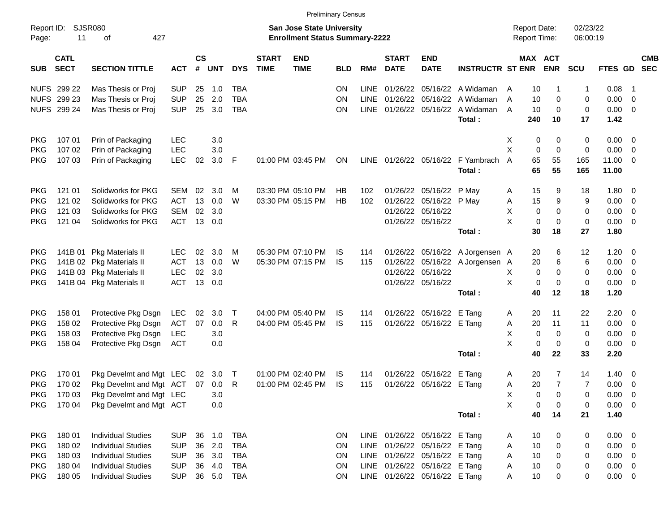|                     |                            |                           |            |                    |            |            |                             | <b>Preliminary Census</b>                                                 |            |             |                             |                               |                                 |                                            |                       |                |                      |                |                          |            |
|---------------------|----------------------------|---------------------------|------------|--------------------|------------|------------|-----------------------------|---------------------------------------------------------------------------|------------|-------------|-----------------------------|-------------------------------|---------------------------------|--------------------------------------------|-----------------------|----------------|----------------------|----------------|--------------------------|------------|
| Report ID:<br>Page: | 11                         | SJSR080<br>427<br>оf      |            |                    |            |            |                             | <b>San Jose State University</b><br><b>Enrollment Status Summary-2222</b> |            |             |                             |                               |                                 | <b>Report Date:</b><br><b>Report Time:</b> |                       |                | 02/23/22<br>06:00:19 |                |                          |            |
| <b>SUB</b>          | <b>CATL</b><br><b>SECT</b> | <b>SECTION TITTLE</b>     | <b>ACT</b> | $\mathsf{cs}$<br># | <b>UNT</b> | <b>DYS</b> | <b>START</b><br><b>TIME</b> | <b>END</b><br><b>TIME</b>                                                 | <b>BLD</b> | RM#         | <b>START</b><br><b>DATE</b> | <b>END</b><br><b>DATE</b>     | <b>INSTRUCTR ST ENR</b>         |                                            | MAX ACT<br><b>ENR</b> |                | <b>SCU</b>           | FTES GD SEC    |                          | <b>CMB</b> |
|                     | NUFS 299 22                | Mas Thesis or Proj        | <b>SUP</b> | 25                 | 1.0        | <b>TBA</b> |                             |                                                                           | ON         | <b>LINE</b> |                             | 01/26/22 05/16/22             | A Widaman                       | A                                          | 10                    | -1             | 1                    | 0.08           | - 1                      |            |
|                     | NUFS 299 23                | Mas Thesis or Proj        | <b>SUP</b> | 25                 | 2.0        | <b>TBA</b> |                             |                                                                           | ON         | <b>LINE</b> | 01/26/22 05/16/22           |                               | A Widaman                       | A                                          | 10                    | 0              | 0                    | 0.00           | $\overline{0}$           |            |
|                     | NUFS 299 24                | Mas Thesis or Proj        | <b>SUP</b> | 25                 | 3.0        | <b>TBA</b> |                             |                                                                           | ON         |             |                             | LINE 01/26/22 05/16/22        | A Widaman                       | A                                          | 10                    | 0              | 0                    | 0.00           | $\overline{0}$           |            |
|                     |                            |                           |            |                    |            |            |                             |                                                                           |            |             |                             |                               | Total:                          | 240                                        |                       | 10             | 17                   | 1.42           |                          |            |
| <b>PKG</b>          | 107 01                     | Prin of Packaging         | LEC        |                    | 3.0        |            |                             |                                                                           |            |             |                             |                               |                                 | X                                          | 0                     | 0              | 0                    | 0.00           | - 0                      |            |
| <b>PKG</b>          | 107 02                     | Prin of Packaging         | <b>LEC</b> |                    | 3.0        |            |                             |                                                                           |            |             |                             |                               |                                 | X                                          | 0                     | 0              | 0                    | 0.00           | $\overline{\mathbf{0}}$  |            |
| PKG                 | 107 03                     | Prin of Packaging         | <b>LEC</b> | 02                 | 3.0        | F          |                             | 01:00 PM 03:45 PM                                                         | ON         |             | LINE 01/26/22 05/16/22      |                               | F Yambrach<br>Total:            | A                                          | 65<br>65              | 55<br>55       | 165<br>165           | 11.00<br>11.00 | - 0                      |            |
| <b>PKG</b>          | 121 01                     | Solidworks for PKG        | <b>SEM</b> | 02                 | 3.0        | М          |                             | 03:30 PM 05:10 PM                                                         | HB         | 102         |                             | 01/26/22 05/16/22             | P May                           | A                                          | 15                    | 9              | 18                   | 1.80           | - 0                      |            |
| <b>PKG</b>          | 121 02                     | Solidworks for PKG        | <b>ACT</b> | 13                 | 0.0        | W          |                             | 03:30 PM 05:15 PM                                                         | HB         | 102         |                             | 01/26/22 05/16/22             | P May                           | A                                          | 15                    | 9              | 9                    | 0.00           | - 0                      |            |
| <b>PKG</b>          | 121 03                     | Solidworks for PKG        | <b>SEM</b> | 02                 | 3.0        |            |                             |                                                                           |            |             | 01/26/22 05/16/22           |                               |                                 | Х                                          | 0                     | 0              | 0                    | 0.00           | $\overline{0}$           |            |
| <b>PKG</b>          | 121 04                     | Solidworks for PKG        | <b>ACT</b> |                    | 13 0.0     |            |                             |                                                                           |            |             | 01/26/22 05/16/22           |                               |                                 | X                                          | 0                     | $\mathbf 0$    | $\pmb{0}$            | 0.00           | $\overline{0}$           |            |
|                     |                            |                           |            |                    |            |            |                             |                                                                           |            |             |                             |                               | Total:                          |                                            | 30                    | 18             | 27                   | 1.80           |                          |            |
| <b>PKG</b>          | 141B 01                    | <b>Pkg Materials II</b>   | <b>LEC</b> | 02                 | 3.0        | М          |                             | 05:30 PM 07:10 PM                                                         | IS         | 114         |                             | 01/26/22 05/16/22             | A Jorgensen A                   |                                            | 20                    | 6              | 12                   | 1.20           | - 0                      |            |
| <b>PKG</b>          |                            | 141B 02 Pkg Materials II  | <b>ACT</b> | 13                 | 0.0        | W          |                             | 05:30 PM 07:15 PM                                                         | IS         | 115         |                             |                               | 01/26/22 05/16/22 A Jorgensen A |                                            | 20                    | 6              | 6                    | 0.00           | $\overline{0}$           |            |
| <b>PKG</b>          |                            | 141B 03 Pkg Materials II  | <b>LEC</b> | 02                 | 3.0        |            |                             |                                                                           |            |             | 01/26/22 05/16/22           |                               |                                 | Х                                          | 0                     | 0              | 0                    | 0.00           | $\overline{0}$           |            |
| PKG                 |                            | 141B 04 Pkg Materials II  | <b>ACT</b> |                    | 13 0.0     |            |                             |                                                                           |            |             | 01/26/22 05/16/22           |                               |                                 | X                                          | 0                     | 0              | 0                    | 0.00           | $\overline{0}$           |            |
|                     |                            |                           |            |                    |            |            |                             |                                                                           |            |             |                             |                               | Total:                          |                                            | 40                    | 12             | 18                   | 1.20           |                          |            |
| <b>PKG</b>          | 158 01                     | Protective Pkg Dsgn       | LEC        | 02                 | 3.0        | $\top$     |                             | 04:00 PM 05:40 PM                                                         | IS         | 114         |                             | 01/26/22 05/16/22             | E Tang                          | A                                          | 20                    | 11             | 22                   | 2.20           | - 0                      |            |
| <b>PKG</b>          | 158 02                     | Protective Pkg Dsgn       | <b>ACT</b> | 07                 | 0.0        | R          |                             | 04:00 PM 05:45 PM                                                         | IS         | 115         |                             | 01/26/22 05/16/22             | E Tang                          | A                                          | 20                    | 11             | 11                   | 0.00           | $\overline{\mathbf{0}}$  |            |
| <b>PKG</b>          | 158 03                     | Protective Pkg Dsgn       | <b>LEC</b> |                    | 3.0        |            |                             |                                                                           |            |             |                             |                               |                                 | X                                          | 0                     | 0              | 0                    | 0.00           | $\overline{0}$           |            |
| <b>PKG</b>          | 158 04                     | Protective Pkg Dsgn       | ACT        |                    | 0.0        |            |                             |                                                                           |            |             |                             |                               |                                 | X                                          | 0                     | 0              | 0                    | 0.00           | - 0                      |            |
|                     |                            |                           |            |                    |            |            |                             |                                                                           |            |             |                             |                               | Total:                          |                                            | 40                    | 22             | 33                   | 2.20           |                          |            |
| <b>PKG</b>          | 170 01                     | Pkg Develmt and Mgt LEC   |            | 02                 | 3.0        | $\top$     |                             | 01:00 PM 02:40 PM                                                         | IS         | 114         |                             | 01/26/22 05/16/22             | E Tang                          | A                                          | 20                    | 7              | 14                   | 1.40           | $\overline{\phantom{0}}$ |            |
| <b>PKG</b>          | 170 02                     | Pkg Develmt and Mgt ACT   |            |                    | 07 0.0     | R          |                             | 01:00 PM 02:45 PM                                                         | IS         | 115         |                             | 01/26/22 05/16/22 E Tang      |                                 | A                                          | 20                    | $\overline{7}$ | 7                    | 0.00           | 0                        |            |
| <b>PKG</b>          | 170 03                     | Pkg Develmt and Mgt LEC   |            |                    | 3.0        |            |                             |                                                                           |            |             |                             |                               |                                 | Χ                                          | 0                     | $\mathbf 0$    | $\pmb{0}$            | 0.00           | $\overline{\mathbf{0}}$  |            |
| <b>PKG</b>          | 170 04                     | Pkg Develmt and Mgt ACT   |            |                    | 0.0        |            |                             |                                                                           |            |             |                             |                               |                                 | X                                          | 0                     | 0              | 0                    | $0.00 \t 0$    |                          |            |
|                     |                            |                           |            |                    |            |            |                             |                                                                           |            |             |                             |                               | Total:                          |                                            | 40                    | 14             | 21                   | 1.40           |                          |            |
| <b>PKG</b>          | 18001                      | <b>Individual Studies</b> | <b>SUP</b> | 36                 | 1.0        | <b>TBA</b> |                             |                                                                           | <b>ON</b>  |             |                             | LINE 01/26/22 05/16/22 E Tang |                                 | A                                          | 10                    | 0              | 0                    | $0.00 \t 0$    |                          |            |
| <b>PKG</b>          | 180 02                     | <b>Individual Studies</b> | <b>SUP</b> |                    | 36 2.0     | <b>TBA</b> |                             |                                                                           | ON         |             |                             | LINE 01/26/22 05/16/22 E Tang |                                 | Α                                          | 10                    | 0              | 0                    | $0.00 \t 0$    |                          |            |
| <b>PKG</b>          | 180 03                     | <b>Individual Studies</b> | <b>SUP</b> |                    | 36 3.0     | <b>TBA</b> |                             |                                                                           | <b>ON</b>  |             |                             | LINE 01/26/22 05/16/22        | E Tang                          | Α                                          | 10                    | 0              | 0                    | $0.00 \t 0$    |                          |            |
| <b>PKG</b>          | 180 04                     | <b>Individual Studies</b> | <b>SUP</b> | 36                 | 4.0        | <b>TBA</b> |                             |                                                                           | <b>ON</b>  |             |                             | LINE 01/26/22 05/16/22        | E Tang                          | A                                          | 10                    | 0              | 0                    | $0.00 \t 0$    |                          |            |
| <b>PKG</b>          | 180 05                     | <b>Individual Studies</b> | <b>SUP</b> |                    | 36 5.0     | <b>TBA</b> |                             |                                                                           | <b>ON</b>  |             |                             | LINE 01/26/22 05/16/22 E Tang |                                 | Α                                          | 10                    | 0              | 0                    | $0.00 \t 0$    |                          |            |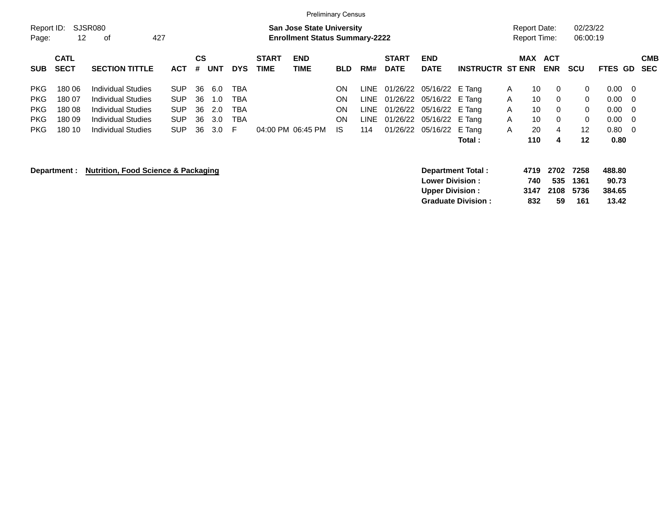|                     |              |                                                                                                   |            |    |            |            |              | <b>Preliminary Census</b> |            |      |              |                                                   |                                            |   |                      |                     |                      |                           |     |            |
|---------------------|--------------|---------------------------------------------------------------------------------------------------|------------|----|------------|------------|--------------|---------------------------|------------|------|--------------|---------------------------------------------------|--------------------------------------------|---|----------------------|---------------------|----------------------|---------------------------|-----|------------|
| Report ID:<br>Page: | 12           | SJSR080<br><b>San Jose State University</b><br>427<br><b>Enrollment Status Summary-2222</b><br>οf |            |    |            |            |              |                           |            |      |              |                                                   | <b>Report Date:</b><br><b>Report Time:</b> |   | 02/23/22<br>06:00:19 |                     |                      |                           |     |            |
|                     |              |                                                                                                   |            |    |            |            |              |                           |            |      |              |                                                   |                                            |   |                      |                     |                      |                           |     |            |
|                     | <b>CATL</b>  |                                                                                                   |            | CS |            |            | <b>START</b> | <b>END</b>                |            |      | <b>START</b> | <b>END</b>                                        |                                            |   | <b>MAX</b>           | <b>ACT</b>          |                      |                           |     | <b>CMB</b> |
| <b>SUB</b>          | <b>SECT</b>  | <b>SECTION TITTLE</b>                                                                             | <b>ACT</b> | #  | <b>UNT</b> | <b>DYS</b> | <b>TIME</b>  | <b>TIME</b>               | <b>BLD</b> | RM#  | <b>DATE</b>  | <b>DATE</b>                                       | <b>INSTRUCTR ST ENR</b>                    |   |                      | <b>ENR</b>          | <b>SCU</b>           | <b>FTES</b>               | GD. | <b>SEC</b> |
| <b>PKG</b>          | 180 06       | <b>Individual Studies</b>                                                                         | <b>SUP</b> | 36 | 6.0        | TBA        |              |                           | ON         | LINE | 01/26/22     | 05/16/22 E Tang                                   |                                            | A | 10                   | 0                   | 0                    | 0.00                      | - 0 |            |
| <b>PKG</b>          | 180 07       | <b>Individual Studies</b>                                                                         | <b>SUP</b> | 36 | 1.0        | TBA        |              |                           | ON         | LINE | 01/26/22     | 05/16/22 E Tang                                   |                                            | A | 10                   | 0                   | 0                    | 0.00                      | - 0 |            |
| <b>PKG</b>          | 180 08       | <b>Individual Studies</b>                                                                         | <b>SUP</b> | 36 | 2.0        | TBA        |              |                           | ON         | LINE | 01/26/22     | 05/16/22 E Tang                                   |                                            | A | 10                   | 0                   | 0                    | 0.00                      | - 0 |            |
| <b>PKG</b>          | 180 09       | <b>Individual Studies</b>                                                                         | <b>SUP</b> | 36 | 3.0        | TBA        |              |                           | ON         | LINE | 01/26/22     | 05/16/22 E Tang                                   |                                            | A | 10                   | 0                   | 0                    | 0.00                      | - 0 |            |
| <b>PKG</b>          | 180 10       | <b>Individual Studies</b>                                                                         | <b>SUP</b> | 36 | 3.0        | F          |              | 04:00 PM 06:45 PM         | IS.        | 114  | 01/26/22     | 05/16/22                                          | E Tang                                     | A | 20                   | 4                   | $12 \overline{ }$    | 0.80                      | - 0 |            |
|                     |              |                                                                                                   |            |    |            |            |              |                           |            |      |              |                                                   | Total :                                    |   | 110                  | 4                   | $12 \,$              | 0.80                      |     |            |
|                     | Department : | <b>Nutrition, Food Science &amp; Packaging</b>                                                    |            |    |            |            |              |                           |            |      |              | <b>Lower Division :</b><br><b>Upper Division:</b> | <b>Department Total:</b>                   |   | 4719<br>740<br>3147  | 2702<br>535<br>2108 | 7258<br>1361<br>5736 | 488.80<br>90.73<br>384.65 |     |            |
|                     |              |                                                                                                   |            |    |            |            |              |                           |            |      |              |                                                   | <b>Graduate Division:</b>                  |   | 832                  | 59                  | 161                  | 13.42                     |     |            |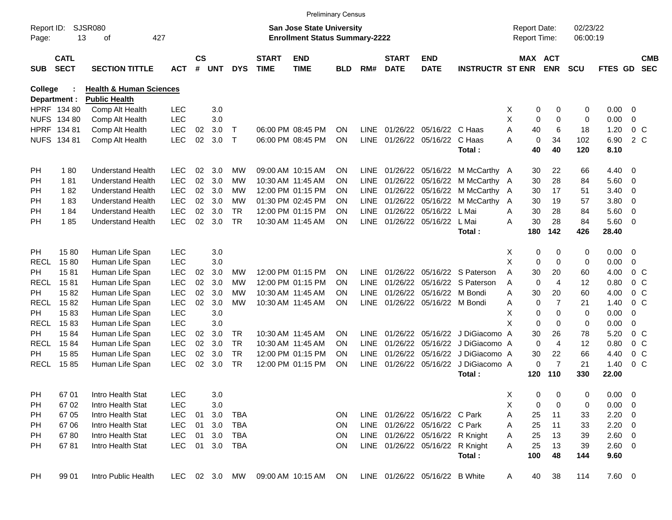|                     |                            |                                    |            |                    |            |             |                             |                                                                           | <b>Preliminary Census</b> |             |                             |                                 |                                 |   |                                     |                       |                      |             |                          |                          |
|---------------------|----------------------------|------------------------------------|------------|--------------------|------------|-------------|-----------------------------|---------------------------------------------------------------------------|---------------------------|-------------|-----------------------------|---------------------------------|---------------------------------|---|-------------------------------------|-----------------------|----------------------|-------------|--------------------------|--------------------------|
| Report ID:<br>Page: | 13                         | <b>SJSR080</b><br>427<br>οf        |            |                    |            |             |                             | <b>San Jose State University</b><br><b>Enrollment Status Summary-2222</b> |                           |             |                             |                                 |                                 |   | <b>Report Date:</b><br>Report Time: |                       | 02/23/22<br>06:00:19 |             |                          |                          |
| <b>SUB</b>          | <b>CATL</b><br><b>SECT</b> | <b>SECTION TITTLE</b>              | <b>ACT</b> | $\mathsf{cs}$<br># | <b>UNT</b> | <b>DYS</b>  | <b>START</b><br><b>TIME</b> | <b>END</b><br><b>TIME</b>                                                 | <b>BLD</b>                | RM#         | <b>START</b><br><b>DATE</b> | <b>END</b><br><b>DATE</b>       | <b>INSTRUCTR ST ENR</b>         |   |                                     | MAX ACT<br><b>ENR</b> | <b>SCU</b>           | FTES GD     |                          | <b>CMB</b><br><b>SEC</b> |
| College             |                            | <b>Health &amp; Human Sciences</b> |            |                    |            |             |                             |                                                                           |                           |             |                             |                                 |                                 |   |                                     |                       |                      |             |                          |                          |
|                     | Department :               | <b>Public Health</b>               |            |                    |            |             |                             |                                                                           |                           |             |                             |                                 |                                 |   |                                     |                       |                      |             |                          |                          |
|                     | HPRF 134 80                | Comp Alt Health                    | <b>LEC</b> |                    | 3.0        |             |                             |                                                                           |                           |             |                             |                                 |                                 | Х | 0                                   | 0                     | 0                    | 0.00        | 0                        |                          |
|                     | <b>NUFS 134 80</b>         | Comp Alt Health                    | <b>LEC</b> |                    | 3.0        |             |                             |                                                                           |                           |             |                             |                                 |                                 | Χ | 0                                   | $\mathbf 0$           | 0                    | 0.00        | $\mathbf 0$              |                          |
|                     | HPRF 134 81                | Comp Alt Health                    | LEC        | 02                 | 3.0        | Т           |                             | 06:00 PM 08:45 PM                                                         | <b>ON</b>                 | LINE        |                             | 01/26/22 05/16/22 C Haas        |                                 | A | 40                                  | 6                     | 18                   | 1.20        |                          | 0 <sup>o</sup>           |
|                     | NUFS 134 81                | Comp Alt Health                    | LEC        | 02                 | 3.0        | $\mathsf T$ |                             | 06:00 PM 08:45 PM                                                         | <b>ON</b>                 | <b>LINE</b> |                             | 01/26/22 05/16/22               | C Haas                          | А | 0                                   | 34                    | 102                  | 6.90        |                          | 2 C                      |
|                     |                            |                                    |            |                    |            |             |                             |                                                                           |                           |             |                             |                                 | Total:                          |   | 40                                  | 40                    | 120                  | 8.10        |                          |                          |
| <b>PH</b>           | 180                        | <b>Understand Health</b>           | <b>LEC</b> | 02                 | 3.0        | <b>MW</b>   |                             | 09:00 AM 10:15 AM                                                         | <b>ON</b>                 | LINE        |                             |                                 | 01/26/22 05/16/22 M McCarthy A  |   | 30                                  | 22                    | 66                   | 4.40        | 0                        |                          |
| <b>PH</b>           | 181                        | <b>Understand Health</b>           | <b>LEC</b> | 02                 | 3.0        | МW          |                             | 10:30 AM 11:45 AM                                                         | <b>ON</b>                 | <b>LINE</b> |                             |                                 | 01/26/22 05/16/22 M McCarthy A  |   | 30                                  | 28                    | 84                   | 5.60        | 0                        |                          |
| <b>PH</b>           | 182                        | <b>Understand Health</b>           | <b>LEC</b> | 02                 | 3.0        | МW          |                             | 12:00 PM 01:15 PM                                                         | <b>ON</b>                 | <b>LINE</b> |                             |                                 | 01/26/22 05/16/22 M McCarthy A  |   | 30                                  | 17                    | 51                   | 3.40        | 0                        |                          |
| <b>PH</b>           | 183                        | <b>Understand Health</b>           | <b>LEC</b> | 02                 | 3.0        | МW          |                             | 01:30 PM 02:45 PM                                                         | <b>ON</b>                 | <b>LINE</b> |                             | 01/26/22 05/16/22               | M McCarthy                      | A | 30                                  | 19                    | 57                   | 3.80        | 0                        |                          |
| <b>PH</b>           | 184                        | <b>Understand Health</b>           | <b>LEC</b> | 02                 | 3.0        | TR.         |                             | 12:00 PM 01:15 PM                                                         | ON                        | <b>LINE</b> |                             | 01/26/22 05/16/22               | L Mai                           | A | 30                                  | 28                    | 84                   | 5.60        | 0                        |                          |
| <b>PH</b>           | 185                        | <b>Understand Health</b>           | <b>LEC</b> | 02                 | 3.0        | <b>TR</b>   |                             | 10:30 AM 11:45 AM                                                         | <b>ON</b>                 | <b>LINE</b> |                             | 01/26/22 05/16/22               | L Mai                           | A | 30                                  | 28                    | 84                   | 5.60        | - 0                      |                          |
|                     |                            |                                    |            |                    |            |             |                             |                                                                           |                           |             |                             |                                 | Total:                          |   | 180                                 | 142                   | 426                  | 28.40       |                          |                          |
| <b>PH</b>           | 1580                       | Human Life Span                    | <b>LEC</b> |                    | 3.0        |             |                             |                                                                           |                           |             |                             |                                 |                                 | Х | 0                                   | 0                     | 0                    | 0.00        | $\overline{\mathbf{0}}$  |                          |
| RECL                | 1580                       | Human Life Span                    | <b>LEC</b> |                    | 3.0        |             |                             |                                                                           |                           |             |                             |                                 |                                 | X | $\mathbf 0$                         | $\mathbf 0$           | 0                    | 0.00        | $\mathbf 0$              |                          |
| <b>PH</b>           | 1581                       | Human Life Span                    | <b>LEC</b> | 02                 | 3.0        | MW          |                             | 12:00 PM 01:15 PM                                                         | <b>ON</b>                 | LINE        |                             |                                 | 01/26/22 05/16/22 S Paterson    | A | 30                                  | 20                    | 60                   | 4.00        |                          | 0 <sup>o</sup>           |
| RECL                | 1581                       | Human Life Span                    | <b>LEC</b> | 02                 | 3.0        | MW          |                             | 12:00 PM 01:15 PM                                                         | <b>ON</b>                 | LINE        |                             |                                 | 01/26/22 05/16/22 S Paterson    | A | $\mathbf 0$                         | 4                     | 12                   | 0.80        |                          | 0 <sup>o</sup>           |
| <b>PH</b>           | 1582                       | Human Life Span                    | <b>LEC</b> | 02                 | 3.0        | MW          |                             | 10:30 AM 11:45 AM                                                         | <b>ON</b>                 | <b>LINE</b> |                             | 01/26/22 05/16/22 M Bondi       |                                 | A | 30                                  | 20                    | 60                   | 4.00        |                          | 0 <sup>o</sup>           |
| RECL                | 1582                       | Human Life Span                    | <b>LEC</b> | 02                 | 3.0        | MW          |                             | 10:30 AM 11:45 AM                                                         | <b>ON</b>                 | <b>LINE</b> |                             | 01/26/22 05/16/22 M Bondi       |                                 | Α | 0                                   | $\overline{7}$        | 21                   | 1.40        |                          | $0\,C$                   |
| PH.                 | 1583                       | Human Life Span                    | <b>LEC</b> |                    | 3.0        |             |                             |                                                                           |                           |             |                             |                                 |                                 | X | 0                                   | $\mathbf 0$           | 0                    | 0.00        | 0                        |                          |
| RECL                | 1583                       | Human Life Span                    | <b>LEC</b> |                    | 3.0        |             |                             |                                                                           |                           |             |                             |                                 |                                 | X | 0                                   | $\mathbf 0$           | 0                    | 0.00        | $\mathbf 0$              |                          |
| <b>PH</b>           | 1584                       | Human Life Span                    | <b>LEC</b> | 02                 | 3.0        | TR.         |                             | 10:30 AM 11:45 AM                                                         | <b>ON</b>                 | LINE        |                             |                                 | 01/26/22 05/16/22 J DiGiacomo A |   | 30                                  | 26                    | 78                   | 5.20        |                          | 0 <sup>o</sup>           |
| RECL                | 1584                       | Human Life Span                    | <b>LEC</b> | 02                 | 3.0        | <b>TR</b>   |                             | 10:30 AM 11:45 AM                                                         | <b>ON</b>                 | <b>LINE</b> |                             |                                 | 01/26/22 05/16/22 J DiGiacomo A |   | $\mathbf 0$                         | 4                     | 12                   | 0.80        |                          | 0 <sup>o</sup>           |
| <b>PH</b>           | 1585                       | Human Life Span                    | LEC        | 02                 | 3.0        | <b>TR</b>   |                             | 12:00 PM 01:15 PM                                                         | <b>ON</b>                 | <b>LINE</b> |                             |                                 | 01/26/22 05/16/22 J DiGiacomo A |   | 30                                  | 22                    | 66                   | 4.40        |                          | 0 <sup>o</sup>           |
| <b>RECL</b>         | 1585                       | Human Life Span                    | <b>LEC</b> | 02                 | 3.0        | <b>TR</b>   |                             | 12:00 PM 01:15 PM                                                         | <b>ON</b>                 | <b>LINE</b> |                             |                                 | 01/26/22 05/16/22 J DiGiacomo A |   | 0                                   | $\overline{7}$        | 21                   | 1.40        |                          | 0 <sup>o</sup>           |
|                     |                            |                                    |            |                    |            |             |                             |                                                                           |                           |             |                             |                                 | Total:                          |   | 120                                 | 110                   | 330                  | 22.00       |                          |                          |
| PH                  | 67 01                      | Intro Health Stat                  | <b>LEC</b> |                    | 3.0        |             |                             |                                                                           |                           |             |                             |                                 |                                 | Χ | 0                                   | 0                     | 0                    | 0.00        | $\overline{\phantom{0}}$ |                          |
| PH                  | 6702                       | Intro Health Stat                  | LEC        |                    | 3.0        |             |                             |                                                                           |                           |             |                             |                                 |                                 | Χ | 0                                   | 0                     | 0                    | 0.00        | $\overline{\phantom{0}}$ |                          |
| PH                  | 67 05                      | Intro Health Stat                  | <b>LEC</b> | 01                 | 3.0        | TBA         |                             |                                                                           | <b>ON</b>                 |             |                             | LINE 01/26/22 05/16/22 C Park   |                                 | Α | 25                                  | 11                    | 33                   | 2.20        | $\overline{\phantom{0}}$ |                          |
| PH                  | 67 06                      | Intro Health Stat                  | <b>LEC</b> | 01                 | 3.0        | TBA         |                             |                                                                           | <b>ON</b>                 |             |                             | LINE 01/26/22 05/16/22 C Park   |                                 | Α | 25                                  | 11                    | 33                   | $2.20 \t 0$ |                          |                          |
| PH                  | 6780                       | Intro Health Stat                  | <b>LEC</b> | 01                 | 3.0        | TBA         |                             |                                                                           | ON                        |             |                             | LINE 01/26/22 05/16/22 R Knight |                                 | A | 25                                  | 13                    | 39                   | 2.60 0      |                          |                          |
| PH                  | 6781                       | Intro Health Stat                  | <b>LEC</b> | 01                 | 3.0        | TBA         |                             |                                                                           | <b>ON</b>                 |             |                             | LINE 01/26/22 05/16/22 R Knight |                                 | A | 25                                  | 13                    | 39                   | 2.60 0      |                          |                          |
|                     |                            |                                    |            |                    |            |             |                             |                                                                           |                           |             |                             |                                 | Total:                          |   | 100                                 | 48                    | 144                  | 9.60        |                          |                          |
|                     |                            |                                    |            |                    |            |             |                             |                                                                           |                           |             |                             |                                 |                                 |   |                                     |                       |                      |             |                          |                          |
| PH                  | 99 01                      | Intro Public Health                | LEC 02 3.0 |                    |            | MW          |                             | 09:00 AM 10:15 AM                                                         | ON                        |             |                             | LINE 01/26/22 05/16/22 B White  |                                 | A | 40                                  | 38                    | 114                  | 7.60 0      |                          |                          |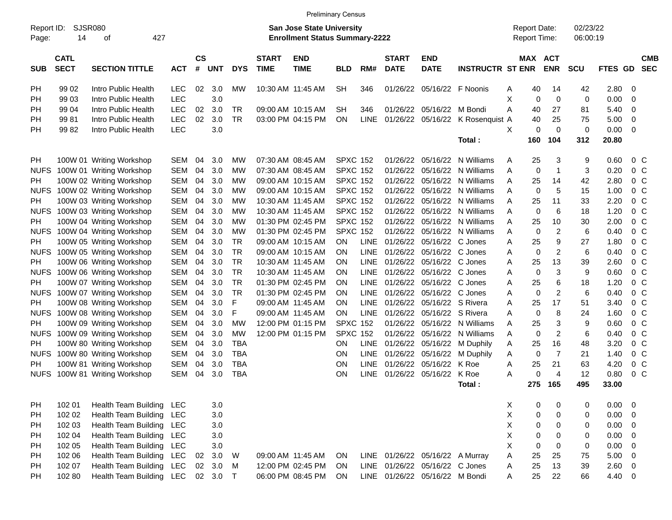|                     |                            |                                                      |                          |                    |            |                |                             | <b>Preliminary Census</b>                                                 |                 |                            |                             |                                |                         |                                     |                   |                              |                      |              |                                  |  |
|---------------------|----------------------------|------------------------------------------------------|--------------------------|--------------------|------------|----------------|-----------------------------|---------------------------------------------------------------------------|-----------------|----------------------------|-----------------------------|--------------------------------|-------------------------|-------------------------------------|-------------------|------------------------------|----------------------|--------------|----------------------------------|--|
| Report ID:<br>Page: | SJSR080<br>14              | 427<br>оf                                            |                          |                    |            |                |                             | <b>San Jose State University</b><br><b>Enrollment Status Summary-2222</b> |                 |                            |                             |                                |                         | <b>Report Date:</b><br>Report Time: |                   |                              | 02/23/22<br>06:00:19 |              |                                  |  |
| <b>SUB</b>          | <b>CATL</b><br><b>SECT</b> | <b>SECTION TITTLE</b>                                | <b>ACT</b>               | $\mathsf{cs}$<br># | <b>UNT</b> | <b>DYS</b>     | <b>START</b><br><b>TIME</b> | <b>END</b><br><b>TIME</b>                                                 | BLD             | RM#                        | <b>START</b><br><b>DATE</b> | <b>END</b><br><b>DATE</b>      | <b>INSTRUCTR ST ENR</b> |                                     |                   | <b>MAX ACT</b><br><b>ENR</b> | SCU                  | FTES GD      | <b>CMB</b><br><b>SEC</b>         |  |
| PH                  | 99 02                      | Intro Public Health                                  | <b>LEC</b>               | 02                 | 3.0        | МW             |                             | 10:30 AM 11:45 AM                                                         | SН              | 346                        | 01/26/22                    | 05/16/22                       | F Noonis                | A                                   | 40                | 14                           | 42                   | 2.80         | 0                                |  |
| PH                  | 99 03                      | Intro Public Health                                  | LEC                      |                    | 3.0        |                |                             |                                                                           |                 |                            |                             |                                |                         | X                                   | $\mathbf 0$       | 0                            | $\mathbf 0$          | 0.00         | 0                                |  |
| PH                  | 99 04                      | Intro Public Health                                  | <b>LEC</b>               | 02                 | 3.0        | <b>TR</b>      |                             | 09:00 AM 10:15 AM                                                         | SН              | 346                        | 01/26/22                    | 05/16/22                       | M Bondi                 | A                                   | 40                | 27                           | 81                   | 5.40         | 0                                |  |
| PH                  | 9981                       | Intro Public Health                                  | <b>LEC</b>               | 02                 | 3.0        | <b>TR</b>      |                             | 03:00 PM 04:15 PM                                                         | ON              | <b>LINE</b>                | 01/26/22                    | 05/16/22                       | K Rosenquist A          |                                     | 40                | 25                           | 75                   | 5.00         | 0                                |  |
| <b>PH</b>           | 9982                       | Intro Public Health                                  | LEC                      |                    | 3.0        |                |                             |                                                                           |                 |                            |                             |                                |                         | X                                   | 0                 | $\mathbf 0$                  | 0                    | 0.00         | 0                                |  |
|                     |                            |                                                      |                          |                    |            |                |                             |                                                                           |                 |                            |                             |                                | Total:                  |                                     | 160               | 104                          | 312                  | 20.80        |                                  |  |
| PH                  |                            | 100W 01 Writing Workshop                             | SEM                      | 04                 | 3.0        | МW             |                             | 07:30 AM 08:45 AM                                                         | <b>SPXC 152</b> |                            | 01/26/22                    | 05/16/22                       | N Williams              | A                                   | 25                | 3                            | 9                    | 0.60         | $0\,$ C                          |  |
| <b>NUFS</b>         |                            | 100W 01 Writing Workshop                             | <b>SEM</b>               | 04                 | 3.0        | <b>MW</b>      |                             | 07:30 AM 08:45 AM                                                         | <b>SPXC 152</b> |                            | 01/26/22                    | 05/16/22                       | N Williams              | A                                   | $\mathbf 0$       | $\mathbf{1}$                 | 3                    | 0.20         | 0 <sup>o</sup>                   |  |
| PH                  |                            | 100W 02 Writing Workshop                             | <b>SEM</b>               | 04                 | 3.0        | МW             |                             | 09:00 AM 10:15 AM                                                         | <b>SPXC 152</b> |                            | 01/26/22                    | 05/16/22                       | N Williams              | A                                   | 25                | 14                           | 42                   | 2.80         | 0 <sup>o</sup>                   |  |
| <b>NUFS</b>         |                            | 100W 02 Writing Workshop                             | <b>SEM</b>               | 04                 | 3.0        | МW             |                             | 09:00 AM 10:15 AM                                                         | <b>SPXC 152</b> |                            | 01/26/22                    | 05/16/22                       | N Williams              | A                                   | $\mathbf 0$       | 5                            | 15                   | 1.00         | 0 <sup>o</sup>                   |  |
| PH                  |                            | 100W 03 Writing Workshop                             | <b>SEM</b>               | 04                 | 3.0        | <b>MW</b>      |                             | 10:30 AM 11:45 AM                                                         | <b>SPXC 152</b> |                            | 01/26/22                    | 05/16/22                       | N Williams              | A                                   | 25                | 11                           | 33                   | 2.20         | 0 <sup>o</sup>                   |  |
| <b>NUFS</b>         |                            | 100W 03 Writing Workshop                             | <b>SEM</b>               | 04                 | 3.0        | <b>MW</b>      |                             | 10:30 AM 11:45 AM                                                         | <b>SPXC 152</b> |                            | 01/26/22                    | 05/16/22                       | N Williams              | A                                   | $\mathbf 0$       | 6                            | 18                   | 1.20         | 0 <sup>o</sup>                   |  |
| PH                  |                            | 100W 04 Writing Workshop                             | <b>SEM</b>               | 04                 | 3.0        | <b>MW</b>      |                             | 01:30 PM 02:45 PM                                                         | <b>SPXC 152</b> |                            | 01/26/22                    | 05/16/22                       | N Williams              | A                                   | 25                | 10                           | 30                   | 2.00         | 0 <sup>o</sup>                   |  |
| <b>NUFS</b>         |                            | 100W 04 Writing Workshop                             | <b>SEM</b>               | 04                 | 3.0        | <b>MW</b>      |                             | 01:30 PM 02:45 PM                                                         | <b>SPXC 152</b> |                            | 01/26/22                    | 05/16/22                       | N Williams              | A                                   | $\mathbf 0$       | $\overline{c}$               | 6                    | 0.40         | 0 <sup>o</sup>                   |  |
| PH                  |                            | 100W 05 Writing Workshop                             | <b>SEM</b>               | 04                 | 3.0        | <b>TR</b>      |                             | 09:00 AM 10:15 AM                                                         | ΟN              | <b>LINE</b>                | 01/26/22                    | 05/16/22                       | C Jones                 | A                                   | 25                | 9                            | 27                   | 1.80         | 0 <sup>o</sup>                   |  |
| <b>NUFS</b>         |                            | 100W 05 Writing Workshop                             | <b>SEM</b>               | 04                 | 3.0        | <b>TR</b>      |                             | 09:00 AM 10:15 AM                                                         | ΟN              | <b>LINE</b>                | 01/26/22                    | 05/16/22                       | C Jones                 | Α                                   | $\mathbf 0$       | $\overline{\mathbf{c}}$      | 6                    | 0.40         | 0 <sup>o</sup>                   |  |
| PH                  |                            | 100W 06 Writing Workshop                             | <b>SEM</b>               | 04                 | 3.0        | <b>TR</b>      | 10:30 AM 11:45 AM           |                                                                           | ΟN              | <b>LINE</b>                | 01/26/22                    | 05/16/22                       | C Jones                 | A                                   | 25                | 13                           | 39                   | 2.60         | 0 <sup>o</sup>                   |  |
| <b>NUFS</b>         |                            | 100W 06 Writing Workshop                             | <b>SEM</b>               | 04                 | 3.0        | <b>TR</b>      | 10:30 AM 11:45 AM           |                                                                           | ΟN              | <b>LINE</b>                | 01/26/22                    | 05/16/22                       | C Jones                 | A                                   | $\mathbf 0$       | 3                            | 9                    | 0.60         | 0 <sup>o</sup>                   |  |
| PH                  |                            | 100W 07 Writing Workshop                             | <b>SEM</b>               | 04                 | 3.0        | <b>TR</b>      |                             | 01:30 PM 02:45 PM                                                         | ΟN              | <b>LINE</b>                | 01/26/22                    | 05/16/22                       | C Jones                 | A                                   | 25                | 6                            | 18                   | 1.20         | 0 <sup>o</sup>                   |  |
| <b>NUFS</b>         |                            | 100W 07 Writing Workshop                             | <b>SEM</b>               | 04                 | 3.0<br>3.0 | <b>TR</b><br>F | 09:00 AM 11:45 AM           | 01:30 PM 02:45 PM                                                         | ΟN              | <b>LINE</b><br><b>LINE</b> | 01/26/22                    | 05/16/22                       | C Jones                 | A                                   | $\mathbf 0$<br>25 | $\overline{c}$<br>17         | 6                    | 0.40<br>3.40 | 0 <sup>o</sup>                   |  |
| PH<br><b>NUFS</b>   |                            | 100W 08 Writing Workshop                             | <b>SEM</b><br><b>SEM</b> | 04<br>04           | 3.0        | F              | 09:00 AM 11:45 AM           |                                                                           | ΟN<br>ΟN        | <b>LINE</b>                | 01/26/22<br>01/26/22        | 05/16/22<br>05/16/22           | S Rivera<br>S Rivera    | A<br>A                              | 0                 | 8                            | 51<br>24             | 1.60         | 0 <sup>o</sup><br>0 <sup>o</sup> |  |
| PH                  |                            | 100W 08 Writing Workshop<br>100W 09 Writing Workshop | <b>SEM</b>               | 04                 | 3.0        | <b>MW</b>      |                             | 12:00 PM 01:15 PM                                                         | <b>SPXC</b>     | 152                        | 01/26/22                    | 05/16/22                       | N Williams              | A                                   | 25                | 3                            | 9                    | 0.60         | 0 <sup>o</sup>                   |  |
| <b>NUFS</b>         |                            | 100W 09 Writing Workshop                             | <b>SEM</b>               | 04                 | 3.0        | <b>MW</b>      |                             | 12:00 PM 01:15 PM                                                         | <b>SPXC</b>     | 152                        | 01/26/22                    | 05/16/22                       | N Williams              | A                                   | $\mathbf 0$       | $\overline{c}$               | 6                    | 0.40         | 0 <sup>o</sup>                   |  |
| PH                  |                            | 100W 80 Writing Workshop                             | <b>SEM</b>               | 04                 | 3.0        | <b>TBA</b>     |                             |                                                                           | ΟN              | <b>LINE</b>                | 01/26/22                    | 05/16/22                       | M Duphily               | Α                                   | 25                | 16                           | 48                   | 3.20         | 0 <sub>C</sub>                   |  |
| <b>NUFS</b>         |                            | 100W 80 Writing Workshop                             | <b>SEM</b>               | 04                 | 3.0        | <b>TBA</b>     |                             |                                                                           | ON              | <b>LINE</b>                | 01/26/22                    | 05/16/22                       | M Duphily               | Α                                   | $\mathbf 0$       | $\overline{7}$               | 21                   | 1.40         | 0 <sup>o</sup>                   |  |
| <b>PH</b>           |                            | 100W 81 Writing Workshop                             | <b>SEM</b>               | 04                 | 3.0        | <b>TBA</b>     |                             |                                                                           | ON              | <b>LINE</b>                | 01/26/22                    | 05/16/22                       | K Roe                   | A                                   | 25                | 21                           | 63                   | 4.20         | 0 <sup>C</sup>                   |  |
| <b>NUFS</b>         |                            | 100W 81 Writing Workshop                             | <b>SEM</b>               | 04                 | 3.0        | <b>TBA</b>     |                             |                                                                           | ON              | <b>LINE</b>                | 01/26/22                    | 05/16/22                       | K Roe                   | A                                   | $\Omega$          | $\overline{4}$               | 12                   | 0.80         | 0 <sup>o</sup>                   |  |
|                     |                            |                                                      |                          |                    |            |                |                             |                                                                           |                 |                            |                             |                                | Total:                  |                                     | 275               | 165                          | 495                  | 33.00        |                                  |  |
| PH                  | 102 01                     | <b>Health Team Building</b>                          | LEC                      |                    | 3.0        |                |                             |                                                                           |                 |                            |                             |                                |                         | X                                   | 0                 | 0                            | 0                    | 0.00         | 0                                |  |
| PH                  | 102 02                     | Health Team Building LEC                             |                          |                    | 3.0        |                |                             |                                                                           |                 |                            |                             |                                |                         | X                                   | 0                 | $\mathbf 0$                  | 0                    | 0.00         | $\overline{0}$                   |  |
| PH                  | 102 03                     | Health Team Building LEC                             |                          |                    | 3.0        |                |                             |                                                                           |                 |                            |                             |                                |                         | X                                   | 0                 | 0                            | 0                    | 0.00         | $\overline{0}$                   |  |
| PH                  | 102 04                     | Health Team Building LEC                             |                          |                    | $3.0\,$    |                |                             |                                                                           |                 |                            |                             |                                |                         | $\pmb{\times}$                      | 0                 | 0                            | 0                    | 0.00         | $\overline{0}$                   |  |
| PH                  | 102 05                     | Health Team Building LEC                             |                          |                    | $3.0\,$    |                |                             |                                                                           |                 |                            |                             |                                |                         | X                                   | 0                 | $\mathbf 0$                  | 0                    | 0.00         | $\overline{0}$                   |  |
| PH                  | 102 06                     | Health Team Building LEC                             |                          | 02                 | 3.0        | W              |                             | 09:00 AM 11:45 AM                                                         | ON              | LINE                       |                             | 01/26/22 05/16/22 A Murray     |                         | Α                                   | 25                | 25                           | 75                   | 5.00         | $\overline{0}$                   |  |
| PH                  | 102 07                     | Health Team Building LEC                             |                          | 02 <sub>o</sub>    | 3.0        | M              |                             | 12:00 PM 02:45 PM                                                         | ON              | LINE                       |                             | 01/26/22 05/16/22 C Jones      |                         | A                                   | 25                | 13                           | 39                   | 2.60         | $\overline{0}$                   |  |
| PH                  | 102 80                     | Health Team Building LEC                             |                          |                    | 02 3.0     | $\top$         |                             | 06:00 PM 08:45 PM                                                         | ON              |                            |                             | LINE 01/26/22 05/16/22 M Bondi |                         | A                                   | 25                | 22                           | 66                   | 4.40         | $\overline{0}$                   |  |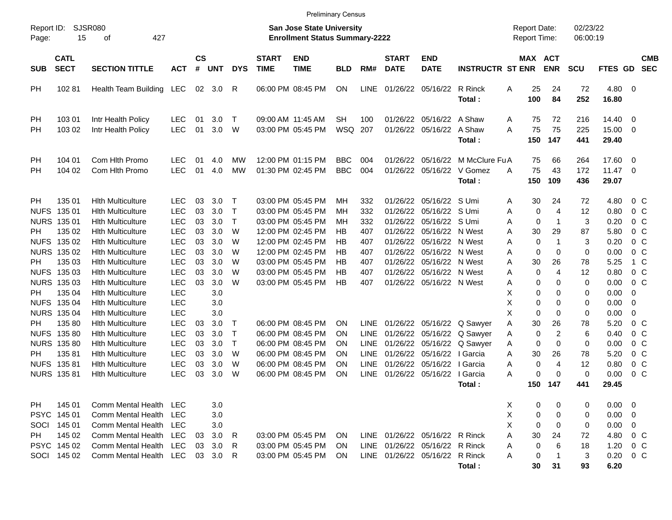|                           |                                                                    |                                                                                                                                          |                                                                    |                            |                                 |                                        |                             | <b>Preliminary Census</b>                                                                             |                            |                                                   |                                              |                                                                                                      |                                                       |                                                      |                                           |                                             |                                          |                                                                      |
|---------------------------|--------------------------------------------------------------------|------------------------------------------------------------------------------------------------------------------------------------------|--------------------------------------------------------------------|----------------------------|---------------------------------|----------------------------------------|-----------------------------|-------------------------------------------------------------------------------------------------------|----------------------------|---------------------------------------------------|----------------------------------------------|------------------------------------------------------------------------------------------------------|-------------------------------------------------------|------------------------------------------------------|-------------------------------------------|---------------------------------------------|------------------------------------------|----------------------------------------------------------------------|
| Report ID:<br>Page:       | 15                                                                 | <b>SJSR080</b><br>427<br>оf                                                                                                              |                                                                    |                            |                                 |                                        |                             | <b>San Jose State University</b><br><b>Enrollment Status Summary-2222</b>                             |                            |                                                   |                                              |                                                                                                      |                                                       | <b>Report Date:</b><br>Report Time:                  |                                           | 02/23/22<br>06:00:19                        |                                          |                                                                      |
| <b>SUB</b>                | <b>CATL</b><br><b>SECT</b>                                         | <b>SECTION TITTLE</b>                                                                                                                    | <b>ACT</b>                                                         | <b>CS</b><br>#             | UNT                             | <b>DYS</b>                             | <b>START</b><br><b>TIME</b> | <b>END</b><br><b>TIME</b>                                                                             | <b>BLD</b>                 | RM#                                               | <b>START</b><br><b>DATE</b>                  | <b>END</b><br><b>DATE</b>                                                                            | <b>INSTRUCTR ST ENR</b>                               |                                                      | MAX ACT<br><b>ENR</b>                     | <b>SCU</b>                                  | FTES GD                                  | <b>CMB</b><br><b>SEC</b>                                             |
| <b>PH</b>                 | 10281                                                              | Health Team Building LEC                                                                                                                 |                                                                    |                            | 02 3.0                          | R                                      |                             | 06:00 PM 08:45 PM                                                                                     | <b>ON</b>                  | LINE                                              | 01/26/22                                     | 05/16/22 R Rinck                                                                                     | Total:                                                | 25<br>Α<br>100                                       | 24<br>84                                  | 72<br>252                                   | $4.80\ 0$<br>16.80                       |                                                                      |
| <b>PH</b><br><b>PH</b>    | 103 01<br>103 02                                                   | Intr Health Policy<br>Intr Health Policy                                                                                                 | <b>LEC</b><br><b>LEC</b>                                           | 01<br>01                   | 3.0<br>3.0                      | $\top$<br>W                            |                             | 09:00 AM 11:45 AM<br>03:00 PM 05:45 PM                                                                | <b>SH</b><br>WSQ           | 100<br>207                                        | 01/26/22                                     | 05/16/22 A Shaw<br>01/26/22 05/16/22 A Shaw                                                          | Total:                                                | 75<br>A<br>75<br>A<br>150                            | 72<br>75<br>147                           | 216<br>225<br>441                           | 14.40<br>15.00 0<br>29.40                | $\overline{\phantom{0}}$                                             |
| PH.<br><b>PH</b>          | 104 01<br>104 02                                                   | Com Hith Promo<br>Com Hlth Promo                                                                                                         | <b>LEC</b><br>LEC                                                  | 01<br>01                   | 4.0<br>4.0                      | МW<br><b>MW</b>                        |                             | 12:00 PM 01:15 PM<br>01:30 PM 02:45 PM                                                                | <b>BBC</b><br><b>BBC</b>   | 004<br>004                                        | 01/26/22<br>01/26/22                         |                                                                                                      | 05/16/22 M McClure Fu A<br>05/16/22 V Gomez<br>Total: | 75<br>75<br>A<br>150                                 | 66<br>43<br>109                           | 264<br>172<br>436                           | 17.60 0<br>$11.47$ 0<br>29.07            |                                                                      |
| PH.<br><b>NUFS</b><br>PH. | 135 01<br>135 01<br>NURS 135 01<br>135 02                          | <b>Hith Multiculture</b><br><b>Hith Multiculture</b><br><b>Hith Multiculture</b><br><b>Hith Multiculture</b>                             | <b>LEC</b><br><b>LEC</b><br><b>LEC</b><br><b>LEC</b><br><b>LEC</b> | 03<br>03<br>03<br>03       | 3.0<br>3.0<br>3.0<br>3.0<br>3.0 | $\top$<br>$\top$<br>$\top$<br>W<br>W   |                             | 03:00 PM 05:45 PM<br>03:00 PM 05:45 PM<br>03:00 PM 05:45 PM<br>12:00 PM 02:45 PM<br>12:00 PM 02:45 PM | MН<br>MН<br>MН<br>НB       | 332<br>332<br>332<br>407                          | 01/26/22<br>01/26/22<br>01/26/22<br>01/26/22 | 05/16/22 S Umi<br>05/16/22 S Umi<br>05/16/22 S Umi<br>05/16/22 N West                                |                                                       | 30<br>Α<br>Α<br>$\mathbf 0$<br>Α<br>30<br>A          | 24<br>0<br>$\overline{4}$<br>1<br>29<br>1 | 72<br>12<br>3<br>87                         | 4.80<br>0.80<br>0.20<br>5.80             | $0\,$ C<br>0 <sup>o</sup><br>$0\,C$<br>$0\,$ C<br>$0\,C$             |
| PH.                       | NUFS 135 02<br>NURS 135 02<br>135 03<br>NUFS 135 03<br>NURS 135 03 | <b>Hith Multiculture</b><br><b>Hith Multiculture</b><br><b>Hith Multiculture</b><br><b>Hith Multiculture</b><br><b>Hith Multiculture</b> | <b>LEC</b><br><b>LEC</b><br><b>LEC</b><br><b>LEC</b>               | 03<br>03<br>03<br>03<br>03 | 3.0<br>3.0<br>3.0<br>3.0        | W<br>W<br>W<br>W                       |                             | 12:00 PM 02:45 PM<br>03:00 PM 05:45 PM<br>03:00 PM 05:45 PM<br>03:00 PM 05:45 PM                      | НB<br>НB<br>НB<br>НB<br>HB | 407<br>407<br>407<br>407<br>407                   | 01/26/22<br>01/26/22<br>01/26/22<br>01/26/22 | 05/16/22 N West<br>05/16/22 N West<br>05/16/22 N West<br>05/16/22 N West<br>01/26/22 05/16/22 N West |                                                       | 0<br>Α<br>$\mathbf 0$<br>Α<br>A<br>30<br>Α<br>0<br>Α | 0<br>26<br>0<br>4<br>0                    | 3<br>$\mathbf 0$<br>78<br>12<br>$\mathbf 0$ | 0.20<br>0.00<br>5.25<br>0.80<br>0.00     | $0\,$ C<br>1 C<br>0 <sup>o</sup><br>$0\,$ C                          |
| PH.<br>PH.                | 135 04<br>NUFS 135 04<br><b>NURS 135 04</b><br>135 80              | <b>Hith Multiculture</b><br><b>Hith Multiculture</b><br><b>Hith Multiculture</b><br><b>Hith Multiculture</b>                             | <b>LEC</b><br><b>LEC</b><br><b>LEC</b><br><b>LEC</b>               | 03                         | 3.0<br>3.0<br>3.0<br>3.0        | $\top$                                 |                             | 06:00 PM 08:45 PM                                                                                     | ΟN                         | LINE                                              |                                              |                                                                                                      | 01/26/22 05/16/22 Q Sawyer                            | Χ<br>0<br>X<br>0<br>Χ<br>0<br>Α<br>30                | 0<br>0<br>0<br>26                         | 0<br>0<br>0<br>78                           | 0.00<br>0.00<br>0.00<br>5.20             | 0<br>- 0<br>0<br>$0\,$ C                                             |
| PH.                       | NUFS 135 80<br><b>NURS 135 80</b><br>13581<br>NUFS 135 81          | <b>Hith Multiculture</b><br><b>Hith Multiculture</b><br><b>Hith Multiculture</b><br><b>Hith Multiculture</b>                             | <b>LEC</b><br><b>LEC</b><br><b>LEC</b><br><b>LEC</b>               | 03<br>03<br>03<br>03       | 3.0<br>3.0<br>3.0<br>3.0        | $\mathsf{T}$<br>$\mathsf{T}$<br>W<br>W |                             | 06:00 PM 08:45 PM<br>06:00 PM 08:45 PM<br>06:00 PM 08:45 PM<br>06:00 PM 08:45 PM                      | ΟN<br>ON<br>ON<br>ON       | LINE<br><b>LINE</b><br><b>LINE</b><br><b>LINE</b> | 01/26/22<br>01/26/22<br>01/26/22<br>01/26/22 | 05/16/22   Garcia<br>05/16/22   Garcia                                                               | 05/16/22 Q Sawyer<br>05/16/22 Q Sawyer                | 0<br>Α<br>0<br>A<br>30<br>Α<br>Α                     | 2<br>0<br>26<br>0<br>4                    | 6<br>0<br>78<br>12                          | 0.40<br>0.00<br>5.20<br>0.80             | 0 <sup>o</sup><br>0 <sup>o</sup><br>0 <sup>o</sup><br>0 <sup>o</sup> |
|                           | NURS 135 81                                                        | <b>Hith Multiculture</b>                                                                                                                 | <b>LEC</b>                                                         | 03                         | 3.0                             | W                                      |                             | 06:00 PM 08:45 PM                                                                                     | ΟN                         | <b>LINE</b>                                       |                                              | 01/26/22 05/16/22   Garcia                                                                           | Total:                                                | 0<br>Α<br>150                                        | $\Omega$<br>147                           | $\mathbf 0$<br>441                          | 0.00<br>29.45                            | 0 <sup>o</sup>                                                       |
| PH<br>SOCI<br>PH          | 145 01<br>PSYC 145 01<br>145 01<br>145 02                          | Comm Mental Health LEC<br>Comm Mental Health LEC<br>Comm Mental Health LEC<br>Comm Mental Health LEC                                     |                                                                    | 03                         | 3.0<br>3.0<br>3.0<br>3.0        | R                                      |                             | 03:00 PM 05:45 PM                                                                                     | ON.                        |                                                   |                                              | LINE 01/26/22 05/16/22 R Rinck                                                                       |                                                       | X<br>X<br>Χ<br>0<br>Α<br>30                          | 0<br>0<br>0<br>0<br>0<br>24               | 0<br>0<br>0<br>72                           | $0.00 \ 0$<br>$0.00 \t 0$<br>$0.00 \t 0$ | 4.80 0 C                                                             |
|                           | PSYC 145 02<br>SOCI 145 02                                         | Comm Mental Health LEC<br>Comm Mental Health LEC                                                                                         |                                                                    | 03                         | 3.0<br>03 3.0 R                 | R                                      |                             | 03:00 PM 05:45 PM<br>03:00 PM 05:45 PM                                                                | ON.<br>ON.                 |                                                   |                                              | LINE 01/26/22 05/16/22 R Rinck<br>LINE 01/26/22 05/16/22 R Rinck                                     | Total:                                                | 0<br>Α<br>0<br>A<br>30                               | 6<br>31                                   | 18<br>3<br>93                               | 1.20<br>6.20                             | $0\,$ C<br>$0.20 \t 0 C$                                             |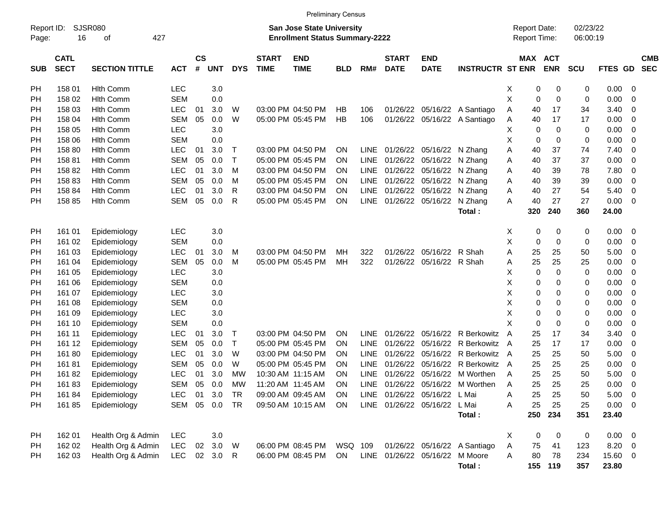|                     |                            |                       |            |                    |            |              |                             | <b>Preliminary Census</b>                                                 |            |             |                             |                                |                              |                                     |     |                       |                      |             |                          |                          |
|---------------------|----------------------------|-----------------------|------------|--------------------|------------|--------------|-----------------------------|---------------------------------------------------------------------------|------------|-------------|-----------------------------|--------------------------------|------------------------------|-------------------------------------|-----|-----------------------|----------------------|-------------|--------------------------|--------------------------|
| Report ID:<br>Page: | 16                         | SJSR080<br>427<br>оf  |            |                    |            |              |                             | <b>San Jose State University</b><br><b>Enrollment Status Summary-2222</b> |            |             |                             |                                |                              | <b>Report Date:</b><br>Report Time: |     |                       | 02/23/22<br>06:00:19 |             |                          |                          |
| <b>SUB</b>          | <b>CATL</b><br><b>SECT</b> | <b>SECTION TITTLE</b> | <b>ACT</b> | $\mathsf{cs}$<br># | <b>UNT</b> | <b>DYS</b>   | <b>START</b><br><b>TIME</b> | <b>END</b><br><b>TIME</b>                                                 | <b>BLD</b> | RM#         | <b>START</b><br><b>DATE</b> | <b>END</b><br><b>DATE</b>      | <b>INSTRUCTR ST ENR</b>      |                                     |     | MAX ACT<br><b>ENR</b> | <b>SCU</b>           | FTES GD     |                          | <b>CMB</b><br><b>SEC</b> |
| PH                  | 158 01                     | <b>Hith Comm</b>      | <b>LEC</b> |                    | 3.0        |              |                             |                                                                           |            |             |                             |                                |                              | х                                   | 0   | 0                     | 0                    | 0.00        | - 0                      |                          |
| PH                  | 158 02                     | <b>Hith Comm</b>      | <b>SEM</b> |                    | 0.0        |              |                             |                                                                           |            |             |                             |                                |                              | X                                   | 0   | $\mathbf 0$           | 0                    | 0.00        | $\overline{0}$           |                          |
| PH                  | 158 03                     | <b>Hith Comm</b>      | <b>LEC</b> | 01                 | 3.0        | W            |                             | 03:00 PM 04:50 PM                                                         | НB         | 106         |                             |                                | 01/26/22 05/16/22 A Santiago | Α                                   | 40  | 17                    | 34                   | 3.40        | - 0                      |                          |
| PH                  | 158 04                     | <b>Hith Comm</b>      | <b>SEM</b> | 05                 | 0.0        | W            |                             | 05:00 PM 05:45 PM                                                         | <b>HB</b>  | 106         |                             |                                | 01/26/22 05/16/22 A Santiago | Α                                   | 40  | 17                    | 17                   | 0.00        | - 0                      |                          |
| PH                  | 158 05                     | <b>Hith Comm</b>      | <b>LEC</b> |                    | 3.0        |              |                             |                                                                           |            |             |                             |                                |                              | х                                   | 0   | 0                     | 0                    | 0.00        | - 0                      |                          |
| PH                  | 158 06                     | <b>Hith Comm</b>      | <b>SEM</b> |                    | 0.0        |              |                             |                                                                           |            |             |                             |                                |                              | X                                   | 0   | 0                     | 0                    | 0.00        | - 0                      |                          |
| PH                  | 158 80                     | <b>Hith Comm</b>      | <b>LEC</b> | 01                 | 3.0        | Т            |                             | 03:00 PM 04:50 PM                                                         | ΟN         | <b>LINE</b> |                             | 01/26/22 05/16/22 N Zhang      |                              | Α                                   | 40  | 37                    | 74                   | 7.40        | - 0                      |                          |
| PH                  | 15881                      | <b>Hith Comm</b>      | <b>SEM</b> | 05                 | 0.0        | т            |                             | 05:00 PM 05:45 PM                                                         | ΟN         | <b>LINE</b> |                             | 01/26/22 05/16/22              | N Zhang                      | Α                                   | 40  | 37                    | 37                   | 0.00        | $\overline{0}$           |                          |
| PH                  | 15882                      | <b>Hith Comm</b>      | <b>LEC</b> | 01                 | 3.0        | M            |                             | 03:00 PM 04:50 PM                                                         | ΟN         | <b>LINE</b> |                             | 01/26/22 05/16/22              | N Zhang                      | Α                                   | 40  | 39                    | 78                   | 7.80        | - 0                      |                          |
| PH                  | 15883                      | <b>Hith Comm</b>      | <b>SEM</b> | 05                 | 0.0        | M            |                             | 05:00 PM 05:45 PM                                                         | ΟN         | <b>LINE</b> |                             | 01/26/22 05/16/22              | N Zhang                      | Α                                   | 40  | 39                    | 39                   | 0.00        | $\overline{0}$           |                          |
| PН                  | 158 84                     | <b>Hith Comm</b>      | <b>LEC</b> | 01                 | 3.0        | R            |                             | 03:00 PM 04:50 PM                                                         | ΟN         | <b>LINE</b> |                             | 01/26/22 05/16/22              | N Zhang                      | Α                                   | 40  | 27                    | 54                   | 5.40        | $\overline{0}$           |                          |
| PН                  | 158 85                     | <b>Hith Comm</b>      | <b>SEM</b> | 05                 | 0.0        | R            |                             | 05:00 PM 05:45 PM                                                         | ΟN         | <b>LINE</b> |                             | 01/26/22 05/16/22              | N Zhang                      | Α                                   | 40  | 27                    | 27                   | 0.00        | - 0                      |                          |
|                     |                            |                       |            |                    |            |              |                             |                                                                           |            |             |                             |                                | Total:                       |                                     | 320 | 240                   | 360                  | 24.00       |                          |                          |
| PH                  | 161 01                     | Epidemiology          | <b>LEC</b> |                    | 3.0        |              |                             |                                                                           |            |             |                             |                                |                              | Χ                                   | 0   | 0                     | 0                    | 0.00        | $\overline{\phantom{0}}$ |                          |
| РH                  | 161 02                     | Epidemiology          | <b>SEM</b> |                    | 0.0        |              |                             |                                                                           |            |             |                             |                                |                              | X                                   | 0   | 0                     | 0                    | 0.00        | - 0                      |                          |
| PН                  | 161 03                     | Epidemiology          | <b>LEC</b> | 01                 | 3.0        | м            |                             | 03:00 PM 04:50 PM                                                         | MН         | 322         |                             | 01/26/22 05/16/22              | R Shah                       | Α                                   | 25  | 25                    | 50                   | 5.00        | - 0                      |                          |
| PH                  | 161 04                     | Epidemiology          | <b>SEM</b> | 05                 | 0.0        | M            |                             | 05:00 PM 05:45 PM                                                         | MH         | 322         |                             | 01/26/22 05/16/22              | R Shah                       | A                                   | 25  | 25                    | 25                   | 0.00        | - 0                      |                          |
| PH                  | 161 05                     | Epidemiology          | LEC        |                    | 3.0        |              |                             |                                                                           |            |             |                             |                                |                              | X                                   | 0   | 0                     | 0                    | 0.00        | - 0                      |                          |
| <b>PH</b>           | 161 06                     | Epidemiology          | <b>SEM</b> |                    | 0.0        |              |                             |                                                                           |            |             |                             |                                |                              | X                                   | 0   | 0                     | 0                    | 0.00        | - 0                      |                          |
| PH                  | 161 07                     | Epidemiology          | <b>LEC</b> |                    | 3.0        |              |                             |                                                                           |            |             |                             |                                |                              | X                                   | 0   | 0                     | 0                    | 0.00        | - 0                      |                          |
| PH                  | 161 08                     | Epidemiology          | <b>SEM</b> |                    | 0.0        |              |                             |                                                                           |            |             |                             |                                |                              | X                                   | 0   | 0                     | 0                    | 0.00        | - 0                      |                          |
| <b>PH</b>           | 161 09                     | Epidemiology          | LEC        |                    | 3.0        |              |                             |                                                                           |            |             |                             |                                |                              | Χ                                   | 0   | 0                     | 0                    | 0.00        | - 0                      |                          |
| PH                  | 161 10                     | Epidemiology          | <b>SEM</b> |                    | 0.0        |              |                             |                                                                           |            |             |                             |                                |                              | X                                   | 0   | 0                     | 0                    | 0.00        | - 0                      |                          |
| PH                  | 161 11                     | Epidemiology          | <b>LEC</b> | 01                 | 3.0        | T            |                             | 03:00 PM 04:50 PM                                                         | ΟN         | <b>LINE</b> |                             | 01/26/22 05/16/22              | R Berkowitz                  | A                                   | 25  | 17                    | 34                   | 3.40        | 0                        |                          |
| <b>PH</b>           | 161 12                     | Epidemiology          | <b>SEM</b> | 05                 | 0.0        | Τ            |                             | 05:00 PM 05:45 PM                                                         | ΟN         | <b>LINE</b> | 01/26/22                    | 05/16/22                       | <b>R</b> Berkowitz           | A                                   | 25  | 17                    | 17                   | 0.00        | - 0                      |                          |
| PH                  | 16180                      | Epidemiology          | <b>LEC</b> | 01                 | 3.0        | W            |                             | 03:00 PM 04:50 PM                                                         | ΟN         | <b>LINE</b> | 01/26/22                    | 05/16/22                       | R Berkowitz                  | A                                   | 25  | 25                    | 50                   | 5.00        | - 0                      |                          |
| PH                  | 16181                      | Epidemiology          | <b>SEM</b> | 05                 | 0.0        | W            |                             | 05:00 PM 05:45 PM                                                         | ΟN         | <b>LINE</b> | 01/26/22                    | 05/16/22                       | R Berkowitz                  | A                                   | 25  | 25                    | 25                   | 0.00        | 0                        |                          |
| PH                  | 16182                      | Epidemiology          | <b>LEC</b> | 01                 | 3.0        | МW           |                             | 10:30 AM 11:15 AM                                                         | ΟN         | <b>LINE</b> | 01/26/22                    | 05/16/22                       | M Worthen                    | A                                   | 25  | 25                    | 50                   | 5.00        | - 0                      |                          |
| PH                  | 16183                      | Epidemiology          | <b>SEM</b> | 05                 | 0.0        | МW           |                             | 11:20 AM 11:45 AM                                                         | ΟN         | <b>LINE</b> |                             |                                | 01/26/22 05/16/22 M Worthen  | A                                   | 25  | 25                    | 25                   | 0.00        | - 0                      |                          |
| PH                  | 16184                      | Epidemiology          | LEC.       | 01                 | 3.0        | TR           |                             | 09:00 AM 09:45 AM                                                         | <b>ON</b>  |             |                             | LINE 01/26/22 05/16/22 L Mai   |                              | Α                                   | 25  | 25                    | 50                   | $5.00 \t 0$ |                          |                          |
| PH                  | 16185                      | Epidemiology          | SEM        |                    | 05 0.0     | TR           |                             | 09:50 AM 10:15 AM                                                         | <b>ON</b>  |             |                             | LINE 01/26/22 05/16/22 L Mai   |                              | Α                                   | 25  | 25                    | 25                   | $0.00 \t 0$ |                          |                          |
|                     |                            |                       |            |                    |            |              |                             |                                                                           |            |             |                             |                                | Total:                       |                                     | 250 | 234                   | 351                  | 23.40       |                          |                          |
| PH                  | 162 01                     | Health Org & Admin    | <b>LEC</b> |                    | 3.0        |              |                             |                                                                           |            |             |                             |                                |                              | X                                   | 0   | 0                     | 0                    | $0.00 \t 0$ |                          |                          |
| PH                  | 162 02                     | Health Org & Admin    | <b>LEC</b> |                    | 02 3.0     | W            |                             | 06:00 PM 08:45 PM                                                         | WSQ 109    |             |                             |                                | 01/26/22 05/16/22 A Santiago | Α                                   | 75  | 41                    | 123                  | 8.20 0      |                          |                          |
| PН                  | 162 03                     | Health Org & Admin    | <b>LEC</b> |                    | 02 3.0     | $\mathsf{R}$ |                             | 06:00 PM 08:45 PM                                                         | ON         |             |                             | LINE 01/26/22 05/16/22 M Moore |                              | Α                                   | 80  | 78                    | 234                  | 15.60 0     |                          |                          |
|                     |                            |                       |            |                    |            |              |                             |                                                                           |            |             |                             |                                | Total:                       |                                     |     | 155 119               | 357                  | 23.80       |                          |                          |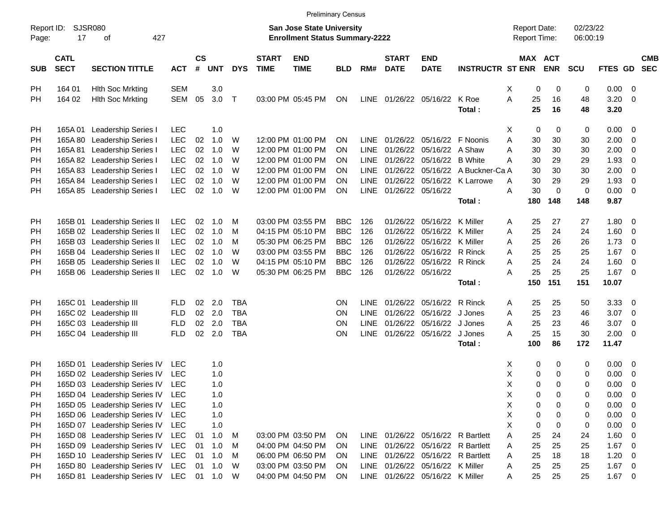|                     |                            |                                                  |            |                         |            |              |                             | <b>Preliminary Census</b>                                                 |            |             |                             |                                 |                                   |                                     |                |                      |              |                          |                          |
|---------------------|----------------------------|--------------------------------------------------|------------|-------------------------|------------|--------------|-----------------------------|---------------------------------------------------------------------------|------------|-------------|-----------------------------|---------------------------------|-----------------------------------|-------------------------------------|----------------|----------------------|--------------|--------------------------|--------------------------|
| Report ID:<br>Page: | SJSR080<br>17              | 427<br>οf                                        |            |                         |            |              |                             | <b>San Jose State University</b><br><b>Enrollment Status Summary-2222</b> |            |             |                             |                                 |                                   | <b>Report Date:</b><br>Report Time: |                | 02/23/22<br>06:00:19 |              |                          |                          |
| <b>SUB</b>          | <b>CATL</b><br><b>SECT</b> | <b>SECTION TITTLE</b>                            | <b>ACT</b> | <b>CS</b><br>$\pmb{\#}$ | <b>UNT</b> | <b>DYS</b>   | <b>START</b><br><b>TIME</b> | <b>END</b><br><b>TIME</b>                                                 | <b>BLD</b> | RM#         | <b>START</b><br><b>DATE</b> | <b>END</b><br><b>DATE</b>       | <b>INSTRUCTR ST ENR</b>           | MAX ACT                             | <b>ENR</b>     | <b>SCU</b>           | FTES GD      |                          | <b>CMB</b><br><b>SEC</b> |
| PH                  | 164 01                     | <b>Hith Soc Mrkting</b>                          | <b>SEM</b> |                         | 3.0        |              |                             |                                                                           |            |             |                             |                                 |                                   | X<br>0                              | 0              | 0                    | 0.00         | - 0                      |                          |
| PH                  | 164 02                     | <b>Hith Soc Mrkting</b>                          | <b>SEM</b> | 05                      | 3.0        | $\mathsf{T}$ |                             | 03:00 PM 05:45 PM                                                         | ON         | LINE        |                             | 01/26/22 05/16/22               | K Roe                             | A<br>25                             | 16             | 48                   | 3.20         | $\overline{0}$           |                          |
|                     |                            |                                                  |            |                         |            |              |                             |                                                                           |            |             |                             |                                 | Total:                            | 25                                  | 16             | 48                   | 3.20         |                          |                          |
| PH                  | 165A 01                    | Leadership Series I                              | <b>LEC</b> |                         | 1.0        |              |                             |                                                                           |            |             |                             |                                 |                                   | Χ<br>0                              | 0              | 0                    | 0.00         | $\overline{\mathbf{0}}$  |                          |
| PH                  | 165A 80                    | Leadership Series I                              | <b>LEC</b> | 02                      | 1.0        | W            |                             | 12:00 PM 01:00 PM                                                         | ON         | <b>LINE</b> |                             | 01/26/22 05/16/22 F Noonis      |                                   | 30<br>A                             | 30             | 30                   | 2.00         | $\overline{0}$           |                          |
| PH                  | 165A 81                    | Leadership Series I                              | LEC        | 02                      | 1.0        | W            |                             | 12:00 PM 01:00 PM                                                         | <b>ON</b>  | <b>LINE</b> |                             | 01/26/22 05/16/22               | A Shaw                            | 30<br>Α                             | 30             | 30                   | 2.00         | $\mathbf 0$              |                          |
| <b>PH</b>           |                            | 165A 82 Leadership Series I                      | <b>LEC</b> | 02                      | 1.0        | W            |                             | 12:00 PM 01:00 PM                                                         | <b>ON</b>  | <b>LINE</b> |                             | 01/26/22 05/16/22               | <b>B</b> White                    | 30<br>Α                             | 29             | 29                   | 1.93         | $\mathbf 0$              |                          |
| PH                  | 165A 83                    | <b>Leadership Series I</b>                       | <b>LEC</b> | 02                      | 1.0        | W            |                             | 12:00 PM 01:00 PM                                                         | <b>ON</b>  | <b>LINE</b> |                             |                                 | 01/26/22 05/16/22 A Buckner-Ca A  | 30                                  | 30             | 30                   | 2.00         | $\overline{0}$           |                          |
| PH                  |                            | 165A 84 Leadership Series I                      | <b>LEC</b> | 02                      | 1.0        | W            |                             | 12:00 PM 01:00 PM                                                         | <b>ON</b>  | <b>LINE</b> |                             |                                 | 01/26/22 05/16/22 K Larrowe       | 30<br>A                             | 29             | 29                   | 1.93         | $\mathbf 0$              |                          |
| PH                  | 165A 85                    | Leadership Series I                              | <b>LEC</b> | 02                      | 1.0        | W            |                             | 12:00 PM 01:00 PM                                                         | ON         | <b>LINE</b> |                             | 01/26/22 05/16/22               |                                   | 30<br>A                             | $\overline{0}$ | $\mathbf 0$          | 0.00         | $\overline{\mathbf{0}}$  |                          |
|                     |                            |                                                  |            |                         |            |              |                             |                                                                           |            |             |                             |                                 | Total:                            | 180                                 | 148            | 148                  | 9.87         |                          |                          |
|                     |                            |                                                  |            |                         |            |              |                             |                                                                           |            |             |                             |                                 |                                   |                                     |                |                      |              |                          |                          |
| PH                  |                            | 165B 01 Leadership Series II                     | <b>LEC</b> | 02                      | 1.0        | M            |                             | 03:00 PM 03:55 PM                                                         | <b>BBC</b> | 126         | 01/26/22                    | 05/16/22                        | K Miller                          | 25<br>A                             | 27             | 27                   | 1.80         | $\overline{\mathbf{0}}$  |                          |
| <b>PH</b>           |                            | 165B 02 Leadership Series II                     | <b>LEC</b> | 02                      | 1.0        | M            |                             | 04:15 PM 05:10 PM                                                         | <b>BBC</b> | 126         | 01/26/22                    | 05/16/22                        | K Miller                          | 25<br>A                             | 24             | 24                   | 1.60         | $\overline{0}$           |                          |
| PH                  |                            | 165B 03 Leadership Series II                     | <b>LEC</b> | 02                      | 1.0        | M            |                             | 05:30 PM 06:25 PM                                                         | <b>BBC</b> | 126         | 01/26/22                    | 05/16/22                        | K Miller                          | 25<br>A                             | 26             | 26                   | 1.73         | $\overline{0}$           |                          |
| <b>PH</b>           |                            | 165B 04 Leadership Series II                     | <b>LEC</b> | 02                      | 1.0        | W            |                             | 03:00 PM 03:55 PM                                                         | <b>BBC</b> | 126         | 01/26/22                    | 05/16/22                        | R Rinck                           | 25<br>A                             | 25             | 25                   | 1.67         | $\overline{0}$           |                          |
| PH                  |                            | 165B 05 Leadership Series II                     | <b>LEC</b> | 02                      | 1.0        | W            |                             | 04:15 PM 05:10 PM                                                         | <b>BBC</b> | 126         |                             | 01/26/22 05/16/22 R Rinck       |                                   | 25<br>A                             | 24             | 24                   | 1.60         | $\overline{0}$           |                          |
| PH                  |                            | 165B 06 Leadership Series II                     | <b>LEC</b> | 02                      | 1.0        | W            |                             | 05:30 PM 06:25 PM                                                         | <b>BBC</b> | 126         |                             | 01/26/22 05/16/22               |                                   | 25<br>A                             | 25             | 25                   | 1.67         | $\overline{\phantom{0}}$ |                          |
|                     |                            |                                                  |            |                         |            |              |                             |                                                                           |            |             |                             |                                 | Total:                            | 150                                 | 151            | 151                  | 10.07        |                          |                          |
|                     |                            |                                                  | <b>FLD</b> | 02                      | 2.0        | <b>TBA</b>   |                             |                                                                           | <b>ON</b>  | <b>LINE</b> |                             | 01/26/22 05/16/22               | R Rinck                           | 25<br>A                             | 25             | 50                   | 3.33         | $\overline{\mathbf{0}}$  |                          |
| PH                  |                            | 165C 01 Leadership III<br>165C 02 Leadership III | <b>FLD</b> | 02                      | 2.0        | <b>TBA</b>   |                             |                                                                           | <b>ON</b>  | <b>LINE</b> |                             | 01/26/22 05/16/22               | J Jones                           | 25<br>A                             | 23             | 46                   | 3.07         |                          |                          |
| <b>PH</b>           |                            | 165C 03 Leadership III                           |            | 02 <sub>2</sub>         | 2.0        | <b>TBA</b>   |                             |                                                                           |            | <b>LINE</b> |                             |                                 | J Jones                           | 25                                  |                |                      |              | $\overline{0}$           |                          |
| PH                  |                            |                                                  | <b>FLD</b> | 02                      |            | <b>TBA</b>   |                             |                                                                           | ON         | <b>LINE</b> |                             | 01/26/22 05/16/22               | J Jones                           | A<br>25                             | 23             | 46<br>30             | 3.07<br>2.00 | $\overline{0}$           |                          |
| PH                  |                            | 165C 04 Leadership III                           | <b>FLD</b> |                         | 2.0        |              |                             |                                                                           | ON         |             |                             | 01/26/22 05/16/22               |                                   | A                                   | 15             |                      |              | $\overline{\mathbf{0}}$  |                          |
|                     |                            |                                                  |            |                         |            |              |                             |                                                                           |            |             |                             |                                 | Total:                            | 100                                 | 86             | 172                  | 11.47        |                          |                          |
| PH                  |                            | 165D 01 Leadership Series IV                     | <b>LEC</b> |                         | 1.0        |              |                             |                                                                           |            |             |                             |                                 |                                   | х<br>0                              | 0              | 0                    | 0.00         | $\overline{\mathbf{0}}$  |                          |
| PH                  |                            | 165D 02 Leadership Series IV                     | <b>LEC</b> |                         | 1.0        |              |                             |                                                                           |            |             |                             |                                 |                                   | Χ<br>0                              | 0              | 0                    | 0.00         | $\mathbf 0$              |                          |
| PH                  |                            | 165D 03 Leadership Series IV                     | <b>LEC</b> |                         | 1.0        |              |                             |                                                                           |            |             |                             |                                 |                                   | X<br>0                              | 0              | 0                    | 0.00         | $\overline{0}$           |                          |
| PH                  |                            | 165D 04 Leadership Series IV                     | <b>LEC</b> |                         | 1.0        |              |                             |                                                                           |            |             |                             |                                 |                                   | Х<br>0                              | 0              | 0                    | 0.00         | $\overline{\phantom{0}}$ |                          |
| PH                  |                            | 165D 05 Leadership Series IV                     | <b>LEC</b> |                         | 1.0        |              |                             |                                                                           |            |             |                             |                                 |                                   | Χ<br>0                              | 0              | 0                    | $0.00 \t 0$  |                          |                          |
| PH                  |                            | 165D 06 Leadership Series IV                     | <b>LEC</b> |                         | 1.0        |              |                             |                                                                           |            |             |                             |                                 |                                   | Χ<br>0                              | 0              | 0                    | $0.00 \t 0$  |                          |                          |
| PH                  |                            | 165D 07 Leadership Series IV                     | <b>LEC</b> |                         | 1.0        |              |                             |                                                                           |            |             |                             |                                 |                                   | X<br>0                              | 0              | 0                    | $0.00 \t 0$  |                          |                          |
| PH                  |                            | 165D 08 Leadership Series IV                     | LEC        | 01                      | 1.0        | M            |                             | 03:00 PM 03:50 PM                                                         | ON         | LINE        |                             |                                 | 01/26/22 05/16/22 R Bartlett      | 25<br>Α                             | 24             | 24                   | 1.60 0       |                          |                          |
| PH                  |                            | 165D 09 Leadership Series IV                     | <b>LEC</b> | 01                      | 1.0        | M            |                             | 04:00 PM 04:50 PM                                                         | ON         |             |                             |                                 | LINE 01/26/22 05/16/22 R Bartlett | 25<br>A                             | 25             | 25                   | $1.67$ 0     |                          |                          |
| PH                  |                            | 165D 10 Leadership Series IV                     | <b>LEC</b> | 01                      | 1.0        | M            |                             | 06:00 PM 06:50 PM                                                         | ON         |             |                             |                                 | LINE 01/26/22 05/16/22 R Bartlett | 25<br>Α                             | 18             | 18                   | $1.20 \t 0$  |                          |                          |
| PН                  |                            | 165D 80 Leadership Series IV                     | <b>LEC</b> | 01                      | 1.0        | W            |                             | 03:00 PM 03:50 PM                                                         | ON         |             |                             | LINE 01/26/22 05/16/22 K Miller |                                   | 25<br>Α                             | 25             | 25                   | $1.67$ 0     |                          |                          |
| PH                  |                            | 165D 81 Leadership Series IV LEC 01 1.0          |            |                         |            | W            |                             | 04:00 PM 04:50 PM                                                         | ON         |             |                             | LINE 01/26/22 05/16/22 K Miller |                                   | 25<br>A                             | 25             | 25                   | $1.67$ 0     |                          |                          |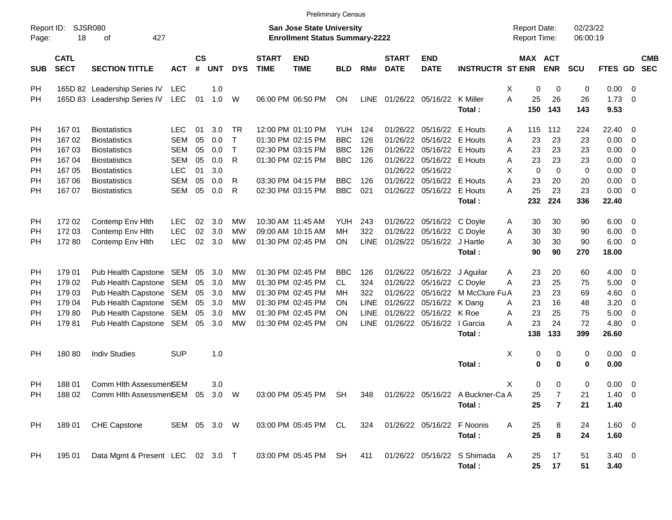|                     |                            |                                                                                                  |              |                    |            |              |                             | <b>Preliminary Census</b>                                                 |            |             |                             |                            |                             |                                     |                |                      |             |                          |
|---------------------|----------------------------|--------------------------------------------------------------------------------------------------|--------------|--------------------|------------|--------------|-----------------------------|---------------------------------------------------------------------------|------------|-------------|-----------------------------|----------------------------|-----------------------------|-------------------------------------|----------------|----------------------|-------------|--------------------------|
| Report ID:<br>Page: | 18                         | <b>SJSR080</b><br>of<br>427                                                                      |              |                    |            |              |                             | <b>San Jose State University</b><br><b>Enrollment Status Summary-2222</b> |            |             |                             |                            |                             | <b>Report Date:</b><br>Report Time: |                | 02/23/22<br>06:00:19 |             |                          |
| <b>SUB</b>          | <b>CATL</b><br><b>SECT</b> | <b>SECTION TITTLE</b>                                                                            | <b>ACT</b>   | $\mathsf{cs}$<br># | <b>UNT</b> | <b>DYS</b>   | <b>START</b><br><b>TIME</b> | <b>END</b><br><b>TIME</b>                                                 | <b>BLD</b> | RM#         | <b>START</b><br><b>DATE</b> | <b>END</b><br><b>DATE</b>  | <b>INSTRUCTR ST ENR</b>     | MAX ACT                             | <b>ENR</b>     | <b>SCU</b>           | FTES GD     | <b>CMB</b><br><b>SEC</b> |
| PH                  |                            | 165D 82 Leadership Series IV                                                                     | LEC          |                    | 1.0        |              |                             |                                                                           |            |             |                             |                            |                             | Χ<br>0                              | 0              | 0                    | 0.00        | $\overline{\phantom{0}}$ |
| PH                  |                            | 165D 83 Leadership Series IV                                                                     | <b>LEC</b>   | 01                 | 1.0        | W            |                             | 06:00 PM 06:50 PM                                                         | ON         | LINE        | 01/26/22 05/16/22 K Miller  |                            |                             | A<br>25                             | 26             | 26                   | 1.73        | - 0                      |
|                     |                            |                                                                                                  |              |                    |            |              |                             |                                                                           |            |             |                             |                            | Total:                      | 150                                 | 143            | 143                  | 9.53        |                          |
| PH                  | 16701                      | <b>Biostatistics</b>                                                                             | <b>LEC</b>   | 01                 | 3.0        | <b>TR</b>    |                             | 12:00 PM 01:10 PM                                                         | YUH        | 124         | 01/26/22                    | 05/16/22                   | E Houts                     | 115<br>A                            | 112            | 224                  | 22.40       | $\overline{\phantom{0}}$ |
| <b>PH</b>           | 16702                      | <b>Biostatistics</b>                                                                             | <b>SEM</b>   | 05                 | 0.0        | $\mathsf{T}$ |                             | 01:30 PM 02:15 PM                                                         | <b>BBC</b> | 126         | 01/26/22                    | 05/16/22                   | E Houts                     | 23<br>Α                             | 23             | 23                   | 0.00        | $\overline{\phantom{0}}$ |
| PH                  | 16703                      | <b>Biostatistics</b>                                                                             | <b>SEM</b>   | 05                 | 0.0        | $\mathsf{T}$ |                             | 02:30 PM 03:15 PM                                                         | <b>BBC</b> | 126         | 01/26/22                    | 05/16/22                   | E Houts                     | Α<br>23                             | 23             | 23                   | 0.00        | $\overline{\mathbf{0}}$  |
| <b>PH</b>           | 16704                      | <b>Biostatistics</b>                                                                             | <b>SEM</b>   | 05                 | 0.0        | R            |                             | 01:30 PM 02:15 PM                                                         | <b>BBC</b> | 126         | 01/26/22                    | 05/16/22 E Houts           |                             | Α<br>23                             | 23             | 23                   | 0.00        | $\overline{\mathbf{0}}$  |
| <b>PH</b>           | 167 05                     | <b>Biostatistics</b>                                                                             | <b>LEC</b>   | 01                 | 3.0        |              |                             |                                                                           |            |             | 01/26/22                    | 05/16/22                   |                             | $\mathbf 0$<br>X                    | $\mathbf 0$    | 0                    | 0.00        | $\overline{\mathbf{0}}$  |
| PH                  | 16706                      | <b>Biostatistics</b>                                                                             | <b>SEM</b>   | 05                 | 0.0        | R            |                             | 03:30 PM 04:15 PM                                                         | <b>BBC</b> | 126         | 01/26/22                    | 05/16/22                   | E Houts                     | A<br>23                             | 20             | 20                   | 0.00        | $\overline{0}$           |
| PH                  | 167 07                     | <b>Biostatistics</b>                                                                             | <b>SEM</b>   | 05                 | 0.0        | R            |                             | 02:30 PM 03:15 PM                                                         | <b>BBC</b> | 021         |                             | 01/26/22 05/16/22          | E Houts                     | A<br>25                             | 23             | 23                   | 0.00        | - 0                      |
|                     |                            |                                                                                                  |              |                    |            |              |                             |                                                                           |            |             |                             |                            | Total:                      | 232                                 | 224            | 336                  | 22.40       |                          |
| PH                  | 172 02                     | Contemp Env Hith                                                                                 | <b>LEC</b>   | 02                 | 3.0        | MW           |                             | 10:30 AM 11:45 AM                                                         | YUH        | 243         | 01/26/22                    | 05/16/22 C Doyle           |                             | 30<br>A                             | 30             | 90                   | 6.00        | $\overline{\phantom{0}}$ |
| <b>PH</b>           | 172 03                     | Contemp Env Hith                                                                                 | <b>LEC</b>   | 02                 | 3.0        | <b>MW</b>    |                             | 09:00 AM 10:15 AM                                                         | MН         | 322         | 01/26/22                    | 05/16/22                   | C Doyle                     | 30<br>Α                             | 30             | 90                   | 6.00        | $\overline{\mathbf{0}}$  |
| PH                  | 17280                      | Contemp Env Hith                                                                                 | <b>LEC</b>   | 02                 | 3.0        | <b>MW</b>    |                             | 01:30 PM 02:45 PM                                                         | ON         | <b>LINE</b> |                             | 01/26/22 05/16/22 J Hartle |                             | 30<br>A                             | 30             | 90                   | 6.00        | $\overline{\mathbf{0}}$  |
|                     |                            |                                                                                                  |              |                    |            |              |                             |                                                                           |            |             |                             |                            | Total:                      | 90                                  | 90             | 270                  | 18.00       |                          |
| PH                  | 179 01                     | Pub Health Capstone SEM                                                                          |              | 05                 | 3.0        | MW           |                             | 01:30 PM 02:45 PM                                                         | <b>BBC</b> | 126         | 01/26/22                    | 05/16/22                   | J Aguilar                   | 23<br>Α                             | 20             | 60                   | 4.00        | $\overline{\phantom{0}}$ |
| <b>PH</b>           | 179 02                     | Pub Health Capstone                                                                              | <b>SEM</b>   | 05                 | 3.0        | MW           |                             | 01:30 PM 02:45 PM                                                         | CL         | 324         | 01/26/22                    | 05/16/22 C Doyle           |                             | A<br>23                             | 25             | 75                   | 5.00        | $\overline{\mathbf{0}}$  |
| PH                  | 179 03                     | Pub Health Capstone                                                                              | <b>SEM</b>   | 05                 | 3.0        | MW           |                             | 01:30 PM 02:45 PM                                                         | MН         | 322         | 01/26/22                    | 05/16/22                   | M McClure Fu A              | 23                                  | 23             | 69                   | 4.60        | 0                        |
| PH                  | 179 04                     | Pub Health Capstone                                                                              | <b>SEM</b>   | 05                 | 3.0        | MW           |                             | 01:30 PM 02:45 PM                                                         | ΟN         | <b>LINE</b> | 01/26/22                    | 05/16/22                   | K Dang                      | 23<br>Α                             | 16             | 48                   | 3.20        | $\overline{\mathbf{0}}$  |
| PH                  | 17980                      | Pub Health Capstone                                                                              | <b>SEM</b>   | 05                 | 3.0        | MW           |                             | 01:30 PM 02:45 PM                                                         | ΟN         | <b>LINE</b> | 01/26/22 05/16/22           |                            | K Roe                       | 23<br>Α                             | 25             | 75                   | 5.00        | 0                        |
| PH                  | 17981                      | Pub Health Capstone                                                                              | SEM          | 05                 | 3.0        | MW           |                             | 01:30 PM 02:45 PM                                                         | ON         | <b>LINE</b> |                             | 01/26/22 05/16/22          | I Garcia                    | A<br>23                             | 24             | 72                   | 4.80        | 0                        |
|                     |                            |                                                                                                  |              |                    |            |              |                             |                                                                           |            |             |                             |                            | Total:                      | 138                                 | 133            | 399                  | 26.60       |                          |
| PH                  | 18080                      | <b>Indiv Studies</b>                                                                             | <b>SUP</b>   |                    | 1.0        |              |                             |                                                                           |            |             |                             |                            |                             | Χ<br>0                              | 0              | 0                    | $0.00 \t 0$ |                          |
|                     |                            |                                                                                                  |              |                    |            |              |                             |                                                                           |            |             |                             |                            | Total:                      | $\bf{0}$                            | $\bf{0}$       | 0                    | 0.00        |                          |
| <b>PH</b>           | 18801                      | Comm Hlth AssessmenSEM                                                                           |              |                    | 3.0        |              |                             |                                                                           |            |             |                             |                            |                             | X<br>0                              | 0              | 0                    | $0.00 \t 0$ |                          |
| PH                  |                            | 188 02 Comm Hlth AssessmenSEM 05 3.0 W 03:00 PM 05:45 PM SH 348 01/26/22 05/16/22 A Buckner-Ca A |              |                    |            |              |                             |                                                                           |            |             |                             |                            |                             | 25                                  | $\overline{7}$ | 21                   | $1.40 \ 0$  |                          |
|                     |                            |                                                                                                  |              |                    |            |              |                             |                                                                           |            |             |                             |                            | Total:                      | 25                                  | $\overline{7}$ | 21                   | 1.40        |                          |
| PH                  | 18901                      | CHE Capstone                                                                                     | SEM 05 3.0 W |                    |            |              |                             | 03:00 PM 05:45 PM CL                                                      |            | 324         |                             | 01/26/22 05/16/22 F Noonis |                             | Α<br>25                             | 8              | 24                   | $1.60 \t 0$ |                          |
|                     |                            |                                                                                                  |              |                    |            |              |                             |                                                                           |            |             |                             |                            | Total:                      | 25                                  | $\pmb{8}$      | 24                   | 1.60        |                          |
|                     |                            |                                                                                                  |              |                    |            |              |                             |                                                                           |            |             |                             |                            |                             |                                     |                |                      |             |                          |
| PH                  | 195 01                     | Data Mgmt & Present LEC 02 3.0 T                                                                 |              |                    |            |              |                             | 03:00 PM 05:45 PM SH                                                      |            | 411         |                             |                            | 01/26/22 05/16/22 S Shimada | A<br>25                             | 17             | 51                   | $3.40 \ 0$  |                          |
|                     |                            |                                                                                                  |              |                    |            |              |                             |                                                                           |            |             |                             |                            | Total:                      | 25                                  | 17             | 51                   | 3.40        |                          |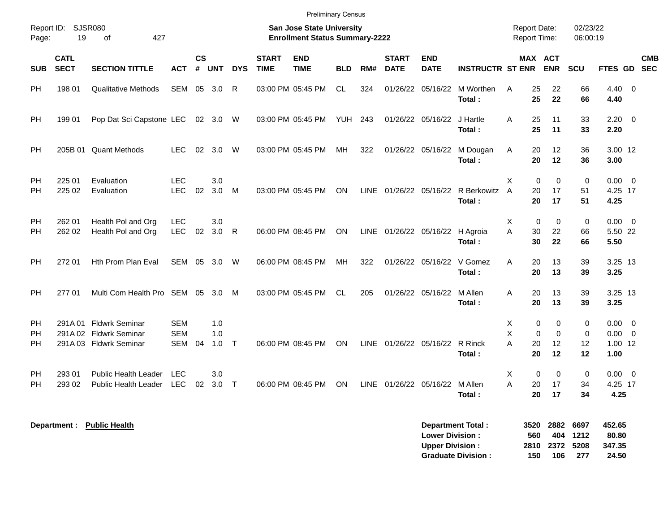| Page:                 | Report ID: SJSR080<br>19   | Preliminary Census<br><b>San Jose State University</b><br>427<br><b>Enrollment Status Summary-2222</b><br>0f |                                        |                    |                   |            |                             |                           |            |             |                             |                            |                         |                                 |                                                                   | 02/23/22<br>06:00:19         |                                 |                                                    |            |
|-----------------------|----------------------------|--------------------------------------------------------------------------------------------------------------|----------------------------------------|--------------------|-------------------|------------|-----------------------------|---------------------------|------------|-------------|-----------------------------|----------------------------|-------------------------|---------------------------------|-------------------------------------------------------------------|------------------------------|---------------------------------|----------------------------------------------------|------------|
| <b>SUB</b>            | <b>CATL</b><br><b>SECT</b> | <b>SECTION TITTLE</b>                                                                                        | <b>ACT</b>                             | $\mathsf{cs}$<br># | <b>UNT</b>        | <b>DYS</b> | <b>START</b><br><b>TIME</b> | <b>END</b><br><b>TIME</b> | <b>BLD</b> | RM#         | <b>START</b><br><b>DATE</b> | <b>END</b><br><b>DATE</b>  | <b>INSTRUCTR ST ENR</b> |                                 | MAX ACT<br><b>ENR</b>                                             | SCU                          | FTES GD SEC                     |                                                    | <b>CMB</b> |
| PH                    | 198 01                     | <b>Qualitative Methods</b>                                                                                   | <b>SEM</b>                             |                    | 05 3.0            | R          |                             | 03:00 PM 05:45 PM         | <b>CL</b>  | 324         | 01/26/22                    | 05/16/22                   | M Worthen<br>Total:     | 25<br>A<br>25                   | 22<br>22                                                          | 66<br>66                     | $4.40 \quad 0$<br>4.40          |                                                    |            |
| PH                    | 199 01                     | Pop Dat Sci Capstone LEC                                                                                     |                                        |                    | 02 3.0            | - W        |                             | 03:00 PM 05:45 PM         | YUH        | 243         |                             | 01/26/22 05/16/22          | J Hartle<br>Total:      | 25<br>A<br>25                   | 11<br>11                                                          | 33<br>33                     | 2.20<br>2.20                    | $\overline{0}$                                     |            |
| PH                    | 205B 01                    | <b>Quant Methods</b>                                                                                         | <b>LEC</b>                             | 02                 | 3.0               | W          |                             | 03:00 PM 05:45 PM         | MH         | 322         |                             | 01/26/22 05/16/22          | M Dougan<br>Total:      | 20<br>A<br>20                   | 12<br>12                                                          | 36<br>36                     | 3.00 12<br>3.00                 |                                                    |            |
| PH<br><b>PH</b>       | 225 01<br>225 02           | Evaluation<br>Evaluation                                                                                     | <b>LEC</b><br><b>LEC</b>               | 02                 | 3.0<br>3.0        | M          |                             | 03:00 PM 05:45 PM         | ON         |             |                             | LINE 01/26/22 05/16/22     | R Berkowitz<br>Total:   | X<br>20<br>$\overline{A}$<br>20 | $\Omega$<br>$\Omega$<br>17<br>17                                  | $\mathbf 0$<br>51<br>51      | $0.00 \t 0$<br>4.25 17<br>4.25  |                                                    |            |
| PH<br>PH              | 262 01<br>262 02           | Health Pol and Org<br>Health Pol and Org                                                                     | <b>LEC</b><br><b>LEC</b>               | 02                 | 3.0<br>3.0        | R.         |                             | 06:00 PM 08:45 PM         | ON         | <b>LINE</b> |                             | 01/26/22 05/16/22 H Agroia | Total:                  | X<br>A<br>30<br>30              | $\mathbf 0$<br>$\mathbf 0$<br>22<br>22                            | 0<br>66<br>66                | 0.00<br>5.50 22<br>5.50         | $\overline{\mathbf{0}}$                            |            |
| PH                    | 272 01                     | Hth Prom Plan Eval                                                                                           | <b>SEM</b>                             | 05                 | 3.0               | W          |                             | 06:00 PM 08:45 PM         | <b>MH</b>  | 322         |                             | 01/26/22 05/16/22          | V Gomez<br>Total:       | A<br>20<br>20                   | 13<br>13                                                          | 39<br>39                     | 3.25 13<br>3.25                 |                                                    |            |
| PH                    | 277 01                     | Multi Com Health Pro SEM                                                                                     |                                        | 05                 | 3.0               | M          |                             | 03:00 PM 05:45 PM         | <b>CL</b>  | 205         |                             | 01/26/22 05/16/22          | M Allen<br>Total:       | A<br>20<br>20                   | 13<br>13                                                          | 39<br>39                     | 3.25 13<br>3.25                 |                                                    |            |
| <b>PH</b><br>PH<br>PH |                            | 291A 01 Fldwrk Seminar<br>291A 02 Fldwrk Seminar<br>291A 03 Fldwrk Seminar                                   | <b>SEM</b><br><b>SEM</b><br><b>SEM</b> | 04                 | 1.0<br>1.0<br>1.0 | $\top$     |                             | 06:00 PM 08:45 PM         | <b>ON</b>  | <b>LINE</b> | 01/26/22 05/16/22           |                            | R Rinck<br>Total:       | X<br>X<br>A<br>20<br>20         | $\mathbf 0$<br>$\mathbf 0$<br>$\Omega$<br>$\mathbf 0$<br>12<br>12 | 0<br>$\mathbf 0$<br>12<br>12 | 0.00<br>0.00<br>1.00 12<br>1.00 | $\overline{\mathbf{0}}$<br>$\overline{\mathbf{0}}$ |            |
| <b>PH</b><br>PH       | 293 01<br>293 02           | <b>Public Health Leader</b><br><b>Public Health Leader</b>                                                   | <b>LEC</b><br><b>LEC</b>               | 02                 | 3.0<br>3.0        | $\top$     |                             | 06:00 PM 08:45 PM         | ON         |             | LINE 01/26/22 05/16/22      |                            | M Allen<br>Total:       | X<br>A<br>20<br>20              | $\mathbf{0}$<br>$\Omega$<br>17<br>17                              | $\mathbf 0$<br>34<br>34      | $0.00 \t 0$<br>4.25 17<br>4.25  |                                                    |            |

| Department Total:         |     | 3520 2882 6697 |          | 452.65 |
|---------------------------|-----|----------------|----------|--------|
| <b>Lower Division:</b>    | 560 |                | 404 1212 | 80.80  |
| <b>Upper Division:</b>    |     | 2810 2372 5208 |          | 347.35 |
| <b>Graduate Division:</b> | 150 | 106            | 277      | 24.50  |

**Department : Public Health**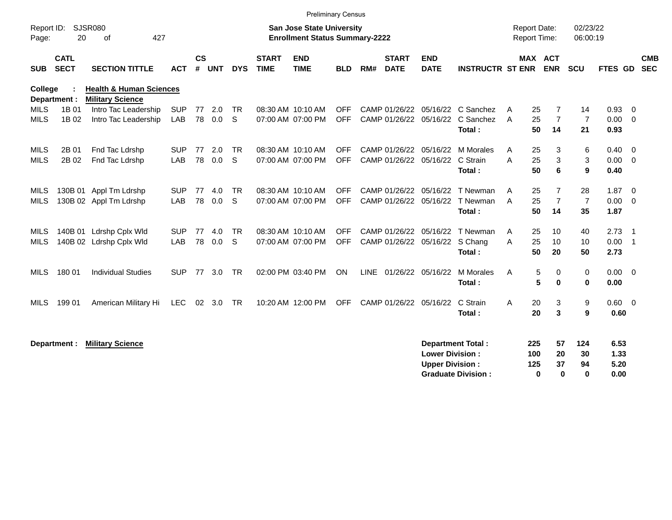|                     |                            |                                                               |            |                    |            |            |                             |                                                                           | Preliminary Census |     |                             |                                |                                  |                                     |                              |                      |                |                          |                          |
|---------------------|----------------------------|---------------------------------------------------------------|------------|--------------------|------------|------------|-----------------------------|---------------------------------------------------------------------------|--------------------|-----|-----------------------------|--------------------------------|----------------------------------|-------------------------------------|------------------------------|----------------------|----------------|--------------------------|--------------------------|
| Report ID:<br>Page: | 20                         | SJSR080<br>427<br>0f                                          |            |                    |            |            |                             | <b>San Jose State University</b><br><b>Enrollment Status Summary-2222</b> |                    |     |                             |                                |                                  | <b>Report Date:</b><br>Report Time: |                              | 02/23/22<br>06:00:19 |                |                          |                          |
| <b>SUB</b>          | <b>CATL</b><br><b>SECT</b> | <b>SECTION TITTLE</b>                                         | <b>ACT</b> | $\mathsf{cs}$<br># | <b>UNT</b> | <b>DYS</b> | <b>START</b><br><b>TIME</b> | <b>END</b><br><b>TIME</b>                                                 | <b>BLD</b>         | RM# | <b>START</b><br><b>DATE</b> | <b>END</b><br><b>DATE</b>      | <b>INSTRUCTR ST ENR</b>          |                                     | <b>MAX ACT</b><br><b>ENR</b> | SCU                  | <b>FTES GD</b> |                          | <b>CMB</b><br><b>SEC</b> |
| College             | Department :               | <b>Health &amp; Human Sciences</b><br><b>Military Science</b> |            |                    |            |            |                             |                                                                           |                    |     |                             |                                |                                  |                                     |                              |                      |                |                          |                          |
| <b>MILS</b>         | 1B 01                      | Intro Tac Leadership                                          | <b>SUP</b> | 77                 | 2.0        | <b>TR</b>  |                             | 08:30 AM 10:10 AM                                                         | <b>OFF</b>         |     |                             |                                | CAMP 01/26/22 05/16/22 C Sanchez | 25<br>A                             |                              | 14                   | 0.93           | $\mathbf{0}$             |                          |
| <b>MILS</b>         | 1B 02                      | Intro Tac Leadership                                          | LAB        | 78                 | 0.0        | S          |                             | 07:00 AM 07:00 PM                                                         | <b>OFF</b>         |     |                             | CAMP 01/26/22 05/16/22         | C Sanchez                        | 25<br>A                             | $\overline{7}$               | $\overline{7}$       | 0.00           | $\mathbf{0}$             |                          |
|                     |                            |                                                               |            |                    |            |            |                             |                                                                           |                    |     |                             |                                | Total:                           | 50                                  | 14                           | 21                   | 0.93           |                          |                          |
| <b>MILS</b>         | 2B 01                      | Fnd Tac Ldrshp                                                | <b>SUP</b> | 77                 | 2.0        | <b>TR</b>  |                             | 08:30 AM 10:10 AM                                                         | <b>OFF</b>         |     |                             | CAMP 01/26/22 05/16/22         | M Morales                        | 25<br>A                             | 3                            | 6                    | 0.40           | $\overline{0}$           |                          |
| <b>MILS</b>         | 2B 02                      | Fnd Tac Ldrshp                                                | LAB        | 78                 | 0.0        | S          |                             | 07:00 AM 07:00 PM                                                         | <b>OFF</b>         |     | CAMP 01/26/22               | 05/16/22                       | C Strain                         | A<br>25                             | 3                            | 3                    | 0.00           | $\overline{0}$           |                          |
|                     |                            |                                                               |            |                    |            |            |                             |                                                                           |                    |     |                             |                                | Total:                           | 50                                  | 6                            | 9                    | 0.40           |                          |                          |
| MILS                | 130B 01                    | Appl Tm Ldrshp                                                | <b>SUP</b> | 77                 | 4.0        | <b>TR</b>  |                             | 08:30 AM 10:10 AM                                                         | <b>OFF</b>         |     |                             | CAMP 01/26/22 05/16/22         | T Newman                         | 25<br>Α                             | 7                            | 28                   | 1.87           | $\overline{0}$           |                          |
| MILS                |                            | 130B 02 Appl Tm Ldrshp                                        | LAB        | 78                 | 0.0        | S          |                             | 07:00 AM 07:00 PM                                                         | <b>OFF</b>         |     |                             | CAMP 01/26/22 05/16/22         | T Newman                         | 25<br>A                             | $\overline{7}$               | $\overline{7}$       | 0.00           | $\overline{0}$           |                          |
|                     |                            |                                                               |            |                    |            |            |                             |                                                                           |                    |     |                             |                                | Total:                           | 50                                  | 14                           | 35                   | 1.87           |                          |                          |
| MILS                | 140B 01                    | Ldrshp Cplx Wld                                               | <b>SUP</b> | 77                 | 4.0        | <b>TR</b>  |                             | 08:30 AM 10:10 AM                                                         | <b>OFF</b>         |     | CAMP 01/26/22               | 05/16/22                       | T Newman                         | A<br>25                             | 10                           | 40                   | 2.73           | $\overline{1}$           |                          |
| MILS                |                            | 140B 02 Ldrshp Cplx Wld                                       | LAB        | 78                 | 0.0        | S          |                             | 07:00 AM 07:00 PM                                                         | <b>OFF</b>         |     |                             | CAMP 01/26/22 05/16/22 S Chang |                                  | 25<br>A                             | 10                           | 10                   | 0.00           | $\overline{\phantom{0}}$ |                          |
|                     |                            |                                                               |            |                    |            |            |                             |                                                                           |                    |     |                             |                                | Total:                           | 50                                  | 20                           | 50                   | 2.73           |                          |                          |
| MILS                | 180 01                     | <b>Individual Studies</b>                                     | <b>SUP</b> | 77                 | 3.0        | <b>TR</b>  |                             | 02:00 PM 03:40 PM                                                         | ON                 |     |                             | LINE 01/26/22 05/16/22         | M Morales                        | A                                   | 5<br>0                       | $\mathbf 0$          | 0.00           | $\overline{0}$           |                          |
|                     |                            |                                                               |            |                    |            |            |                             |                                                                           |                    |     |                             |                                | Total:                           |                                     | 5<br>$\bf{0}$                | $\bf{0}$             | 0.00           |                          |                          |
| MILS                | 199 01                     | American Military Hi                                          | LEC.       |                    | 02 3.0     | <b>TR</b>  |                             | 10:20 AM 12:00 PM                                                         | <b>OFF</b>         |     | CAMP 01/26/22               | 05/16/22                       | C Strain                         | A<br>20                             | 3                            | 9                    | 0.60           | $\overline{\mathbf{0}}$  |                          |
|                     |                            |                                                               |            |                    |            |            |                             |                                                                           |                    |     |                             |                                | Total:                           | 20                                  | 3                            | 9                    | 0.60           |                          |                          |
|                     |                            |                                                               |            |                    |            |            |                             |                                                                           |                    |     |                             |                                |                                  |                                     |                              |                      |                |                          |                          |
|                     | Department :               | <b>Military Science</b>                                       |            |                    |            |            |                             |                                                                           |                    |     |                             |                                | <b>Department Total:</b>         | 225                                 | 57                           | 124                  | 6.53           |                          |                          |
|                     |                            |                                                               |            |                    |            |            |                             |                                                                           |                    |     |                             | <b>Lower Division:</b>         |                                  | 100                                 | 20                           | 30                   | 1.33           |                          |                          |
|                     |                            |                                                               |            |                    |            |            |                             |                                                                           |                    |     |                             | <b>Upper Division:</b>         |                                  | 125                                 | 37                           | 94                   | 5.20           |                          |                          |
|                     |                            |                                                               |            |                    |            |            |                             |                                                                           |                    |     |                             |                                | <b>Graduate Division:</b>        |                                     | 0<br>0                       | $\bf{0}$             | 0.00           |                          |                          |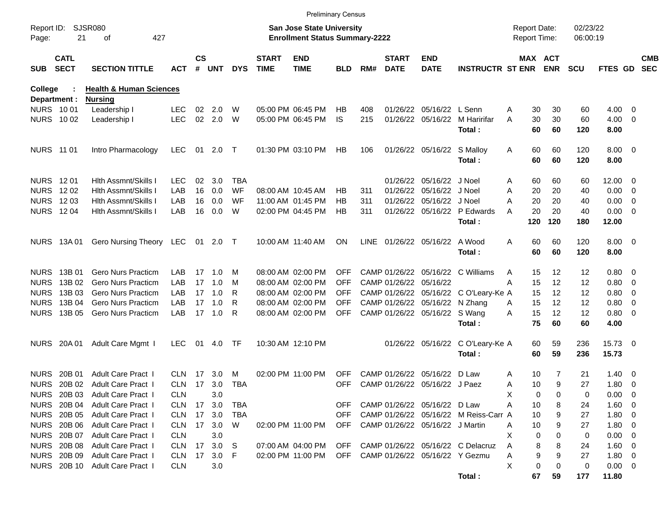|                     |                            |                                    |            |                    |            |            |                             | <b>Preliminary Census</b>                                                 |            |     |                             |                                     |                                       |                                     |           |                       |                      |               |                          |                          |
|---------------------|----------------------------|------------------------------------|------------|--------------------|------------|------------|-----------------------------|---------------------------------------------------------------------------|------------|-----|-----------------------------|-------------------------------------|---------------------------------------|-------------------------------------|-----------|-----------------------|----------------------|---------------|--------------------------|--------------------------|
| Report ID:<br>Page: | 21                         | SJSR080<br>427<br>οf               |            |                    |            |            |                             | <b>San Jose State University</b><br><b>Enrollment Status Summary-2222</b> |            |     |                             |                                     |                                       | <b>Report Date:</b><br>Report Time: |           |                       | 02/23/22<br>06:00:19 |               |                          |                          |
| <b>SUB</b>          | <b>CATL</b><br><b>SECT</b> | <b>SECTION TITTLE</b>              | <b>ACT</b> | $\mathsf{cs}$<br># | <b>UNT</b> | <b>DYS</b> | <b>START</b><br><b>TIME</b> | <b>END</b><br><b>TIME</b>                                                 | BLD        | RM# | <b>START</b><br><b>DATE</b> | <b>END</b><br><b>DATE</b>           | <b>INSTRUCTR ST ENR</b>               |                                     |           | MAX ACT<br><b>ENR</b> | <b>SCU</b>           | FTES GD       |                          | <b>CMB</b><br><b>SEC</b> |
| College             | Department :               | <b>Health &amp; Human Sciences</b> |            |                    |            |            |                             |                                                                           |            |     |                             |                                     |                                       |                                     |           |                       |                      |               |                          |                          |
| NURS 1001           |                            | <b>Nursing</b><br>Leadership I     | <b>LEC</b> | 02                 | 2.0        | W          |                             | 05:00 PM 06:45 PM                                                         | НB         | 408 |                             | 01/26/22 05/16/22 L Senn            |                                       | Α                                   | 30        | 30                    | 60                   | $4.00 \ 0$    |                          |                          |
| NURS 1002           |                            | Leadership I                       | <b>LEC</b> | 02                 | 2.0        | W          |                             | 05:00 PM 06:45 PM                                                         | <b>IS</b>  | 215 |                             | 01/26/22 05/16/22                   | M Haririfar                           | A                                   | 30        | 30                    | 60                   | 4.00          | $\overline{\phantom{0}}$ |                          |
|                     |                            |                                    |            |                    |            |            |                             |                                                                           |            |     |                             |                                     | Total:                                |                                     | 60        | 60                    | 120                  | 8.00          |                          |                          |
| <b>NURS 11 01</b>   |                            | Intro Pharmacology                 | <b>LEC</b> | 01                 | 2.0        | $\top$     |                             | 01:30 PM 03:10 PM                                                         | HB         | 106 |                             | 01/26/22 05/16/22 S Malloy          |                                       | A                                   | 60        | 60                    | 120                  | $8.00 \t 0$   |                          |                          |
|                     |                            |                                    |            |                    |            |            |                             |                                                                           |            |     |                             |                                     | Total:                                |                                     | 60        | 60                    | 120                  | 8.00          |                          |                          |
| <b>NURS 1201</b>    |                            | <b>Hith Assmnt/Skills I</b>        | <b>LEC</b> | 02                 | 3.0        | <b>TBA</b> |                             |                                                                           |            |     | 01/26/22                    | 05/16/22                            | J Noel                                | A                                   | 60        | 60                    | 60                   | $12.00 \t 0$  |                          |                          |
| <b>NURS</b>         | 12 02                      | <b>Hith Assmnt/Skills I</b>        | LAB        | 16                 | 0.0        | <b>WF</b>  |                             | 08:00 AM 10:45 AM                                                         | HB         | 311 | 01/26/22                    | 05/16/22                            | J Noel                                | Α                                   | 20        | 20                    | 40                   | 0.00          | $\overline{\phantom{0}}$ |                          |
| <b>NURS</b>         | 12 03                      | <b>Hith Assmnt/Skills I</b>        | LAB        | 16                 | 0.0        | WF         |                             | 11:00 AM 01:45 PM                                                         | НB         | 311 | 01/26/22                    | 05/16/22                            | J Noel                                | Α                                   | 20        | 20                    | 40                   | 0.00          | $\overline{\phantom{0}}$ |                          |
|                     | <b>NURS 1204</b>           | Hith Assmnt/Skills I               | LAB        | 16                 | 0.0        | W          |                             | 02:00 PM 04:45 PM                                                         | НB         | 311 |                             | 01/26/22 05/16/22                   | P Edwards<br>Total:                   | A                                   | 20<br>120 | 20<br>120             | 40<br>180            | 0.00<br>12.00 | $\overline{\phantom{0}}$ |                          |
|                     |                            |                                    |            |                    |            |            |                             |                                                                           |            |     |                             |                                     |                                       |                                     |           |                       |                      |               |                          |                          |
|                     | NURS 13A 01                | <b>Gero Nursing Theory</b>         | LEC        |                    | 01 2.0 T   |            |                             | 10:00 AM 11:40 AM                                                         | <b>ON</b>  |     |                             | LINE 01/26/22 05/16/22              | A Wood                                | A                                   | 60        | 60                    | 120                  | $8.00 \t 0$   |                          |                          |
|                     |                            |                                    |            |                    |            |            |                             |                                                                           |            |     |                             |                                     | Total:                                |                                     | 60        | 60                    | 120                  | 8.00          |                          |                          |
| <b>NURS</b>         | 13B 01                     | <b>Gero Nurs Practicm</b>          | LAB        | 17                 | 1.0        | M          |                             | 08:00 AM 02:00 PM                                                         | <b>OFF</b> |     | CAMP 01/26/22               | 05/16/22                            | C Williams                            | A                                   | 15        | 12                    | 12                   | 0.80 0        |                          |                          |
| <b>NURS</b>         | 13B 02                     | <b>Gero Nurs Practicm</b>          | LAB        | 17                 | 1.0        | M          |                             | 08:00 AM 02:00 PM                                                         | <b>OFF</b> |     | CAMP 01/26/22               | 05/16/22                            |                                       | Α                                   | 15        | 12                    | 12                   | 0.80          | $\overline{\phantom{0}}$ |                          |
| <b>NURS</b>         | 13B 03                     | <b>Gero Nurs Practicm</b>          | LAB        | 17                 | 1.0        | R          |                             | 08:00 AM 02:00 PM                                                         | <b>OFF</b> |     |                             | CAMP 01/26/22 05/16/22              | C O'Leary-Ke A                        |                                     | 15        | 12                    | 12                   | 0.80          | $\overline{\phantom{0}}$ |                          |
| <b>NURS</b>         | 13B 04                     | <b>Gero Nurs Practicm</b>          | LAB        | 17                 | 1.0        | R          |                             | 08:00 AM 02:00 PM                                                         | <b>OFF</b> |     |                             | CAMP 01/26/22 05/16/22              | N Zhang                               | A                                   | 15        | 12                    | 12                   | 0.80 0        |                          |                          |
| <b>NURS</b>         | 13B 05                     | Gero Nurs Practicm                 | LAB        | 17                 | 1.0        | R          |                             | 08:00 AM 02:00 PM                                                         | <b>OFF</b> |     |                             | CAMP 01/26/22 05/16/22 S Wang       |                                       | A                                   | 15        | 12                    | 12                   | 0.80 0        |                          |                          |
|                     |                            |                                    |            |                    |            |            |                             |                                                                           |            |     |                             |                                     | Total:                                |                                     | 75        | 60                    | 60                   | 4.00          |                          |                          |
| <b>NURS</b>         | 20A 01                     | Adult Care Mgmt I                  | <b>LEC</b> | 01                 | 4.0        | <b>TF</b>  |                             | 10:30 AM 12:10 PM                                                         |            |     | 01/26/22                    | 05/16/22                            | C O'Leary-Ke A                        |                                     | 60        | 59                    | 236                  | 15.73 0       |                          |                          |
|                     |                            |                                    |            |                    |            |            |                             |                                                                           |            |     |                             |                                     | Total:                                |                                     | 60        | 59                    | 236                  | 15.73         |                          |                          |
| <b>NURS</b>         | 20B 01                     | <b>Adult Care Pract 1</b>          | CLN.       | 17                 | 3.0        | м          |                             | 02:00 PM 11:00 PM                                                         | <b>OFF</b> |     | CAMP 01/26/22               | 05/16/22                            | D Law                                 | Α                                   | 10        | 7                     | 21                   | 1.40          | $\overline{\phantom{0}}$ |                          |
| <b>NURS</b>         | 20B 02                     | <b>Adult Care Pract 1</b>          | CLN.       | 17                 | 3.0        | <b>TBA</b> |                             |                                                                           | <b>OFF</b> |     |                             | CAMP 01/26/22 05/16/22 J Paez       |                                       | Α                                   | 10        | 9                     | 27                   | $1.80 \ 0$    |                          |                          |
|                     |                            | NURS 20B 03 Adult Care Pract 1     | <b>CLN</b> |                    | 3.0        |            |                             |                                                                           |            |     |                             |                                     |                                       | Х                                   | 0         | 0                     | 0                    | $0.00 \t 0$   |                          |                          |
|                     | <b>NURS 20B 04</b>         | Adult Care Pract I                 | CLN        |                    | 17 3.0     | TBA        |                             |                                                                           | OFF.       |     |                             | CAMP 01/26/22 05/16/22 D Law        |                                       | Α                                   | 10        | 8                     | 24                   | 1.60 0        |                          |                          |
|                     | <b>NURS 20B 05</b>         | <b>Adult Care Pract 1</b>          | CLN 17 3.0 |                    |            | <b>TBA</b> |                             |                                                                           | OFF        |     |                             |                                     | CAMP 01/26/22 05/16/22 M Reiss-Carr A |                                     | 10        | 9                     | 27                   | 1.80 0        |                          |                          |
|                     |                            | NURS 20B 06 Adult Care Pract I     | CLN 17 3.0 |                    |            | W          |                             | 02:00 PM 11:00 PM                                                         |            |     |                             | OFF CAMP 01/26/22 05/16/22 J Martin |                                       | Α                                   | 10        | 9                     | 27                   | 1.80 0        |                          |                          |
|                     |                            | NURS 20B 07 Adult Care Pract I     | <b>CLN</b> |                    | 3.0        |            |                             |                                                                           |            |     |                             |                                     |                                       | Х                                   | 0         | 0                     | 0                    | $0.00 \t 0$   |                          |                          |
|                     | <b>NURS 20B08</b>          | Adult Care Pract I                 | CLN        |                    | 17 3.0     | S          |                             | 07:00 AM 04:00 PM                                                         |            |     |                             |                                     | OFF CAMP 01/26/22 05/16/22 C Delacruz | A                                   | 8         | 8                     | 24                   | 1.60 0        |                          |                          |
|                     | <b>NURS 20B 09</b>         | Adult Care Pract I                 | CLN        | 17                 | 3.0        | F          |                             | 02:00 PM 11:00 PM                                                         |            |     |                             |                                     | OFF CAMP 01/26/22 05/16/22 Y Gezmu    | Α                                   | 9         | 9                     | 27                   | 1.80 0        |                          |                          |
|                     |                            | NURS 20B 10 Adult Care Pract 1     | <b>CLN</b> |                    | 3.0        |            |                             |                                                                           |            |     |                             |                                     |                                       | X                                   | 0         | 0                     | 0                    | $0.00 \t 0$   |                          |                          |
|                     |                            |                                    |            |                    |            |            |                             |                                                                           |            |     |                             |                                     | Total:                                |                                     | 67        | 59                    | 177                  | 11.80         |                          |                          |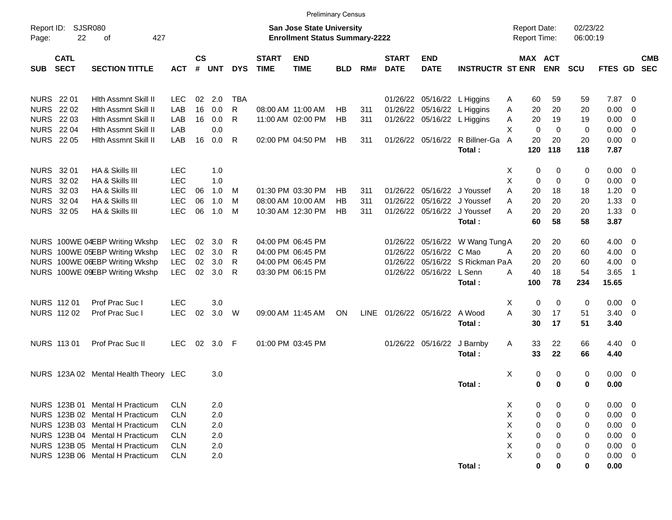|                     |                                       |                                                                    |                          |                |            |            |                             | <b>Preliminary Census</b>                                                 |            |            |                             |                             |                                                            |        |                                     |             |                      |                |                          |                          |
|---------------------|---------------------------------------|--------------------------------------------------------------------|--------------------------|----------------|------------|------------|-----------------------------|---------------------------------------------------------------------------|------------|------------|-----------------------------|-----------------------------|------------------------------------------------------------|--------|-------------------------------------|-------------|----------------------|----------------|--------------------------|--------------------------|
| Report ID:<br>Page: | 22                                    | <b>SJSR080</b><br>427<br>οf                                        |                          |                |            |            |                             | <b>San Jose State University</b><br><b>Enrollment Status Summary-2222</b> |            |            |                             |                             |                                                            |        | <b>Report Date:</b><br>Report Time: |             | 02/23/22<br>06:00:19 |                |                          |                          |
| <b>SUB</b>          | <b>CATL</b><br><b>SECT</b>            | <b>SECTION TITTLE</b>                                              | <b>ACT</b>               | <b>CS</b><br># | <b>UNT</b> | <b>DYS</b> | <b>START</b><br><b>TIME</b> | <b>END</b><br><b>TIME</b>                                                 | <b>BLD</b> | RM#        | <b>START</b><br><b>DATE</b> | <b>END</b><br><b>DATE</b>   | <b>INSTRUCTR ST ENR</b>                                    |        | MAX ACT                             | <b>ENR</b>  | <b>SCU</b>           | <b>FTES GD</b> |                          | <b>CMB</b><br><b>SEC</b> |
|                     | <b>NURS</b> 22 01                     | Hith Assmnt Skill II                                               | <b>LEC</b>               | 02             | 2.0        | <b>TBA</b> |                             |                                                                           |            |            |                             | 01/26/22 05/16/22 L Higgins |                                                            | A      | 60                                  | 59          | 59                   | 7.87           | - 0                      |                          |
|                     | <b>NURS</b> 22 02                     | Hith Assmnt Skill II                                               | LAB                      | 16             | 0.0        | R          |                             | 08:00 AM 11:00 AM                                                         | HB         | 311        |                             | 01/26/22 05/16/22 L Higgins |                                                            | A      | 20                                  | 20          | 20                   | 0.00           | 0                        |                          |
|                     | <b>NURS 2203</b>                      | Hith Assmnt Skill II                                               | LAB                      | 16             | 0.0        | R          |                             | 11:00 AM 02:00 PM                                                         | HB         | 311        |                             | 01/26/22 05/16/22 L Higgins |                                                            | Α      | 20                                  | 19          | 19                   | 0.00           | 0                        |                          |
|                     | <b>NURS 2204</b>                      | Hith Assmnt Skill II                                               | LAB                      |                | 0.0        |            |                             |                                                                           |            |            |                             |                             |                                                            | X      | 0                                   | $\mathbf 0$ | 0                    | 0.00           | 0                        |                          |
|                     | <b>NURS 2205</b>                      | Hith Assmnt Skill II                                               | LAB                      | 16             | 0.0        | R          |                             | 02:00 PM 04:50 PM                                                         | HB         | 311        |                             |                             | 01/26/22 05/16/22 R Billner-Ga                             | A      | 20                                  | 20          | 20                   | 0.00           | $\overline{\mathbf{0}}$  |                          |
|                     |                                       |                                                                    |                          |                |            |            |                             |                                                                           |            |            |                             |                             | Total:                                                     |        | 120                                 | 118         | 118                  | 7.87           |                          |                          |
|                     |                                       |                                                                    |                          |                |            |            |                             |                                                                           |            |            |                             |                             |                                                            |        |                                     |             |                      |                |                          |                          |
|                     | <b>NURS 3201</b>                      | HA & Skills III                                                    | LEC                      |                | 1.0        |            |                             |                                                                           |            |            |                             |                             |                                                            | Χ      | 0                                   | 0           | 0                    | 0.00           | - 0                      |                          |
| <b>NURS</b>         | 32 02                                 | HA & Skills III                                                    | <b>LEC</b>               |                | 1.0        |            |                             |                                                                           |            |            |                             |                             |                                                            | X      | 0                                   | $\mathbf 0$ | 0                    | 0.00           | 0                        |                          |
| <b>NURS</b>         | 32 03                                 | HA & Skills III                                                    | <b>LEC</b>               | 06             | 1.0        | M          |                             | 01:30 PM 03:30 PM                                                         | HB         | 311        |                             |                             | 01/26/22 05/16/22 J Youssef                                | A      | 20                                  | 18          | 18                   | 1.20           | 0                        |                          |
|                     | <b>NURS 3204</b><br><b>NURS 32 05</b> | HA & Skills III<br>HA & Skills III                                 | <b>LEC</b><br><b>LEC</b> | 06<br>06       | 1.0<br>1.0 | M<br>M     |                             | 08:00 AM 10:00 AM                                                         | НB<br>HB   | 311<br>311 |                             |                             | 01/26/22 05/16/22 J Youssef<br>01/26/22 05/16/22 J Youssef | A<br>A | 20<br>20                            | 20<br>20    | 20<br>20             | 1.33<br>1.33   | 0<br>- 0                 |                          |
|                     |                                       |                                                                    |                          |                |            |            |                             | 10:30 AM 12:30 PM                                                         |            |            |                             |                             | Total:                                                     |        | 60                                  | 58          | 58                   | 3.87           |                          |                          |
|                     |                                       |                                                                    |                          |                |            |            |                             |                                                                           |            |            |                             |                             |                                                            |        |                                     |             |                      |                |                          |                          |
|                     |                                       | NURS 100WE 04EBP Writing Wkshp                                     | <b>LEC</b>               | 02             | 3.0        | R          |                             | 04:00 PM 06:45 PM                                                         |            |            |                             |                             | 01/26/22 05/16/22 W Wang Tung A                            |        | 20                                  | 20          | 60                   | 4.00           | $\overline{\mathbf{0}}$  |                          |
|                     |                                       | NURS 100WE 05EBP Writing Wkshp                                     | LEC                      | 02             | 3.0        | R          |                             | 04:00 PM 06:45 PM                                                         |            |            |                             | 01/26/22 05/16/22 C Mao     |                                                            | A      | 20                                  | 20          | 60                   | 4.00           | 0                        |                          |
|                     |                                       | NURS 100WE 06EBP Writing Wkshp                                     | LEC                      | 02             | 3.0        | R          |                             | 04:00 PM 06:45 PM                                                         |            |            |                             |                             | 01/26/22 05/16/22 S Rickman PaA                            |        | 20                                  | 20          | 60                   | 4.00           | 0                        |                          |
|                     |                                       | NURS 100WE 09EBP Writing Wkshp                                     | <b>LEC</b>               | 02             | 3.0        | R          |                             | 03:30 PM 06:15 PM                                                         |            |            |                             | 01/26/22 05/16/22 L Senn    |                                                            | A      | 40                                  | 18          | 54                   | 3.65           | - 1                      |                          |
|                     |                                       |                                                                    |                          |                |            |            |                             |                                                                           |            |            |                             |                             | Total:                                                     |        | 100                                 | 78          | 234                  | 15.65          |                          |                          |
|                     |                                       |                                                                    |                          |                |            |            |                             |                                                                           |            |            |                             |                             |                                                            |        |                                     |             |                      |                |                          |                          |
|                     | NURS 112 01                           | Prof Prac Suc I                                                    | LEC                      |                | 3.0        |            |                             |                                                                           |            |            |                             |                             |                                                            | Χ      | 0                                   | 0           | 0                    | 0.00           | $\overline{\phantom{0}}$ |                          |
|                     | NURS 112 02                           | Prof Prac Suc I                                                    | <b>LEC</b>               | 02             | 3.0        | W          |                             | 09:00 AM 11:45 AM                                                         | ON         | LINE       |                             | 01/26/22 05/16/22           | A Wood                                                     | A      | 30                                  | 17          | 51                   | 3.40           | $\overline{\mathbf{0}}$  |                          |
|                     |                                       |                                                                    |                          |                |            |            |                             |                                                                           |            |            |                             |                             | Total:                                                     |        | 30                                  | 17          | 51                   | 3.40           |                          |                          |
|                     | NURS 113 01                           | Prof Prac Suc II                                                   | LEC                      | 02             | 3.0        | F          |                             | 01:00 PM 03:45 PM                                                         |            |            |                             | 01/26/22 05/16/22           | J Barnby                                                   | Α      | 33                                  | 22          | 66                   | 4.40           | $\overline{\phantom{0}}$ |                          |
|                     |                                       |                                                                    |                          |                |            |            |                             |                                                                           |            |            |                             |                             | Total:                                                     |        | 33                                  | 22          | 66                   | 4.40           |                          |                          |
|                     |                                       |                                                                    |                          |                |            |            |                             |                                                                           |            |            |                             |                             |                                                            |        |                                     |             |                      |                |                          |                          |
|                     |                                       | NURS 123A 02 Mental Health Theory LEC                              |                          |                | 3.0        |            |                             |                                                                           |            |            |                             |                             |                                                            | Χ      | 0                                   | 0           | 0                    | $0.00 \t 0$    |                          |                          |
|                     |                                       |                                                                    |                          |                |            |            |                             |                                                                           |            |            |                             |                             | Total:                                                     |        | 0                                   | $\bf{0}$    | 0                    | 0.00           |                          |                          |
|                     |                                       |                                                                    |                          |                |            |            |                             |                                                                           |            |            |                             |                             |                                                            |        |                                     |             |                      |                |                          |                          |
|                     |                                       | NURS 123B 01 Mental H Practicum                                    | <b>CLN</b>               |                | 2.0        |            |                             |                                                                           |            |            |                             |                             |                                                            | X      | 0                                   | 0           | 0                    | 0.00           | - 0                      |                          |
|                     |                                       | NURS 123B 02 Mental H Practicum                                    | <b>CLN</b>               |                | 2.0        |            |                             |                                                                           |            |            |                             |                             |                                                            | X      | 0                                   | 0           | 0                    | 0.00           | - 0                      |                          |
|                     |                                       | NURS 123B 03 Mental H Practicum                                    | <b>CLN</b>               |                | 2.0        |            |                             |                                                                           |            |            |                             |                             |                                                            | X      | 0                                   | 0           | 0                    | 0.00           | - 0                      |                          |
|                     |                                       | NURS 123B 04 Mental H Practicum<br>NURS 123B 05 Mental H Practicum | <b>CLN</b><br><b>CLN</b> |                | 2.0        |            |                             |                                                                           |            |            |                             |                             |                                                            | X<br>X | 0<br>0                              | 0<br>0      | 0                    | 0.00<br>0.00   | - 0                      |                          |
|                     |                                       | NURS 123B 06 Mental H Practicum                                    | <b>CLN</b>               |                | 2.0<br>2.0 |            |                             |                                                                           |            |            |                             |                             |                                                            | X      | 0                                   | 0           | 0<br>0               | 0.00           | - 0<br>- 0               |                          |
|                     |                                       |                                                                    |                          |                |            |            |                             |                                                                           |            |            |                             |                             | Total:                                                     |        | 0                                   | 0           | 0                    | 0.00           |                          |                          |
|                     |                                       |                                                                    |                          |                |            |            |                             |                                                                           |            |            |                             |                             |                                                            |        |                                     |             |                      |                |                          |                          |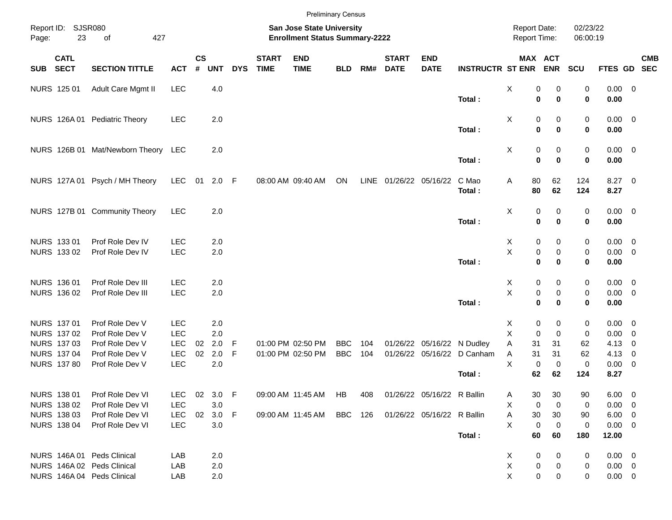|            |                            |                                     |            |                |            |            |                             |                                                                    | <b>Preliminary Census</b> |      |                             |                            |                         |                                            |                            |                      |                |                          |            |
|------------|----------------------------|-------------------------------------|------------|----------------|------------|------------|-----------------------------|--------------------------------------------------------------------|---------------------------|------|-----------------------------|----------------------------|-------------------------|--------------------------------------------|----------------------------|----------------------|----------------|--------------------------|------------|
| Page:      | Report ID: SJSR080<br>23   | 427<br>of                           |            |                |            |            |                             | San Jose State University<br><b>Enrollment Status Summary-2222</b> |                           |      |                             |                            |                         | <b>Report Date:</b><br><b>Report Time:</b> |                            | 02/23/22<br>06:00:19 |                |                          |            |
| <b>SUB</b> | <b>CATL</b><br><b>SECT</b> | <b>SECTION TITTLE</b>               | <b>ACT</b> | <b>CS</b><br># | <b>UNT</b> | <b>DYS</b> | <b>START</b><br><b>TIME</b> | <b>END</b><br><b>TIME</b>                                          | <b>BLD</b>                | RM#  | <b>START</b><br><b>DATE</b> | <b>END</b><br><b>DATE</b>  | <b>INSTRUCTR ST ENR</b> |                                            | MAX ACT<br><b>ENR</b>      | <b>SCU</b>           | FTES GD SEC    |                          | <b>CMB</b> |
|            | <b>NURS 125 01</b>         | Adult Care Mgmt II                  | <b>LEC</b> |                | 4.0        |            |                             |                                                                    |                           |      |                             |                            |                         | X                                          | 0<br>0                     | 0                    | $0.00 \t 0$    |                          |            |
|            |                            |                                     |            |                |            |            |                             |                                                                    |                           |      |                             |                            | Total:                  |                                            | $\mathbf 0$<br>$\mathbf 0$ | $\mathbf 0$          | 0.00           |                          |            |
|            |                            | NURS 126A 01 Pediatric Theory       | <b>LEC</b> |                | 2.0        |            |                             |                                                                    |                           |      |                             |                            |                         | X                                          | 0<br>0                     | 0                    | $0.00 \t 0$    |                          |            |
|            |                            |                                     |            |                |            |            |                             |                                                                    |                           |      |                             |                            | Total:                  |                                            | $\mathbf 0$<br>$\bf{0}$    | $\mathbf 0$          | 0.00           |                          |            |
|            |                            | NURS 126B 01 Mat/Newborn Theory LEC |            |                | 2.0        |            |                             |                                                                    |                           |      |                             |                            |                         | Χ                                          | 0<br>0                     | 0                    | $0.00 \t 0$    |                          |            |
|            |                            |                                     |            |                |            |            |                             |                                                                    |                           |      |                             |                            | Total:                  |                                            | $\mathbf 0$<br>$\mathbf 0$ | $\bf{0}$             | 0.00           |                          |            |
|            |                            | NURS 127A 01 Psych / MH Theory      | <b>LEC</b> | 01             | $2.0$ F    |            |                             | 08:00 AM 09:40 AM                                                  | ON                        | LINE | 01/26/22 05/16/22           |                            | C Mao                   | 80<br>Α                                    | 62                         | 124                  | $8.27$ 0       |                          |            |
|            |                            |                                     |            |                |            |            |                             |                                                                    |                           |      |                             |                            | Total:                  | 80                                         | 62                         | 124                  | 8.27           |                          |            |
|            |                            | NURS 127B 01 Community Theory       | <b>LEC</b> |                | 2.0        |            |                             |                                                                    |                           |      |                             |                            |                         | X                                          | 0<br>0                     | 0                    | $0.00 \t 0$    |                          |            |
|            |                            |                                     |            |                |            |            |                             |                                                                    |                           |      |                             |                            | Total:                  |                                            | $\mathbf 0$<br>$\bf{0}$    | 0                    | 0.00           |                          |            |
|            | NURS 133 01                | Prof Role Dev IV                    | <b>LEC</b> |                | 2.0        |            |                             |                                                                    |                           |      |                             |                            |                         | X                                          | 0<br>0                     | 0                    | $0.00 \quad 0$ |                          |            |
|            | NURS 133 02                | Prof Role Dev IV                    | <b>LEC</b> |                | 2.0        |            |                             |                                                                    |                           |      |                             |                            |                         | X                                          | $\pmb{0}$<br>0             | 0                    | $0.00 \t 0$    |                          |            |
|            |                            |                                     |            |                |            |            |                             |                                                                    |                           |      |                             |                            | Total:                  |                                            | $\mathbf 0$<br>$\bf{0}$    | 0                    | 0.00           |                          |            |
|            | NURS 136 01                | Prof Role Dev III                   | <b>LEC</b> |                | 2.0        |            |                             |                                                                    |                           |      |                             |                            |                         | X                                          | 0<br>0                     | 0                    | $0.00 \t 0$    |                          |            |
|            | NURS 136 02                | Prof Role Dev III                   | <b>LEC</b> |                | 2.0        |            |                             |                                                                    |                           |      |                             |                            |                         | X                                          | $\pmb{0}$<br>$\mathbf 0$   | 0                    | $0.00 \t 0$    |                          |            |
|            |                            |                                     |            |                |            |            |                             |                                                                    |                           |      |                             |                            | Total:                  |                                            | $\mathbf 0$<br>$\bf{0}$    | 0                    | 0.00           |                          |            |
|            | NURS 137 01                | Prof Role Dev V                     | <b>LEC</b> |                | 2.0        |            |                             |                                                                    |                           |      |                             |                            |                         | X                                          | 0<br>0                     | 0                    | $0.00 \quad 0$ |                          |            |
|            | NURS 137 02                | Prof Role Dev V                     | <b>LEC</b> |                | 2.0        |            |                             |                                                                    |                           |      |                             |                            |                         | X                                          | $\mathbf 0$<br>$\mathbf 0$ | 0                    | 0.00           | $\overline{\mathbf{0}}$  |            |
|            | <b>NURS 137 03</b>         | Prof Role Dev V                     | <b>LEC</b> | 02             | 2.0        | -F         |                             | 01:00 PM 02:50 PM                                                  | <b>BBC</b>                | 104  |                             | 01/26/22 05/16/22 N Dudley |                         | Α<br>31                                    | 31                         | 62                   | 4.13           | 0                        |            |
|            | <b>NURS 137 04</b>         | Prof Role Dev V                     | <b>LEC</b> | 02             | 2.0        | F          |                             | 01:00 PM 02:50 PM                                                  | <b>BBC</b>                | 104  |                             | 01/26/22 05/16/22          | D Canham                | 31<br>Α                                    | 31                         | 62                   | 4.13           | 0                        |            |
|            | <b>NURS 137 80</b>         | Prof Role Dev V                     | LEC        |                | 2.0        |            |                             |                                                                    |                           |      |                             |                            | Total:                  | X<br>62                                    | 0<br>0<br>62               | 0<br>124             | 0.00<br>8.27   | $\overline{\phantom{0}}$ |            |
|            |                            |                                     |            |                |            |            |                             |                                                                    |                           |      |                             |                            |                         |                                            |                            |                      |                |                          |            |
|            | NURS 138 01                | Prof Role Dev VI                    | <b>LEC</b> |                | 02 3.0 F   |            |                             | 09:00 AM 11:45 AM HB                                               |                           | 408  |                             | 01/26/22 05/16/22 R Ballin |                         | 30<br>A                                    | 30                         | 90                   | $6.00 \quad 0$ |                          |            |
|            | NURS 138 02                | Prof Role Dev VI                    | <b>LEC</b> |                | 3.0        |            |                             |                                                                    |                           |      |                             |                            |                         | Χ                                          | 0<br>0                     | 0                    | $0.00 \t 0$    |                          |            |
|            | <b>NURS 13803</b>          | Prof Role Dev VI                    | <b>LEC</b> |                | 02 3.0 F   |            |                             | 09:00 AM 11:45 AM BBC 126                                          |                           |      |                             | 01/26/22 05/16/22 R Ballin |                         | 30<br>Α                                    | 30                         | 90                   | $6.00 \t 0$    |                          |            |
|            | <b>NURS 138 04</b>         | Prof Role Dev VI                    | <b>LEC</b> |                | 3.0        |            |                             |                                                                    |                           |      |                             |                            |                         | X                                          | 0<br>0                     | 0                    | $0.00 \t 0$    |                          |            |
|            |                            |                                     |            |                |            |            |                             |                                                                    |                           |      |                             |                            | Total:                  | 60                                         | 60                         | 180                  | 12.00          |                          |            |
|            |                            | NURS 146A 01 Peds Clinical          | LAB        |                | 2.0        |            |                             |                                                                    |                           |      |                             |                            |                         | X                                          | 0<br>0                     | 0                    | $0.00 \t 0$    |                          |            |
|            |                            | NURS 146A 02 Peds Clinical          | LAB        |                | 2.0        |            |                             |                                                                    |                           |      |                             |                            |                         | X                                          | $\pmb{0}$<br>0             | 0                    | $0.00 \t 0$    |                          |            |
|            |                            | NURS 146A 04 Peds Clinical          | LAB        |                | 2.0        |            |                             |                                                                    |                           |      |                             |                            |                         | X                                          | $\mathbf 0$<br>0           | 0                    | $0.00 \t 0$    |                          |            |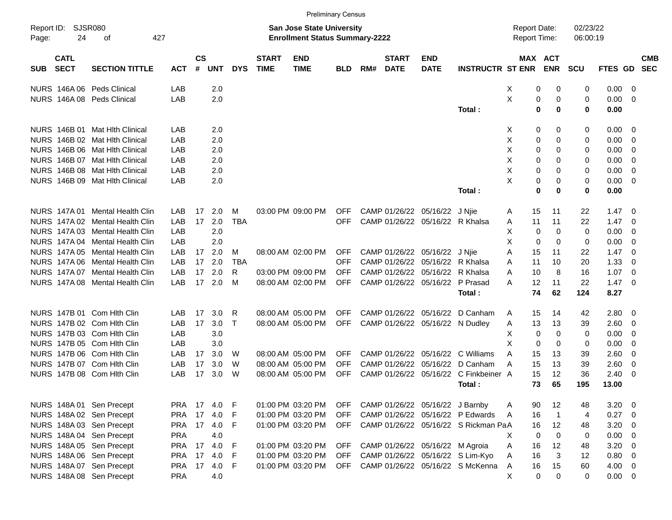|                                          |                                 |                       |               |                    |            |              |                             | <b>Preliminary Census</b>                                                 |            |     |                             |                                 |                                      |                                            |    |                |                      |             |                          |            |
|------------------------------------------|---------------------------------|-----------------------|---------------|--------------------|------------|--------------|-----------------------------|---------------------------------------------------------------------------|------------|-----|-----------------------------|---------------------------------|--------------------------------------|--------------------------------------------|----|----------------|----------------------|-------------|--------------------------|------------|
| Report ID:<br>Page:                      | <b>SJSR080</b><br>24<br>οf      | 427                   |               |                    |            |              |                             | <b>San Jose State University</b><br><b>Enrollment Status Summary-2222</b> |            |     |                             |                                 |                                      | <b>Report Date:</b><br><b>Report Time:</b> |    |                | 02/23/22<br>06:00:19 |             |                          |            |
| <b>CATL</b><br><b>SECT</b><br><b>SUB</b> |                                 | <b>SECTION TITTLE</b> | <b>ACT</b>    | $\mathsf{cs}$<br># | <b>UNT</b> | <b>DYS</b>   | <b>START</b><br><b>TIME</b> | <b>END</b><br><b>TIME</b>                                                 | <b>BLD</b> | RM# | <b>START</b><br><b>DATE</b> | <b>END</b><br><b>DATE</b>       | <b>INSTRUCTR ST ENR</b>              | MAX ACT                                    |    | <b>ENR</b>     | <b>SCU</b>           | FTES GD SEC |                          | <b>CMB</b> |
|                                          | NURS 146A 06 Peds Clinical      |                       | LAB           |                    | 2.0        |              |                             |                                                                           |            |     |                             |                                 |                                      | X                                          | 0  | 0              | 0                    | 0.00        | - 0                      |            |
|                                          | NURS 146A 08 Peds Clinical      |                       | LAB           |                    | 2.0        |              |                             |                                                                           |            |     |                             |                                 |                                      | X                                          | 0  | 0              | 0                    | 0.00        | - 0                      |            |
|                                          |                                 |                       |               |                    |            |              |                             |                                                                           |            |     |                             |                                 | Total:                               |                                            | 0  | $\bf{0}$       | 0                    | 0.00        |                          |            |
|                                          | NURS 146B 01 Mat Hlth Clinical  |                       | LAB           |                    | 2.0        |              |                             |                                                                           |            |     |                             |                                 |                                      | Х                                          | 0  | 0              | 0                    | 0.00        | - 0                      |            |
|                                          | NURS 146B 02 Mat Hlth Clinical  |                       | LAB           |                    | 2.0        |              |                             |                                                                           |            |     |                             |                                 |                                      | X                                          | 0  | 0              | 0                    | 0.00        | - 0                      |            |
|                                          | NURS 146B 06 Mat Hlth Clinical  |                       | LAB           |                    | 2.0        |              |                             |                                                                           |            |     |                             |                                 |                                      | X                                          | 0  | 0              | 0                    | 0.00        | - 0                      |            |
|                                          | NURS 146B 07 Mat Hlth Clinical  |                       | LAB           |                    | 2.0        |              |                             |                                                                           |            |     |                             |                                 |                                      | X                                          | 0  | 0              | 0                    | 0.00        | 0                        |            |
|                                          | NURS 146B 08 Mat Hlth Clinical  |                       | LAB           |                    | 2.0        |              |                             |                                                                           |            |     |                             |                                 |                                      | X                                          | 0  | 0              | 0                    | 0.00        | $\overline{0}$           |            |
|                                          | NURS 146B 09 Mat Hlth Clinical  |                       | LAB           |                    | 2.0        |              |                             |                                                                           |            |     |                             |                                 |                                      | X                                          | 0  | 0              | 0                    | 0.00        | - 0                      |            |
|                                          |                                 |                       |               |                    |            |              |                             |                                                                           |            |     |                             |                                 | Total:                               |                                            | 0  | 0              | 0                    | 0.00        |                          |            |
| <b>NURS 147A01</b>                       |                                 | Mental Health Clin    | LAB           | 17                 | 2.0        | M            |                             | 03:00 PM 09:00 PM                                                         | <b>OFF</b> |     |                             | CAMP 01/26/22 05/16/22          | J Njie                               | A                                          | 15 | 11             | 22                   | 1.47        | - 0                      |            |
|                                          | NURS 147A 02 Mental Health Clin |                       | LAB           | 17                 | 2.0        | <b>TBA</b>   |                             |                                                                           | <b>OFF</b> |     |                             | CAMP 01/26/22 05/16/22 R Khalsa |                                      | A                                          | 11 | 11             | 22                   | 1.47        | - 0                      |            |
|                                          | NURS 147A 03 Mental Health Clin |                       | LAB           |                    | 2.0        |              |                             |                                                                           |            |     |                             |                                 |                                      | Х                                          | 0  | 0              | 0                    | 0.00        | 0                        |            |
|                                          | NURS 147A 04 Mental Health Clin |                       | LAB           |                    | 2.0        |              |                             |                                                                           |            |     |                             |                                 |                                      | Χ                                          | 0  | 0              | 0                    | 0.00        | - 0                      |            |
|                                          | NURS 147A 05 Mental Health Clin |                       | LAB           | 17                 | 2.0        | M            |                             | 08:00 AM 02:00 PM                                                         | <b>OFF</b> |     |                             | CAMP 01/26/22 05/16/22          | J Njie                               | A                                          | 15 | 11             | 22                   | 1.47        | - 0                      |            |
|                                          | NURS 147A 06 Mental Health Clin |                       | LAB           | 17                 | 2.0        | <b>TBA</b>   |                             |                                                                           | OFF        |     | CAMP 01/26/22               | 05/16/22                        | R Khalsa                             | A                                          | 11 | 10             | 20                   | 1.33        | 0                        |            |
|                                          | NURS 147A 07 Mental Health Clin |                       | LAB           | 17                 | 2.0        | R            |                             | 03:00 PM 09:00 PM                                                         | OFF        |     | CAMP 01/26/22               | 05/16/22                        | R Khalsa                             | A                                          | 10 | 8              | 16                   | 1.07        | - 0                      |            |
|                                          | NURS 147A 08 Mental Health Clin |                       | LAB           | 17                 | 2.0        | м            |                             | 08:00 AM 02:00 PM                                                         | <b>OFF</b> |     |                             | CAMP 01/26/22 05/16/22          | P Prasad                             | A                                          | 12 | 11             | 22                   | 1.47        | - 0                      |            |
|                                          |                                 |                       |               |                    |            |              |                             |                                                                           |            |     |                             |                                 | Total:                               |                                            | 74 | 62             | 124                  | 8.27        |                          |            |
|                                          | NURS 147B 01 Com Hith Clin      |                       | LAB           | 17                 | 3.0        | R            |                             | 08:00 AM 05:00 PM                                                         | OFF        |     | CAMP 01/26/22               | 05/16/22                        | D Canham                             | A                                          | 15 | 14             | 42                   | 2.80        | - 0                      |            |
|                                          | NURS 147B 02 Com Hith Clin      |                       | LAB           | 17                 | 3.0        | $\mathsf{T}$ |                             | 08:00 AM 05:00 PM                                                         | <b>OFF</b> |     |                             | CAMP 01/26/22 05/16/22 N Dudley |                                      | A                                          | 13 | 13             | 39                   | 2.60        | $\overline{\mathbf{0}}$  |            |
|                                          | NURS 147B 03 Com Hith Clin      |                       | LAB           |                    | 3.0        |              |                             |                                                                           |            |     |                             |                                 |                                      | X                                          | 0  | 0              | 0                    | 0.00        | 0                        |            |
|                                          | NURS 147B 05 Com Hith Clin      |                       | LAB           |                    | 3.0        |              |                             |                                                                           |            |     |                             |                                 |                                      | X                                          | 0  | 0              | 0                    | 0.00        | 0                        |            |
|                                          | NURS 147B 06 Com Hith Clin      |                       | LAB           | 17                 | 3.0        | W            |                             | 08:00 AM 05:00 PM                                                         | OFF        |     | CAMP 01/26/22               | 05/16/22                        | C Williams                           | A                                          | 15 | 13             | 39                   | 2.60        | - 0                      |            |
|                                          | NURS 147B 07 Com Hith Clin      |                       | LAB           | 17                 | 3.0        | W            |                             | 08:00 AM 05:00 PM                                                         | <b>OFF</b> |     | CAMP 01/26/22               | 05/16/22                        | D Canham                             | A                                          | 15 | 13             | 39                   | 2.60        | 0                        |            |
|                                          | NURS 147B 08 Com Hith Clin      |                       | LAB           | 17                 | 3.0        | W            |                             | 08:00 AM 05:00 PM                                                         | OFF        |     | CAMP 01/26/22               | 05/16/22                        | C Finkbeiner A                       |                                            | 15 | 12             | 36                   | 2.40        | - 0                      |            |
|                                          |                                 |                       |               |                    |            |              |                             |                                                                           |            |     |                             |                                 | Total:                               |                                            | 73 | 65             | 195                  | 13.00       |                          |            |
|                                          | NURS 148A 01 Sen Precept        |                       | PRA 17 4.0    |                    |            | -F           |                             | 01:00 PM 03:20 PM                                                         | <b>OFF</b> |     |                             | CAMP 01/26/22 05/16/22 J Barnby |                                      | A                                          | 90 | 12             | 48                   | 3.20        | - 0                      |            |
|                                          | NURS 148A 02 Sen Precept        |                       | <b>PRA 17</b> |                    | 4.0        | F            |                             | 01:00 PM 03:20 PM                                                         | <b>OFF</b> |     |                             |                                 | CAMP 01/26/22 05/16/22 P Edwards     | A                                          | 16 | $\overline{1}$ | 4                    | 0.27        | $\overline{\phantom{0}}$ |            |
|                                          | NURS 148A 03 Sen Precept        |                       | PRA 17 4.0    |                    |            | F            |                             | 01:00 PM 03:20 PM                                                         | <b>OFF</b> |     |                             |                                 | CAMP 01/26/22 05/16/22 S Rickman PaA |                                            | 16 | 12             | 48                   | 3.20        | $\overline{\phantom{0}}$ |            |
|                                          | NURS 148A 04 Sen Precept        |                       | <b>PRA</b>    |                    | 4.0        |              |                             |                                                                           |            |     |                             |                                 |                                      | Χ                                          | 0  | $\mathbf 0$    | 0                    | 0.00        | $\overline{\mathbf{0}}$  |            |
|                                          | NURS 148A 05 Sen Precept        |                       | <b>PRA</b>    | 17                 | 4.0        | F            |                             | 01:00 PM 03:20 PM                                                         | OFF        |     |                             | CAMP 01/26/22 05/16/22 M Agroia |                                      | A                                          | 16 | 12             | 48                   | 3.20        | $\overline{\phantom{0}}$ |            |
|                                          | NURS 148A 06 Sen Precept        |                       | <b>PRA</b>    | 17                 | 4.0        | F            |                             | 01:00 PM 03:20 PM                                                         | <b>OFF</b> |     |                             |                                 | CAMP 01/26/22 05/16/22 S Lim-Kyo     | Α                                          | 16 | 3              | 12                   | 0.80 0      |                          |            |
|                                          | NURS 148A 07 Sen Precept        |                       | <b>PRA</b>    | 17                 | 4.0        | F            |                             | 01:00 PM 03:20 PM                                                         | <b>OFF</b> |     |                             |                                 | CAMP 01/26/22 05/16/22 S McKenna     | Α                                          | 16 | 15             | 60                   | $4.00 \ 0$  |                          |            |
|                                          | NURS 148A 08 Sen Precept        |                       | PRA           |                    | 4.0        |              |                             |                                                                           |            |     |                             |                                 |                                      | X                                          | 0  | 0              | 0                    | $0.00 \t 0$ |                          |            |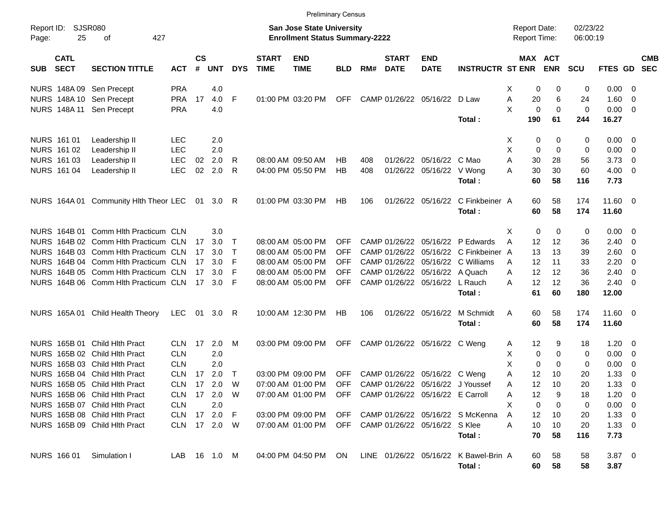|                     |                            |                                      |              |                    |              |              |                             | <b>Preliminary Census</b>                                                 |            |     |                             |                                      |                                                 |                                     |                       |                      |                  |                          |                          |
|---------------------|----------------------------|--------------------------------------|--------------|--------------------|--------------|--------------|-----------------------------|---------------------------------------------------------------------------|------------|-----|-----------------------------|--------------------------------------|-------------------------------------------------|-------------------------------------|-----------------------|----------------------|------------------|--------------------------|--------------------------|
| Report ID:<br>Page: | 25                         | <b>SJSR080</b><br>427<br>οf          |              |                    |              |              |                             | <b>San Jose State University</b><br><b>Enrollment Status Summary-2222</b> |            |     |                             |                                      |                                                 | <b>Report Date:</b><br>Report Time: |                       | 02/23/22<br>06:00:19 |                  |                          |                          |
| <b>SUB</b>          | <b>CATL</b><br><b>SECT</b> | <b>SECTION TITTLE</b>                | <b>ACT</b>   | $\mathsf{cs}$<br># | <b>UNT</b>   | <b>DYS</b>   | <b>START</b><br><b>TIME</b> | <b>END</b><br><b>TIME</b>                                                 | <b>BLD</b> | RM# | <b>START</b><br><b>DATE</b> | <b>END</b><br><b>DATE</b>            | <b>INSTRUCTR ST ENR</b>                         |                                     | MAX ACT<br><b>ENR</b> | <b>SCU</b>           | FTES GD          |                          | <b>CMB</b><br><b>SEC</b> |
|                     |                            | NURS 148A 09 Sen Precept             | <b>PRA</b>   |                    | 4.0          |              |                             |                                                                           |            |     |                             |                                      |                                                 | Х                                   | 0                     | 0<br>0               | 0.00             | - 0                      |                          |
|                     | <b>NURS 148A10</b>         | Sen Precept                          | <b>PRA</b>   | 17                 | 4.0          | F            |                             | 01:00 PM 03:20 PM                                                         | <b>OFF</b> |     | CAMP 01/26/22               | 05/16/22                             | D Law                                           | Α                                   | 20<br>6               | 24                   | 1.60             | 0                        |                          |
|                     | <b>NURS 148A11</b>         | Sen Precept                          | <b>PRA</b>   |                    | 4.0          |              |                             |                                                                           |            |     |                             |                                      |                                                 | X                                   | 0<br>0                | 0                    | 0.00             | 0                        |                          |
|                     |                            |                                      |              |                    |              |              |                             |                                                                           |            |     |                             |                                      | Total:                                          | 190                                 | 61                    | 244                  | 16.27            |                          |                          |
|                     | NURS 161 01                | Leadership II                        | <b>LEC</b>   |                    | 2.0          |              |                             |                                                                           |            |     |                             |                                      |                                                 | Х                                   | 0                     | 0<br>0               | 0.00             | $\overline{\phantom{0}}$ |                          |
|                     | NURS 161 02                | Leadership II                        | <b>LEC</b>   |                    | 2.0          |              |                             |                                                                           |            |     |                             |                                      |                                                 | X                                   | 0<br>0                | 0                    | 0.00             | 0                        |                          |
|                     | NURS 161 03                | Leadership II                        | LEC          | 02                 | 2.0          | R            |                             | 08:00 AM 09:50 AM                                                         | HВ         | 408 |                             | 01/26/22 05/16/22                    | C Mao                                           | A                                   | 30<br>28              | 56                   | 3.73             | 0                        |                          |
|                     | <b>NURS 161 04</b>         | Leadership II                        | <b>LEC</b>   | 02                 | 2.0          | R            |                             | 04:00 PM 05:50 PM                                                         | HB         | 408 | 01/26/22                    | 05/16/22                             | V Wong                                          | Α                                   | 30<br>30              | 60                   | 4.00             | 0                        |                          |
|                     |                            |                                      |              |                    |              |              |                             |                                                                           |            |     |                             |                                      | Total:                                          |                                     | 60<br>58              | 116                  | 7.73             |                          |                          |
|                     | NURS 164A 01               | Community Hlth Theor LEC             |              | 01                 | 3.0          | R            | 01:00 PM 03:30 PM           |                                                                           | HB         | 106 |                             | 01/26/22 05/16/22                    | C Finkbeiner A                                  |                                     | 58<br>60              | 174                  | 11.60 0          |                          |                          |
|                     |                            |                                      |              |                    |              |              |                             |                                                                           |            |     |                             |                                      | Total:                                          |                                     | 60<br>58              | 174                  | 11.60            |                          |                          |
|                     |                            | NURS 164B 01 Comm Hith Practicum CLN |              |                    | 3.0          |              |                             |                                                                           |            |     |                             |                                      |                                                 |                                     |                       |                      | 0.00             | $\overline{\phantom{0}}$ |                          |
|                     |                            | NURS 164B 02 Comm Hith Practicum CLN |              | 17                 | 3.0          | $\mathsf{T}$ |                             | 08:00 AM 05:00 PM                                                         | OFF        |     |                             | CAMP 01/26/22 05/16/22               | P Edwards                                       | Х<br>A                              | 0<br>12<br>12         | 0<br>0<br>36         | 2.40             | 0                        |                          |
|                     |                            | NURS 164B 03 Comm Hlth Practicum CLN |              | 17                 | 3.0          | $\mathsf{T}$ |                             | 08:00 AM 05:00 PM                                                         | OFF        |     | CAMP 01/26/22               | 05/16/22                             | C Finkbeiner A                                  |                                     | 13<br>13              | 39                   | 2.60             | 0                        |                          |
|                     |                            | NURS 164B 04 Comm Hith Practicum CLN |              | 17                 | 3.0          | F            |                             | 08:00 AM 05:00 PM                                                         | OFF        |     | CAMP 01/26/22               | 05/16/22                             | C Williams                                      | A                                   | 12<br>11              | 33                   | 2.20             | 0                        |                          |
|                     |                            | NURS 164B 05 Comm Hith Practicum CLN |              | 17                 | 3.0          | F            |                             | 08:00 AM 05:00 PM                                                         | <b>OFF</b> |     | CAMP 01/26/22               | 05/16/22                             | A Quach                                         | A                                   | 12<br>12              | 36                   | 2.40             | 0                        |                          |
|                     |                            | NURS 164B 06 Comm Hith Practicum CLN |              | 17                 | 3.0          | F            |                             | 08:00 AM 05:00 PM                                                         | <b>OFF</b> |     |                             | CAMP 01/26/22 05/16/22               | L Rauch                                         | Α                                   | 12<br>12              | 36                   | 2.40             | 0                        |                          |
|                     |                            |                                      |              |                    |              |              |                             |                                                                           |            |     |                             |                                      | Total:                                          |                                     | 61<br>60              | 180                  | 12.00            |                          |                          |
|                     | NURS 165A01                | <b>Child Health Theory</b>           | <b>LEC</b>   | 01                 | 3.0          | R            |                             | 10:00 AM 12:30 PM                                                         | HB         | 106 |                             | 01/26/22 05/16/22                    | M Schmidt<br>Total:                             | Α                                   | 58<br>60<br>60<br>58  | 174<br>174           | 11.60 0<br>11.60 |                          |                          |
|                     | NURS 165B 01               | <b>Child Hith Pract</b>              | <b>CLN</b>   | 17                 | 2.0          | M            |                             | 03:00 PM 09:00 PM                                                         | <b>OFF</b> |     | CAMP 01/26/22               | 05/16/22                             | C Weng                                          | A                                   | 12                    | 9<br>18              | 1.20             | $\overline{\mathbf{0}}$  |                          |
| <b>NURS</b>         |                            | 165B 02 Child Hlth Pract             | <b>CLN</b>   |                    | 2.0          |              |                             |                                                                           |            |     |                             |                                      |                                                 | х                                   | 0<br>0                | 0                    | 0.00             | 0                        |                          |
| <b>NURS</b>         |                            | 165B 03 Child Hlth Pract             | <b>CLN</b>   |                    | 2.0          |              |                             |                                                                           |            |     |                             |                                      |                                                 | X                                   | 0<br>0                | 0                    | 0.00             | 0                        |                          |
| <b>NURS</b>         |                            | 165B 04 Child Hlth Pract             | <b>CLN</b>   | 17                 | 2.0          | $\mathsf{T}$ |                             | 03:00 PM 09:00 PM                                                         | OFF        |     | CAMP 01/26/22               | 05/16/22                             | C Weng                                          | Α                                   | 12<br>10              | 20                   | 1.33             | 0                        |                          |
|                     |                            | NURS 165B 05 Child Hlth Pract        | <b>CLN</b>   | 17                 | 2.0          | W            |                             | 07:00 AM 01:00 PM                                                         | <b>OFF</b> |     |                             |                                      | CAMP 01/26/22 05/16/22 J Youssef                | Α                                   | 12<br>10              | 20                   | 1.33             | 0                        |                          |
|                     |                            | NURS 165B 06 Child Hlth Pract        |              |                    | CLN 17 2.0 W |              |                             | 07:00 AM 01:00 PM                                                         |            |     |                             | OFF CAMP 01/26/22 05/16/22 E Carroll |                                                 | Α                                   | 12                    | 9<br>18              | $1.20 \t 0$      |                          |                          |
|                     |                            | NURS 165B 07 Child Hlth Pract        | <b>CLN</b>   |                    | 2.0          |              |                             |                                                                           |            |     |                             |                                      |                                                 | Х                                   | 0<br>0                | 0                    | $0.00 \t 0$      |                          |                          |
|                     |                            | NURS 165B 08 Child Hlth Pract        | CLN          |                    | 17 2.0 F     |              |                             | 03:00 PM 09:00 PM                                                         |            |     |                             |                                      | OFF CAMP 01/26/22 05/16/22 S McKenna            | A                                   | 12<br>10              | 20                   | $1.33 \ 0$       |                          |                          |
|                     |                            | NURS 165B 09 Child Hlth Pract        | CLN 17 2.0 W |                    |              |              |                             | 07:00 AM 01:00 PM                                                         |            |     |                             | OFF CAMP 01/26/22 05/16/22 S Klee    |                                                 | A                                   | 10<br>10              | 20                   | $1.33 \ 0$       |                          |                          |
|                     |                            |                                      |              |                    |              |              |                             |                                                                           |            |     |                             |                                      | Total:                                          |                                     | 70<br>58              | 116                  | 7.73             |                          |                          |
|                     | NURS 166 01                | Simulation I                         | LAB 16 1.0 M |                    |              |              |                             | 04:00 PM 04:50 PM                                                         | ON.        |     |                             |                                      | LINE 01/26/22 05/16/22 K Bawel-Brin A<br>Total: |                                     | 58<br>60<br>60<br>58  | 58<br>58             | $3.87$ 0<br>3.87 |                          |                          |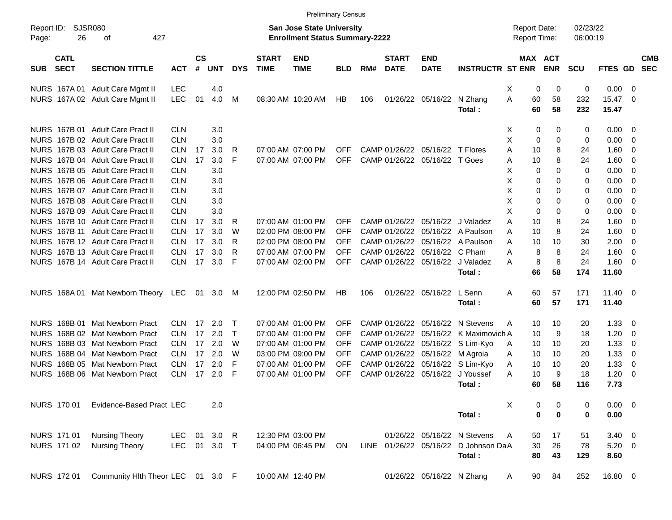|                     |                            |                                     |            |                       |            |              |                             | <b>Preliminary Census</b>                                                 |            |     |                             |                           |                                      |                     |          |                       |                      |                 |                         |                          |
|---------------------|----------------------------|-------------------------------------|------------|-----------------------|------------|--------------|-----------------------------|---------------------------------------------------------------------------|------------|-----|-----------------------------|---------------------------|--------------------------------------|---------------------|----------|-----------------------|----------------------|-----------------|-------------------------|--------------------------|
| Report ID:<br>Page: | 26                         | <b>SJSR080</b><br>427<br>оf         |            |                       |            |              |                             | <b>San Jose State University</b><br><b>Enrollment Status Summary-2222</b> |            |     |                             |                           |                                      | <b>Report Date:</b> |          | Report Time:          | 02/23/22<br>06:00:19 |                 |                         |                          |
| <b>SUB</b>          | <b>CATL</b><br><b>SECT</b> | <b>SECTION TITTLE</b>               | <b>ACT</b> | $\mathsf{cs}$<br>$\#$ | <b>UNT</b> | <b>DYS</b>   | <b>START</b><br><b>TIME</b> | <b>END</b><br><b>TIME</b>                                                 | <b>BLD</b> | RM# | <b>START</b><br><b>DATE</b> | <b>END</b><br><b>DATE</b> | <b>INSTRUCTR ST ENR</b>              |                     |          | MAX ACT<br><b>ENR</b> | <b>SCU</b>           | FTES GD         |                         | <b>CMB</b><br><b>SEC</b> |
|                     |                            | NURS 167A 01 Adult Care Mgmt II     | <b>LEC</b> |                       | 4.0        |              |                             |                                                                           |            |     |                             |                           |                                      | Χ                   | 0        | 0                     | 0                    | 0.00            | - 0                     |                          |
|                     |                            | NURS 167A 02 Adult Care Mgmt II     | <b>LEC</b> | 01                    | 4.0        | м            |                             | 08:30 AM 10:20 AM                                                         | HB         | 106 |                             | 01/26/22 05/16/22         | N Zhang<br>Total:                    | Α                   | 60<br>60 | 58<br>58              | 232<br>232           | 15.47<br>15.47  | - 0                     |                          |
|                     |                            | NURS 167B 01 Adult Care Pract II    | <b>CLN</b> |                       | 3.0        |              |                             |                                                                           |            |     |                             |                           |                                      | Χ                   | 0        | 0                     | 0                    | 0.00            | - 0                     |                          |
|                     |                            | NURS 167B 02 Adult Care Pract II    | <b>CLN</b> |                       | 3.0        |              |                             |                                                                           |            |     |                             |                           |                                      | X                   | 0        | 0                     | 0                    | 0.00            | $\overline{\mathbf{0}}$ |                          |
|                     |                            | NURS 167B 03 Adult Care Pract II    | <b>CLN</b> | 17                    | 3.0        | R            |                             | 07:00 AM 07:00 PM                                                         | <b>OFF</b> |     |                             | CAMP 01/26/22 05/16/22    | T Flores                             | Α                   | 10       | 8                     | 24                   | 1.60            | - 0                     |                          |
|                     |                            | NURS 167B 04 Adult Care Pract II    | <b>CLN</b> | 17                    | 3.0        | F            |                             | 07:00 AM 07:00 PM                                                         | <b>OFF</b> |     | CAMP 01/26/22               | 05/16/22                  | T Goes                               | Α                   | 10       | 8                     | 24                   | 1.60            | - 0                     |                          |
|                     |                            | NURS 167B 05 Adult Care Pract II    | <b>CLN</b> |                       | 3.0        |              |                             |                                                                           |            |     |                             |                           |                                      | X                   | 0        | 0                     | 0                    | 0.00            | 0                       |                          |
|                     |                            | NURS 167B 06 Adult Care Pract II    | <b>CLN</b> |                       | 3.0        |              |                             |                                                                           |            |     |                             |                           |                                      | X                   | 0        | 0                     | 0                    | 0.00            | 0                       |                          |
|                     |                            | NURS 167B 07 Adult Care Pract II    | <b>CLN</b> |                       | 3.0        |              |                             |                                                                           |            |     |                             |                           |                                      | X                   | 0        | 0                     | 0                    | 0.00            | - 0                     |                          |
|                     |                            | NURS 167B 08 Adult Care Pract II    | <b>CLN</b> |                       | 3.0        |              |                             |                                                                           |            |     |                             |                           |                                      | X                   | 0        | $\Omega$              | 0                    | 0.00            | - 0                     |                          |
|                     |                            | NURS 167B 09 Adult Care Pract II    | <b>CLN</b> |                       | 3.0        |              |                             |                                                                           |            |     |                             |                           |                                      | X                   | 0        | 0                     | 0                    | 0.00            | - 0                     |                          |
|                     |                            | NURS 167B 10 Adult Care Pract II    | <b>CLN</b> | 17                    | 3.0        | R            |                             | 07:00 AM 01:00 PM                                                         | <b>OFF</b> |     | CAMP 01/26/22               | 05/16/22                  | J Valadez                            | Α                   | 10       | 8                     | 24                   | 1.60            | - 0                     |                          |
|                     |                            | NURS 167B 11 Adult Care Pract II    | <b>CLN</b> | 17                    | 3.0        | W            |                             | 02:00 PM 08:00 PM                                                         | <b>OFF</b> |     | CAMP 01/26/22               | 05/16/22                  | A Paulson                            | Α                   | 10       | 8                     | 24                   | 1.60            | - 0                     |                          |
|                     |                            | NURS 167B 12 Adult Care Pract II    | <b>CLN</b> | 17                    | 3.0        | R            |                             | 02:00 PM 08:00 PM                                                         | <b>OFF</b> |     | CAMP 01/26/22               | 05/16/22                  | A Paulson                            | Α                   | 10       | 10                    | 30                   | 2.00            | 0                       |                          |
|                     |                            | NURS 167B 13 Adult Care Pract II    | <b>CLN</b> | 17                    | 3.0        | R            |                             | 07:00 AM 07:00 PM                                                         | <b>OFF</b> |     | CAMP 01/26/22               | 05/16/22                  | C Pham                               | Α                   | 8        | 8                     | 24                   | 1.60            | $\overline{0}$          |                          |
|                     |                            | NURS 167B 14 Adult Care Pract II    | <b>CLN</b> | 17                    | 3.0        | F            |                             | 07:00 AM 02:00 PM                                                         | <b>OFF</b> |     |                             | CAMP 01/26/22 05/16/22    | J Valadez                            | Α                   | 8        | 8                     | 24                   | 1.60            | $\overline{\mathbf{0}}$ |                          |
|                     |                            |                                     |            |                       |            |              |                             |                                                                           |            |     |                             |                           | Total:                               |                     | 66       | 58                    | 174                  | 11.60           |                         |                          |
|                     |                            | NURS 168A 01 Mat Newborn Theory LEC |            | 01                    | 3.0        | M            |                             | 12:00 PM 02:50 PM                                                         | HB         | 106 |                             | 01/26/22 05/16/22         | L Senn                               | A                   | 60       | 57                    | 171                  | $11.40 \quad 0$ |                         |                          |
|                     |                            |                                     |            |                       |            |              |                             |                                                                           |            |     |                             |                           | Total:                               |                     | 60       | 57                    | 171                  | 11.40           |                         |                          |
|                     |                            | NURS 168B 01 Mat Newborn Pract      | <b>CLN</b> | 17                    | 2.0        | $\mathsf T$  |                             | 07:00 AM 01:00 PM                                                         | <b>OFF</b> |     | CAMP 01/26/22               | 05/16/22                  | N Stevens                            | Α                   | 10       | 10                    | 20                   | 1.33            | - 0                     |                          |
|                     |                            | NURS 168B 02 Mat Newborn Pract      | <b>CLN</b> | 17                    | 2.0        | $\mathsf{T}$ |                             | 07:00 AM 01:00 PM                                                         | <b>OFF</b> |     | CAMP 01/26/22               | 05/16/22                  | K Maximovich A                       |                     | 10       | 9                     | 18                   | 1.20            | 0                       |                          |
|                     |                            | NURS 168B 03 Mat Newborn Pract      | <b>CLN</b> | 17                    | 2.0        | W            |                             | 07:00 AM 01:00 PM                                                         | <b>OFF</b> |     | CAMP 01/26/22               | 05/16/22                  | S Lim-Kyo                            | A                   | 10       | 10                    | 20                   | 1.33            | 0                       |                          |
|                     |                            | NURS 168B 04 Mat Newborn Pract      | <b>CLN</b> | 17                    | 2.0        | W            |                             | 03:00 PM 09:00 PM                                                         | <b>OFF</b> |     |                             | CAMP 01/26/22 05/16/22    | M Agroia                             | Α                   | 10       | 10                    | 20                   | 1.33            | 0                       |                          |
|                     |                            | NURS 168B 05 Mat Newborn Pract      | <b>CLN</b> | 17                    | 2.0        | F            |                             | 07:00 AM 01:00 PM                                                         | <b>OFF</b> |     | CAMP 01/26/22               | 05/16/22                  | S Lim-Kyo                            | Α                   | 10       | 10                    | 20                   | 1.33            | $\mathbf 0$             |                          |
| <b>NURS</b>         |                            | 168B 06 Mat Newborn Pract           | <b>CLN</b> | 17                    | 2.0        | F            |                             | 07:00 AM 01:00 PM                                                         | <b>OFF</b> |     | CAMP 01/26/22               | 05/16/22                  | J Youssef                            | Α                   | 10       | 9                     | 18                   | 1.20            | - 0                     |                          |
|                     |                            |                                     |            |                       |            |              |                             |                                                                           |            |     |                             |                           | Total:                               |                     | 60       | 58                    | 116                  | 7.73            |                         |                          |
|                     | NURS 170 01                | Evidence-Based Pract LEC            |            |                       | 2.0        |              |                             |                                                                           |            |     |                             |                           |                                      | X                   | 0        | 0                     | 0                    | $0.00 \t 0$     |                         |                          |
|                     |                            |                                     |            |                       |            |              |                             |                                                                           |            |     |                             |                           | Total:                               |                     | 0        | $\bf{0}$              | 0                    | 0.00            |                         |                          |
|                     | NURS 171 01                | <b>Nursing Theory</b>               | <b>LEC</b> | 01                    | 3.0        | R            |                             | 12:30 PM 03:00 PM                                                         |            |     |                             |                           | 01/26/22 05/16/22 N Stevens          | Α                   | 50       | 17                    | 51                   | $3.40 \ 0$      |                         |                          |
|                     | NURS 171 02                | <b>Nursing Theory</b>               | <b>LEC</b> |                       | 01 3.0 T   |              |                             | 04:00 PM 06:45 PM                                                         | <b>ON</b>  |     |                             |                           | LINE 01/26/22 05/16/22 D Johnson DaA |                     | 30       | 26                    | 78                   | $5.20 \ 0$      |                         |                          |
|                     |                            |                                     |            |                       |            |              |                             |                                                                           |            |     |                             |                           | Total:                               |                     | 80       | 43                    | 129                  | 8.60            |                         |                          |
|                     | NURS 172 01                | Community Hlth Theor LEC 01 3.0 F   |            |                       |            |              |                             | 10:00 AM 12:40 PM                                                         |            |     |                             | 01/26/22 05/16/22 N Zhang |                                      | A                   | 90       | 84                    | 252                  | 16.80 0         |                         |                          |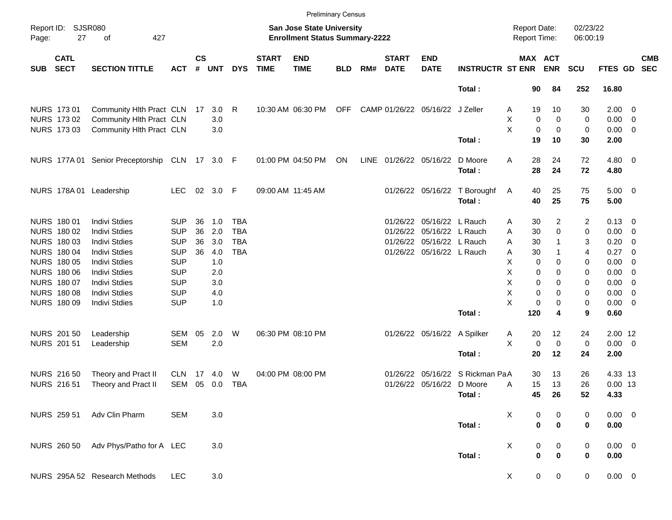|            |                                                 |                                                |            |                    |            |            |                             |                                                                           | <b>Preliminary Census</b> |      |                             |                                 |                                 |                                     |                  |                      |             |                          |                          |
|------------|-------------------------------------------------|------------------------------------------------|------------|--------------------|------------|------------|-----------------------------|---------------------------------------------------------------------------|---------------------------|------|-----------------------------|---------------------------------|---------------------------------|-------------------------------------|------------------|----------------------|-------------|--------------------------|--------------------------|
| Page:      | <b>SJSR080</b><br>Report ID:<br>27<br>427<br>of |                                                |            |                    |            |            |                             | <b>San Jose State University</b><br><b>Enrollment Status Summary-2222</b> |                           |      |                             |                                 |                                 | <b>Report Date:</b><br>Report Time: |                  | 02/23/22<br>06:00:19 |             |                          |                          |
| <b>SUB</b> | <b>CATL</b><br><b>SECT</b>                      | <b>SECTION TITTLE</b>                          | <b>ACT</b> | $\mathsf{cs}$<br># | <b>UNT</b> | <b>DYS</b> | <b>START</b><br><b>TIME</b> | <b>END</b><br><b>TIME</b>                                                 | <b>BLD</b>                | RM#  | <b>START</b><br><b>DATE</b> | <b>END</b><br><b>DATE</b>       | <b>INSTRUCTR ST ENR</b>         | MAX ACT                             | <b>ENR</b>       | <b>SCU</b>           | FTES GD     |                          | <b>CMB</b><br><b>SEC</b> |
|            |                                                 |                                                |            |                    |            |            |                             |                                                                           |                           |      |                             |                                 | Total:                          | 90                                  | 84               | 252                  | 16.80       |                          |                          |
|            | <b>NURS 17301</b>                               | Community Hith Pract CLN 17                    |            |                    | 3.0        | R          |                             | 10:30 AM 06:30 PM                                                         | <b>OFF</b>                |      |                             | CAMP 01/26/22 05/16/22 J Zeller |                                 | 19<br>Α                             | 10               | 30                   | $2.00 \t 0$ |                          |                          |
|            | NURS 173 02                                     | Community Hlth Pract CLN                       |            |                    | 3.0        |            |                             |                                                                           |                           |      |                             |                                 |                                 | х<br>0                              | $\mathbf 0$      | 0                    | $0.00 \t 0$ |                          |                          |
|            | NURS 173 03                                     | Community Hlth Pract CLN                       |            |                    | 3.0        |            |                             |                                                                           |                           |      |                             |                                 |                                 | X<br>0                              | $\mathbf 0$      | 0                    | $0.00 \t 0$ |                          |                          |
|            |                                                 |                                                |            |                    |            |            |                             |                                                                           |                           |      |                             |                                 | Total:                          | 19                                  | 10               | 30                   | 2.00        |                          |                          |
|            |                                                 | NURS 177A 01 Senior Preceptorship CLN 17 3.0 F |            |                    |            |            |                             | 01:00 PM 04:50 PM                                                         | ON                        | LINE |                             | 01/26/22 05/16/22               | D Moore                         | Α<br>28                             | 24               | 72                   | $4.80$ 0    |                          |                          |
|            |                                                 |                                                |            |                    |            |            |                             |                                                                           |                           |      |                             |                                 | Total:                          | 28                                  | 24               | 72                   | 4.80        |                          |                          |
|            | <b>NURS 178A01</b>                              | Leadership                                     | <b>LEC</b> |                    | 02 3.0 F   |            |                             | 09:00 AM 11:45 AM                                                         |                           |      |                             |                                 | 01/26/22 05/16/22 T Boroughf    | 40<br>A                             | 25               | 75                   | $5.00 \t 0$ |                          |                          |
|            |                                                 |                                                |            |                    |            |            |                             |                                                                           |                           |      |                             |                                 | Total:                          | 40                                  | 25               | 75                   | 5.00        |                          |                          |
|            | NURS 180 01                                     | <b>Indivi Stdies</b>                           | <b>SUP</b> | 36                 | 1.0        | <b>TBA</b> |                             |                                                                           |                           |      |                             | 01/26/22 05/16/22 L Rauch       |                                 | 30<br>Α                             | 2                | 2                    | $0.13 \ 0$  |                          |                          |
|            | NURS 180 02                                     | <b>Indivi Stdies</b>                           | <b>SUP</b> | 36                 | 2.0        | <b>TBA</b> |                             |                                                                           |                           |      |                             | 01/26/22 05/16/22 L Rauch       |                                 | 30<br>Α                             | 0                | 0                    | $0.00 \t 0$ |                          |                          |
|            | NURS 180 03                                     | <b>Indivi Stdies</b>                           | <b>SUP</b> | 36                 | 3.0        | <b>TBA</b> |                             |                                                                           |                           |      |                             | 01/26/22 05/16/22 L Rauch       |                                 | 30<br>Α                             | 1                | 3                    | 0.20        | $\overline{\phantom{0}}$ |                          |
|            | <b>NURS 180 04</b>                              | <b>Indivi Stdies</b>                           | <b>SUP</b> | 36                 | 4.0        | <b>TBA</b> |                             |                                                                           |                           |      |                             | 01/26/22 05/16/22 L Rauch       |                                 | 30<br>Α                             | 1                | 4                    | 0.27        | $\overline{\phantom{0}}$ |                          |
|            | <b>NURS 180 05</b>                              | <b>Indivi Stdies</b>                           | <b>SUP</b> |                    | 1.0        |            |                             |                                                                           |                           |      |                             |                                 |                                 | Χ<br>0                              | 0                | 0                    | $0.00 \t 0$ |                          |                          |
|            | <b>NURS 180 06</b>                              | <b>Indivi Stdies</b>                           | <b>SUP</b> |                    | 2.0        |            |                             |                                                                           |                           |      |                             |                                 |                                 | X<br>0                              | 0                | 0                    | $0.00 \t 0$ |                          |                          |
|            | NURS 180 07                                     | <b>Indivi Stdies</b>                           | <b>SUP</b> |                    | 3.0        |            |                             |                                                                           |                           |      |                             |                                 |                                 | X<br>$\mathbf 0$                    | 0                | 0                    | $0.00 \t 0$ |                          |                          |
|            | <b>NURS 180 08</b>                              | <b>Indivi Stdies</b>                           | <b>SUP</b> |                    | 4.0        |            |                             |                                                                           |                           |      |                             |                                 |                                 | X<br>0                              | 0                | 0                    | $0.00 \t 0$ |                          |                          |
|            | NURS 180 09                                     | <b>Indivi Stdies</b>                           | <b>SUP</b> |                    | 1.0        |            |                             |                                                                           |                           |      |                             |                                 |                                 | X<br>$\mathbf 0$                    | 0                | 0                    | $0.00 \t 0$ |                          |                          |
|            |                                                 |                                                |            |                    |            |            |                             |                                                                           |                           |      |                             |                                 | Total:                          | 120                                 | 4                | 9                    | 0.60        |                          |                          |
|            | <b>NURS 20150</b>                               | Leadership                                     | SEM        | 05                 | 2.0        | W          |                             | 06:30 PM 08:10 PM                                                         |                           |      |                             | 01/26/22 05/16/22 A Spilker     |                                 | 20<br>Α                             | 12               | 24                   | 2.00 12     |                          |                          |
|            | <b>NURS 201 51</b>                              | Leadership                                     | <b>SEM</b> |                    | 2.0        |            |                             |                                                                           |                           |      |                             |                                 |                                 | X<br>0                              | 0                | 0                    | $0.00 \t 0$ |                          |                          |
|            |                                                 |                                                |            |                    |            |            |                             |                                                                           |                           |      |                             |                                 | Total:                          | 20                                  | 12               | 24                   | 2.00        |                          |                          |
|            | <b>NURS 21650</b>                               | Theory and Pract II                            | <b>CLN</b> | 17                 | 4.0        | W          |                             | 04:00 PM 08:00 PM                                                         |                           |      |                             |                                 | 01/26/22 05/16/22 S Rickman PaA | 30                                  | 13               | 26                   | 4.33 13     |                          |                          |
|            | <b>NURS 21651</b>                               | Theory and Pract II                            | SEM        | 05                 | 0.0        | TBA        |                             |                                                                           |                           |      |                             | 01/26/22 05/16/22 D Moore       |                                 | 15<br>Α                             | 13               | 26                   | $0.00$ 13   |                          |                          |
|            |                                                 |                                                |            |                    |            |            |                             |                                                                           |                           |      |                             |                                 | Total:                          | 45                                  | 26               | 52                   | 4.33        |                          |                          |
|            | <b>NURS 259 51</b>                              | Adv Clin Pharm                                 | <b>SEM</b> |                    | 3.0        |            |                             |                                                                           |                           |      |                             |                                 |                                 | X<br>0                              | 0                | 0                    | $0.00 \t 0$ |                          |                          |
|            |                                                 |                                                |            |                    |            |            |                             |                                                                           |                           |      |                             |                                 | Total:                          | $\pmb{0}$                           | $\mathbf 0$      | $\pmb{0}$            | $0.00\,$    |                          |                          |
|            | <b>NURS 260 50</b>                              | Adv Phys/Patho for A LEC                       |            |                    | 3.0        |            |                             |                                                                           |                           |      |                             |                                 |                                 | X<br>0                              | $\boldsymbol{0}$ | 0                    | $0.00 \t 0$ |                          |                          |
|            |                                                 |                                                |            |                    |            |            |                             |                                                                           |                           |      |                             |                                 | Total:                          | $\pmb{0}$                           | $\pmb{0}$        | $\pmb{0}$            | 0.00        |                          |                          |
|            |                                                 | NURS 295A 52 Research Methods                  | <b>LEC</b> |                    | 3.0        |            |                             |                                                                           |                           |      |                             |                                 |                                 | $\mathbf 0$<br>X                    | $\mathbf 0$      | $\mathbf 0$          | $0.00 \t 0$ |                          |                          |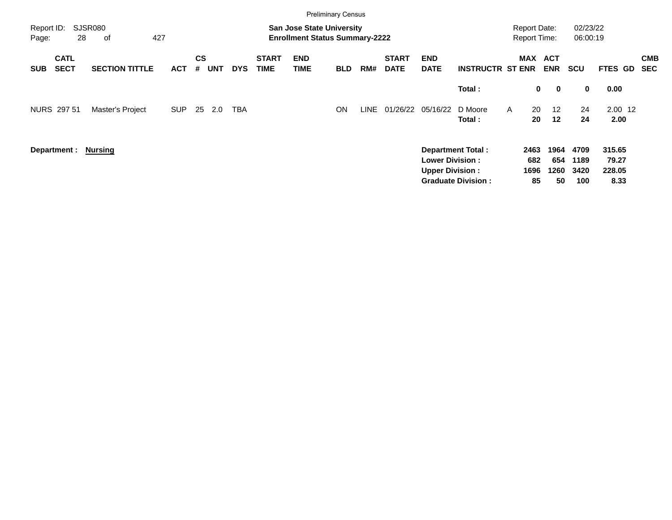|                                          |                      |                       |            |                |            |            |                             | <b>Preliminary Census</b>                                                 |            |      |                             |                                                  |                                                       |                                     |                              |                             |                                   |                          |
|------------------------------------------|----------------------|-----------------------|------------|----------------|------------|------------|-----------------------------|---------------------------------------------------------------------------|------------|------|-----------------------------|--------------------------------------------------|-------------------------------------------------------|-------------------------------------|------------------------------|-----------------------------|-----------------------------------|--------------------------|
| Report ID:<br>Page:                      | <b>SJSR080</b><br>28 | 427<br>οf             |            |                |            |            |                             | <b>San Jose State University</b><br><b>Enrollment Status Summary-2222</b> |            |      |                             |                                                  |                                                       | <b>Report Date:</b><br>Report Time: |                              | 02/23/22<br>06:00:19        |                                   |                          |
| <b>CATL</b><br><b>SECT</b><br><b>SUB</b> |                      | <b>SECTION TITTLE</b> | <b>ACT</b> | <b>CS</b><br># | <b>UNT</b> | <b>DYS</b> | <b>START</b><br><b>TIME</b> | <b>END</b><br><b>TIME</b>                                                 | <b>BLD</b> | RM#  | <b>START</b><br><b>DATE</b> | <b>END</b><br><b>DATE</b>                        | <b>INSTRUCTR ST ENR</b>                               | MAX                                 | <b>ACT</b><br><b>ENR</b>     | <b>SCU</b>                  | FTES GD                           | <b>CMB</b><br><b>SEC</b> |
|                                          |                      |                       |            |                |            |            |                             |                                                                           |            |      |                             |                                                  | Total:                                                | 0                                   | $\mathbf 0$                  | $\mathbf 0$                 | 0.00                              |                          |
| NURS 297 51                              |                      | Master's Project      | <b>SUP</b> | 25             | 2.0        | <b>TBA</b> |                             |                                                                           | <b>ON</b>  | LINE | 01/26/22 05/16/22           |                                                  | D Moore<br>Total:                                     | 20<br>A<br>20                       | $12 \overline{ }$<br>$12 \,$ | 24<br>24                    | $2.00$ 12<br>2.00                 |                          |
| Department: Nursing                      |                      |                       |            |                |            |            |                             |                                                                           |            |      |                             | <b>Lower Division:</b><br><b>Upper Division:</b> | <b>Department Total:</b><br><b>Graduate Division:</b> | 2463<br>682<br>1696<br>85           | 1964<br>654<br>1260<br>50    | 4709<br>1189<br>3420<br>100 | 315.65<br>79.27<br>228.05<br>8.33 |                          |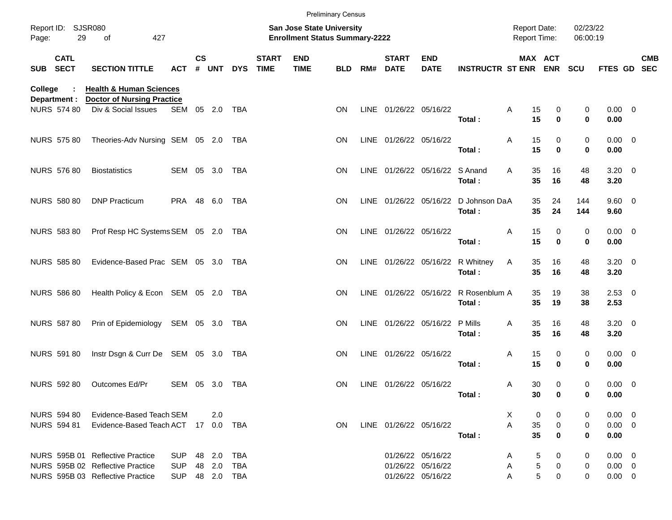|         |                                    |                                                             |                |               |            |            |                             |                                                                    | <b>Preliminary Census</b> |     |                             |                                |                             |                                            |             |             |                      |                            |            |
|---------|------------------------------------|-------------------------------------------------------------|----------------|---------------|------------|------------|-----------------------------|--------------------------------------------------------------------|---------------------------|-----|-----------------------------|--------------------------------|-----------------------------|--------------------------------------------|-------------|-------------|----------------------|----------------------------|------------|
| Page:   | Report ID: SJSR080<br>29           | 427<br>of                                                   |                |               |            |            |                             | San Jose State University<br><b>Enrollment Status Summary-2222</b> |                           |     |                             |                                |                             | <b>Report Date:</b><br><b>Report Time:</b> |             |             | 02/23/22<br>06:00:19 |                            |            |
|         | <b>CATL</b><br>SUB SECT            | <b>SECTION TITTLE</b>                                       | <b>ACT</b>     | $\mathsf{cs}$ | # UNT      | <b>DYS</b> | <b>START</b><br><b>TIME</b> | <b>END</b><br><b>TIME</b>                                          | <b>BLD</b>                | RM# | <b>START</b><br><b>DATE</b> | <b>END</b><br><b>DATE</b>      | <b>INSTRUCTR ST ENR ENR</b> |                                            |             | MAX ACT     | <b>SCU</b>           | FTES GD SEC                | <b>CMB</b> |
| College |                                    | <b>Health &amp; Human Sciences</b>                          |                |               |            |            |                             |                                                                    |                           |     |                             |                                |                             |                                            |             |             |                      |                            |            |
|         | Department :<br><b>NURS 574 80</b> | <b>Doctor of Nursing Practice</b><br>Div & Social Issues    | SEM 05 2.0 TBA |               |            |            |                             |                                                                    | <b>ON</b>                 |     | LINE 01/26/22 05/16/22      |                                |                             | Α                                          | 15          | 0           | 0                    | $0.00 \t 0$                |            |
|         |                                    |                                                             |                |               |            |            |                             |                                                                    |                           |     |                             |                                | Total:                      |                                            | 15          | 0           | 0                    | 0.00                       |            |
|         | NURS 575 80                        | Theories-Adv Nursing SEM 05 2.0 TBA                         |                |               |            |            |                             |                                                                    | <b>ON</b>                 |     | LINE 01/26/22 05/16/22      |                                |                             | Α                                          | 15          | 0           | 0                    | $0.00 \t 0$                |            |
|         |                                    |                                                             |                |               |            |            |                             |                                                                    |                           |     |                             |                                | Total:                      |                                            | 15          | $\bf{0}$    | 0                    | 0.00                       |            |
|         | <b>NURS 576 80</b>                 | <b>Biostatistics</b>                                        | SEM 05 3.0 TBA |               |            |            |                             |                                                                    | <b>ON</b>                 |     |                             | LINE 01/26/22 05/16/22 S Anand | Total:                      | A                                          | 35<br>35    | 16<br>16    | 48<br>48             | $3.20 \ 0$<br>3.20         |            |
|         |                                    |                                                             |                |               |            |            |                             |                                                                    |                           |     |                             |                                |                             |                                            | 35          |             |                      | $9.60 \quad 0$             |            |
|         | <b>NURS 580 80</b>                 | <b>DNP Practicum</b>                                        | PRA 48 6.0     |               |            | TBA        |                             |                                                                    | <b>ON</b>                 |     | LINE 01/26/22 05/16/22      |                                | D Johnson DaA<br>Total:     |                                            | 35          | 24<br>24    | 144<br>144           | 9.60                       |            |
|         | <b>NURS 583 80</b>                 | Prof Resp HC Systems SEM 05 2.0 TBA                         |                |               |            |            |                             |                                                                    | <b>ON</b>                 |     | LINE 01/26/22 05/16/22      |                                |                             | Α                                          | 15          | 0           | 0                    | $0.00 \t 0$                |            |
|         |                                    |                                                             |                |               |            |            |                             |                                                                    |                           |     |                             |                                | Total:                      |                                            | 15          | $\bf{0}$    | 0                    | 0.00                       |            |
|         | <b>NURS 585 80</b>                 | Evidence-Based Prac SEM 05 3.0 TBA                          |                |               |            |            |                             |                                                                    | <b>ON</b>                 |     |                             | LINE 01/26/22 05/16/22         | R Whitney                   | Α                                          | 35          | 16          | 48                   | $3.20 \ 0$                 |            |
|         |                                    |                                                             |                |               |            |            |                             |                                                                    |                           |     |                             |                                | Total:                      |                                            | 35          | 16          | 48                   | 3.20                       |            |
|         | <b>NURS 586 80</b>                 | Health Policy & Econ SEM 05 2.0 TBA                         |                |               |            |            |                             |                                                                    | <b>ON</b>                 |     | LINE 01/26/22 05/16/22      |                                | R Rosenblum A<br>Total:     |                                            | 35<br>35    | 19<br>19    | 38<br>38             | 2.5300<br>2.53             |            |
|         |                                    |                                                             |                |               |            |            |                             |                                                                    |                           |     |                             |                                |                             |                                            |             |             |                      |                            |            |
|         | <b>NURS 587 80</b>                 | Prin of Epidemiology SEM 05 3.0 TBA                         |                |               |            |            |                             |                                                                    | <b>ON</b>                 |     | LINE 01/26/22 05/16/22      |                                | P Mills<br>Total:           | Α                                          | 35<br>35    | 16<br>16    | 48<br>48             | $3.20 \ 0$<br>3.20         |            |
|         | <b>NURS 591 80</b>                 | Instr Dsgn & Curr De SEM 05 3.0 TBA                         |                |               |            |            |                             |                                                                    | <b>ON</b>                 |     | LINE 01/26/22 05/16/22      |                                |                             | Α                                          | 15          | 0           | 0                    | $0.00 \t 0$                |            |
|         |                                    |                                                             |                |               |            |            |                             |                                                                    |                           |     |                             |                                | Total:                      |                                            | 15          | $\mathbf 0$ | 0                    | 0.00                       |            |
|         | <b>NURS 592 80</b>                 | Outcomes Ed/Pr                                              | SEM 05 3.0     |               |            | TBA        |                             |                                                                    | <b>ON</b>                 |     | LINE 01/26/22 05/16/22      |                                |                             | A                                          | 30          | 0           | 0                    | $0.00 \t 0$                |            |
|         |                                    |                                                             |                |               |            |            |                             |                                                                    |                           |     |                             |                                | Total :                     |                                            | 30          | 0           | 0                    | 0.00                       |            |
|         | NURS 594 80<br>NURS 594 81         | Evidence-Based Teach SEM<br>Evidence-Based Teach ACT 17 0.0 |                |               | 2.0        | TBA        |                             |                                                                    | <b>ON</b>                 |     | LINE 01/26/22 05/16/22      |                                |                             | X.<br>A                                    | 0<br>35     | 0<br>0      | 0<br>0               | $0.00 \t 0$<br>$0.00 \t 0$ |            |
|         |                                    |                                                             |                |               |            |            |                             |                                                                    |                           |     |                             |                                | Total:                      |                                            | 35          | $\mathbf 0$ | 0                    | 0.00                       |            |
|         |                                    | NURS 595B 01 Reflective Practice                            | <b>SUP</b>     |               | 48 2.0     | TBA        |                             |                                                                    |                           |     |                             | 01/26/22 05/16/22              |                             | A                                          | 5           | 0           | 0                    | $0.00 \t 0$                |            |
|         |                                    | NURS 595B 02 Reflective Practice                            | <b>SUP</b>     |               | 48 2.0     | TBA        |                             |                                                                    |                           |     |                             | 01/26/22 05/16/22              |                             | Α                                          | $\,$ 5 $\,$ | 0           | 0                    | $0.00 \t 0$                |            |
|         |                                    | NURS 595B 03 Reflective Practice                            | <b>SUP</b>     |               | 48 2.0 TBA |            |                             |                                                                    |                           |     |                             | 01/26/22 05/16/22              |                             | A                                          | 5           | 0           | 0                    | $0.00 \t 0$                |            |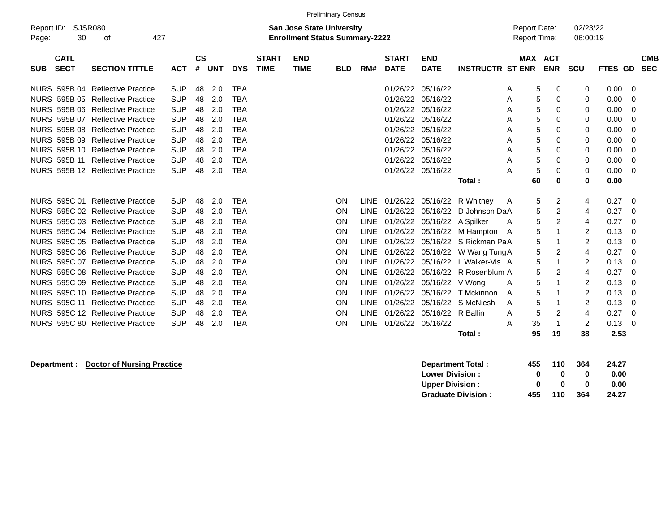|             | <b>Preliminary Census</b> |                                  |            |           |            |            |              |                                       |            |             |                   |                   |                         |                     |                |            |         |            |
|-------------|---------------------------|----------------------------------|------------|-----------|------------|------------|--------------|---------------------------------------|------------|-------------|-------------------|-------------------|-------------------------|---------------------|----------------|------------|---------|------------|
| Report ID:  |                           | SJSR080                          |            |           |            |            |              | <b>San Jose State University</b>      |            |             |                   |                   |                         | <b>Report Date:</b> |                | 02/23/22   |         |            |
| Page:       | 30                        | οf                               | 427        |           |            |            |              | <b>Enrollment Status Summary-2222</b> |            |             |                   |                   |                         | <b>Report Time:</b> |                | 06:00:19   |         |            |
|             |                           |                                  |            |           |            |            |              |                                       |            |             |                   |                   |                         |                     |                |            |         |            |
|             | <b>CATL</b>               |                                  |            | <b>CS</b> |            |            | <b>START</b> | <b>END</b>                            |            |             | <b>START</b>      | <b>END</b>        |                         |                     | <b>MAX ACT</b> |            |         | <b>CMB</b> |
| <b>SUB</b>  | <b>SECT</b>               | <b>SECTION TITTLE</b>            | <b>ACT</b> | #         | <b>UNT</b> | <b>DYS</b> | <b>TIME</b>  | <b>TIME</b>                           | <b>BLD</b> | RM#         | <b>DATE</b>       | <b>DATE</b>       | <b>INSTRUCTR ST ENR</b> |                     | <b>ENR</b>     | <b>SCU</b> | FTES GD | <b>SEC</b> |
| NURS.       |                           | 595B 04 Reflective Practice      | <b>SUP</b> | 48        | 2.0        | TBA        |              |                                       |            |             | 01/26/22          | 05/16/22          |                         | 5<br>A              | 0              | 0          | 0.00    | 0          |
| <b>NURS</b> | 595B 05                   | <b>Reflective Practice</b>       | <b>SUP</b> | 48        | 2.0        | <b>TBA</b> |              |                                       |            |             | 01/26/22          | 05/16/22          |                         | 5<br>A              | 0              | 0          | 0.00    | 0          |
| <b>NURS</b> | 595B 06                   | <b>Reflective Practice</b>       | <b>SUP</b> | 48        | 2.0        | <b>TBA</b> |              |                                       |            |             | 01/26/22          | 05/16/22          |                         | 5<br>Α              | 0              | 0          | 0.00    | 0          |
| <b>NURS</b> | 595B 07                   | <b>Reflective Practice</b>       | <b>SUP</b> | 48        | 2.0        | <b>TBA</b> |              |                                       |            |             | 01/26/22          | 05/16/22          |                         | 5<br>Α              | 0              | 0          | 0.00    | 0          |
| <b>NURS</b> | 595B 08                   | <b>Reflective Practice</b>       | <b>SUP</b> | 48        | 2.0        | <b>TBA</b> |              |                                       |            |             | 01/26/22          | 05/16/22          |                         | 5<br>Α              | 0              | 0          | 0.00    | 0          |
| <b>NURS</b> | 595B 09                   | <b>Reflective Practice</b>       | <b>SUP</b> | 48        | 2.0        | <b>TBA</b> |              |                                       |            |             | 01/26/22          | 05/16/22          |                         | 5<br>A              | 0              | 0          | 0.00    | 0          |
| <b>NURS</b> | 595B 10                   | <b>Reflective Practice</b>       | <b>SUP</b> | 48        | 2.0        | <b>TBA</b> |              |                                       |            |             | 01/26/22          | 05/16/22          |                         | 5<br>A              | 0              | 0          | 0.00    | 0          |
|             | <b>NURS 595B 11</b>       | <b>Reflective Practice</b>       | <b>SUP</b> | 48        | 2.0        | <b>TBA</b> |              |                                       |            |             | 01/26/22          | 05/16/22          |                         | 5<br>A              | 0              | 0          | 0.00    | 0          |
| <b>NURS</b> | 595B 12                   | <b>Reflective Practice</b>       | <b>SUP</b> | 48        | 2.0        | <b>TBA</b> |              |                                       |            |             | 01/26/22 05/16/22 |                   |                         | 5<br>А              | 0              | 0          | 0.00    | $\Omega$   |
|             |                           |                                  |            |           |            |            |              |                                       |            |             |                   |                   | Total:                  | 60                  | 0              | 0          | 0.00    |            |
|             | NURS 595C 01              | <b>Reflective Practice</b>       | <b>SUP</b> | 48        | 2.0        | <b>TBA</b> |              |                                       | <b>ON</b>  | <b>LINE</b> |                   | 01/26/22 05/16/22 | R Whitney               | 5<br>A              | 2              | 4          | 0.27    | 0          |
| <b>NURS</b> | 595C 02                   | <b>Reflective Practice</b>       | <b>SUP</b> | 48        | 2.0        | <b>TBA</b> |              |                                       | ON         | <b>LINE</b> | 01/26/22          | 05/16/22          | D Johnson DaA           | 5                   | 2              | 4          | 0.27    | 0          |
|             |                           | NURS 595C 03 Reflective Practice | <b>SUP</b> | 48        | 2.0        | <b>TBA</b> |              |                                       | <b>ON</b>  | <b>LINE</b> | 01/26/22          | 05/16/22          | A Spilker               | 5<br>Α              | 2              | 4          | 0.27    | 0          |
| <b>NURS</b> |                           | 595C 04 Reflective Practice      | <b>SUP</b> | 48        | 2.0        | TBA        |              |                                       | <b>ON</b>  | <b>LINE</b> | 01/26/22          | 05/16/22          | M Hampton               | 5<br>$\overline{A}$ |                | 2          | 0.13    | 0          |
| <b>NURS</b> |                           | 595C 05 Reflective Practice      | <b>SUP</b> | 48        | 2.0        | <b>TBA</b> |              |                                       | ON         | LINE        | 01/26/22          | 05/16/22          | S Rickman PaA           | 5                   |                | 2          | 0.13    | 0          |
| <b>NURS</b> |                           | 595C 06 Reflective Practice      | <b>SUP</b> | 48        | 2.0        | <b>TBA</b> |              |                                       | <b>ON</b>  | <b>LINE</b> | 01/26/22          | 05/16/22          | W Wang Tung A           | 5                   | 2              | 4          | 0.27    | $\Omega$   |
| <b>NURS</b> |                           | 595C 07 Reflective Practice      | <b>SUP</b> | 48        | 2.0        | <b>TBA</b> |              |                                       | <b>ON</b>  | <b>LINE</b> | 01/26/22          | 05/16/22          | L Walker-Vis A          | 5                   |                | 2          | 0.13    | 0          |
| <b>NURS</b> |                           | 595C 08 Reflective Practice      | <b>SUP</b> | 48        | 2.0        | <b>TBA</b> |              |                                       | ON         | <b>LINE</b> | 01/26/22          | 05/16/22          | R Rosenblum A           | 5                   | 2              | 4          | 0.27    | 0          |
| <b>NURS</b> | 595C 09                   | <b>Reflective Practice</b>       | <b>SUP</b> | 48        | 2.0        | <b>TBA</b> |              |                                       | <b>ON</b>  | <b>LINE</b> | 01/26/22          | 05/16/22          | V Wona                  | 5<br>A              |                | 2          | 0.13    | $\Omega$   |
| <b>NURS</b> |                           | 595C 10 Reflective Practice      | <b>SUP</b> | 48        | 2.0        | <b>TBA</b> |              |                                       | <b>ON</b>  | <b>LINE</b> | 01/26/22          | 05/16/22          | T Mckinnon              | 5<br>A              |                | 2          | 0.13    | 0          |
| <b>NURS</b> | 595C 11                   | <b>Reflective Practice</b>       | <b>SUP</b> | 48        | 2.0        | <b>TBA</b> |              |                                       | <b>ON</b>  | <b>LINE</b> | 01/26/22          | 05/16/22          | S McNiesh               | 5<br>A              |                | 2          | 0.13    | 0          |
| <b>NURS</b> |                           | 595C 12 Reflective Practice      | <b>SUP</b> | 48        | 2.0        | <b>TBA</b> |              |                                       | <b>ON</b>  | <b>LINE</b> | 01/26/22          | 05/16/22          | R Ballin                | 5<br>Α              | 2              | 4          | 0.27    | 0          |
| <b>NURS</b> |                           | 595C 80 Reflective Practice      | <b>SUP</b> | 48        | 2.0        | <b>TBA</b> |              |                                       | <b>ON</b>  | <b>LINE</b> | 01/26/22 05/16/22 |                   |                         | 35<br>A             | -1             | 2          | 0.13    | $\Omega$   |
|             |                           |                                  |            |           |            |            |              |                                       |            |             |                   |                   | Total:                  | 95                  | 19             | 38         | 2.53    |            |

**Department :** Doctor of Nursing Practice **Department Total :** 455 110 364 24.27 **Lower Division :**  $\begin{array}{cccc} 0 & 0 & 0 & 0.00 \\ \text{Upper Division:} & 0 & 0 & 0 & 0.00 \end{array}$ **Upper Division :**  $\hspace{1.6cm} 0 \hspace{1.2cm} 0 \hspace{1.2cm} 0 \hspace{1.2cm} 0 \hspace{1.2cm} 0.00$ **Graduate Division : 455 110 364 24.27**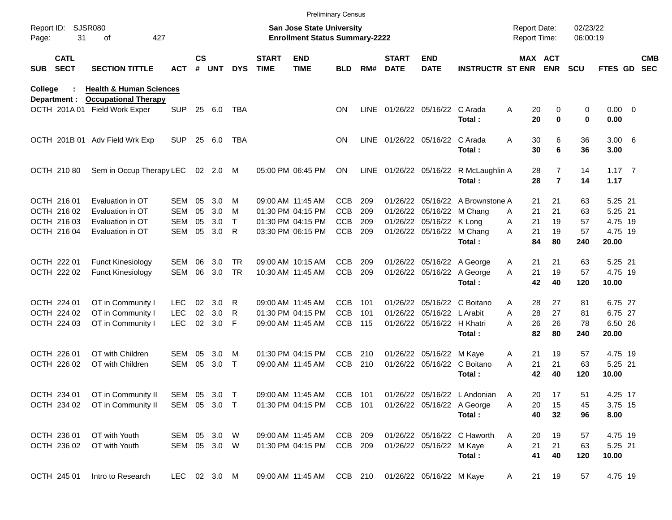|                     |                            |                                                              |                          |                    |            |                        |                             |                                                                           | <b>Preliminary Census</b> |            |                             |                                                       |                                                          |                                     |                                  |                      |                       |                          |
|---------------------|----------------------------|--------------------------------------------------------------|--------------------------|--------------------|------------|------------------------|-----------------------------|---------------------------------------------------------------------------|---------------------------|------------|-----------------------------|-------------------------------------------------------|----------------------------------------------------------|-------------------------------------|----------------------------------|----------------------|-----------------------|--------------------------|
| Report ID:<br>Page: | 31                         | <b>SJSR080</b><br>427<br>οf                                  |                          |                    |            |                        |                             | <b>San Jose State University</b><br><b>Enrollment Status Summary-2222</b> |                           |            |                             |                                                       |                                                          | <b>Report Date:</b><br>Report Time: |                                  | 02/23/22<br>06:00:19 |                       |                          |
| <b>SUB</b>          | <b>CATL</b><br><b>SECT</b> | <b>SECTION TITTLE</b>                                        | ACT                      | $\mathsf{cs}$<br># | <b>UNT</b> | <b>DYS</b>             | <b>START</b><br><b>TIME</b> | <b>END</b><br><b>TIME</b>                                                 | <b>BLD</b>                | RM#        | <b>START</b><br><b>DATE</b> | <b>END</b><br><b>DATE</b>                             | INSTRUCTR ST ENR ENR                                     |                                     | MAX ACT                          | <b>SCU</b>           | <b>FTES GD</b>        | <b>CMB</b><br><b>SEC</b> |
| College             |                            | <b>Health &amp; Human Sciences</b>                           |                          |                    |            |                        |                             |                                                                           |                           |            |                             |                                                       |                                                          |                                     |                                  |                      |                       |                          |
|                     | Department :               | <b>Occupational Therapy</b><br>OCTH 201A 01 Field Work Exper | <b>SUP</b>               | 25                 | 6.0        | TBA                    |                             |                                                                           | <b>ON</b>                 | LINE       |                             | 01/26/22 05/16/22 C Arada                             | Total:                                                   | Α<br>20<br>20                       | 0<br>$\bf{0}$                    | 0<br>0               | $0.00 \t 0$<br>0.00   |                          |
|                     |                            | OCTH 201B 01 Adv Field Wrk Exp                               | <b>SUP</b>               | 25                 | 6.0        | TBA                    |                             |                                                                           | <b>ON</b>                 |            |                             | LINE 01/26/22 05/16/22 C Arada                        | Total:                                                   | 30<br>A<br>30                       | 6<br>6                           | 36<br>36             | $3.00\quad 6$<br>3.00 |                          |
|                     | OCTH 210 80                | Sem in Occup Therapy LEC                                     |                          |                    | 02 2.0 M   |                        |                             | 05:00 PM 06:45 PM                                                         | ON                        |            |                             |                                                       | LINE 01/26/22 05/16/22 R McLaughlin A<br>Total:          | 28<br>28                            | $\overline{7}$<br>$\overline{7}$ | 14<br>14             | $1.17 \t 7$<br>1.17   |                          |
|                     | OCTH 216 01<br>OCTH 216 02 | Evaluation in OT<br>Evaluation in OT                         | SEM<br>SEM               | 05<br>05           | 3.0<br>3.0 | м<br>м                 |                             | 09:00 AM 11:45 AM<br>01:30 PM 04:15 PM                                    | <b>CCB</b><br><b>CCB</b>  | 209<br>209 |                             | 01/26/22 05/16/22 M Chang                             | 01/26/22 05/16/22 A Brownstone A                         | 21<br>21<br>A                       | 21<br>21                         | 63<br>63             | 5.25 21<br>5.25 21    |                          |
|                     | OCTH 216 03<br>OCTH 216 04 | Evaluation in OT<br>Evaluation in OT                         | SEM<br><b>SEM</b>        | 05<br>05           | 3.0<br>3.0 | Τ<br>R                 |                             | 01:30 PM 04:15 PM<br>03:30 PM 06:15 PM                                    | <b>CCB</b><br><b>CCB</b>  | 209<br>209 |                             | 01/26/22 05/16/22 K Long<br>01/26/22 05/16/22 M Chang |                                                          | 21<br>A<br>21<br>A                  | 19<br>19                         | 57<br>57             | 4.75 19<br>4.75 19    |                          |
|                     |                            |                                                              |                          |                    |            |                        |                             |                                                                           |                           |            |                             |                                                       | Total:                                                   | 84                                  | 80                               | 240                  | 20.00                 |                          |
|                     | OCTH 222 01<br>OCTH 222 02 | <b>Funct Kinesiology</b><br><b>Funct Kinesiology</b>         | SEM<br><b>SEM</b>        | 06<br>06           | 3.0<br>3.0 | <b>TR</b><br><b>TR</b> |                             | 09:00 AM 10:15 AM<br>10:30 AM 11:45 AM                                    | <b>CCB</b><br><b>CCB</b>  | 209<br>209 |                             |                                                       | 01/26/22 05/16/22 A George<br>01/26/22 05/16/22 A George | 21<br>A<br>21<br>A                  | 21<br>19                         | 63<br>57             | 5.25 21<br>4.75 19    |                          |
|                     |                            |                                                              |                          |                    |            |                        |                             |                                                                           |                           |            |                             |                                                       | Total:                                                   | 42                                  | 40                               | 120                  | 10.00                 |                          |
|                     | OCTH 224 01<br>OCTH 224 02 | OT in Community I<br>OT in Community I                       | <b>LEC</b><br><b>LEC</b> | 02<br>02           | 3.0<br>3.0 | R<br>R                 |                             | 09:00 AM 11:45 AM<br>01:30 PM 04:15 PM                                    | <b>CCB</b><br><b>CCB</b>  | 101<br>101 |                             | 01/26/22 05/16/22 L Arabit                            | 01/26/22 05/16/22 C Boitano                              | 28<br>A<br>A<br>28                  | 27<br>27                         | 81<br>81             | 6.75 27<br>6.75 27    |                          |
|                     | OCTH 224 03                | OT in Community I                                            | <b>LEC</b>               | 02                 | 3.0        | F                      |                             | 09:00 AM 11:45 AM                                                         | <b>CCB</b>                | 115        |                             | 01/26/22 05/16/22 H Khatri                            | Total:                                                   | 26<br>A<br>82                       | 26<br>80                         | 78<br>240            | 6.50 26<br>20.00      |                          |
|                     | OCTH 226 01                | OT with Children                                             | SEM                      | 05                 | 3.0        | M                      |                             | 01:30 PM 04:15 PM                                                         | <b>CCB</b>                | 210        |                             | 01/26/22 05/16/22 M Kaye                              |                                                          | 21<br>A                             | 19                               | 57                   | 4.75 19               |                          |
|                     | OCTH 226 02                | OT with Children                                             | <b>SEM</b>               | 05                 | 3.0        | $\mathsf{T}$           |                             | 09:00 AM 11:45 AM                                                         | <b>CCB</b>                | 210        |                             |                                                       | 01/26/22 05/16/22 C Boitano<br>Total:                    | 21<br>A<br>42                       | 21<br>40                         | 63<br>120            | 5.25 21<br>10.00      |                          |
|                     | OCTH 234 01                | OT in Community II                                           | SEM 05 3.0 T             |                    |            |                        |                             | 09:00 AM 11:45 AM                                                         | CCB 101                   |            |                             |                                                       | 01/26/22 05/16/22 L Andonian                             | 20<br>A                             | 17                               | 51                   | 4.25 17               |                          |
|                     | OCTH 234 02                | OT in Community II                                           | SEM 05 3.0 T             |                    |            |                        |                             | 01:30 PM 04:15 PM                                                         | CCB 101                   |            |                             |                                                       | 01/26/22 05/16/22 A George<br>Total:                     | Α<br>20<br>40                       | 15<br>32                         | 45<br>96             | 3.75 15<br>8.00       |                          |
|                     | OCTH 236 01                | OT with Youth                                                | SEM 05 3.0 W             |                    |            |                        |                             | 09:00 AM 11:45 AM                                                         | CCB 209                   |            |                             |                                                       | 01/26/22 05/16/22 C Haworth                              | 20<br>A                             | 19                               | 57                   | 4.75 19               |                          |
|                     | OCTH 236 02                | OT with Youth                                                | SEM 05 3.0 W             |                    |            |                        |                             | 01:30 PM 04:15 PM                                                         | CCB 209                   |            |                             | 01/26/22 05/16/22 M Kaye                              | Total:                                                   | Α<br>21<br>41                       | 21<br>40                         | 63<br>120            | 5.25 21<br>10.00      |                          |
|                     | OCTH 245 01                | Intro to Research                                            | LEC 02 3.0 M             |                    |            |                        |                             | 09:00 AM 11:45 AM                                                         |                           | CCB 210    |                             | 01/26/22 05/16/22 M Kaye                              |                                                          | 21<br>A                             | 19                               | 57                   | 4.75 19               |                          |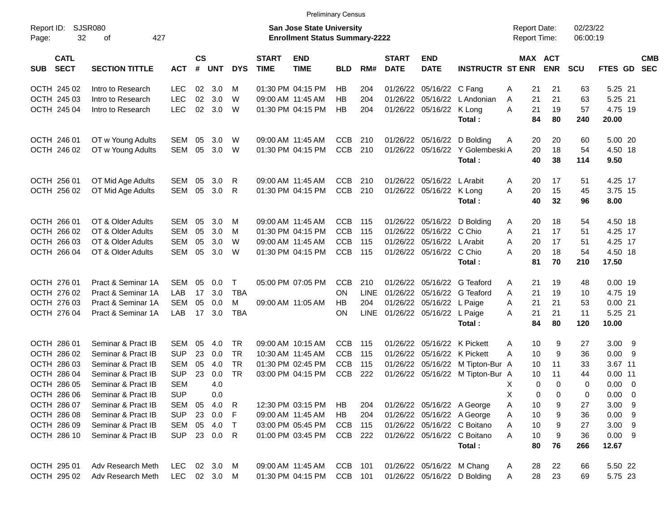|                                          |                             |              |                |              |            |                             | <b>Preliminary Census</b>                                          |            |             |                             |                            |                                       |                                            |                       |                      |                |                          |
|------------------------------------------|-----------------------------|--------------|----------------|--------------|------------|-----------------------------|--------------------------------------------------------------------|------------|-------------|-----------------------------|----------------------------|---------------------------------------|--------------------------------------------|-----------------------|----------------------|----------------|--------------------------|
| Report ID:<br>32<br>Page:                | <b>SJSR080</b><br>427<br>οf |              |                |              |            |                             | San Jose State University<br><b>Enrollment Status Summary-2222</b> |            |             |                             |                            |                                       | <b>Report Date:</b><br><b>Report Time:</b> |                       | 02/23/22<br>06:00:19 |                |                          |
| <b>CATL</b><br><b>SECT</b><br><b>SUB</b> | <b>SECTION TITTLE</b>       | <b>ACT</b>   | <b>CS</b><br># | <b>UNT</b>   | <b>DYS</b> | <b>START</b><br><b>TIME</b> | <b>END</b><br><b>TIME</b>                                          | <b>BLD</b> | RM#         | <b>START</b><br><b>DATE</b> | <b>END</b><br><b>DATE</b>  | <b>INSTRUCTR ST ENR</b>               |                                            | MAX ACT<br><b>ENR</b> | <b>SCU</b>           | <b>FTES GD</b> | <b>CMB</b><br><b>SEC</b> |
| OCTH 245 02                              | Intro to Research           | <b>LEC</b>   |                | 02 3.0       | м          |                             | 01:30 PM 04:15 PM                                                  | HB         | 204         | 01/26/22                    | 05/16/22 C Fang            |                                       | 21<br>A                                    | 21                    | 63                   | 5.25 21        |                          |
| OCTH 245 03                              | Intro to Research           | <b>LEC</b>   | 02             | 3.0          | W          |                             | 09:00 AM 11:45 AM                                                  | <b>HB</b>  | 204         | 01/26/22                    |                            | 05/16/22 L Andonian                   | 21<br>A                                    | 21                    | 63                   | 5.25 21        |                          |
| OCTH 245 04                              | Intro to Research           | <b>LEC</b>   |                | 02 3.0       | W          |                             | 01:30 PM 04:15 PM                                                  | HB.        | 204         |                             | 01/26/22 05/16/22 K Long   |                                       | 21<br>A                                    | 19                    | 57                   | 4.75 19        |                          |
|                                          |                             |              |                |              |            |                             |                                                                    |            |             |                             |                            | Total:                                | 84                                         | 80                    | 240                  | 20.00          |                          |
| OCTH 246 01                              | OT w Young Adults           | SEM          | 05             | 3.0          | W          |                             | 09:00 AM 11:45 AM                                                  | <b>CCB</b> | 210         |                             |                            | 01/26/22 05/16/22 D Bolding           | 20<br>A                                    | 20                    | 60                   | 5.00 20        |                          |
| OCTH 246 02                              | OT w Young Adults           | SEM          | 05             | 3.0          | W          |                             | 01:30 PM 04:15 PM                                                  | <b>CCB</b> | 210         |                             |                            | 01/26/22 05/16/22 Y Golembeski A      | 20                                         | 18                    | 54                   | 4.50 18        |                          |
|                                          |                             |              |                |              |            |                             |                                                                    |            |             |                             |                            | Total:                                | 40                                         | 38                    | 114                  | 9.50           |                          |
| OCTH 256 01                              | OT Mid Age Adults           | SEM          | 05             | 3.0          | R          |                             | 09:00 AM 11:45 AM                                                  | <b>CCB</b> | 210         |                             | 01/26/22 05/16/22 L Arabit |                                       | 20<br>A                                    | 17                    | 51                   | 4.25 17        |                          |
| OCTH 256 02                              | OT Mid Age Adults           | SEM          | 05             | 3.0          | R          |                             | 01:30 PM 04:15 PM                                                  | <b>CCB</b> | 210         |                             | 01/26/22 05/16/22 K Long   |                                       | A<br>20                                    | 15                    | 45                   | 3.75 15        |                          |
|                                          |                             |              |                |              |            |                             |                                                                    |            |             |                             |                            | Total:                                | 40                                         | 32                    | 96                   | 8.00           |                          |
| OCTH 266 01                              | OT & Older Adults           | SEM          | 05             | 3.0          | м          |                             | 09:00 AM 11:45 AM                                                  | <b>CCB</b> | 115         |                             |                            | 01/26/22 05/16/22 D Bolding           | 20<br>A                                    | 18                    | 54                   | 4.50 18        |                          |
| OCTH 266 02                              | OT & Older Adults           | SEM          | 05             | 3.0          | м          |                             | 01:30 PM 04:15 PM                                                  | <b>CCB</b> | 115         | 01/26/22                    | 05/16/22 C Chio            |                                       | A<br>21                                    | 17                    | 51                   | 4.25 17        |                          |
| OCTH 266 03                              | OT & Older Adults           | SEM          | 05             | 3.0          | W          |                             | 09:00 AM 11:45 AM                                                  | <b>CCB</b> | 115         |                             | 01/26/22 05/16/22 L Arabit |                                       | 20<br>A                                    | 17                    | 51                   | 4.25 17        |                          |
| OCTH 266 04                              | OT & Older Adults           | SEM          | 05             | 3.0          | W          |                             | 01:30 PM 04:15 PM                                                  | <b>CCB</b> | 115         |                             | 01/26/22 05/16/22 C Chio   |                                       | 20<br>A                                    | 18                    | 54                   | 4.50 18        |                          |
|                                          |                             |              |                |              |            |                             |                                                                    |            |             |                             |                            | Total:                                | 81                                         | 70                    | 210                  | 17.50          |                          |
| OCTH 276 01                              | Pract & Seminar 1A          | SEM          | 05             | 0.0          | T          |                             | 05:00 PM 07:05 PM                                                  | <b>CCB</b> | 210         | 01/26/22                    |                            | 05/16/22 G Teaford                    | 21<br>A                                    | 19                    | 48                   | $0.00$ 19      |                          |
| OCTH 276 02                              | Pract & Seminar 1A          | LAB          | 17             | 3.0          | TBA        |                             |                                                                    | OΝ         | <b>LINE</b> | 01/26/22                    |                            | 05/16/22 G Teaford                    | 21<br>A                                    | 19                    | 10                   | 4.75 19        |                          |
| OCTH 276 03                              | Pract & Seminar 1A          | <b>SEM</b>   | 05             | 0.0          | м          |                             | 09:00 AM 11:05 AM                                                  | HB.        | 204         |                             | 01/26/22 05/16/22 L Paige  |                                       | 21<br>Α                                    | 21                    | 53                   | 0.0021         |                          |
| OCTH 276 04                              | Pract & Seminar 1A          | LAB          | 17             | 3.0          | <b>TBA</b> |                             |                                                                    | ΟN         | <b>LINE</b> |                             | 01/26/22 05/16/22 L Paige  |                                       | 21<br>A                                    | 21                    | 11                   | 5.25 21        |                          |
|                                          |                             |              |                |              |            |                             |                                                                    |            |             |                             |                            | Total:                                | 84                                         | 80                    | 120                  | 10.00          |                          |
| OCTH 286 01                              | Seminar & Pract IB          | SEM          | 05             | 4.0          | TR         |                             | 09:00 AM 10:15 AM                                                  | CCB        | 115         | 01/26/22                    |                            | 05/16/22 K Pickett                    | 10<br>A                                    | 9                     | 27                   | $3.00$ 9       |                          |
| OCTH 286 02                              | Seminar & Pract IB          | <b>SUP</b>   | 23             | 0.0          | TR         |                             | 10:30 AM 11:45 AM                                                  | <b>CCB</b> | 115         | 01/26/22                    |                            | 05/16/22 K Pickett                    | A<br>10                                    | 9                     | 36                   | 0.009          |                          |
| OCTH 286 03                              | Seminar & Pract IB          | SEM          | 05             | 4.0          | <b>TR</b>  |                             | 01:30 PM 02:45 PM                                                  | <b>CCB</b> | 115         | 01/26/22                    |                            | 05/16/22 M Tipton-Bur A               | 10                                         | 11                    | 33                   | 3.67 11        |                          |
| OCTH 286 04                              | Seminar & Pract IB          | <b>SUP</b>   | 23             | 0.0          | <b>TR</b>  |                             | 03:00 PM 04:15 PM                                                  | <b>CCB</b> | 222         |                             |                            | 01/26/22 05/16/22 M Tipton-Bur A      | 10                                         | 11                    | 44                   | $0.00$ 11      |                          |
| OCTH 286 05                              | Seminar & Pract IB          | <b>SEM</b>   |                | 4.0          |            |                             |                                                                    |            |             |                             |                            |                                       | Χ                                          | 0<br>$\Omega$         | 0                    | $0.00 \t 0$    |                          |
| OCTH 286 06                              | Seminar & Pract IB          | <b>SUP</b>   |                | 0.0          |            |                             |                                                                    |            |             |                             |                            |                                       | X                                          | 0<br>0                | 0                    | $0.00 \t 0$    |                          |
| OCTH 286 07                              | Seminar & Pract IB          |              |                | SEM 05 4.0 R |            |                             | 12:30 PM 03:15 PM                                                  | HB         | 204         |                             |                            | 01/26/22 05/16/22 A George            | A<br>10                                    | 9                     | 27                   | $3.00$ 9       |                          |
| OCTH 286 08                              | Seminar & Pract IB          | <b>SUP</b>   |                | 23 0.0 F     |            |                             | 09:00 AM 11:45 AM                                                  | <b>HB</b>  | 204         |                             |                            | 01/26/22 05/16/22 A George            | 10<br>A                                    | 9                     | 36                   | 0.009          |                          |
| OCTH 286 09                              | Seminar & Pract IB          | SEM          |                | 05 4.0 T     |            |                             | 03:00 PM 05:45 PM                                                  | <b>CCB</b> | 115         |                             |                            | 01/26/22 05/16/22 C Boitano           | 10<br>A                                    | 9                     | 27                   | $3.00$ 9       |                          |
| OCTH 286 10                              | Seminar & Pract IB          | <b>SUP</b>   |                | 23 0.0 R     |            |                             | 01:00 PM 03:45 PM                                                  | CCB        | 222         |                             |                            | 01/26/22 05/16/22 C Boitano<br>Total: | A<br>10<br>80                              | 9<br>76               | 36<br>266            | 0.009<br>12.67 |                          |
|                                          |                             |              |                |              |            |                             |                                                                    |            |             |                             |                            |                                       |                                            |                       |                      |                |                          |
| OCTH 295 01                              | Adv Research Meth           | LEC          |                | 02 3.0 M     |            |                             | 09:00 AM 11:45 AM                                                  | CCB 101    |             |                             |                            | 01/26/22 05/16/22 M Chang             | 28<br>A                                    | 22                    | 66                   | 5.50 22        |                          |
| OCTH 295 02                              | Adv Research Meth           | LEC 02 3.0 M |                |              |            |                             | 01:30 PM 04:15 PM                                                  | CCB 101    |             |                             |                            | 01/26/22 05/16/22 D Bolding           | 28<br>A                                    | 23                    | 69                   | 5.75 23        |                          |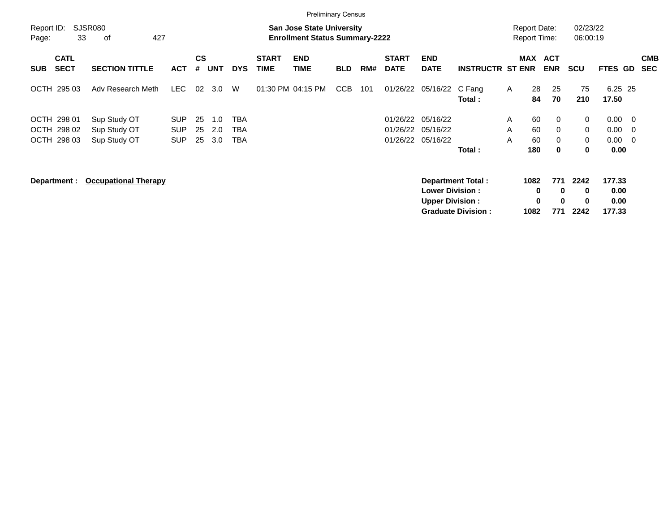| Report ID:<br>Page:                                           | SJSR080<br>427<br>33<br>οf                   |                                        |                |                   | <b>Report Date:</b><br><b>Report Time:</b> |                             | 02/23/22<br>06:00:19                                               |            |     |                                  |                                                  |                                                |              |                        |                                                          |                               |                                  |                                        |                          |
|---------------------------------------------------------------|----------------------------------------------|----------------------------------------|----------------|-------------------|--------------------------------------------|-----------------------------|--------------------------------------------------------------------|------------|-----|----------------------------------|--------------------------------------------------|------------------------------------------------|--------------|------------------------|----------------------------------------------------------|-------------------------------|----------------------------------|----------------------------------------|--------------------------|
| <b>CATL</b><br><b>SECT</b><br><b>SUB</b>                      | <b>SECTION TITTLE</b>                        | <b>ACT</b>                             | <b>CS</b><br># | <b>UNT</b>        | <b>DYS</b>                                 | <b>START</b><br><b>TIME</b> | <b>Enrollment Status Summary-2222</b><br><b>END</b><br><b>TIME</b> | <b>BLD</b> | RM# | <b>START</b><br><b>DATE</b>      | <b>END</b><br><b>DATE</b>                        | <b>INSTRUCTR ST ENR</b>                        |              | MAX                    | <b>ACT</b><br><b>ENR</b>                                 | <b>SCU</b>                    | <b>FTES GD</b>                   |                                        | <b>CMB</b><br><b>SEC</b> |
| OCTH 295 03                                                   | Adv Research Meth                            | LEC                                    | 02             | 3.0               | W                                          |                             | 01:30 PM 04:15 PM                                                  | <b>CCB</b> | 101 | 01/26/22                         | 05/16/22                                         | C Fang<br>Total:                               | $\mathsf{A}$ | 28<br>84               | 25<br>70                                                 | 75<br>210                     | 6.25 25<br>17.50                 |                                        |                          |
| OCTH 298 01<br>298 02<br><b>OCTH</b><br><b>OCTH</b><br>298 03 | Sup Study OT<br>Sup Study OT<br>Sup Study OT | <b>SUP</b><br><b>SUP</b><br><b>SUP</b> | 25<br>25<br>25 | 1.0<br>2.0<br>3.0 | <b>TBA</b><br>TBA<br>TBA                   |                             |                                                                    |            |     | 01/26/22<br>01/26/22<br>01/26/22 | 05/16/22<br>05/16/22<br>05/16/22                 | Total:                                         | A<br>A<br>A  | 60<br>60<br>60<br>180  | $\mathbf{0}$<br>$\mathbf{0}$<br>$\mathbf{0}$<br>$\bf{0}$ | 0<br>$\mathbf 0$<br>0<br>0    | 0.00<br>0.00<br>0.00<br>0.00     | $\overline{\phantom{0}}$<br>- 0<br>- 0 |                          |
| Department :                                                  | <b>Occupational Therapy</b>                  |                                        |                |                   |                                            |                             |                                                                    |            |     |                                  | <b>Lower Division:</b><br><b>Upper Division:</b> | Department Total:<br><b>Graduate Division:</b> |              | 1082<br>0<br>0<br>1082 | 771<br>$\bf{0}$<br>$\bf{0}$<br>771                       | 2242<br>$\bf{0}$<br>0<br>2242 | 177.33<br>0.00<br>0.00<br>177.33 |                                        |                          |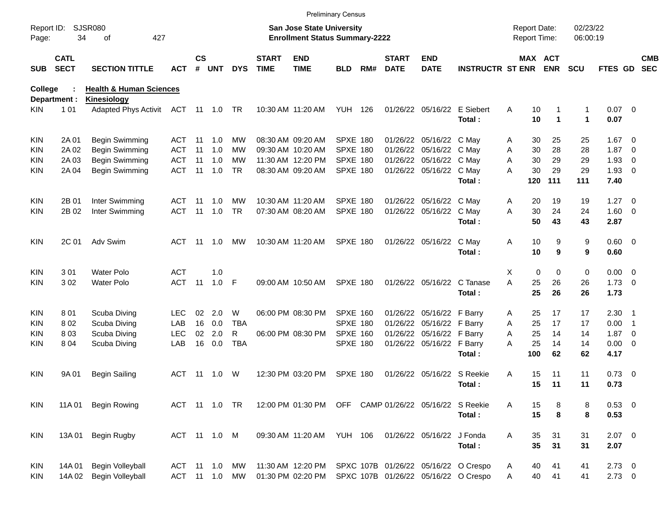|                     |                            |                                    |               |               |        |            |                             |                                                                           | <b>Preliminary Census</b> |     |                             |                             |                                      |                                     |                            |                           |                  |                          |                          |
|---------------------|----------------------------|------------------------------------|---------------|---------------|--------|------------|-----------------------------|---------------------------------------------------------------------------|---------------------------|-----|-----------------------------|-----------------------------|--------------------------------------|-------------------------------------|----------------------------|---------------------------|------------------|--------------------------|--------------------------|
| Report ID:<br>Page: | 34                         | <b>SJSR080</b><br>427<br>оf        |               |               |        |            |                             | <b>San Jose State University</b><br><b>Enrollment Status Summary-2222</b> |                           |     |                             |                             |                                      | <b>Report Date:</b><br>Report Time: |                            | 02/23/22<br>06:00:19      |                  |                          |                          |
| SUB                 | <b>CATL</b><br><b>SECT</b> | <b>SECTION TITTLE</b>              | <b>ACT</b>    | $\mathsf{cs}$ | # UNT  | <b>DYS</b> | <b>START</b><br><b>TIME</b> | <b>END</b><br><b>TIME</b>                                                 | <b>BLD</b>                | RM# | <b>START</b><br><b>DATE</b> | <b>END</b><br><b>DATE</b>   | <b>INSTRUCTR ST ENR</b>              |                                     | MAX ACT<br><b>ENR</b>      | <b>SCU</b>                | FTES GD          |                          | <b>CMB</b><br><b>SEC</b> |
| <b>College</b>      |                            | <b>Health &amp; Human Sciences</b> |               |               |        |            |                             |                                                                           |                           |     |                             |                             |                                      |                                     |                            |                           |                  |                          |                          |
|                     | Department :               | Kinesiology                        |               |               |        |            |                             |                                                                           |                           |     |                             |                             |                                      |                                     |                            |                           |                  |                          |                          |
| KIN.                | 1 0 1                      | Adapted Phys Activit ACT 11 1.0 TR |               |               |        |            |                             | 10:30 AM 11:20 AM                                                         | <b>YUH 126</b>            |     |                             | 01/26/22 05/16/22 E Siebert | Total:                               | Α<br>10<br>10                       | 1                          | 1<br>$\blacktriangleleft$ | $0.07$ 0<br>0.07 |                          |                          |
| KIN                 | 2A 01                      | Begin Swimming                     | ACT           | -11           | 1.0    | МW         |                             | 08:30 AM 09:20 AM                                                         | <b>SPXE 180</b>           |     |                             | 01/26/22 05/16/22 C May     |                                      | 30<br>Α                             | 25                         | 25                        | $1.67 \t 0$      |                          |                          |
| KIN                 | 2A 02                      | Begin Swimming                     | ACT           | 11            | 1.0    | МW         |                             | 09:30 AM 10:20 AM                                                         | <b>SPXE 180</b>           |     |                             | 01/26/22 05/16/22 C May     |                                      | 30<br>Α                             | 28                         | 28                        | 1.87             | $\overline{\phantom{0}}$ |                          |
| KIN                 | 2A 03                      | Begin Swimming                     | <b>ACT</b>    | 11            | 1.0    | MW         |                             | 11:30 AM 12:20 PM                                                         | <b>SPXE 180</b>           |     |                             | 01/26/22 05/16/22 C May     |                                      | 30<br>A                             | 29                         | 29                        | 1.93             | - 0                      |                          |
| KIN                 | 2A 04                      | Begin Swimming                     | <b>ACT</b>    | 11            | 1.0    | <b>TR</b>  |                             | 08:30 AM 09:20 AM                                                         | <b>SPXE 180</b>           |     |                             | 01/26/22 05/16/22 C May     |                                      | 30<br>А                             | 29                         | 29                        | $1.93 \ 0$       |                          |                          |
|                     |                            |                                    |               |               |        |            |                             |                                                                           |                           |     |                             |                             | Total:                               | 120                                 | 111                        | 111                       | 7.40             |                          |                          |
| KIN                 | 2B 01                      | Inter Swimming                     | ACT           | -11           | 1.0    | МW         |                             | 10:30 AM 11:20 AM                                                         | <b>SPXE 180</b>           |     |                             | 01/26/22 05/16/22 C May     |                                      | 20<br>Α                             | 19                         | 19                        | 1.27             | $\overline{\phantom{0}}$ |                          |
| KIN                 | 2B 02                      | Inter Swimming                     | ACT           | 11            | 1.0    | <b>TR</b>  |                             | 07:30 AM 08:20 AM                                                         | <b>SPXE 180</b>           |     |                             | 01/26/22 05/16/22 C May     |                                      | 30<br>A                             | 24                         | 24                        | $1.60 \t 0$      |                          |                          |
|                     |                            |                                    |               |               |        |            |                             |                                                                           |                           |     |                             |                             | Total:                               | 50                                  | 43                         | 43                        | 2.87             |                          |                          |
| <b>KIN</b>          | 2C 01                      | Adv Swim                           | ACT           | -11           | 1.0    | МW         |                             | 10:30 AM 11:20 AM                                                         | SPXE 180                  |     |                             | 01/26/22 05/16/22           | C May                                | 10<br>Α                             | 9                          | 9                         | $0.60 \quad 0$   |                          |                          |
|                     |                            |                                    |               |               |        |            |                             |                                                                           |                           |     |                             |                             | Total:                               | 10                                  | 9                          | 9                         | 0.60             |                          |                          |
| KIN                 | 301                        | <b>Water Polo</b>                  | <b>ACT</b>    |               | 1.0    |            |                             |                                                                           |                           |     |                             |                             |                                      | X                                   | $\mathbf 0$<br>$\mathbf 0$ | 0                         | $0.00 \t 0$      |                          |                          |
| KIN                 | 302                        | <b>Water Polo</b>                  | <b>ACT</b>    | 11            | 1.0    | F          |                             | 09:00 AM 10:50 AM                                                         | <b>SPXE 180</b>           |     |                             |                             | 01/26/22 05/16/22 C Tanase           | A<br>25                             | 26                         | 26                        | $1.73 \t 0$      |                          |                          |
|                     |                            |                                    |               |               |        |            |                             |                                                                           |                           |     |                             |                             | Total:                               | 25                                  | 26                         | 26                        | 1.73             |                          |                          |
| KIN                 | 801                        | Scuba Diving                       | LEC.          | 02            | 2.0    | W          |                             | 06:00 PM 08:30 PM                                                         | <b>SPXE 160</b>           |     |                             | 01/26/22 05/16/22 F Barry   |                                      | 25<br>Α                             | 17                         | 17                        | $2.30$ 1         |                          |                          |
| KIN                 | 802                        | Scuba Diving                       | LAB           | 16            | 0.0    | <b>TBA</b> |                             |                                                                           | SPXE 180                  |     |                             | 01/26/22 05/16/22 F Barry   |                                      | 25<br>Α                             | 17                         | 17                        | 0.00             | $\overline{\phantom{1}}$ |                          |
| KIN                 | 803                        | Scuba Diving                       | <b>LEC</b>    | 02            | 2.0    | R          |                             | 06:00 PM 08:30 PM                                                         | <b>SPXE 160</b>           |     |                             | 01/26/22 05/16/22 F Barry   |                                      | 25<br>Α                             | 14                         | 14                        | $1.87 \ 0$       |                          |                          |
| KIN                 | 804                        | Scuba Diving                       | LAB           | 16            | 0.0    | <b>TBA</b> |                             |                                                                           | SPXE 180                  |     |                             | 01/26/22 05/16/22 F Barry   |                                      | A<br>25                             | 14                         | 14                        | $0.00 \t 0$      |                          |                          |
|                     |                            |                                    |               |               |        |            |                             |                                                                           |                           |     |                             |                             | Total:                               | 100                                 | 62                         | 62                        | 4.17             |                          |                          |
| KIN                 | 9A 01                      | <b>Begin Sailing</b>               | ACT           | -11           | 1.0    | W          |                             | 12:30 PM 03:20 PM                                                         | <b>SPXE 180</b>           |     |                             | 01/26/22 05/16/22 S Reekie  |                                      | Α<br>15                             | 11                         | 11                        | $0.73 \quad 0$   |                          |                          |
|                     |                            |                                    |               |               |        |            |                             |                                                                           |                           |     |                             |                             | Total:                               | 15                                  | 11                         | 11                        | 0.73             |                          |                          |
| KIN.                | 11A 01                     | <b>Begin Rowing</b>                | ACT 11 1.0 TR |               |        |            |                             | 12:00 PM 01:30 PM OFF CAMP 01/26/22 05/16/22 S Reekie                     |                           |     |                             |                             |                                      | 15<br>Α                             | 8                          | 8                         | 0.53 0           |                          |                          |
|                     |                            |                                    |               |               |        |            |                             |                                                                           |                           |     |                             |                             | Total:                               | 15                                  | 8                          | 8                         | 0.53             |                          |                          |
| <b>KIN</b>          | 13A 01                     | Begin Rugby                        | ACT 11 1.0 M  |               |        |            |                             | 09:30 AM 11:20 AM YUH 106                                                 |                           |     |                             | 01/26/22 05/16/22 J Fonda   |                                      | 35<br>Α                             | 31                         | 31                        | $2.07$ 0         |                          |                          |
|                     |                            |                                    |               |               |        |            |                             |                                                                           |                           |     |                             |                             | Total:                               | 35                                  | 31                         | 31                        | 2.07             |                          |                          |
| <b>KIN</b>          | 14A 01                     | <b>Begin Volleyball</b>            | ACT           |               | 11 1.0 | MW         |                             | 11:30 AM 12:20 PM                                                         |                           |     |                             |                             | SPXC 107B 01/26/22 05/16/22 O Crespo | 40<br>Α                             | 41                         | 41                        | $2.73$ 0         |                          |                          |
| KIN                 | 14A 02                     | <b>Begin Volleyball</b>            | ACT 11 1.0 MW |               |        |            |                             | 01:30 PM 02:20 PM                                                         |                           |     |                             |                             | SPXC 107B 01/26/22 05/16/22 O Crespo | Α                                   | 40<br>41                   | 41                        | $2.73 \t 0$      |                          |                          |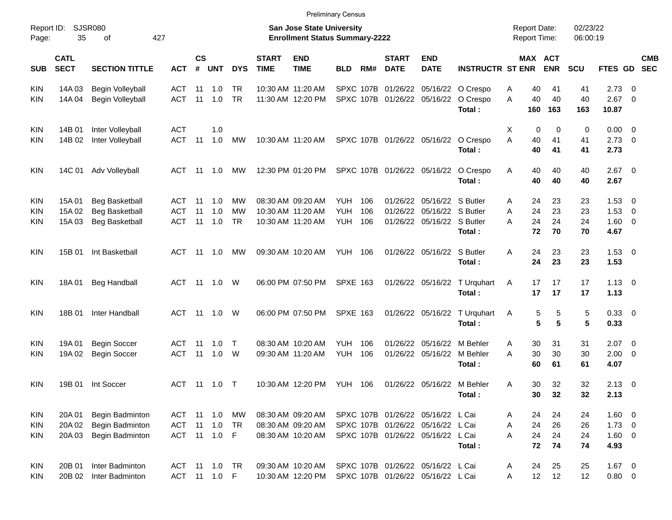|                     |                            |                                    |               |                    |                |            |                             |                                                                    | <b>Preliminary Census</b> |     |                             |                                                                        |                                      |                                            |                       |                      |                           |                          |            |
|---------------------|----------------------------|------------------------------------|---------------|--------------------|----------------|------------|-----------------------------|--------------------------------------------------------------------|---------------------------|-----|-----------------------------|------------------------------------------------------------------------|--------------------------------------|--------------------------------------------|-----------------------|----------------------|---------------------------|--------------------------|------------|
| Report ID:<br>Page: | 35                         | <b>SJSR080</b><br>of               | 427           |                    |                |            |                             | San Jose State University<br><b>Enrollment Status Summary-2222</b> |                           |     |                             |                                                                        |                                      | <b>Report Date:</b><br><b>Report Time:</b> |                       | 02/23/22<br>06:00:19 |                           |                          |            |
| <b>SUB</b>          | <b>CATL</b><br><b>SECT</b> | <b>SECTION TITTLE</b>              | <b>ACT</b>    | $\mathsf{cs}$<br># | <b>UNT</b>     | <b>DYS</b> | <b>START</b><br><b>TIME</b> | <b>END</b><br><b>TIME</b>                                          | <b>BLD</b>                | RM# | <b>START</b><br><b>DATE</b> | <b>END</b><br><b>DATE</b>                                              | <b>INSTRUCTR ST ENR</b>              |                                            | MAX ACT<br><b>ENR</b> | <b>SCU</b>           | FTES GD SEC               |                          | <b>CMB</b> |
| <b>KIN</b>          | 14A 03                     | Begin Volleyball                   | ACT           | 11                 | 1.0            | TR.        |                             | 10:30 AM 11:20 AM                                                  |                           |     |                             |                                                                        | SPXC 107B 01/26/22 05/16/22 O Crespo | 40<br>Α                                    | 41                    | 41                   | 2.73                      | - 0                      |            |
| <b>KIN</b>          | 14A 04                     | Begin Volleyball                   | <b>ACT</b>    | 11                 | 1.0            | <b>TR</b>  |                             | 11:30 AM 12:20 PM                                                  |                           |     |                             | SPXC 107B 01/26/22 05/16/22                                            | O Crespo<br>Total:                   | A<br>40<br>160                             | 40<br>163             | 40<br>163            | $2.67$ 0<br>10.87         |                          |            |
| <b>KIN</b>          | 14B 01                     | Inter Volleyball                   | <b>ACT</b>    |                    | 1.0            |            |                             |                                                                    |                           |     |                             |                                                                        |                                      | X                                          | 0<br>$\Omega$         | 0                    | $0.00 \t 0$               |                          |            |
| <b>KIN</b>          | 14B 02                     | Inter Volleyball                   | ACT           | 11                 | 1.0            | MW         |                             | 10:30 AM 11:20 AM                                                  |                           |     |                             | SPXC 107B 01/26/22 05/16/22                                            | O Crespo<br>Total:                   | A<br>40<br>40                              | 41<br>41              | 41<br>41             | $2.73 \t 0$<br>2.73       |                          |            |
| <b>KIN</b>          | 14C 01                     | Adv Volleyball                     | ACT           | - 11               | 1.0            | MW         |                             | 12:30 PM 01:20 PM                                                  |                           |     |                             | SPXC 107B 01/26/22 05/16/22                                            | O Crespo<br>Total:                   | Α<br>40<br>40                              | 40<br>40              | 40<br>40             | $2.67$ 0<br>2.67          |                          |            |
| <b>KIN</b>          | 15A 01                     | <b>Beg Basketball</b>              | ACT           | -11                | 1.0            | МW         |                             | 08:30 AM 09:20 AM                                                  | YUH                       | 106 |                             | 01/26/22 05/16/22 S Butler                                             |                                      | 24<br>Α                                    | 23                    | 23                   | $1.53 \t 0$               |                          |            |
| KIN                 | 15A 02                     | <b>Beg Basketball</b>              | ACT           | 11                 | 1.0            | <b>MW</b>  |                             | 10:30 AM 11:20 AM                                                  | <b>YUH</b>                | 106 | 01/26/22                    | 05/16/22 S Butler                                                      |                                      | 24<br>A                                    | 23                    | 23                   | 1.53                      | $\overline{\phantom{0}}$ |            |
| <b>KIN</b>          | 15A 03                     | <b>Beg Basketball</b>              | <b>ACT</b>    | 11                 | 1.0            | <b>TR</b>  |                             | 10:30 AM 11:20 AM                                                  | YUH                       | 106 |                             | 01/26/22 05/16/22 S Butler                                             | Total:                               | 24<br>A<br>72                              | 24<br>70              | 24<br>70             | $1.60 \t 0$<br>4.67       |                          |            |
| <b>KIN</b>          | 15B 01                     | Int Basketball                     | ACT           |                    | 11 1.0         | МW         |                             | 09:30 AM 10:20 AM                                                  | <b>YUH 106</b>            |     |                             | 01/26/22 05/16/22 S Butler                                             | Total:                               | A<br>24<br>24                              | 23<br>23              | 23<br>23             | $1.53 \t 0$<br>1.53       |                          |            |
| <b>KIN</b>          | 18A 01                     | <b>Beg Handball</b>                | ACT           |                    |                |            |                             | 06:00 PM 07:50 PM                                                  | <b>SPXE 163</b>           |     |                             | 01/26/22 05/16/22                                                      | T Urquhart<br>Total:                 | Α<br>17<br>17                              | 17<br>17              | 17<br>17             | $1.13 \ 0$<br>1.13        |                          |            |
| <b>KIN</b>          | 18B 01                     | Inter Handball                     | <b>ACT</b>    |                    | 11  1.0  W     |            |                             | 06:00 PM 07:50 PM                                                  | <b>SPXE 163</b>           |     |                             | 01/26/22 05/16/22                                                      | T Urquhart<br>Total:                 | A                                          | 5<br>5<br>5<br>5      | 5<br>5               | 0.33 0<br>0.33            |                          |            |
| <b>KIN</b>          | 19A 01                     | <b>Begin Soccer</b>                | ACT           | -11                | 1.0            | $\top$     |                             | 08:30 AM 10:20 AM                                                  | <b>YUH</b>                | 106 |                             | 01/26/22 05/16/22 M Behler                                             |                                      | 30<br>A                                    | 31                    | 31                   | $2.07$ 0                  |                          |            |
| <b>KIN</b>          | 19A 02                     | <b>Begin Soccer</b>                | ACT           | 11                 | 1.0            | W          |                             | 09:30 AM 11:20 AM                                                  | YUH                       | 106 |                             | 01/26/22 05/16/22                                                      | M Behler<br>Total:                   | 30<br>А<br>60                              | 30<br>61              | 30<br>61             | $2.00 \t 0$<br>4.07       |                          |            |
| <b>KIN</b>          | 19B 01                     | Int Soccer                         | ACT           |                    | 11  1.0  T     |            |                             | 10:30 AM 12:20 PM                                                  | YUH 106                   |     |                             | 01/26/22 05/16/22 M Behler                                             | Total:                               | 30<br>Α<br>30                              | 32<br>32              | 32<br>32             | $2.13 \quad 0$<br>2.13    |                          |            |
| KIN                 | 20A 01                     | Begin Badminton                    | ACT           |                    |                |            |                             | 08:30 AM 09:20 AM                                                  |                           |     |                             | SPXC 107B 01/26/22 05/16/22 L Cai                                      |                                      | 24<br>Α                                    | 24                    | 24                   | $1.60 \t 0$               |                          |            |
| <b>KIN</b>          | 20A 02                     | Begin Badminton                    | ACT           |                    | $11 \quad 1.0$ | TR         |                             | 08:30 AM 09:20 AM                                                  |                           |     |                             | SPXC 107B 01/26/22 05/16/22 L Cai                                      |                                      | 24<br>Α                                    | 26                    | 26                   | $1.73 \t 0$               |                          |            |
| KIN                 | 20A 03                     | Begin Badminton                    | ACT 11 1.0 F  |                    |                |            |                             | 08:30 AM 10:20 AM                                                  |                           |     |                             | SPXC 107B 01/26/22 05/16/22 L Cai                                      | Total:                               | 24<br>A<br>72                              | 24<br>74              | 24<br>74             | $1.60 \t 0$<br>4.93       |                          |            |
| KIN<br>KIN          | 20B 01<br>20B 02           | Inter Badminton<br>Inter Badminton | ACT 11 1.0 TR |                    | ACT 11 1.0 F   |            |                             | 09:30 AM 10:20 AM<br>10:30 AM 12:20 PM                             |                           |     |                             | SPXC 107B 01/26/22 05/16/22 L Cai<br>SPXC 107B 01/26/22 05/16/22 L Cai |                                      | 24<br>A<br>12<br>Α                         | 25<br>12              | 25<br>12             | $1.67 \t 0$<br>$0.80 \ 0$ |                          |            |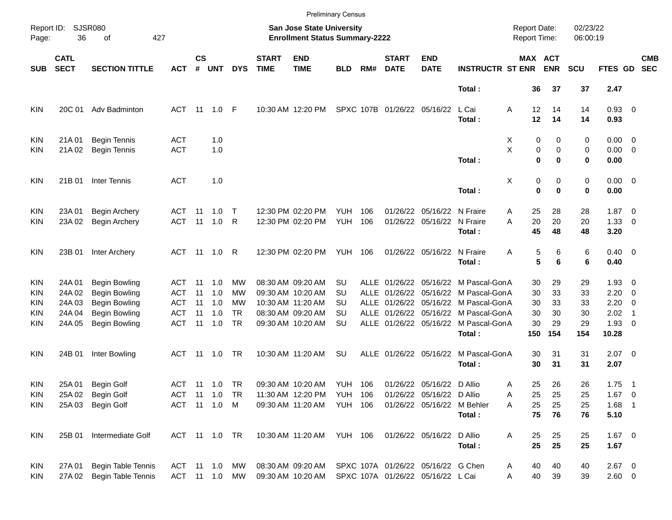|                     |                            |                             |            |               |               |            |                             |                                                                           | <b>Preliminary Census</b> |      |                             |                                    |                                      |                                     |             |                      |                |                          |                          |
|---------------------|----------------------------|-----------------------------|------------|---------------|---------------|------------|-----------------------------|---------------------------------------------------------------------------|---------------------------|------|-----------------------------|------------------------------------|--------------------------------------|-------------------------------------|-------------|----------------------|----------------|--------------------------|--------------------------|
| Report ID:<br>Page: | 36                         | <b>SJSR080</b><br>of<br>427 |            |               |               |            |                             | <b>San Jose State University</b><br><b>Enrollment Status Summary-2222</b> |                           |      |                             |                                    |                                      | <b>Report Date:</b><br>Report Time: |             | 02/23/22<br>06:00:19 |                |                          |                          |
| <b>SUB</b>          | <b>CATL</b><br><b>SECT</b> | <b>SECTION TITTLE</b>       | <b>ACT</b> | $\mathsf{cs}$ | # UNT         | <b>DYS</b> | <b>START</b><br><b>TIME</b> | <b>END</b><br><b>TIME</b>                                                 | <b>BLD</b>                | RM#  | <b>START</b><br><b>DATE</b> | <b>END</b><br><b>DATE</b>          | <b>INSTRUCTR ST ENR</b>              | MAX ACT                             | <b>ENR</b>  | <b>SCU</b>           | FTES GD        |                          | <b>CMB</b><br><b>SEC</b> |
|                     |                            |                             |            |               |               |            |                             |                                                                           |                           |      |                             |                                    | Total:                               | 36                                  | 37          | 37                   | 2.47           |                          |                          |
| KIN                 | 20C 01                     | Adv Badminton               | <b>ACT</b> | - 11          | 1.0           | F          |                             | 10:30 AM 12:20 PM                                                         |                           |      | SPXC 107B 01/26/22 05/16/22 |                                    | L Cai                                | Α<br>12                             | 14          | 14                   | 0.93 0         |                          |                          |
|                     |                            |                             |            |               |               |            |                             |                                                                           |                           |      |                             |                                    | Total:                               | 12                                  | 14          | 14                   | 0.93           |                          |                          |
| KIN                 | 21A01                      | <b>Begin Tennis</b>         | ACT        |               | 1.0           |            |                             |                                                                           |                           |      |                             |                                    |                                      | 0<br>X                              | 0           | 0                    | $0.00 \t 0$    |                          |                          |
| KIN                 | 21A 02                     | <b>Begin Tennis</b>         | <b>ACT</b> |               | 1.0           |            |                             |                                                                           |                           |      |                             |                                    |                                      | X<br>0                              | 0           | 0                    | $0.00 \t 0$    |                          |                          |
|                     |                            |                             |            |               |               |            |                             |                                                                           |                           |      |                             |                                    | Total:                               | $\bf{0}$                            | 0           | 0                    | 0.00           |                          |                          |
| KIN                 | 21B 01                     | <b>Inter Tennis</b>         | <b>ACT</b> |               | 1.0           |            |                             |                                                                           |                           |      |                             |                                    |                                      | Χ<br>0                              | 0           | 0                    | $0.00 \t 0$    |                          |                          |
|                     |                            |                             |            |               |               |            |                             |                                                                           |                           |      |                             |                                    | Total:                               | $\bf{0}$                            | $\mathbf 0$ | 0                    | 0.00           |                          |                          |
| KIN                 | 23A 01                     | <b>Begin Archery</b>        | <b>ACT</b> | -11           | 1.0           | $\top$     |                             | 12:30 PM 02:20 PM                                                         | <b>YUH</b>                | 106  |                             | 01/26/22 05/16/22 N Fraire         |                                      | 25<br>Α                             | 28          | 28                   | $1.87 \t 0$    |                          |                          |
| KIN                 | 23A 02                     | <b>Begin Archery</b>        | <b>ACT</b> | 11            | 1.0           | R          |                             | 12:30 PM 02:20 PM                                                         | YUH                       | 106  |                             | 01/26/22 05/16/22 N Fraire         |                                      | 20<br>A                             | 20          | 20                   | $1.33 \ 0$     |                          |                          |
|                     |                            |                             |            |               |               |            |                             |                                                                           |                           |      |                             |                                    | Total:                               | 45                                  | 48          | 48                   | 3.20           |                          |                          |
| KIN                 | 23B 01                     | Inter Archery               | ACT        |               |               |            |                             | 12:30 PM 02:20 PM                                                         | <b>YUH 106</b>            |      |                             | 01/26/22 05/16/22 N Fraire         |                                      | Α<br>5                              | 6           | 6                    | $0.40 \quad 0$ |                          |                          |
|                     |                            |                             |            |               |               |            |                             |                                                                           |                           |      |                             |                                    | Total:                               | 5                                   | 6           | 6                    | 0.40           |                          |                          |
| KIN                 | 24A 01                     | <b>Begin Bowling</b>        | ACT        | 11            | 1.0           | МW         |                             | 08:30 AM 09:20 AM                                                         | SU                        | ALLE |                             |                                    | 01/26/22 05/16/22 M Pascal-GonA      | 30                                  | 29          | 29                   | $1.93 \ 0$     |                          |                          |
| KIN                 | 24A 02                     | Begin Bowling               | ACT        | 11            | 1.0           | MW         |                             | 09:30 AM 10:20 AM                                                         | SU                        | ALLE |                             |                                    | 01/26/22 05/16/22 M Pascal-GonA      | 30                                  | 33          | 33                   | 2.20           | $\overline{\phantom{0}}$ |                          |
| KIN                 | 24A 03                     | <b>Begin Bowling</b>        | ACT        | 11            | 1.0           | MW         |                             | 10:30 AM 11:20 AM                                                         | SU                        | ALLE |                             |                                    | 01/26/22 05/16/22 M Pascal-GonA      | 30                                  | 33          | 33                   | 2.20           | $\overline{\phantom{0}}$ |                          |
| KIN                 | 24A 04                     | <b>Begin Bowling</b>        | ACT        | 11            | 1.0           | <b>TR</b>  |                             | 08:30 AM 09:20 AM                                                         | SU                        |      |                             |                                    | ALLE 01/26/22 05/16/22 M Pascal-GonA | 30                                  | 30          | 30                   | 2.02           | $\overline{\phantom{1}}$ |                          |
| KIN                 | 24A 05                     | <b>Begin Bowling</b>        | <b>ACT</b> | 11            | 1.0           | <b>TR</b>  |                             | 09:30 AM 10:20 AM                                                         | <b>SU</b>                 |      |                             |                                    | ALLE 01/26/22 05/16/22 M Pascal-GonA | 30                                  | 29          | 29                   | $1.93$ 0       |                          |                          |
|                     |                            |                             |            |               |               |            |                             |                                                                           |                           |      |                             |                                    | Total:                               | 150                                 | 154         | 154                  | 10.28          |                          |                          |
| KIN                 | 24B 01                     | Inter Bowling               | <b>ACT</b> | - 11          | 1.0           | TR.        |                             | 10:30 AM 11:20 AM                                                         | <b>SU</b>                 |      |                             | ALLE 01/26/22 05/16/22             | M Pascal-GonA                        | 30                                  | 31          | 31                   | $2.07$ 0       |                          |                          |
|                     |                            |                             |            |               |               |            |                             |                                                                           |                           |      |                             |                                    | Total:                               | 30                                  | 31          | 31                   | 2.07           |                          |                          |
| KIN                 | 25A 01                     | Begin Golf                  | <b>ACT</b> |               |               | TR         |                             | 09:30 AM 10:20 AM                                                         | YUH 106                   |      |                             | 01/26/22 05/16/22 D Allio          |                                      | 25<br>Α                             | 26          | 26                   | $1.75$ 1       |                          |                          |
| <b>KIN</b>          | 25A 02                     | <b>Begin Golf</b>           | <b>ACT</b> |               |               |            |                             | 11:30 AM 12:20 PM YUH 106                                                 |                           |      |                             | 01/26/22 05/16/22 D Allio          |                                      | 25<br>A                             | 25          | 25                   | $1.67$ 0       |                          |                          |
| KIN.                | 25A 03                     | Begin Golf                  |            |               | ACT 11 1.0 M  |            |                             | 09:30 AM 11:20 AM YUH 106                                                 |                           |      |                             | 01/26/22 05/16/22 M Behler         |                                      | 25<br>Α                             | 25          | 25                   | $1.68$ 1       |                          |                          |
|                     |                            |                             |            |               |               |            |                             |                                                                           |                           |      |                             |                                    | Total:                               | 75                                  | 76          | 76                   | 5.10           |                          |                          |
| KIN                 | 25B 01                     | Intermediate Golf           |            |               | ACT 11 1.0 TR |            |                             | 10:30 AM 11:20 AM YUH 106                                                 |                           |      |                             | 01/26/22 05/16/22 D Allio          |                                      | Α<br>25                             | 25          | 25                   | $1.67$ 0       |                          |                          |
|                     |                            |                             |            |               |               |            |                             |                                                                           |                           |      |                             |                                    | Total:                               | 25                                  | 25          | 25                   | 1.67           |                          |                          |
| <b>KIN</b>          | 27A 01                     | Begin Table Tennis          |            |               | ACT 11 1.0 MW |            |                             | 08:30 AM 09:20 AM                                                         |                           |      |                             | SPXC 107A 01/26/22 05/16/22 G Chen |                                      | 40<br>Α                             | 40          | 40                   | $2.67$ 0       |                          |                          |
| <b>KIN</b>          | 27A 02                     | Begin Table Tennis          |            |               | ACT 11 1.0 MW |            |                             | 09:30 AM 10:20 AM                                                         |                           |      |                             | SPXC 107A 01/26/22 05/16/22 L Cai  |                                      | 40<br>Α                             | 39          | 39                   | $2.60 \t 0$    |                          |                          |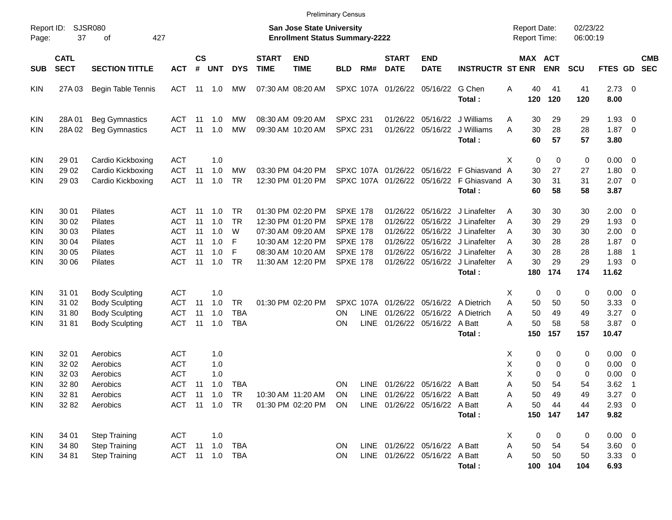|                                                             |                                                    |                                                                                                  |                                                             |                                  |                                                            |                                             |                             |                                                                                                                            | <b>Preliminary Census</b>                                                                                      |                            |                                                          |                                                                                                    |                                                                                                                                                                       |                                                                       |                                                         |                                         |                                                                     |                                                                                            |                          |
|-------------------------------------------------------------|----------------------------------------------------|--------------------------------------------------------------------------------------------------|-------------------------------------------------------------|----------------------------------|------------------------------------------------------------|---------------------------------------------|-----------------------------|----------------------------------------------------------------------------------------------------------------------------|----------------------------------------------------------------------------------------------------------------|----------------------------|----------------------------------------------------------|----------------------------------------------------------------------------------------------------|-----------------------------------------------------------------------------------------------------------------------------------------------------------------------|-----------------------------------------------------------------------|---------------------------------------------------------|-----------------------------------------|---------------------------------------------------------------------|--------------------------------------------------------------------------------------------|--------------------------|
| Report ID:<br>Page:                                         | 37                                                 | <b>SJSR080</b><br>427<br>οf                                                                      |                                                             |                                  |                                                            |                                             |                             | <b>San Jose State University</b><br><b>Enrollment Status Summary-2222</b>                                                  |                                                                                                                |                            |                                                          |                                                                                                    |                                                                                                                                                                       | <b>Report Date:</b><br><b>Report Time:</b>                            |                                                         | 02/23/22<br>06:00:19                    |                                                                     |                                                                                            |                          |
| <b>SUB</b>                                                  | <b>CATL</b><br><b>SECT</b>                         | <b>SECTION TITTLE</b>                                                                            | <b>ACT</b>                                                  | <b>CS</b><br>#                   | <b>UNT</b>                                                 | <b>DYS</b>                                  | <b>START</b><br><b>TIME</b> | <b>END</b><br><b>TIME</b>                                                                                                  | <b>BLD</b>                                                                                                     | RM#                        | <b>START</b><br><b>DATE</b>                              | <b>END</b><br><b>DATE</b>                                                                          | <b>INSTRUCTR ST ENR</b>                                                                                                                                               |                                                                       | MAX ACT<br><b>ENR</b>                                   | <b>SCU</b>                              | FTES GD                                                             |                                                                                            | <b>CMB</b><br><b>SEC</b> |
| <b>KIN</b>                                                  | 27A 03                                             | Begin Table Tennis                                                                               | ACT                                                         |                                  | 11 1.0                                                     | <b>MW</b>                                   |                             | 07:30 AM 08:20 AM                                                                                                          |                                                                                                                |                            | SPXC 107A 01/26/22 05/16/22                              |                                                                                                    | G Chen<br>Total:                                                                                                                                                      | 40<br>Α<br>120                                                        | 41<br>120                                               | 41<br>120                               | $2.73 \t 0$<br>8.00                                                 |                                                                                            |                          |
| <b>KIN</b><br><b>KIN</b>                                    | 28A01<br>28A02                                     | <b>Beg Gymnastics</b><br><b>Beg Gymnastics</b>                                                   | ACT<br><b>ACT</b>                                           | 11<br>11                         | 1.0<br>1.0                                                 | MW<br>MW                                    |                             | 08:30 AM 09:20 AM<br>09:30 AM 10:20 AM                                                                                     | <b>SPXC 231</b><br><b>SPXC 231</b>                                                                             |                            | 01/26/22                                                 | 01/26/22 05/16/22                                                                                  | 05/16/22 J Williams<br>J Williams<br>Total:                                                                                                                           | 30<br>Α<br>A<br>30<br>60                                              | 29<br>28<br>57                                          | 29<br>28<br>57                          | 1.93<br>$1.87 \t 0$<br>3.80                                         | $\overline{\phantom{0}}$                                                                   |                          |
| <b>KIN</b><br><b>KIN</b><br><b>KIN</b>                      | 29 01<br>29 02<br>29 03                            | Cardio Kickboxing<br>Cardio Kickboxing<br>Cardio Kickboxing                                      | <b>ACT</b><br><b>ACT</b><br><b>ACT</b>                      | 11<br>11                         | 1.0<br>1.0<br>1.0                                          | МW<br><b>TR</b>                             |                             | 03:30 PM 04:20 PM<br>12:30 PM 01:20 PM                                                                                     |                                                                                                                |                            |                                                          |                                                                                                    | SPXC 107A 01/26/22 05/16/22 F Ghiasvand<br>SPXC 107A 01/26/22 05/16/22 F Ghiasvand A<br>Total:                                                                        | х<br>30<br>A<br>30<br>60                                              | 0<br>0<br>27<br>31<br>58                                | 0<br>27<br>31<br>58                     | $0.00 \t 0$<br>1.80<br>2.07<br>3.87                                 | $\overline{\mathbf{0}}$<br>$\overline{\phantom{0}}$                                        |                          |
| <b>KIN</b><br>KIN<br>KIN<br>KIN<br>KIN<br><b>KIN</b>        | 30 01<br>30 02<br>30 03<br>30 04<br>30 05<br>30 06 | Pilates<br>Pilates<br>Pilates<br>Pilates<br>Pilates<br>Pilates                                   | ACT<br><b>ACT</b><br><b>ACT</b><br>ACT<br><b>ACT</b><br>ACT | 11<br>11<br>11<br>11<br>11<br>11 | 1.0<br>1.0<br>1.0<br>1.0<br>1.0<br>1.0                     | TR<br><b>TR</b><br>W<br>F<br>F<br><b>TR</b> |                             | 01:30 PM 02:20 PM<br>12:30 PM 01:20 PM<br>07:30 AM 09:20 AM<br>10:30 AM 12:20 PM<br>08:30 AM 10:20 AM<br>11:30 AM 12:20 PM | <b>SPXE 178</b><br><b>SPXE 178</b><br><b>SPXE 178</b><br><b>SPXE 178</b><br><b>SPXE 178</b><br><b>SPXE 178</b> |                            | 01/26/22<br>01/26/22<br>01/26/22<br>01/26/22<br>01/26/22 |                                                                                                    | 05/16/22 J Linafelter<br>05/16/22 J Linafelter<br>05/16/22 J Linafelter<br>05/16/22 J Linafelter<br>05/16/22 J Linafelter<br>01/26/22 05/16/22 J Linafelter<br>Total: | 30<br>Α<br>30<br>A<br>30<br>A<br>30<br>A<br>30<br>Α<br>30<br>A<br>180 | 30<br>29<br>30<br>28<br>28<br>29<br>174                 | 30<br>29<br>30<br>28<br>28<br>29<br>174 | $2.00 \t 0$<br>1.93<br>2.00<br>1.87<br>1.88<br>1.93<br>11.62        | $\overline{\mathbf{0}}$<br>$\overline{\mathbf{0}}$<br>$\overline{\mathbf{0}}$<br>-1<br>- 0 |                          |
| <b>KIN</b><br><b>KIN</b><br><b>KIN</b><br><b>KIN</b>        | 31 01<br>31 02<br>3180<br>3181                     | <b>Body Sculpting</b><br><b>Body Sculpting</b><br><b>Body Sculpting</b><br><b>Body Sculpting</b> | ACT<br><b>ACT</b><br><b>ACT</b><br><b>ACT</b>               | 11<br>11<br>11                   | 1.0<br>1.0<br>1.0<br>1.0                                   | <b>TR</b><br><b>TBA</b><br><b>TBA</b>       |                             | 01:30 PM 02:20 PM                                                                                                          | ON<br>ΟN                                                                                                       | <b>LINE</b><br><b>LINE</b> |                                                          | SPXC 107A 01/26/22 05/16/22 A Dietrich<br>01/26/22 05/16/22 A Dietrich<br>01/26/22 05/16/22 A Batt | Total:                                                                                                                                                                | х<br>A<br>50<br>50<br>A<br>50<br>Α<br>150                             | 0<br>0<br>50<br>49<br>58<br>157                         | 0<br>50<br>49<br>58<br>157              | $0.00 \t 0$<br>3.33<br>3.27<br>3.87<br>10.47                        | $\overline{\mathbf{0}}$<br>$\overline{\mathbf{0}}$<br>$\overline{\mathbf{0}}$              |                          |
| <b>KIN</b><br>KIN<br>KIN<br><b>KIN</b><br><b>KIN</b><br>KIN | 32 01<br>32 02<br>32 03<br>32 80<br>32 81<br>32 82 | Aerobics<br>Aerobics<br>Aerobics<br>Aerobics<br>Aerobics<br>Aerobics                             | <b>ACT</b><br><b>ACT</b><br><b>ACT</b><br>ACT               | 11                               | 1.0<br>1.0<br>1.0<br>1.0<br>ACT 11 1.0 TR<br>ACT 11 1.0 TR | TBA                                         |                             | 10:30 AM 11:20 AM<br>01:30 PM 02:20 PM                                                                                     | ΟN<br>ON<br>ON                                                                                                 | <b>LINE</b>                |                                                          | 01/26/22 05/16/22 A Batt<br>LINE 01/26/22 05/16/22 A Batt<br>LINE 01/26/22 05/16/22 A Batt         | Total:                                                                                                                                                                | х<br>Χ<br>X<br>50<br>Α<br>50<br>Α<br>50<br>Α                          | 0<br>0<br>0<br>0<br>0<br>0<br>54<br>49<br>44<br>150 147 | 0<br>0<br>0<br>54<br>49<br>44<br>147    | $0.00 \t 0$<br>0.00<br>0.00<br>3.62<br>$3.27$ 0<br>$2.93$ 0<br>9.82 | $\overline{\mathbf{0}}$<br>$\overline{\phantom{0}}$<br>- 1                                 |                          |
| KIN<br><b>KIN</b><br>KIN                                    | 34 01<br>34 80<br>34 81                            | <b>Step Training</b><br><b>Step Training</b><br><b>Step Training</b>                             | ACT<br>ACT 11 1.0                                           |                                  | 1.0<br>ACT 11 1.0 TBA                                      | <b>TBA</b>                                  |                             |                                                                                                                            | ON<br>ON                                                                                                       |                            |                                                          | LINE 01/26/22 05/16/22 A Batt<br>LINE 01/26/22 05/16/22 A Batt                                     | Total:                                                                                                                                                                | X<br>50<br>Α<br>50<br>A                                               | 0<br>0<br>54<br>50<br>100 104                           | 0<br>54<br>50<br>104                    | $0.00 \t 0$<br>3.60 0<br>3.3300<br>6.93                             |                                                                                            |                          |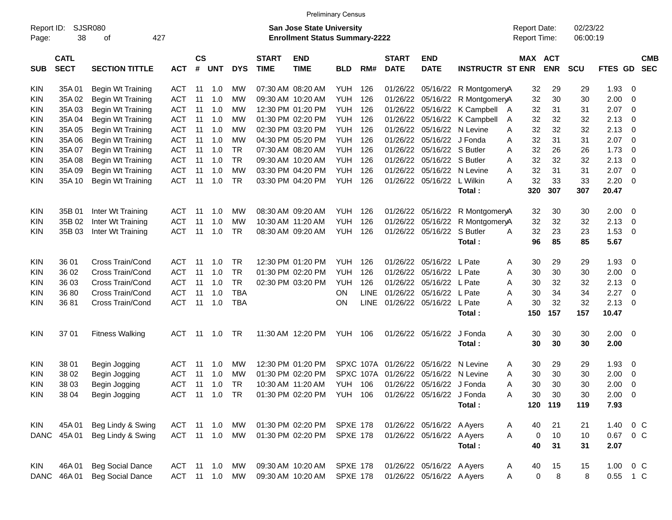|                     |                            |                             |            |                    |            |            |                             |                                                                           | <b>Preliminary Census</b> |             |                             |                           |                         |   |                     |                       |                      |          |                         |                          |
|---------------------|----------------------------|-----------------------------|------------|--------------------|------------|------------|-----------------------------|---------------------------------------------------------------------------|---------------------------|-------------|-----------------------------|---------------------------|-------------------------|---|---------------------|-----------------------|----------------------|----------|-------------------------|--------------------------|
| Report ID:<br>Page: | 38                         | <b>SJSR080</b><br>427<br>οf |            |                    |            |            |                             | <b>San Jose State University</b><br><b>Enrollment Status Summary-2222</b> |                           |             |                             |                           |                         |   | <b>Report Date:</b> | <b>Report Time:</b>   | 02/23/22<br>06:00:19 |          |                         |                          |
| <b>SUB</b>          | <b>CATL</b><br><b>SECT</b> | <b>SECTION TITTLE</b>       | <b>ACT</b> | $\mathsf{cs}$<br># | <b>UNT</b> | <b>DYS</b> | <b>START</b><br><b>TIME</b> | <b>END</b><br><b>TIME</b>                                                 | <b>BLD</b>                | RM#         | <b>START</b><br><b>DATE</b> | <b>END</b><br><b>DATE</b> | <b>INSTRUCTR ST ENR</b> |   |                     | MAX ACT<br><b>ENR</b> | <b>SCU</b>           | FTES GD  |                         | <b>CMB</b><br><b>SEC</b> |
| <b>KIN</b>          | 35A01                      | Begin Wt Training           | <b>ACT</b> | 11                 | 1.0        | МW         |                             | 07:30 AM 08:20 AM                                                         | <b>YUH</b>                | 126         | 01/26/22                    |                           | 05/16/22 R MontgomeryA  |   | 32                  | 29                    | 29                   | 1.93     | 0                       |                          |
| KIN                 | 35A 02                     | Begin Wt Training           | <b>ACT</b> | 11                 | 1.0        | МW         |                             | 09:30 AM 10:20 AM                                                         | <b>YUH</b>                | 126         | 01/26/22                    | 05/16/22                  | R MontgomeryA           |   | 32                  | 30                    | 30                   | 2.00     | 0                       |                          |
| KIN                 | 35A03                      | Begin Wt Training           | <b>ACT</b> | 11                 | 1.0        | МW         |                             | 12:30 PM 01:20 PM                                                         | <b>YUH</b>                | 126         | 01/26/22                    |                           | 05/16/22 K Campbell A   |   | 32                  | 31                    | 31                   | 2.07     | 0                       |                          |
| KIN                 | 35A 04                     | Begin Wt Training           | <b>ACT</b> | 11                 | 1.0        | МW         |                             | 01:30 PM 02:20 PM                                                         | <b>YUH</b>                | 126         | 01/26/22                    |                           | 05/16/22 K Campbell     | A | 32                  | 32                    | 32                   | 2.13     | 0                       |                          |
| KIN                 | 35A 05                     | Begin Wt Training           | <b>ACT</b> | 11                 | 1.0        | МW         |                             | 02:30 PM 03:20 PM                                                         | <b>YUH</b>                | 126         | 01/26/22                    |                           | 05/16/22 N Levine       | A | 32                  | 32                    | 32                   | 2.13     | 0                       |                          |
| KIN                 | 35A 06                     | Begin Wt Training           | <b>ACT</b> | 11                 | 1.0        | МW         |                             | 04:30 PM 05:20 PM                                                         | <b>YUH</b>                | 126         | 01/26/22                    | 05/16/22 J Fonda          |                         | A | 32                  | 31                    | 31                   | 2.07     | 0                       |                          |
| KIN                 | 35A 07                     | Begin Wt Training           | <b>ACT</b> | 11                 | 1.0        | TR         |                             | 07:30 AM 08:20 AM                                                         | <b>YUH</b>                | 126         | 01/26/22                    | 05/16/22 S Butler         |                         | A | 32                  | 26                    | 26                   | 1.73     | 0                       |                          |
| KIN                 | 35A 08                     | Begin Wt Training           | <b>ACT</b> | 11                 | 1.0        | <b>TR</b>  |                             | 09:30 AM 10:20 AM                                                         | <b>YUH</b>                | 126         | 01/26/22                    | 05/16/22 S Butler         |                         | A | 32                  | 32                    | 32                   | 2.13     | 0                       |                          |
| KIN                 | 35A09                      | Begin Wt Training           | <b>ACT</b> | 11                 | 1.0        | <b>MW</b>  |                             | 03:30 PM 04:20 PM                                                         | <b>YUH</b>                | 126         | 01/26/22                    |                           | 05/16/22 N Levine       | A | 32                  | 31                    | 31                   | 2.07     | 0                       |                          |
| KIN                 | 35A 10                     | Begin Wt Training           | <b>ACT</b> | 11                 | 1.0        | <b>TR</b>  |                             | 03:30 PM 04:20 PM                                                         | <b>YUH</b>                | 126         | 01/26/22                    | 05/16/22 L Wilkin         |                         | A | 32                  | 33                    | 33                   | 2.20     | 0                       |                          |
|                     |                            |                             |            |                    |            |            |                             |                                                                           |                           |             |                             |                           | Total:                  |   | 320                 | 307                   | 307                  | 20.47    |                         |                          |
|                     |                            |                             |            |                    |            |            |                             |                                                                           |                           |             |                             |                           |                         |   |                     |                       |                      |          |                         |                          |
| <b>KIN</b>          | 35B 01                     | Inter Wt Training           | <b>ACT</b> | -11                | 1.0        | МW         |                             | 08:30 AM 09:20 AM                                                         | YUH                       | 126         | 01/26/22                    | 05/16/22                  | R MontgomeryA           |   | 32                  | 30                    | 30                   | 2.00     | $\overline{0}$          |                          |
| KIN                 | 35B 02                     | Inter Wt Training           | <b>ACT</b> | -11                | 1.0        | МW         |                             | 10:30 AM 11:20 AM                                                         | <b>YUH</b>                | 126         | 01/26/22                    | 05/16/22                  | R MontgomeryA           |   | 32                  | 32                    | 32                   | 2.13     | 0                       |                          |
| KIN                 | 35B 03                     | Inter Wt Training           | <b>ACT</b> | 11                 | 1.0        | TR         |                             | 08:30 AM 09:20 AM                                                         | <b>YUH</b>                | 126         | 01/26/22                    | 05/16/22                  | S Butler                | A | 32                  | 23                    | 23                   | 1.53     | 0                       |                          |
|                     |                            |                             |            |                    |            |            |                             |                                                                           |                           |             |                             |                           | Total:                  |   | 96                  | 85                    | 85                   | 5.67     |                         |                          |
| <b>KIN</b>          | 36 01                      | Cross Train/Cond            | <b>ACT</b> | -11                | 1.0        | TR         |                             | 12:30 PM 01:20 PM                                                         | <b>YUH</b>                | 126         | 01/26/22                    | 05/16/22                  | L Pate                  | A | 30                  | 29                    | 29                   | 1.93     | $\mathbf 0$             |                          |
| KIN                 | 36 02                      | Cross Train/Cond            | <b>ACT</b> | 11                 | 1.0        | <b>TR</b>  |                             | 01:30 PM 02:20 PM                                                         | <b>YUH</b>                | 126         | 01/26/22                    | 05/16/22                  | L Pate                  | A | 30                  | 30                    | 30                   | 2.00     | 0                       |                          |
| KIN                 | 36 03                      | Cross Train/Cond            | <b>ACT</b> | 11                 | 1.0        | <b>TR</b>  |                             | 02:30 PM 03:20 PM                                                         | <b>YUH</b>                | 126         | 01/26/22                    | 05/16/22                  | L Pate                  | A | 30                  | 32                    | 32                   | 2.13     | 0                       |                          |
| KIN                 | 36 80                      | Cross Train/Cond            | <b>ACT</b> | -11                | 1.0        | <b>TBA</b> |                             |                                                                           | <b>ON</b>                 | <b>LINE</b> | 01/26/22                    | 05/16/22                  | L Pate                  | A | 30                  | 34                    | 34                   | 2.27     | 0                       |                          |
| KIN                 | 3681                       | Cross Train/Cond            | <b>ACT</b> | 11                 | 1.0        | <b>TBA</b> |                             |                                                                           | <b>ON</b>                 | <b>LINE</b> |                             | 01/26/22 05/16/22 L Pate  |                         | A | 30                  | 32                    | 32                   | 2.13     | 0                       |                          |
|                     |                            |                             |            |                    |            |            |                             |                                                                           |                           |             |                             |                           | Total:                  |   | 150                 | 157                   | 157                  | 10.47    |                         |                          |
| <b>KIN</b>          | 37 01                      | <b>Fitness Walking</b>      | <b>ACT</b> | -11                | 1.0        | TR         |                             | 11:30 AM 12:20 PM                                                         | YUH                       | 106         | 01/26/22                    | 05/16/22                  | J Fonda                 | Α | 30                  | 30                    | 30                   | 2.00     | $\overline{\mathbf{0}}$ |                          |
|                     |                            |                             |            |                    |            |            |                             |                                                                           |                           |             |                             |                           | Total:                  |   | 30                  | 30                    | 30                   | 2.00     |                         |                          |
| <b>KIN</b>          | 38 01                      | Begin Jogging               | <b>ACT</b> | -11                | 1.0        | МW         |                             | 12:30 PM 01:20 PM                                                         |                           |             | SPXC 107A 01/26/22          | 05/16/22                  | N Levine                | A | 30                  | 29                    | 29                   | 1.93     | 0                       |                          |
| KIN                 | 38 02                      | Begin Jogging               | <b>ACT</b> | 11                 | 1.0        | МW         |                             | 01:30 PM 02:20 PM                                                         |                           |             | SPXC 107A 01/26/22          | 05/16/22                  | N Levine                | A | 30                  | 30                    | 30                   | 2.00     | 0                       |                          |
| KIN                 | 38 03                      | Begin Jogging               | <b>ACT</b> | -11                | 1.0        | TR         |                             | 10:30 AM 11:20 AM                                                         | <b>YUH 106</b>            |             |                             | 01/26/22 05/16/22 J Fonda |                         | A | 30                  | 30                    | 30                   | 2.00     | 0                       |                          |
| KIN                 | 38 04                      | Begin Jogging               | ACT        |                    |            |            |                             | 01:30 PM 02:20 PM YUH 106                                                 |                           |             |                             | 01/26/22 05/16/22 J Fonda |                         | Α | 30                  | 30                    | 30                   | 2.00     | $\overline{0}$          |                          |
|                     |                            |                             |            |                    |            |            |                             |                                                                           |                           |             |                             |                           | Total:                  |   | 120                 | 119                   | 119                  | 7.93     |                         |                          |
| <b>KIN</b>          | 45A 01                     | Beg Lindy & Swing           | ACT        |                    | 11 1.0     | MW         |                             | 01:30 PM 02:20 PM                                                         | SPXE 178                  |             |                             | 01/26/22 05/16/22 A Ayers |                         | A | 40                  | 21                    | 21                   | 1.40     | $0\,$ C                 |                          |
| DANC                | 45A 01                     | Beg Lindy & Swing           | ACT 11 1.0 |                    |            | MW         |                             | 01:30 PM 02:20 PM                                                         | <b>SPXE 178</b>           |             |                             | 01/26/22 05/16/22 A Ayers |                         | Α | 0                   | 10                    | 10                   | 0.67     | $0\,$ C                 |                          |
|                     |                            |                             |            |                    |            |            |                             |                                                                           |                           |             |                             |                           | Total:                  |   | 40                  | 31                    | 31                   | 2.07     |                         |                          |
| KIN                 | 46A 01                     | <b>Beg Social Dance</b>     | ACT        |                    | 11 1.0     | MW         |                             | 09:30 AM 10:20 AM                                                         | <b>SPXE 178</b>           |             |                             | 01/26/22 05/16/22 A Ayers |                         | A | 40                  | 15                    | 15                   | 1.00     | $0\,$ C                 |                          |
| DANC                | 46A 01                     | <b>Beg Social Dance</b>     |            |                    | ACT 11 1.0 | MW         |                             | 09:30 AM 10:20 AM                                                         | <b>SPXE 178</b>           |             |                             | 01/26/22 05/16/22 A Ayers |                         | A | 0                   | 8                     | 8                    | 0.55 1 C |                         |                          |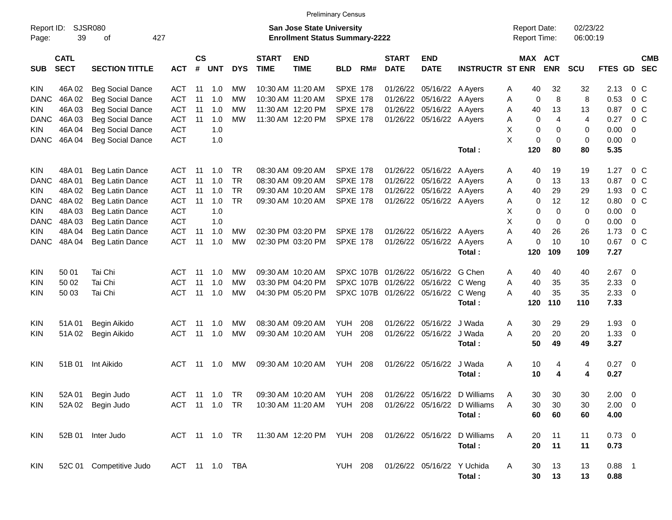|                     |                            |                             |                |                    |             |            |                             |                                                                           | <b>Preliminary Census</b> |     |                             |                             |                                                        |   |                                            |            |                      |             |                         |  |
|---------------------|----------------------------|-----------------------------|----------------|--------------------|-------------|------------|-----------------------------|---------------------------------------------------------------------------|---------------------------|-----|-----------------------------|-----------------------------|--------------------------------------------------------|---|--------------------------------------------|------------|----------------------|-------------|-------------------------|--|
| Report ID:<br>Page: | 39                         | <b>SJSR080</b><br>427<br>οf |                |                    |             |            |                             | <b>San Jose State University</b><br><b>Enrollment Status Summary-2222</b> |                           |     |                             |                             |                                                        |   | <b>Report Date:</b><br><b>Report Time:</b> |            | 02/23/22<br>06:00:19 |             |                         |  |
| <b>SUB</b>          | <b>CATL</b><br><b>SECT</b> | <b>SECTION TITTLE</b>       | <b>ACT</b>     | $\mathsf{cs}$<br># | <b>UNT</b>  | <b>DYS</b> | <b>START</b><br><b>TIME</b> | <b>END</b><br><b>TIME</b>                                                 | <b>BLD</b>                | RM# | <b>START</b><br><b>DATE</b> | <b>END</b><br><b>DATE</b>   | <b>INSTRUCTR ST ENR</b>                                |   | MAX ACT                                    | <b>ENR</b> | SCU                  | FTES GD SEC | <b>CMB</b>              |  |
| <b>KIN</b>          | 46A 02                     | <b>Beg Social Dance</b>     | <b>ACT</b>     | 11                 | 1.0         | МW         |                             | 10:30 AM 11:20 AM                                                         | <b>SPXE 178</b>           |     |                             | 01/26/22 05/16/22           | A Ayers                                                | A | 40                                         | 32         | 32                   | 2.13        | $0\,$ C                 |  |
| <b>DANC</b>         | 46A 02                     | <b>Beg Social Dance</b>     | <b>ACT</b>     | 11                 | 1.0         | МW         |                             | 10:30 AM 11:20 AM                                                         | <b>SPXE 178</b>           |     |                             | 01/26/22 05/16/22           | A Ayers                                                | A | 0                                          | 8          | 8                    | 0.53        | $0\,C$                  |  |
| KIN.                | 46A03                      | <b>Beg Social Dance</b>     | <b>ACT</b>     | 11                 | 1.0         | МW         |                             | 11:30 AM 12:20 PM                                                         | <b>SPXE 178</b>           |     |                             | 01/26/22 05/16/22           | A Ayers                                                | A | 40                                         | 13         | 13                   | 0.87        | 0 <sup>C</sup>          |  |
| <b>DANC</b>         | 46A03                      | <b>Beg Social Dance</b>     | <b>ACT</b>     | 11                 | 1.0         | <b>MW</b>  |                             | 11:30 AM 12:20 PM                                                         | <b>SPXE 178</b>           |     |                             | 01/26/22 05/16/22 A Ayers   |                                                        | A | 0                                          | 4          | $\overline{4}$       | 0.27        | $0\,C$                  |  |
| <b>KIN</b>          | 46A 04                     | <b>Beg Social Dance</b>     | <b>ACT</b>     |                    | 1.0         |            |                             |                                                                           |                           |     |                             |                             |                                                        | X | 0                                          | 0          | 0                    | 0.00        | 0                       |  |
| <b>DANC</b>         | 46A 04                     | <b>Beg Social Dance</b>     | <b>ACT</b>     |                    | 1.0         |            |                             |                                                                           |                           |     |                             |                             |                                                        | X | 0                                          | 0          | 0                    | 0.00        | $\mathbf{0}$            |  |
|                     |                            |                             |                |                    |             |            |                             |                                                                           |                           |     |                             |                             | Total:                                                 |   | 120                                        | 80         | 80                   | 5.35        |                         |  |
| <b>KIN</b>          | 48A01                      | Beg Latin Dance             | ACT            | -11                | 1.0         | <b>TR</b>  |                             | 08:30 AM 09:20 AM                                                         | <b>SPXE 178</b>           |     |                             | 01/26/22 05/16/22 A Ayers   |                                                        | A | 40                                         | 19         | 19                   | 1.27        | $0\,$ C                 |  |
| <b>DANC</b>         | 48A01                      | Beg Latin Dance             | <b>ACT</b>     | -11                | 1.0         | <b>TR</b>  |                             | 08:30 AM 09:20 AM                                                         | <b>SPXE 178</b>           |     |                             | 01/26/22 05/16/22 A Ayers   |                                                        | A | 0                                          | 13         | 13                   | 0.87        | 0 <sup>C</sup>          |  |
| <b>KIN</b>          | 48A 02                     | <b>Beg Latin Dance</b>      | <b>ACT</b>     | 11                 | 1.0         | <b>TR</b>  |                             | 09:30 AM 10:20 AM                                                         | <b>SPXE 178</b>           |     |                             | 01/26/22 05/16/22           | A Ayers                                                | Α | 40                                         | 29         | 29                   | 1.93        | 0 <sup>C</sup>          |  |
| <b>DANC</b>         | 48A 02                     | <b>Beg Latin Dance</b>      | <b>ACT</b>     | 11                 | 1.0         | <b>TR</b>  |                             | 09:30 AM 10:20 AM                                                         | <b>SPXE 178</b>           |     |                             | 01/26/22 05/16/22 A Ayers   |                                                        | A | 0                                          | 12         | 12                   | 0.80        | 0 <sup>C</sup>          |  |
| KIN.                | 48A03                      | Beg Latin Dance             | <b>ACT</b>     |                    | 1.0         |            |                             |                                                                           |                           |     |                             |                             |                                                        | X | 0                                          | 0          | 0                    | 0.00        | 0                       |  |
| <b>DANC</b>         | 48A03                      | Beg Latin Dance             | <b>ACT</b>     |                    | 1.0         |            |                             |                                                                           |                           |     |                             |                             |                                                        | X | 0                                          | 0          | 0                    | 0.00        | $\mathbf 0$             |  |
| KIN.                | 48A 04                     | <b>Beg Latin Dance</b>      | <b>ACT</b>     | 11                 | 1.0         | MW         |                             | 02:30 PM 03:20 PM                                                         | <b>SPXE 178</b>           |     |                             | 01/26/22 05/16/22           | A Ayers                                                | Α | 40                                         | 26         | 26                   | 1.73        | 0 <sup>C</sup>          |  |
| <b>DANC</b>         | 48A04                      | Beg Latin Dance             | <b>ACT</b>     | 11                 | 1.0         | <b>MW</b>  |                             | 02:30 PM 03:20 PM                                                         | <b>SPXE 178</b>           |     |                             | 01/26/22 05/16/22           | A Ayers                                                | A | 0                                          | 10         | 10                   | 0.67        | 0 <sup>C</sup>          |  |
|                     |                            |                             |                |                    |             |            |                             |                                                                           |                           |     |                             |                             | Total:                                                 |   | 120                                        | 109        | 109                  | 7.27        |                         |  |
| <b>KIN</b>          | 50 01                      | Tai Chi                     | ACT            | -11                | 1.0         | MW         |                             | 09:30 AM 10:20 AM                                                         |                           |     |                             | SPXC 107B 01/26/22 05/16/22 | G Chen                                                 | A | 40                                         | 40         | 40                   | 2.67        | 0                       |  |
| KIN                 | 50 02                      | Tai Chi                     | <b>ACT</b>     | 11                 | 1.0         | <b>MW</b>  |                             | 03:30 PM 04:20 PM                                                         |                           |     | SPXC 107B 01/26/22 05/16/22 |                             | C Weng                                                 | Α | 40                                         | 35         | 35                   | 2.33        | 0                       |  |
| KIN                 | 50 03                      | Tai Chi                     | <b>ACT</b>     | -11                | 1.0         | <b>MW</b>  |                             | 04:30 PM 05:20 PM                                                         |                           |     |                             | SPXC 107B 01/26/22 05/16/22 | C Weng                                                 | A | 40                                         | 35         | 35                   | 2.33        | 0                       |  |
|                     |                            |                             |                |                    |             |            |                             |                                                                           |                           |     |                             |                             | Total:                                                 |   | 120                                        | 110        | 110                  | 7.33        |                         |  |
| <b>KIN</b>          | 51A01                      | Begin Aikido                | <b>ACT</b>     | -11                | 1.0         | МW         |                             | 08:30 AM 09:20 AM                                                         | <b>YUH</b>                | 208 | 01/26/22                    | 05/16/22                    | J Wada                                                 | A | 30                                         | 29         | 29                   | 1.93        | $\overline{0}$          |  |
| <b>KIN</b>          | 51A02                      | Begin Aikido                | <b>ACT</b>     | 11                 | 1.0         | <b>MW</b>  |                             | 09:30 AM 10:20 AM                                                         | YUH                       | 208 |                             | 01/26/22 05/16/22           | J Wada                                                 | A | 20                                         | 20         | 20                   | 1.33        | $\overline{0}$          |  |
|                     |                            |                             |                |                    |             |            |                             |                                                                           |                           |     |                             |                             | Total:                                                 |   | 50                                         | 49         | 49                   | 3.27        |                         |  |
| <b>KIN</b>          | 51B 01                     | Int Aikido                  | ACT            | -11                | 1.0         | MW         |                             | 09:30 AM 10:20 AM                                                         | YUH                       | 208 |                             | 01/26/22 05/16/22           | J Wada                                                 | Α | 10                                         | 4          | 4                    | 0.27        | $\overline{\mathbf{0}}$ |  |
|                     |                            |                             |                |                    |             |            |                             |                                                                           |                           |     |                             |                             | Total:                                                 |   | 10                                         | 4          | 4                    | 0.27        |                         |  |
| <b>KIN</b>          |                            | 52A 01 Begin Judo           | <b>ACT</b>     |                    | 11  1.0  TR |            |                             |                                                                           |                           |     |                             |                             | 09:30 AM 10:20 AM YUH 208 01/26/22 05/16/22 D Williams |   | 30 <sub>o</sub>                            | 30         | $30\,$               | $2.00 \t 0$ |                         |  |
| <b>KIN</b>          |                            | 52A 02 Begin Judo           | ACT 11 1.0 TR  |                    |             |            |                             | 10:30 AM 11:20 AM YUH 208                                                 |                           |     |                             |                             | 01/26/22 05/16/22 D Williams                           | A | 30                                         | 30         | 30                   | $2.00 \t 0$ |                         |  |
|                     |                            |                             |                |                    |             |            |                             |                                                                           |                           |     |                             |                             | Total:                                                 |   | 60                                         | 60         | 60                   | 4.00        |                         |  |
| <b>KIN</b>          |                            | 52B 01 Inter Judo           |                |                    |             |            |                             | ACT 11 1.0 TR 11:30 AM 12:20 PM YUH 208                                   |                           |     |                             | 01/26/22 05/16/22           | D Williams                                             | A | 20                                         | 11         | 11                   | $0.73 \ 0$  |                         |  |
|                     |                            |                             |                |                    |             |            |                             |                                                                           |                           |     |                             |                             | Total:                                                 |   | 20                                         | 11         | 11                   | 0.73        |                         |  |
| <b>KIN</b>          |                            | 52C 01 Competitive Judo     | ACT 11 1.0 TBA |                    |             |            |                             |                                                                           | <b>YUH 208</b>            |     |                             | 01/26/22 05/16/22 Y Uchida  |                                                        | A | 30                                         | 13         | 13                   | $0.88$ 1    |                         |  |
|                     |                            |                             |                |                    |             |            |                             |                                                                           |                           |     |                             |                             | Total:                                                 |   | 30                                         | 13         | 13                   | 0.88        |                         |  |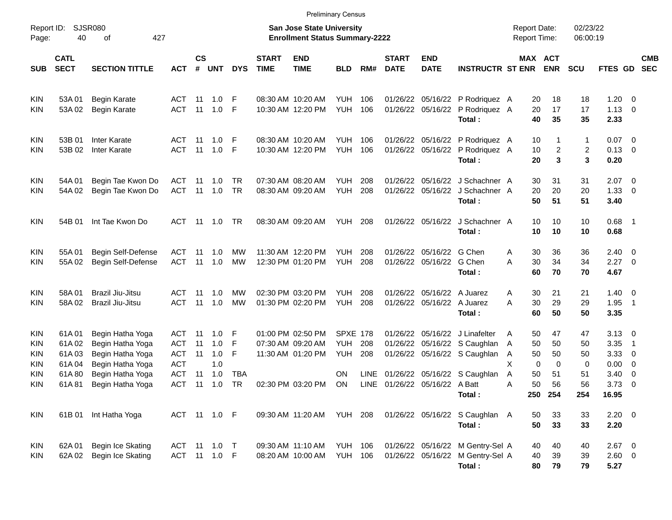|                                        |                                  |                                                                              |                          |                             |                              |                  |                             | <b>Preliminary Census</b>                                                 |                                             |             |                               |                                                          |                                                                                       |                                            |                       |                      |                                          |                                                           |                          |
|----------------------------------------|----------------------------------|------------------------------------------------------------------------------|--------------------------|-----------------------------|------------------------------|------------------|-----------------------------|---------------------------------------------------------------------------|---------------------------------------------|-------------|-------------------------------|----------------------------------------------------------|---------------------------------------------------------------------------------------|--------------------------------------------|-----------------------|----------------------|------------------------------------------|-----------------------------------------------------------|--------------------------|
| Report ID:<br>Page:                    | 40                               | <b>SJSR080</b><br>427<br>οf                                                  |                          |                             |                              |                  |                             | <b>San Jose State University</b><br><b>Enrollment Status Summary-2222</b> |                                             |             |                               |                                                          |                                                                                       | <b>Report Date:</b><br><b>Report Time:</b> |                       | 02/23/22<br>06:00:19 |                                          |                                                           |                          |
| <b>SUB</b>                             | <b>CATL</b><br><b>SECT</b>       | <b>SECTION TITTLE</b>                                                        | <b>ACT</b>               | $\mathbf{c}\mathbf{s}$<br># | <b>UNT</b>                   | <b>DYS</b>       | <b>START</b><br><b>TIME</b> | <b>END</b><br><b>TIME</b>                                                 | <b>BLD</b>                                  | RM#         | <b>START</b><br><b>DATE</b>   | <b>END</b><br><b>DATE</b>                                | <b>INSTRUCTR ST ENR</b>                                                               |                                            | MAX ACT<br><b>ENR</b> | <b>SCU</b>           | <b>FTES GD</b>                           |                                                           | <b>CMB</b><br><b>SEC</b> |
| <b>KIN</b><br><b>KIN</b>               | 53A01<br>53A02                   | <b>Begin Karate</b><br><b>Begin Karate</b>                                   | ACT<br>ACT               | 11<br>11                    | 1.0<br>1.0                   | -F<br>-F         |                             | 08:30 AM 10:20 AM<br>10:30 AM 12:20 PM                                    | <b>YUH</b><br><b>YUH</b>                    | 106<br>106  |                               |                                                          | 01/26/22 05/16/22 P Rodriquez A<br>01/26/22 05/16/22 P Rodriquez A<br>Total:          | 20<br>20<br>40                             | 18<br>17<br>35        | 18<br>17<br>35       | $1.20 \t 0$<br>$1.13 \ 0$<br>2.33        |                                                           |                          |
| <b>KIN</b><br><b>KIN</b>               | 53B 01<br>53B 02                 | <b>Inter Karate</b><br><b>Inter Karate</b>                                   | ACT<br>ACT               | 11<br>11                    | 1.0<br>1.0                   | - F<br>-F        |                             | 08:30 AM 10:20 AM<br>10:30 AM 12:20 PM                                    | YUH<br><b>YUH</b>                           | 106<br>106  |                               |                                                          | 01/26/22 05/16/22 P Rodriquez A<br>01/26/22 05/16/22 P Rodriquez A<br>Total:          | 10<br>10<br>20                             | 1<br>2<br>3           | 1<br>2<br>3          | $0.07 \quad 0$<br>$0.13 \quad 0$<br>0.20 |                                                           |                          |
| <b>KIN</b><br><b>KIN</b>               | 54A 01<br>54A 02                 | Begin Tae Kwon Do<br>Begin Tae Kwon Do                                       | ACT<br>ACT               | 11<br>11                    | 1.0<br>1.0                   | TR<br>TR         |                             | 07:30 AM 08:20 AM<br>08:30 AM 09:20 AM                                    | YUH<br><b>YUH</b>                           | 208<br>208  |                               |                                                          | 01/26/22 05/16/22 J Schachner A<br>01/26/22 05/16/22 J Schachner A<br>Total:          | 30<br>20<br>50                             | 31<br>20<br>51        | 31<br>20<br>51       | $2.07 \quad 0$<br>1.33<br>3.40           | $\overline{\phantom{0}}$                                  |                          |
| <b>KIN</b>                             | 54B 01                           | Int Tae Kwon Do                                                              | ACT                      | 11                          | 1.0                          | TR               |                             | 08:30 AM 09:20 AM                                                         | YUH                                         | 208         |                               | 01/26/22 05/16/22                                        | J Schachner A<br>Total:                                                               | 10<br>10                                   | 10<br>10              | 10<br>10             | $0.68$ 1<br>0.68                         |                                                           |                          |
| <b>KIN</b><br><b>KIN</b>               | 55A 01<br>55A02                  | Begin Self-Defense<br>Begin Self-Defense                                     | ACT<br>ACT               | 11<br>11                    | 1.0<br>1.0                   | <b>MW</b><br>MW  |                             | 11:30 AM 12:20 PM<br>12:30 PM 01:20 PM                                    | YUH.<br><b>YUH</b>                          | 208<br>208  |                               | 01/26/22 05/16/22 G Chen<br>01/26/22 05/16/22 G Chen     | Total:                                                                                | 30<br>A<br>30<br>Α<br>60                   | 36<br>34<br>70        | 36<br>34<br>70       | $2.40 \quad 0$<br>2.27<br>4.67           | $\overline{\phantom{0}}$                                  |                          |
| <b>KIN</b><br><b>KIN</b>               | 58A01<br>58A02                   | Brazil Jiu-Jitsu<br>Brazil Jiu-Jitsu                                         | ACT<br>ACT               | 11<br>11                    | 1.0<br>1.0                   | <b>MW</b><br>MW  |                             | 02:30 PM 03:20 PM<br>01:30 PM 02:20 PM                                    | <b>YUH</b><br><b>YUH</b>                    | 208<br>208  |                               | 01/26/22 05/16/22 A Juarez<br>01/26/22 05/16/22 A Juarez | Total:                                                                                | 30<br>Α<br>30<br>Α<br>60                   | 21<br>29<br>50        | 21<br>29<br>50       | $1.40 \ 0$<br>1.95<br>3.35               | $\overline{\phantom{1}}$                                  |                          |
| <b>KIN</b><br><b>KIN</b><br>KIN<br>KIN | 61A01<br>61A02<br>61A03<br>61A04 | Begin Hatha Yoga<br>Begin Hatha Yoga<br>Begin Hatha Yoga<br>Begin Hatha Yoga | ACT<br>ACT<br>ACT<br>ACT | 11<br>11<br>11              | 1.0<br>1.0<br>1.0<br>1.0     | F<br>F<br>F      |                             | 01:00 PM 02:50 PM<br>07:30 AM 09:20 AM<br>11:30 AM 01:20 PM               | <b>SPXE 178</b><br><b>YUH</b><br><b>YUH</b> | 208<br>208  | 01/26/22                      |                                                          | 01/26/22 05/16/22 J Linafelter<br>05/16/22 S Caughlan<br>01/26/22 05/16/22 S Caughlan | 50<br>A<br>50<br>A<br>50<br>A<br>X<br>0    | 47<br>50<br>50<br>0   | 47<br>50<br>50<br>0  | $3.13 \quad 0$<br>3.35<br>3.33<br>0.00   | - 1<br>$\overline{\mathbf{0}}$<br>$\overline{\mathbf{0}}$ |                          |
| KIN<br><b>KIN</b>                      | 61A80<br>61A81                   | Begin Hatha Yoga<br>Begin Hatha Yoga                                         | ACT<br>ACT               | 11<br>11                    | 1.0<br>1.0                   | <b>TBA</b><br>TR |                             | 02:30 PM 03:20 PM                                                         | ΟN<br>ON                                    | <b>LINE</b> | LINE 01/26/22 05/16/22 A Batt |                                                          | 01/26/22 05/16/22 S Caughlan<br>Total:                                                | 50<br>A<br>50<br>Α                         | 51<br>56<br>250 254   | 51<br>56<br>254      | 3.40<br>3.73<br>16.95                    | $\overline{\phantom{0}}$<br>$\overline{\phantom{0}}$      |                          |
| KIN                                    |                                  | 61B 01 Int Hatha Yoga                                                        |                          |                             | ACT 11 1.0 F                 |                  |                             | 09:30 AM 11:20 AM YUH 208                                                 |                                             |             |                               |                                                          | 01/26/22 05/16/22 S Caughlan A<br>Total:                                              | 50<br>50                                   | 33<br>33              | 33<br>33             | $2.20 \t 0$<br>2.20                      |                                                           |                          |
| KIN<br>KIN                             | 62A 01<br>62A 02                 | Begin Ice Skating<br>Begin Ice Skating                                       |                          |                             | ACT 11 1.0 T<br>ACT 11 1.0 F |                  |                             | 09:30 AM 11:10 AM<br>08:20 AM 10:00 AM                                    | <b>YUH 106</b><br><b>YUH 106</b>            |             |                               |                                                          | 01/26/22 05/16/22 M Gentry-Sel A<br>01/26/22 05/16/22 M Gentry-Sel A<br>Total:        | 40<br>40<br>80                             | 40<br>39<br>79        | 40<br>39<br>79       | $2.67$ 0<br>2.60 0<br>5.27               |                                                           |                          |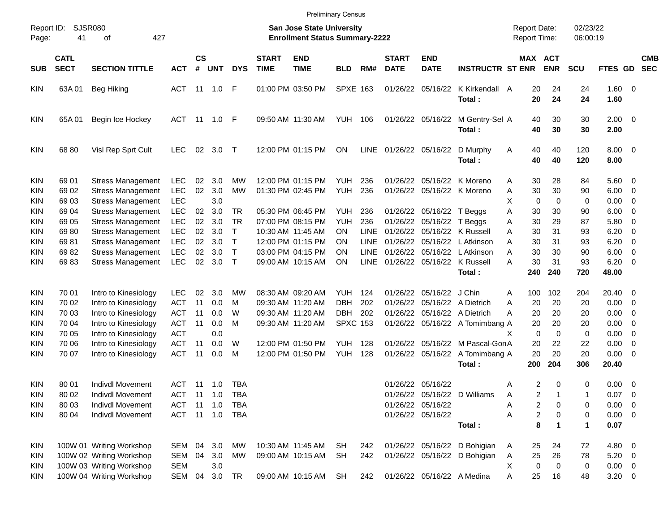| <b>Preliminary Census</b> |  |
|---------------------------|--|
|---------------------------|--|

| Report ID:<br>Page: | SJSR080<br>41              | 427<br>οf                |            |                    |                |              |                             | <b>San Jose State University</b><br><b>Enrollment Status Summary-2222</b> |                 |             |                             |                           |                                  | <b>Report Date:</b><br>Report Time: |             | 02/23/22<br>06:00:19 |                     |                          |                          |
|---------------------|----------------------------|--------------------------|------------|--------------------|----------------|--------------|-----------------------------|---------------------------------------------------------------------------|-----------------|-------------|-----------------------------|---------------------------|----------------------------------|-------------------------------------|-------------|----------------------|---------------------|--------------------------|--------------------------|
| <b>SUB</b>          | <b>CATL</b><br><b>SECT</b> | <b>SECTION TITTLE</b>    | <b>ACT</b> | $\mathsf{cs}$<br># | <b>UNT</b>     | <b>DYS</b>   | <b>START</b><br><b>TIME</b> | <b>END</b><br><b>TIME</b>                                                 | <b>BLD</b>      | RM#         | <b>START</b><br><b>DATE</b> | <b>END</b><br><b>DATE</b> | <b>INSTRUCTR ST ENR</b>          | MAX ACT                             | <b>ENR</b>  | SCU                  | FTES GD             |                          | <b>CMB</b><br><b>SEC</b> |
| <b>KIN</b>          | 63A 01                     | Beg Hiking               | <b>ACT</b> |                    | 11 1.0 F       |              |                             | 01:00 PM 03:50 PM                                                         | <b>SPXE 163</b> |             |                             | 01/26/22 05/16/22         | K Kirkendall A<br>Total:         | 20<br>20                            | 24<br>24    | 24<br>24             | 1.60 0<br>1.60      |                          |                          |
| <b>KIN</b>          | 65A 01                     | Begin Ice Hockey         | <b>ACT</b> | 11                 | 1.0 F          |              |                             | 09:50 AM 11:30 AM                                                         | YUH 106         |             |                             | 01/26/22 05/16/22         | M Gentry-Sel A<br>Total:         | 40<br>40                            | 30<br>30    | 30<br>30             | $2.00 \t 0$<br>2.00 |                          |                          |
| <b>KIN</b>          | 68 80                      | Visl Rep Sprt Cult       | <b>LEC</b> |                    | 02 3.0         | $\top$       |                             | 12:00 PM 01:15 PM                                                         | ON              |             |                             | LINE 01/26/22 05/16/22    | D Murphy<br>Total:               | 40<br>A<br>40                       | 40<br>40    | 120<br>120           | $8.00 \t 0$<br>8.00 |                          |                          |
| <b>KIN</b>          | 69 01                      | <b>Stress Management</b> | LEC        | 02                 | 3.0            | MW           |                             | 12:00 PM 01:15 PM                                                         | YUH             | 236         |                             |                           | 01/26/22 05/16/22 K Moreno       | 30<br>A                             | 28          | 84                   | $5.60 \t 0$         |                          |                          |
| KIN                 | 69 02                      | <b>Stress Management</b> | <b>LEC</b> | 02                 | 3.0            | <b>MW</b>    |                             | 01:30 PM 02:45 PM                                                         | YUH             | 236         |                             |                           | 01/26/22 05/16/22 K Moreno       | 30<br>Α                             | 30          | 90                   | 6.00                | $\overline{\phantom{0}}$ |                          |
| <b>KIN</b>          | 6903                       | <b>Stress Management</b> | <b>LEC</b> |                    | 3.0            |              |                             |                                                                           |                 |             |                             |                           |                                  | X<br>0                              | 0           | 0                    | 0.00                | 0                        |                          |
| KIN                 | 69 04                      | <b>Stress Management</b> | <b>LEC</b> | 02                 | 3.0            | <b>TR</b>    |                             | 05:30 PM 06:45 PM                                                         | YUH             | 236         |                             | 01/26/22 05/16/22 T Beggs |                                  | 30<br>Α                             | 30          | 90                   | 6.00                | 0                        |                          |
| <b>KIN</b>          | 69 05                      | <b>Stress Management</b> | <b>LEC</b> | 02                 | 3.0            | <b>TR</b>    |                             | 07:00 PM 08:15 PM                                                         | <b>YUH</b>      | 236         |                             | 01/26/22 05/16/22 T Beggs |                                  | 30<br>Α                             | 29          | 87                   | 5.80                | $\overline{\mathbf{0}}$  |                          |
| <b>KIN</b>          | 6980                       | <b>Stress Management</b> | <b>LEC</b> | 02                 | 3.0            | T            |                             | 10:30 AM 11:45 AM                                                         | <b>ON</b>       | <b>LINE</b> |                             |                           | 01/26/22 05/16/22 K Russell      | Α<br>30                             | 31          | 93                   | 6.20                | 0                        |                          |
| <b>KIN</b>          | 6981                       | <b>Stress Management</b> | <b>LEC</b> | 02 <sub>2</sub>    | 3.0            | $\mathsf{T}$ |                             | 12:00 PM 01:15 PM                                                         | <b>ON</b>       | LINE        |                             |                           | 01/26/22 05/16/22 LAtkinson      | A<br>30                             | 31          | 93                   | 6.20                | 0                        |                          |
| <b>KIN</b>          | 6982                       | <b>Stress Management</b> | <b>LEC</b> | 02                 | 3.0            | $\mathsf{T}$ |                             | 03:00 PM 04:15 PM                                                         | ΟN              | LINE        |                             |                           | 01/26/22 05/16/22 LAtkinson      | 30<br>A                             | 30          | 90                   | 6.00                | $\overline{\mathbf{0}}$  |                          |
| <b>KIN</b>          | 6983                       | <b>Stress Management</b> | <b>LEC</b> |                    | 02 3.0         | $\mathsf{T}$ |                             | 09:00 AM 10:15 AM                                                         | ON              |             |                             |                           | LINE 01/26/22 05/16/22 K Russell | 30<br>A                             | 31          | 93                   | 6.20                | $\overline{\phantom{0}}$ |                          |
|                     |                            |                          |            |                    |                |              |                             |                                                                           |                 |             |                             |                           | Total:                           | 240                                 | 240         | 720                  | 48.00               |                          |                          |
| <b>KIN</b>          | 70 01                      | Intro to Kinesiology     | <b>LEC</b> | 02                 | 3.0            | МW           |                             | 08:30 AM 09:20 AM                                                         | YUH             | 124         |                             | 01/26/22 05/16/22 J Chin  |                                  | 100<br>A                            | 102         | 204                  | 20.40               | $\overline{\phantom{0}}$ |                          |
| <b>KIN</b>          | 70 02                      | Intro to Kinesiology     | <b>ACT</b> | 11                 | 0.0            | м            | 09:30 AM 11:20 AM           |                                                                           | <b>DBH</b>      | 202         | 01/26/22                    |                           | 05/16/22 A Dietrich              | A<br>20                             | 20          | 20                   | 0.00                | $\overline{\phantom{0}}$ |                          |
| <b>KIN</b>          | 70 03                      | Intro to Kinesiology     | <b>ACT</b> | 11                 | 0.0            | W            | 09:30 AM 11:20 AM           |                                                                           | <b>DBH</b>      | 202         |                             |                           | 01/26/22 05/16/22 A Dietrich     | А<br>20                             | 20          | 20                   | 0.00                | 0                        |                          |
| KIN                 | 70 04                      | Intro to Kinesiology     | <b>ACT</b> | 11                 | 0.0            | M            |                             | 09:30 AM 11:20 AM                                                         | <b>SPXC 153</b> |             |                             |                           | 01/26/22 05/16/22 A Tomimbang A  | 20                                  | 20          | 20                   | 0.00                | 0                        |                          |
| <b>KIN</b>          | 70 05                      | Intro to Kinesiology     | <b>ACT</b> |                    | 0.0            |              |                             |                                                                           |                 |             |                             |                           |                                  | $\mathbf 0$<br>X                    | $\mathbf 0$ | 0                    | 0.00                | 0                        |                          |
| <b>KIN</b>          | 70 06                      | Intro to Kinesiology     | <b>ACT</b> | 11                 | 0.0            | W            |                             | 12:00 PM 01:50 PM                                                         | YUH             | 128         |                             |                           | 01/26/22 05/16/22 M Pascal-GonA  | 20                                  | 22          | 22                   | 0.00                | $\overline{0}$           |                          |
| <b>KIN</b>          | 70 07                      | Intro to Kinesiology     | <b>ACT</b> | 11                 | 0.0            | M            |                             | 12:00 PM 01:50 PM                                                         | YUH             | 128         |                             | 01/26/22 05/16/22         | A Tomimbang A                    | 20                                  | 20          | 20                   | 0.00                | $\overline{\phantom{0}}$ |                          |
|                     |                            |                          |            |                    |                |              |                             |                                                                           |                 |             |                             |                           | Total:                           | 200                                 | 204         | 306                  | 20.40               |                          |                          |
| KIN                 | 80 01                      | <b>Indivdl Movement</b>  | ACT        | -11                | 1.0            | TBA          |                             |                                                                           |                 |             | 01/26/22                    | 05/16/22                  |                                  | 2<br>Α                              | 0           | 0                    | $0.00 \quad 0$      |                          |                          |
| <b>KIN</b>          | 80 02                      | <b>Indivdl Movement</b>  | <b>ACT</b> | 11                 | 1.0            | <b>TBA</b>   |                             |                                                                           |                 |             |                             |                           | 01/26/22 05/16/22 D Williams     | $\overline{2}$<br>A                 | 1           | 1                    | 0.07                | - 0                      |                          |
| KIN                 | 80 03                      | <b>Indivdl Movement</b>  | ACT        | 11                 | 1.0            | TBA          |                             |                                                                           |                 |             |                             | 01/26/22 05/16/22         |                                  | Α<br>2                              | 0           | 0                    | $0.00 \quad 0$      |                          |                          |
| KIN                 | 80 04                      | <b>Indivdl Movement</b>  | <b>ACT</b> |                    | $11 \quad 1.0$ | TBA          |                             |                                                                           |                 |             |                             | 01/26/22 05/16/22         |                                  | $\overline{\mathbf{c}}$<br>Α        | 0           | 0                    | $0.00 \t 0$         |                          |                          |
|                     |                            |                          |            |                    |                |              |                             |                                                                           |                 |             |                             |                           | Total:                           | 8                                   | 1           | 1                    | 0.07                |                          |                          |
| <b>KIN</b>          |                            | 100W 01 Writing Workshop | SEM        | 04                 | 3.0            | МW           |                             | 10:30 AM 11:45 AM                                                         | SH              | 242         |                             |                           | 01/26/22 05/16/22 D Bohigian     | 25<br>A                             | 24          | 72                   | 4.80 0              |                          |                          |
| KIN                 |                            | 100W 02 Writing Workshop | SEM        | 04                 | 3.0            | МW           |                             | 09:00 AM 10:15 AM                                                         | <b>SH</b>       | 242         |                             |                           | 01/26/22 05/16/22 D Bohigian     | 25<br>Α                             | 26          | 78                   | $5.20 \ 0$          |                          |                          |
| KIN                 |                            | 100W 03 Writing Workshop | <b>SEM</b> |                    | 3.0            |              |                             |                                                                           |                 |             |                             |                           |                                  | х<br>0                              | 0           | 0                    | $0.00 \t 0$         |                          |                          |
| <b>KIN</b>          |                            | 100W 04 Writing Workshop | SEM        | 04                 | 3.0            | TR           |                             | 09:00 AM 10:15 AM                                                         | SH              | 242         |                             |                           | 01/26/22 05/16/22 A Medina       | 25<br>Α                             | 16          | 48                   | $3.20 \ 0$          |                          |                          |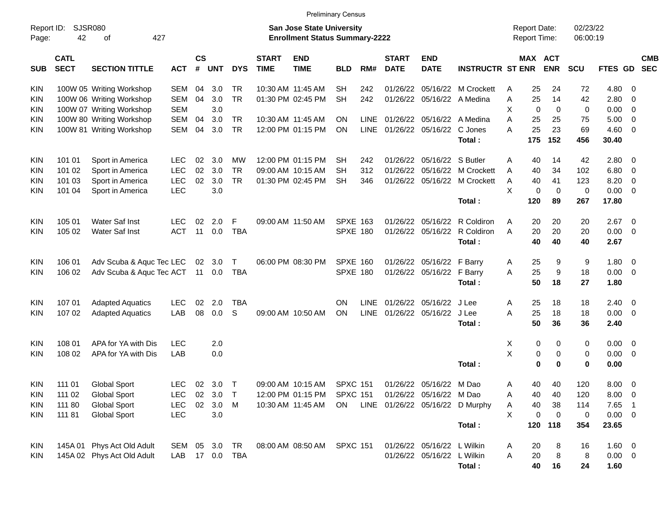| Report ID:<br>Page: | <b>SJSR080</b><br>42       | 427<br>οf                  |                |                    |            |            |                             | <b>Preliminary Census</b><br><b>San Jose State University</b><br><b>Enrollment Status Summary-2222</b> |                 |             |                             |                                |                                 |   | <b>Report Date:</b><br><b>Report Time:</b> |             | 02/23/22<br>06:00:19 |             |                          |                          |
|---------------------|----------------------------|----------------------------|----------------|--------------------|------------|------------|-----------------------------|--------------------------------------------------------------------------------------------------------|-----------------|-------------|-----------------------------|--------------------------------|---------------------------------|---|--------------------------------------------|-------------|----------------------|-------------|--------------------------|--------------------------|
| <b>SUB</b>          | <b>CATL</b><br><b>SECT</b> | <b>SECTION TITTLE</b>      | <b>ACT</b>     | $\mathsf{cs}$<br># | <b>UNT</b> | <b>DYS</b> | <b>START</b><br><b>TIME</b> | <b>END</b><br><b>TIME</b>                                                                              | <b>BLD</b>      | RM#         | <b>START</b><br><b>DATE</b> | <b>END</b><br><b>DATE</b>      | <b>INSTRUCTR ST ENR</b>         |   | <b>MAX ACT</b>                             | <b>ENR</b>  | <b>SCU</b>           | FTES GD     |                          | <b>CMB</b><br><b>SEC</b> |
| KIN                 |                            | 100W 05 Writing Workshop   | SEM            | 04                 | 3.0        | TR         | 10:30 AM 11:45 AM           |                                                                                                        | SН              | 242         | 01/26/22                    | 05/16/22                       | M Crockett                      | A | 25                                         | 24          | 72                   | 4.80        | - 0                      |                          |
| KIN                 |                            | 100W 06 Writing Workshop   | SEM            | 04                 | 3.0        | <b>TR</b>  |                             | 01:30 PM 02:45 PM                                                                                      | SН              | 242         | 01/26/22                    |                                | 05/16/22 A Medina               | A | 25                                         | 14          | 42                   | 2.80        | $\mathbf 0$              |                          |
| KIN                 |                            | 100W 07 Writing Workshop   | <b>SEM</b>     |                    | 3.0        |            |                             |                                                                                                        |                 |             |                             |                                |                                 | Х | 0                                          | $\mathbf 0$ | $\mathbf 0$          | 0.00        | $\overline{0}$           |                          |
| KIN                 |                            | 100W 80 Writing Workshop   | SEM            | 04                 | 3.0        | TR         | 10:30 AM 11:45 AM           |                                                                                                        | <b>ON</b>       |             | LINE 01/26/22               | 05/16/22                       | A Medina                        | A | 25                                         | 25          | 75                   | 5.00        | 0                        |                          |
| KIN                 |                            | 100W 81 Writing Workshop   | SEM            | 04                 | 3.0        | <b>TR</b>  |                             | 12:00 PM 01:15 PM                                                                                      | <b>ON</b>       |             |                             | LINE 01/26/22 05/16/22 C Jones |                                 | A | 25                                         | 23          | 69                   | 4.60        | - 0                      |                          |
|                     |                            |                            |                |                    |            |            |                             |                                                                                                        |                 |             |                             |                                | Total:                          |   | 175                                        | 152         | 456                  | 30.40       |                          |                          |
| KIN                 | 101 01                     | Sport in America           | <b>LEC</b>     | 02                 | 3.0        | МW         |                             | 12:00 PM 01:15 PM                                                                                      | SН              | 242         | 01/26/22                    | 05/16/22                       | S Butler                        | A | 40                                         | 14          | 42                   | 2.80        | - 0                      |                          |
| <b>KIN</b>          | 101 02                     | Sport in America           | <b>LEC</b>     | 02                 | 3.0        | <b>TR</b>  | 09:00 AM 10:15 AM           |                                                                                                        | SН              | 312         | 01/26/22                    | 05/16/22                       | M Crockett                      | A | 40                                         | 34          | 102                  | 6.80        | $\overline{0}$           |                          |
| KIN                 | 101 03                     | Sport in America           | <b>LEC</b>     | 02                 | 3.0        | <b>TR</b>  |                             | 01:30 PM 02:45 PM                                                                                      | SН              | 346         | 01/26/22                    |                                | 05/16/22 M Crockett             | Α | 40                                         | 41          | 123                  | 8.20        | $\overline{0}$           |                          |
| KIN                 | 101 04                     | Sport in America           | LEC            |                    | 3.0        |            |                             |                                                                                                        |                 |             |                             |                                |                                 | X | 0                                          | 0           | $\mathbf 0$          | 0.00        | $\overline{0}$           |                          |
|                     |                            |                            |                |                    |            |            |                             |                                                                                                        |                 |             |                             |                                | Total:                          |   | 120                                        | 89          | 267                  | 17.80       |                          |                          |
| KIN                 | 105 01                     | Water Saf Inst             | <b>LEC</b>     | 02                 | 2.0        | F          | 09:00 AM 11:50 AM           |                                                                                                        | <b>SPXE 163</b> |             | 01/26/22                    | 05/16/22                       | R Coldiron                      | A | 20                                         | 20          | 20                   | 2.67        | 0                        |                          |
| KIN                 | 105 02                     | Water Saf Inst             | <b>ACT</b>     | 11                 | 0.0        | <b>TBA</b> |                             |                                                                                                        | <b>SPXE 180</b> |             | 01/26/22                    | 05/16/22                       | R Coldiron                      | A | 20                                         | 20          | 20                   | 0.00        | $\overline{0}$           |                          |
|                     |                            |                            |                |                    |            |            |                             |                                                                                                        |                 |             |                             |                                | Total:                          |   | 40                                         | 40          | 40                   | 2.67        |                          |                          |
| KIN                 | 106 01                     | Adv Scuba & Aquc Tec LEC   |                | 02                 | 3.0        | Т          |                             | 06:00 PM 08:30 PM                                                                                      | <b>SPXE 160</b> |             | 01/26/22                    | 05/16/22 F Barry               |                                 | A | 25                                         | 9           | 9                    | 1.80        | 0                        |                          |
| KIN                 | 106 02                     | Adv Scuba & Aquc Tec ACT   |                |                    | 11 0.0     | TBA        |                             |                                                                                                        | <b>SPXE 180</b> |             |                             | 01/26/22 05/16/22 F Barry      |                                 | A | 25                                         | 9           | 18                   | 0.00        | $\overline{0}$           |                          |
|                     |                            |                            |                |                    |            |            |                             |                                                                                                        |                 |             |                             |                                | Total:                          |   | 50                                         | 18          | 27                   | 1.80        |                          |                          |
| KIN                 | 107 01                     | <b>Adapted Aquatics</b>    | <b>LEC</b>     | 02                 | 2.0        | <b>TBA</b> |                             |                                                                                                        | <b>ON</b>       | <b>LINE</b> | 01/26/22                    | 05/16/22                       | J Lee                           | A | 25                                         | 18          | 18                   | 2.40        | 0                        |                          |
| KIN                 | 107 02                     | <b>Adapted Aquatics</b>    | LAB            | 08                 | 0.0        | S          | 09:00 AM 10:50 AM           |                                                                                                        | ON              |             |                             | LINE 01/26/22 05/16/22         | J Lee                           | A | 25                                         | 18          | 18                   | 0.00        | $\overline{0}$           |                          |
|                     |                            |                            |                |                    |            |            |                             |                                                                                                        |                 |             |                             |                                | Total:                          |   | 50                                         | 36          | 36                   | 2.40        |                          |                          |
| KIN                 | 108 01                     | APA for YA with Dis        | <b>LEC</b>     |                    | 2.0        |            |                             |                                                                                                        |                 |             |                             |                                |                                 | X | 0                                          | 0           | 0                    | 0.00        | - 0                      |                          |
| KIN                 | 108 02                     | APA for YA with Dis        | LAB            |                    | 0.0        |            |                             |                                                                                                        |                 |             |                             |                                |                                 | X | 0                                          | 0           | 0                    | 0.00        | $\overline{0}$           |                          |
|                     |                            |                            |                |                    |            |            |                             |                                                                                                        |                 |             |                             |                                | Total:                          |   | 0                                          | $\bf{0}$    | $\mathbf 0$          | 0.00        |                          |                          |
| <b>KIN</b>          | 111 01                     | <b>Global Sport</b>        | LEC.           | 02                 | 3.0        | $\top$     |                             | 09:00 AM 10:15 AM                                                                                      | <b>SPXC 151</b> |             |                             | 01/26/22 05/16/22 M Dao        |                                 | A | 40                                         | 40          | 120                  | 8.00        | $\overline{0}$           |                          |
| <b>KIN</b>          | 111 02                     | <b>Global Sport</b>        | LEC            |                    | 02 3.0 T   |            |                             | 12:00 PM 01:15 PM SPXC 151 01/26/22 05/16/22 M Dao                                                     |                 |             |                             |                                |                                 | Α | 40                                         | 40          | 120                  | 8.00        | $\overline{\mathbf{0}}$  |                          |
| <b>KIN</b>          | 111 80                     | <b>Global Sport</b>        | <b>LEC</b>     | 02                 | 3.0        | M          |                             | 10:30 AM 11:45 AM                                                                                      | ON              |             |                             |                                | LINE 01/26/22 05/16/22 D Murphy | A | 40                                         | 38          | 114                  | 7.65        | $\overline{\phantom{1}}$ |                          |
| <b>KIN</b>          | 111 81                     | <b>Global Sport</b>        | <b>LEC</b>     |                    | 3.0        |            |                             |                                                                                                        |                 |             |                             |                                |                                 | X | 0                                          | 0           | $\mathbf 0$          | $0.00 \t 0$ |                          |                          |
|                     |                            |                            |                |                    |            |            |                             |                                                                                                        |                 |             |                             |                                | Total:                          |   | 120                                        | 118         | 354                  | 23.65       |                          |                          |
| <b>KIN</b>          |                            | 145A 01 Phys Act Old Adult | SEM 05 3.0     |                    |            | TR         |                             | 08:00 AM 08:50 AM SPXC 151                                                                             |                 |             |                             | 01/26/22 05/16/22 L Wilkin     |                                 | A | 20                                         | 8           | 16                   | $1.60 \t 0$ |                          |                          |
| KIN.                |                            | 145A 02 Phys Act Old Adult | LAB 17 0.0 TBA |                    |            |            |                             |                                                                                                        |                 |             |                             | 01/26/22 05/16/22 L Wilkin     |                                 | Α | 20                                         | 8           | 8                    | $0.00 \t 0$ |                          |                          |
|                     |                            |                            |                |                    |            |            |                             |                                                                                                        |                 |             |                             |                                | Total:                          |   | 40                                         | 16          | 24                   | 1.60        |                          |                          |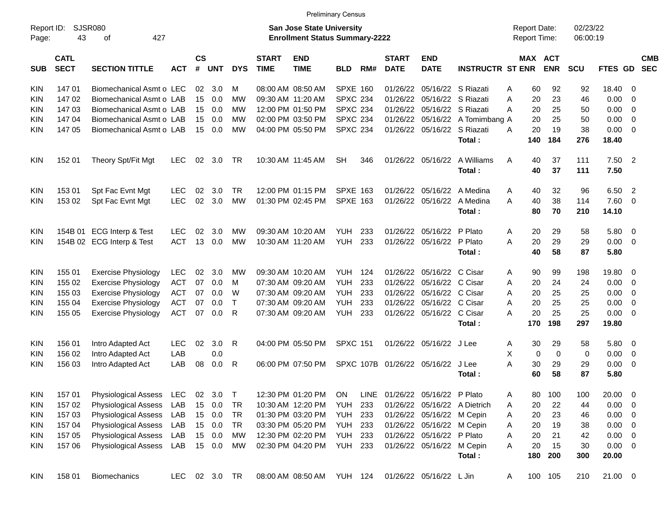|                     |                                           |                                                                                              |               |                    |            |              |                             | <b>Preliminary Census</b>                                                 |                 |     |                             |                           |                              |                                     |                       |                  |                      |                         |                          |
|---------------------|-------------------------------------------|----------------------------------------------------------------------------------------------|---------------|--------------------|------------|--------------|-----------------------------|---------------------------------------------------------------------------|-----------------|-----|-----------------------------|---------------------------|------------------------------|-------------------------------------|-----------------------|------------------|----------------------|-------------------------|--------------------------|
| Report ID:<br>Page: | SJSR080<br>43<br>427<br>of<br><b>CATL</b> |                                                                                              |               |                    |            |              |                             | <b>San Jose State University</b><br><b>Enrollment Status Summary-2222</b> |                 |     |                             |                           |                              | <b>Report Date:</b><br>Report Time: |                       |                  | 02/23/22<br>06:00:19 |                         |                          |
| <b>SUB</b>          | <b>SECT</b>                               | <b>SECTION TITTLE</b>                                                                        | <b>ACT</b>    | $\mathsf{cs}$<br># | <b>UNT</b> | <b>DYS</b>   | <b>START</b><br><b>TIME</b> | <b>END</b><br><b>TIME</b>                                                 | <b>BLD</b>      | RM# | <b>START</b><br><b>DATE</b> | <b>END</b><br><b>DATE</b> | <b>INSTRUCTR ST ENR</b>      |                                     | MAX ACT<br><b>ENR</b> | SCU              | FTES GD              |                         | <b>CMB</b><br><b>SEC</b> |
| KIN                 | 14701                                     | Biomechanical Asmt o LEC                                                                     |               | 02                 | 3.0        | м            | 08:00 AM 08:50 AM           |                                                                           | <b>SPXE 160</b> |     | 01/26/22                    | 05/16/22                  | S Riazati                    | A                                   | 60<br>92              | 92               | 18.40                | - 0                     |                          |
| KIN                 | 147 02                                    | Biomechanical Asmt o LAB                                                                     |               | 15                 | 0.0        | <b>MW</b>    | 09:30 AM 11:20 AM           |                                                                           | <b>SPXC 234</b> |     | 01/26/22                    | 05/16/22                  | S Riazati                    | A                                   | 23<br>20              | 46               | 0.00                 | - 0                     |                          |
| KIN                 | 147 03                                    | Biomechanical Asmt o LAB                                                                     |               | 15                 | 0.0        | <b>MW</b>    | 12:00 PM 01:50 PM           |                                                                           | <b>SPXC 234</b> |     | 01/26/22                    | 05/16/22                  | S Riazati                    | A                                   | 25<br>20              | 50               | 0.00                 | $\overline{0}$          |                          |
| KIN                 | 147 04                                    | Biomechanical Asmt o LAB                                                                     |               | 15                 | 0.0        | <b>MW</b>    | 02:00 PM 03:50 PM           |                                                                           | <b>SPXC 234</b> |     | 01/26/22                    | 05/16/22                  | A Tomimbang A                |                                     | 25<br>20              | 50               | 0.00                 | $\overline{0}$          |                          |
| <b>KIN</b>          | 147 05                                    | Biomechanical Asmt o LAB                                                                     |               | 15                 | 0.0        | <b>MW</b>    |                             | 04:00 PM 05:50 PM                                                         | <b>SPXC 234</b> |     | 01/26/22                    | 05/16/22                  | S Riazati                    | A                                   | 19<br>20              | 38               | 0.00                 | - 0                     |                          |
|                     |                                           |                                                                                              |               |                    |            |              |                             |                                                                           |                 |     |                             |                           | Total:                       | 140                                 | 184                   | 276              | 18.40                |                         |                          |
| <b>KIN</b>          | 152 01                                    | Theory Spt/Fit Mgt                                                                           | <b>LEC</b>    | 02                 | 3.0        | TR           | 10:30 AM 11:45 AM           |                                                                           | <b>SH</b>       | 346 | 01/26/22                    | 05/16/22                  | A Williams                   | A                                   | 40<br>37              | 111              | 7.50                 | $\overline{2}$          |                          |
|                     |                                           |                                                                                              |               |                    |            |              |                             |                                                                           |                 |     |                             |                           | Total:                       |                                     | 40<br>37              | 111              | 7.50                 |                         |                          |
| KIN                 | 153 01                                    | Spt Fac Evnt Mgt                                                                             | <b>LEC</b>    | 02                 | 3.0        | TR.          | 12:00 PM 01:15 PM           |                                                                           | <b>SPXE 163</b> |     | 01/26/22                    | 05/16/22                  | A Medina                     | Α                                   | 32<br>40              | 96               | 6.50                 | $\overline{2}$          |                          |
| <b>KIN</b>          | 153 02                                    | Spt Fac Evnt Mgt                                                                             | <b>LEC</b>    | 02                 | 3.0        | <b>MW</b>    |                             | 01:30 PM 02:45 PM                                                         | <b>SPXE 163</b> |     | 01/26/22                    | 05/16/22                  | A Medina                     | A                                   | 40<br>38              | 114              | 7.60                 | - 0                     |                          |
|                     |                                           |                                                                                              |               |                    |            |              |                             |                                                                           |                 |     |                             |                           | Total:                       |                                     | 80<br>70              | 210              | 14.10                |                         |                          |
| KIN                 | 154B 01                                   | ECG Interp & Test                                                                            | <b>LEC</b>    | 02                 | 3.0        | MW           | 09:30 AM 10:20 AM           |                                                                           | <b>YUH</b>      | 233 | 01/26/22                    | 05/16/22                  | P Plato                      | Α                                   | 20<br>29              | 58               | 5.80                 | - 0                     |                          |
| <b>KIN</b>          |                                           | 154B 02 ECG Interp & Test                                                                    | <b>ACT</b>    | 13                 | 0.0        | <b>MW</b>    | 10:30 AM 11:20 AM           |                                                                           | YUH             | 233 | 01/26/22                    | 05/16/22                  | P Plato                      | A                                   | 29<br>20              | 29               | 0.00                 | $\overline{0}$          |                          |
|                     |                                           |                                                                                              |               |                    |            |              |                             |                                                                           |                 |     |                             |                           | Total:                       |                                     | 58<br>40              | 87               | 5.80                 |                         |                          |
| KIN                 | 155 01                                    | <b>Exercise Physiology</b>                                                                   | <b>LEC</b>    | 02                 | 3.0        | МW           |                             | 09:30 AM 10:20 AM                                                         | <b>YUH</b>      | 124 | 01/26/22                    | 05/16/22                  | C Cisar                      | A                                   | 90<br>99              | 198              | 19.80                | - 0                     |                          |
| KIN                 | 155 02                                    | <b>Exercise Physiology</b>                                                                   | <b>ACT</b>    | 07                 | 0.0        | м            | 07:30 AM 09:20 AM           |                                                                           | YUH             | 233 | 01/26/22                    | 05/16/22                  | C Cisar                      | Α                                   | 24<br>20              | 24               | 0.00                 | $\overline{0}$          |                          |
| KIN                 | 155 03                                    | <b>Exercise Physiology</b>                                                                   | <b>ACT</b>    | 07                 | 0.0        | W            | 07:30 AM 09:20 AM           |                                                                           | <b>YUH</b>      | 233 | 01/26/22                    | 05/16/22                  | C Cisar                      | A                                   | 25<br>20              | 25               | 0.00                 | 0                       |                          |
| KIN                 | 155 04                                    | <b>Exercise Physiology</b>                                                                   | <b>ACT</b>    | 07                 | 0.0        | $\mathsf{T}$ | 07:30 AM 09:20 AM           |                                                                           | <b>YUH</b>      | 233 | 01/26/22                    | 05/16/22                  | C Cisar                      | A                                   | 25<br>20              | 25               | 0.00                 | 0                       |                          |
| <b>KIN</b>          | 155 05                                    | <b>Exercise Physiology</b>                                                                   | <b>ACT</b>    | 07                 | 0.0        | R            | 07:30 AM 09:20 AM           |                                                                           | YUH             | 233 |                             | 01/26/22 05/16/22         | C Cisar                      | A                                   | 25<br>20              | 25               | 0.00                 | - 0                     |                          |
|                     |                                           |                                                                                              |               |                    |            |              |                             |                                                                           |                 |     |                             |                           | Total:                       | 170                                 | 198                   | 297              | 19.80                |                         |                          |
| KIN                 | 156 01                                    | Intro Adapted Act                                                                            | <b>LEC</b>    | 02                 | 3.0        | R            |                             | 04:00 PM 05:50 PM                                                         | <b>SPXC 151</b> |     |                             | 01/26/22 05/16/22 J Lee   |                              | A                                   | 30<br>29              | 58               | 5.80                 | 0                       |                          |
| KIN                 | 156 02                                    | Intro Adapted Act                                                                            | LAB           |                    | 0.0        |              |                             |                                                                           |                 |     |                             |                           |                              | Χ                                   | 0                     | $\mathbf 0$<br>0 | 0.00                 | 0                       |                          |
| <b>KIN</b>          | 156 03                                    | Intro Adapted Act                                                                            | LAB           | 08                 | 0.0        | R            |                             | 06:00 PM 07:50 PM                                                         |                 |     | SPXC 107B 01/26/22 05/16/22 |                           | J Lee                        | A                                   | 30<br>29              | 29               | 0.00                 | 0                       |                          |
|                     |                                           |                                                                                              |               |                    |            |              |                             |                                                                           |                 |     |                             |                           | Total:                       |                                     | 58<br>60              | 87               | 5.80                 |                         |                          |
| <b>KIN</b>          |                                           | 157 01 Physiological Assess LEC 02 3.0 T 12:30 PM 01:20 PM ON LINE 01/26/22 05/16/22 P Plato |               |                    |            |              |                             |                                                                           |                 |     |                             |                           |                              | A                                   | 80 100                | 100              | 20.00 0              |                         |                          |
| KIN                 | 157 02                                    | <b>Physiological Assess</b>                                                                  | LAB           | 15                 | 0.0        | TR           |                             | 10:30 AM 12:20 PM                                                         | YUH             | 233 |                             |                           | 01/26/22 05/16/22 A Dietrich | Α                                   | 20<br>22              | 44               | 0.00                 | - 0                     |                          |
| KIN                 | 157 03                                    | <b>Physiological Assess</b>                                                                  | LAB           |                    | 15 0.0     | TR           |                             | 01:30 PM 03:20 PM                                                         | YUH 233         |     |                             | 01/26/22 05/16/22 M Cepin |                              | A                                   | 20<br>23              | 46               | 0.00                 | $\overline{0}$          |                          |
| KIN                 | 157 04                                    | <b>Physiological Assess</b>                                                                  | LAB           |                    | 15 0.0     | TR           |                             | 03:30 PM 05:20 PM YUH 233                                                 |                 |     |                             | 01/26/22 05/16/22 M Cepin |                              | Α                                   | 19<br>20              | 38               | 0.00                 | $\overline{\mathbf{0}}$ |                          |
| KIN                 | 157 05                                    | <b>Physiological Assess</b>                                                                  | LAB           |                    | 15 0.0     | MW           |                             | 12:30 PM 02:20 PM                                                         | YUH             | 233 |                             | 01/26/22 05/16/22 P Plato |                              | Α                                   | 20<br>21              | 42               | 0.00                 | $\overline{\mathbf{0}}$ |                          |
| KIN                 | 157 06                                    | <b>Physiological Assess</b>                                                                  | LAB 15 0.0    |                    |            | MW           |                             | 02:30 PM 04:20 PM YUH 233                                                 |                 |     |                             | 01/26/22 05/16/22 M Cepin |                              | Α                                   | 20<br>15              | 30               | 0.00                 | $\overline{\mathbf{0}}$ |                          |
|                     |                                           |                                                                                              |               |                    |            |              |                             |                                                                           |                 |     |                             |                           | Total:                       |                                     | 180<br>200            | 300              | 20.00                |                         |                          |
| KIN.                | 158 01                                    | Biomechanics                                                                                 | LEC 02 3.0 TR |                    |            |              |                             | 08:00 AM 08:50 AM YUH 124                                                 |                 |     |                             | 01/26/22 05/16/22 L Jin   |                              | A                                   | 100 105               | 210              | $21.00 \t 0$         |                         |                          |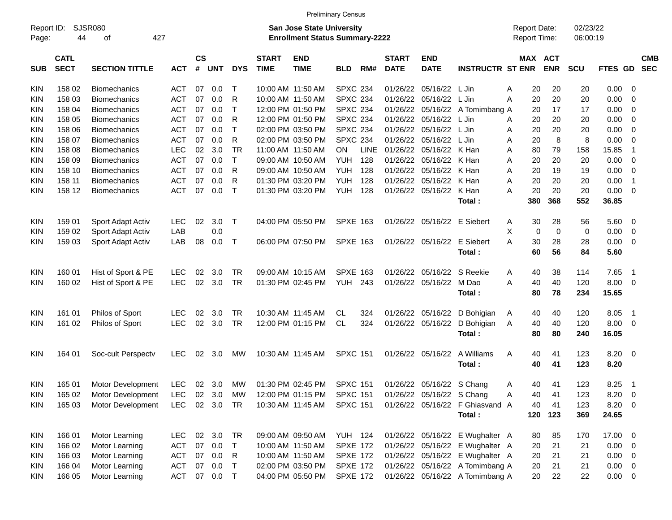|                     |                            |                             |            |                    |            |              |                             | <b>Preliminary Census</b>                                                 |                 |      |                             |                           |                                 |                                            |                       |                      |             |                         |                          |
|---------------------|----------------------------|-----------------------------|------------|--------------------|------------|--------------|-----------------------------|---------------------------------------------------------------------------|-----------------|------|-----------------------------|---------------------------|---------------------------------|--------------------------------------------|-----------------------|----------------------|-------------|-------------------------|--------------------------|
| Report ID:<br>Page: | 44                         | <b>SJSR080</b><br>427<br>οf |            |                    |            |              |                             | <b>San Jose State University</b><br><b>Enrollment Status Summary-2222</b> |                 |      |                             |                           |                                 | <b>Report Date:</b><br><b>Report Time:</b> |                       | 02/23/22<br>06:00:19 |             |                         |                          |
| <b>SUB</b>          | <b>CATL</b><br><b>SECT</b> | <b>SECTION TITTLE</b>       | <b>ACT</b> | $\mathsf{cs}$<br># | <b>UNT</b> | <b>DYS</b>   | <b>START</b><br><b>TIME</b> | <b>END</b><br><b>TIME</b>                                                 | <b>BLD</b>      | RM#  | <b>START</b><br><b>DATE</b> | <b>END</b><br><b>DATE</b> | <b>INSTRUCTR ST ENR</b>         |                                            | MAX ACT<br><b>ENR</b> | <b>SCU</b>           | FTES GD     |                         | <b>CMB</b><br><b>SEC</b> |
| KIN                 | 158 02                     | <b>Biomechanics</b>         | <b>ACT</b> | 07                 | 0.0        | Т            | 10:00 AM 11:50 AM           |                                                                           | <b>SPXC 234</b> |      | 01/26/22                    | 05/16/22                  | L Jin                           | Α<br>20                                    | 20                    | 20                   | 0.00        | - 0                     |                          |
| KIN                 | 158 03                     | <b>Biomechanics</b>         | <b>ACT</b> | 07                 | 0.0        | R            | 10:00 AM 11:50 AM           |                                                                           | <b>SPXC 234</b> |      | 01/26/22                    | 05/16/22                  | L Jin                           | 20<br>A                                    | 20                    | 20                   | 0.00        | $\mathbf 0$             |                          |
| KIN                 | 158 04                     | <b>Biomechanics</b>         | <b>ACT</b> | 07                 | 0.0        | Т            |                             | 12:00 PM 01:50 PM                                                         | <b>SPXC 234</b> |      | 01/26/22                    | 05/16/22                  | A Tomimbang A                   | 20                                         | 17                    | 17                   | 0.00        | 0                       |                          |
| KIN                 | 158 05                     | <b>Biomechanics</b>         | <b>ACT</b> | 07                 | 0.0        | R            |                             | 12:00 PM 01:50 PM                                                         | <b>SPXC 234</b> |      | 01/26/22                    | 05/16/22                  | L Jin                           | 20<br>A                                    | 20                    | 20                   | 0.00        | 0                       |                          |
| KIN                 | 158 06                     | <b>Biomechanics</b>         | <b>ACT</b> | 07                 | 0.0        | $\mathsf{T}$ |                             | 02:00 PM 03:50 PM                                                         | <b>SPXC 234</b> |      | 01/26/22                    | 05/16/22                  | L Jin                           | 20<br>Α                                    | 20                    | 20                   | 0.00        | $\mathbf 0$             |                          |
| KIN                 | 158 07                     | <b>Biomechanics</b>         | <b>ACT</b> | 07                 | 0.0        | R            |                             | 02:00 PM 03:50 PM                                                         | <b>SPXC 234</b> |      | 01/26/22                    | 05/16/22                  | L Jin                           | 20<br>A                                    | 8                     | 8                    | 0.00        | $\mathbf 0$             |                          |
| KIN                 | 158 08                     | <b>Biomechanics</b>         | <b>LEC</b> | 02                 | 3.0        | <b>TR</b>    | 11:00 AM 11:50 AM           |                                                                           | ON              | LINE | 01/26/22                    | 05/16/22                  | K Han                           | A<br>80                                    | 79                    | 158                  | 15.85       | $\overline{1}$          |                          |
| KIN                 | 158 09                     | <b>Biomechanics</b>         | <b>ACT</b> | 07                 | 0.0        | $\mathsf{T}$ | 09:00 AM 10:50 AM           |                                                                           | <b>YUH</b>      | 128  | 01/26/22                    | 05/16/22                  | K Han                           | 20<br>A                                    | 20                    | 20                   | 0.00        | $\mathbf 0$             |                          |
| ΚIΝ                 | 158 10                     | <b>Biomechanics</b>         | <b>ACT</b> | 07                 | 0.0        | R            |                             | 09:00 AM 10:50 AM                                                         | <b>YUH</b>      | 128  | 01/26/22                    | 05/16/22                  | K Han                           | 20<br>A                                    | 19                    | 19                   | 0.00        | $\overline{0}$          |                          |
| KIN                 | 158 11                     | <b>Biomechanics</b>         | <b>ACT</b> | 07                 | 0.0        | R            |                             | 01:30 PM 03:20 PM                                                         | <b>YUH</b>      | 128  | 01/26/22                    | 05/16/22                  | K Han                           | 20<br>A                                    | 20                    | 20                   | 0.00        | $\overline{1}$          |                          |
| KIN                 | 158 12                     | <b>Biomechanics</b>         | <b>ACT</b> | 07                 | 0.0        | $\top$       |                             | 01:30 PM 03:20 PM                                                         | <b>YUH</b>      | 128  | 01/26/22                    | 05/16/22                  | K Han                           | 20<br>A                                    | 20                    | 20                   | 0.00        | $\overline{0}$          |                          |
|                     |                            |                             |            |                    |            |              |                             |                                                                           |                 |      |                             |                           | Total:                          | 380                                        | 368                   | 552                  | 36.85       |                         |                          |
| <b>KIN</b>          | 159 01                     | Sport Adapt Activ           | <b>LEC</b> | 02                 | 3.0        | $\top$       |                             | 04:00 PM 05:50 PM                                                         | <b>SPXE 163</b> |      | 01/26/22                    | 05/16/22                  | E Siebert                       | 30<br>A                                    | 28                    | 56                   | 5.60        | 0                       |                          |
| KIN                 | 159 02                     | Sport Adapt Activ           | LAB        |                    | 0.0        |              |                             |                                                                           |                 |      |                             |                           |                                 | X                                          | 0<br>0                | $\mathbf 0$          | 0.00        | 0                       |                          |
| KIN                 | 159 03                     | Sport Adapt Activ           | LAB        | 08                 | 0.0        | $\top$       |                             | 06:00 PM 07:50 PM                                                         | <b>SPXE 163</b> |      | 01/26/22                    | 05/16/22                  | E Siebert                       | 30<br>A                                    | 28                    | 28                   | 0.00        | 0                       |                          |
|                     |                            |                             |            |                    |            |              |                             |                                                                           |                 |      |                             |                           | Total:                          | 60                                         | 56                    | 84                   | 5.60        |                         |                          |
| KIN                 | 160 01                     | Hist of Sport & PE          | <b>LEC</b> | 02                 | 3.0        | <b>TR</b>    |                             | 09:00 AM 10:15 AM                                                         | <b>SPXE 163</b> |      | 01/26/22                    | 05/16/22                  | S Reekie                        | 40<br>A                                    | 38                    | 114                  | 7.65        | $\overline{1}$          |                          |
| KIN                 | 160 02                     | Hist of Sport & PE          | <b>LEC</b> | 02                 | 3.0        | <b>TR</b>    |                             | 01:30 PM 02:45 PM                                                         | YUH             | 243  | 01/26/22                    | 05/16/22                  | M Dao                           | A<br>40                                    | 40                    | 120                  | 8.00        | $\overline{\mathbf{0}}$ |                          |
|                     |                            |                             |            |                    |            |              |                             |                                                                           |                 |      |                             |                           | Total:                          | 80                                         | 78                    | 234                  | 15.65       |                         |                          |
| <b>KIN</b>          | 161 01                     | Philos of Sport             | <b>LEC</b> | 02                 | 3.0        | <b>TR</b>    |                             | 10:30 AM 11:45 AM                                                         | CL              | 324  | 01/26/22                    | 05/16/22                  | D Bohigian                      | 40<br>A                                    | 40                    | 120                  | 8.05        | $\overline{1}$          |                          |
| KIN.                | 161 02                     | Philos of Sport             | <b>LEC</b> | 02                 | 3.0        | <b>TR</b>    |                             | 12:00 PM 01:15 PM                                                         | <b>CL</b>       | 324  | 01/26/22                    | 05/16/22                  | D Bohigian                      | 40<br>A                                    | 40                    | 120                  | 8.00        | 0                       |                          |
|                     |                            |                             |            |                    |            |              |                             |                                                                           |                 |      |                             |                           | Total:                          | 80                                         | 80                    | 240                  | 16.05       |                         |                          |
| KIN.                | 164 01                     | Soc-cult Perspectv          | <b>LEC</b> | 02                 | 3.0        | MW           |                             | 10:30 AM 11:45 AM                                                         | <b>SPXC 151</b> |      |                             | 01/26/22 05/16/22         | A Williams                      | 40<br>A                                    | 41                    | 123                  | 8.20        | $\overline{\mathbf{0}}$ |                          |
|                     |                            |                             |            |                    |            |              |                             |                                                                           |                 |      |                             |                           | Total:                          | 40                                         | 41                    | 123                  | 8.20        |                         |                          |
| KIN                 | 165 01                     | <b>Motor Development</b>    | <b>LEC</b> |                    | 02 3.0     | MW           |                             | 01:30 PM 02:45 PM                                                         | <b>SPXC 151</b> |      |                             | 01/26/22 05/16/22 S Chang |                                 | 40<br>A                                    | 41                    | 123                  | 8.25        | $\overline{1}$          |                          |
| KIN                 | 165 02                     | Motor Development           | <b>LEC</b> | 02                 | 3.0        | МW           |                             | 12:00 PM 01:15 PM                                                         | <b>SPXC 151</b> |      |                             | 01/26/22 05/16/22 S Chang |                                 | 40<br>Α                                    | 41                    | 123                  | 8.20        | $\overline{\mathbf{0}}$ |                          |
| <b>KIN</b>          | 165 03                     | Motor Development           | <b>LEC</b> |                    | 02 3.0     | <b>TR</b>    |                             | 10:30 AM 11:45 AM                                                         | <b>SPXC 151</b> |      |                             |                           | 01/26/22 05/16/22 F Ghiasvand A | 40                                         | 41                    | 123                  | 8.20 0      |                         |                          |
|                     |                            |                             |            |                    |            |              |                             |                                                                           |                 |      |                             |                           | Total:                          | 120                                        | 123                   | 369                  | 24.65       |                         |                          |
| <b>KIN</b>          | 166 01                     | Motor Learning              | LEC.       | 02                 | 3.0        | TR           |                             | 09:00 AM 09:50 AM                                                         | <b>YUH 124</b>  |      |                             |                           | 01/26/22 05/16/22 E Wughalter A | 80                                         | 85                    | 170                  | 17.00 0     |                         |                          |
| <b>KIN</b>          | 166 02                     | Motor Learning              | <b>ACT</b> |                    | 07 0.0     | $\top$       |                             | 10:00 AM 11:50 AM                                                         | <b>SPXE 172</b> |      |                             |                           | 01/26/22 05/16/22 E Wughalter A | 20                                         | 21                    | 21                   | $0.00 \t 0$ |                         |                          |
| <b>KIN</b>          | 166 03                     | Motor Learning              | <b>ACT</b> |                    | 07 0.0     | R            |                             | 10:00 AM 11:50 AM                                                         | <b>SPXE 172</b> |      |                             |                           | 01/26/22 05/16/22 E Wughalter A | 20                                         | 21                    | 21                   | $0.00 \t 0$ |                         |                          |
| <b>KIN</b>          | 166 04                     | Motor Learning              | <b>ACT</b> |                    | 07 0.0     | $\mathsf{T}$ |                             | 02:00 PM 03:50 PM                                                         | <b>SPXE 172</b> |      |                             |                           | 01/26/22 05/16/22 A Tomimbang A | 20                                         | 21                    | 21                   | $0.00 \t 0$ |                         |                          |
| KIN.                | 166 05                     | Motor Learning              | ACT        |                    | 07  0.0  T |              |                             | 04:00 PM 05:50 PM                                                         | <b>SPXE 172</b> |      |                             |                           | 01/26/22 05/16/22 A Tomimbang A | 20                                         | 22                    | 22                   | $0.00 \t 0$ |                         |                          |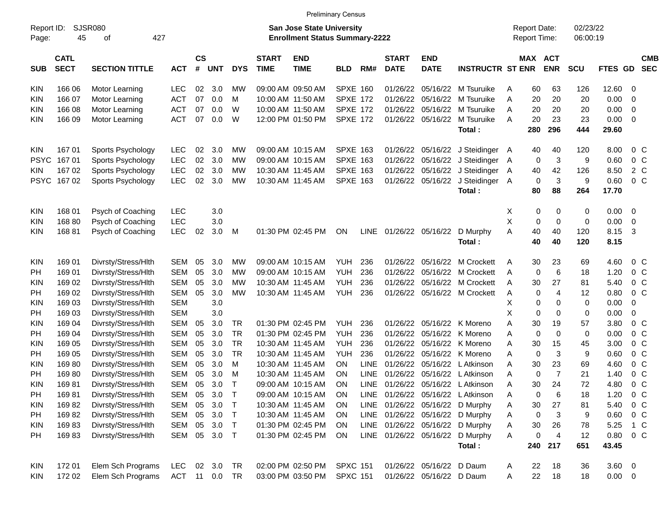|                     |                            |                       |            |                    |            |            |                             | <b>Preliminary Census</b>                                                 |                 |             |                             |                           |                                  |   |                                     |                 |                      |             |                          |                          |
|---------------------|----------------------------|-----------------------|------------|--------------------|------------|------------|-----------------------------|---------------------------------------------------------------------------|-----------------|-------------|-----------------------------|---------------------------|----------------------------------|---|-------------------------------------|-----------------|----------------------|-------------|--------------------------|--------------------------|
| Report ID:<br>Page: | 45                         | SJSR080<br>427<br>οf  |            |                    |            |            |                             | <b>San Jose State University</b><br><b>Enrollment Status Summary-2222</b> |                 |             |                             |                           |                                  |   | <b>Report Date:</b><br>Report Time: |                 | 02/23/22<br>06:00:19 |             |                          |                          |
| <b>SUB</b>          | <b>CATL</b><br><b>SECT</b> | <b>SECTION TITTLE</b> | <b>ACT</b> | $\mathsf{cs}$<br># | <b>UNT</b> | <b>DYS</b> | <b>START</b><br><b>TIME</b> | <b>END</b><br><b>TIME</b>                                                 | <b>BLD</b>      | RM#         | <b>START</b><br><b>DATE</b> | <b>END</b><br><b>DATE</b> | <b>INSTRUCTR ST ENR</b>          |   | MAX ACT                             | <b>ENR</b>      | <b>SCU</b>           | <b>FTES</b> | <b>GD</b>                | <b>CMB</b><br><b>SEC</b> |
| <b>KIN</b>          | 166 06                     | Motor Learning        | LEC        | 02                 | 3.0        | <b>MW</b>  |                             | 09:00 AM 09:50 AM                                                         | <b>SPXE 160</b> |             | 01/26/22                    | 05/16/22                  | M Tsuruike                       | A | 60                                  | 63              | 126                  | 12.60       | 0                        |                          |
| KIN.                | 166 07                     | Motor Learning        | <b>ACT</b> | 07                 | 0.0        | M          |                             | 10:00 AM 11:50 AM                                                         | <b>SPXE 172</b> |             | 01/26/22                    | 05/16/22                  | M Tsuruike                       | A | 20                                  | 20              | 20                   | 0.00        | $\mathbf 0$              |                          |
| <b>KIN</b>          | 166 08                     | Motor Learning        | <b>ACT</b> | 07                 | 0.0        | W          |                             | 10:00 AM 11:50 AM                                                         | <b>SPXE 172</b> |             | 01/26/22                    | 05/16/22                  | M Tsuruike                       | A | 20                                  | 20              | 20                   | 0.00        | 0                        |                          |
| <b>KIN</b>          | 166 09                     | Motor Learning        | <b>ACT</b> | 07                 | 0.0        | W          |                             | 12:00 PM 01:50 PM                                                         | <b>SPXE 172</b> |             | 01/26/22                    | 05/16/22                  | M Tsuruike                       | A | 20                                  | 23              | 23                   | 0.00        | $\mathbf 0$              |                          |
|                     |                            |                       |            |                    |            |            |                             |                                                                           |                 |             |                             |                           | Total:                           |   | 280                                 | 296             | 444                  | 29.60       |                          |                          |
| <b>KIN</b>          | 16701                      | Sports Psychology     | <b>LEC</b> | 02                 | 3.0        | МW         |                             | 09:00 AM 10:15 AM                                                         | <b>SPXE 163</b> |             | 01/26/22                    | 05/16/22                  | J Steidinger A                   |   | 40                                  | 40              | 120                  | 8.00        | $0\,C$                   |                          |
| <b>PSYC</b>         | 16701                      | Sports Psychology     | <b>LEC</b> | 02                 | 3.0        | <b>MW</b>  |                             | 09:00 AM 10:15 AM                                                         | <b>SPXE 163</b> |             | 01/26/22                    | 05/16/22                  | J Steidinger A                   |   | 0                                   | 3               | 9                    | 0.60        | $0\quad C$               |                          |
| KIN.                | 167 02                     | Sports Psychology     | <b>LEC</b> | 02                 | 3.0        | МW         |                             | 10:30 AM 11:45 AM                                                         | <b>SPXE 163</b> |             | 01/26/22                    | 05/16/22                  | J Steidinger A                   |   | 40                                  | 42              | 126                  | 8.50        | $2\degree$ C             |                          |
| <b>PSYC</b>         | 16702                      | Sports Psychology     | <b>LEC</b> | 02                 | 3.0        | МW         |                             | 10:30 AM 11:45 AM                                                         | <b>SPXE 163</b> |             | 01/26/22                    | 05/16/22                  | J Steidinger A                   |   | 0                                   | $\sqrt{3}$      | 9                    | 0.60        | $0\quad C$               |                          |
|                     |                            |                       |            |                    |            |            |                             |                                                                           |                 |             |                             |                           | Total:                           |   | 80                                  | 88              | 264                  | 17.70       |                          |                          |
| <b>KIN</b>          | 168 01                     | Psych of Coaching     | <b>LEC</b> |                    | 3.0        |            |                             |                                                                           |                 |             |                             |                           |                                  | X | 0                                   | 0               | 0                    | 0.00        | 0                        |                          |
| <b>KIN</b>          | 16880                      | Psych of Coaching     | <b>LEC</b> |                    | 3.0        |            |                             |                                                                           |                 |             |                             |                           |                                  | X | 0                                   | $\mathbf 0$     | $\mathbf 0$          | 0.00        | 0                        |                          |
| <b>KIN</b>          | 16881                      | Psych of Coaching     | <b>LEC</b> | 02                 | 3.0        | M          |                             | 01:30 PM 02:45 PM                                                         | <b>ON</b>       | <b>LINE</b> |                             | 01/26/22 05/16/22         | D Murphy                         | A | 40                                  | 40              | 120                  | 8.15        | -3                       |                          |
|                     |                            |                       |            |                    |            |            |                             |                                                                           |                 |             |                             |                           | Total:                           |   | 40                                  | 40              | 120                  | 8.15        |                          |                          |
| <b>KIN</b>          | 169 01                     | Divrsty/Stress/Hlth   | <b>SEM</b> | 05                 | 3.0        | <b>MW</b>  |                             | 09:00 AM 10:15 AM                                                         | <b>YUH</b>      | 236         | 01/26/22                    | 05/16/22                  | M Crockett                       | A | 30                                  | 23              | 69                   | 4.60        | 0 <sup>C</sup>           |                          |
| PH                  | 169 01                     | Divrsty/Stress/Hlth   | <b>SEM</b> | 05                 | 3.0        | <b>MW</b>  |                             | 09:00 AM 10:15 AM                                                         | <b>YUH</b>      | 236         | 01/26/22                    | 05/16/22                  | M Crockett                       | A | 0                                   | $6\phantom{1}6$ | 18                   | 1.20        | 0 <sup>C</sup>           |                          |
| KIN                 | 169 02                     | Divrsty/Stress/Hlth   | <b>SEM</b> | 05                 | 3.0        | МW         |                             | 10:30 AM 11:45 AM                                                         | <b>YUH</b>      | 236         | 01/26/22                    | 05/16/22                  | M Crockett                       | A | 30                                  | 27              | 81                   | 5.40        | 0 <sup>C</sup>           |                          |
| PH                  | 169 02                     | Divrsty/Stress/Hlth   | <b>SEM</b> | 05                 | 3.0        | <b>MW</b>  |                             | 10:30 AM 11:45 AM                                                         | <b>YUH</b>      | 236         | 01/26/22                    | 05/16/22                  | M Crockett                       | Α | 0                                   | $\overline{4}$  | 12                   | 0.80        | $0\quad C$               |                          |
| KIN                 | 169 03                     | Divrsty/Stress/Hlth   | <b>SEM</b> |                    | 3.0        |            |                             |                                                                           |                 |             |                             |                           |                                  | X | 0                                   | 0               | 0                    | 0.00        | 0                        |                          |
| PH                  | 169 03                     | Divrsty/Stress/Hlth   | <b>SEM</b> |                    | 3.0        |            |                             |                                                                           |                 |             |                             |                           |                                  | X | 0                                   | 0               | 0                    | 0.00        | 0                        |                          |
| KIN                 | 169 04                     | Divrsty/Stress/Hlth   | <b>SEM</b> | 05                 | 3.0        | TR         |                             | 01:30 PM 02:45 PM                                                         | <b>YUH</b>      | 236         | 01/26/22                    | 05/16/22                  | K Moreno                         | A | 30                                  | 19              | 57                   | 3.80        | 0 <sup>C</sup>           |                          |
| PH                  | 169 04                     | Divrsty/Stress/Hlth   | <b>SEM</b> | 05                 | 3.0        | <b>TR</b>  |                             | 01:30 PM 02:45 PM                                                         | <b>YUH</b>      | 236         | 01/26/22                    | 05/16/22                  | K Moreno                         | A | 0                                   | $\mathbf 0$     | 0                    | 0.00        | 0 <sup>C</sup>           |                          |
| KIN                 | 169 05                     | Divrsty/Stress/Hlth   | <b>SEM</b> | 05                 | 3.0        | <b>TR</b>  |                             | 10:30 AM 11:45 AM                                                         | <b>YUH</b>      | 236         | 01/26/22                    | 05/16/22                  | K Moreno                         | A | 30                                  | 15              | 45                   | 3.00        | 0 <sup>C</sup>           |                          |
| PH                  | 169 05                     | Divrsty/Stress/Hlth   | <b>SEM</b> | 05                 | 3.0        | <b>TR</b>  |                             | 10:30 AM 11:45 AM                                                         | <b>YUH</b>      | 236         | 01/26/22                    | 05/16/22                  | K Moreno                         | A | 0                                   | 3               | 9                    | 0.60        | 0 <sup>C</sup>           |                          |
| KIN                 | 16980                      | Divrsty/Stress/Hlth   | <b>SEM</b> | 05                 | 3.0        | M          |                             | 10:30 AM 11:45 AM                                                         | <b>ON</b>       | LINE        | 01/26/22                    | 05/16/22                  | L Atkinson                       | A | 30                                  | 23              | 69                   | 4.60        | 0 <sup>C</sup>           |                          |
| PH                  | 16980                      | Divrsty/Stress/Hlth   | <b>SEM</b> | 05                 | 3.0        | M          |                             | 10:30 AM 11:45 AM                                                         | <b>ON</b>       | LINE        | 01/26/22                    | 05/16/22                  | L Atkinson                       | A | $\mathbf 0$                         | $\overline{7}$  | 21                   | 1.40        | 0 <sup>C</sup>           |                          |
| <b>KIN</b>          | 16981                      | Divrsty/Stress/Hlth   | <b>SEM</b> | 05                 | 3.0        | т          |                             | 09:00 AM 10:15 AM                                                         | <b>ON</b>       | <b>LINE</b> | 01/26/22                    | 05/16/22                  | L Atkinson                       | A | 30                                  | 24              | 72                   | 4.80        | 0 <sup>o</sup>           |                          |
| PH                  | 16981                      | Divrsty/Stress/Hlth   | SEM        | 05                 | 3.0        | $\top$     |                             | 09:00 AM 10:15 AM                                                         | <b>ON</b>       |             |                             |                           | LINE 01/26/22 05/16/22 LAtkinson | A | 0                                   | 6               | 18                   | 1.20        | $0\,C$                   |                          |
| KIN                 | 16982                      | Divrsty/Stress/Hlth   | SEM        | 05                 | 3.0        | $\top$     |                             | 10:30 AM 11:45 AM                                                         | <b>ON</b>       |             |                             |                           | LINE 01/26/22 05/16/22 D Murphy  | A | 30                                  | 27              | 81                   | 5.40        | 0 <sup>C</sup>           |                          |
| PH                  | 16982                      | Divrsty/Stress/Hlth   | SEM        | 05                 | 3.0        | $\top$     |                             | 10:30 AM 11:45 AM                                                         | <b>ON</b>       |             |                             |                           | LINE 01/26/22 05/16/22 D Murphy  | A | 0                                   | 3               | 9                    | 0.60        | 0 <sup>C</sup>           |                          |
| <b>KIN</b>          | 16983                      | Divrsty/Stress/Hlth   | SEM        | 05                 | 3.0        | $\top$     |                             | 01:30 PM 02:45 PM                                                         | <b>ON</b>       |             |                             |                           | LINE 01/26/22 05/16/22 D Murphy  | A | 30                                  | 26              | 78                   | 5.25        | 1 C                      |                          |
| PH                  | 16983                      | Divrsty/Stress/Hlth   | SEM        | 05                 | 3.0        | $\top$     |                             | 01:30 PM 02:45 PM                                                         | <b>ON</b>       |             |                             |                           | LINE 01/26/22 05/16/22 D Murphy  | A | 0                                   | 4               | 12                   | 0.80        | $0\,C$                   |                          |
|                     |                            |                       |            |                    |            |            |                             |                                                                           |                 |             |                             |                           | Total:                           |   | 240                                 | 217             | 651                  | 43.45       |                          |                          |
| KIN                 | 17201                      | Elem Sch Programs     | <b>LEC</b> |                    | 02 3.0     | TR         |                             | 02:00 PM 02:50 PM                                                         | <b>SPXC 151</b> |             |                             | 01/26/22 05/16/22 D Daum  |                                  | A | 22                                  | 18              | 36                   | 3.60        | $\overline{\phantom{0}}$ |                          |
| KIN                 | 172 02                     | Elem Sch Programs     | ACT 11 0.0 |                    |            | TR         |                             | 03:00 PM 03:50 PM                                                         | <b>SPXC 151</b> |             |                             | 01/26/22 05/16/22 D Daum  |                                  | Α | 22                                  | 18              | 18                   | $0.00 \t 0$ |                          |                          |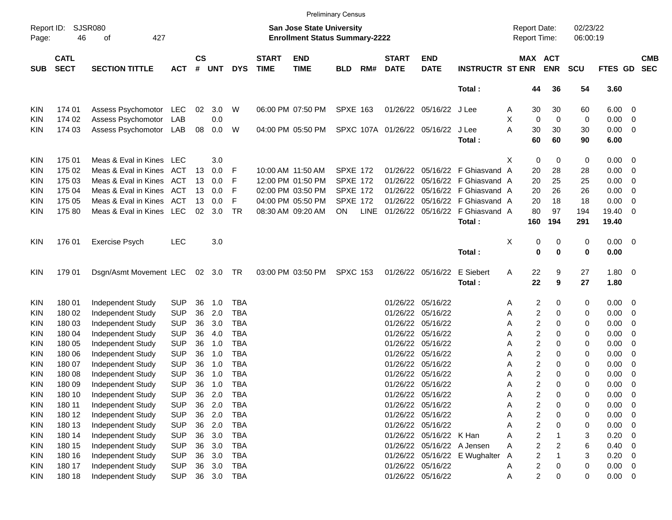|                     |                            |                             |            |                |            |            |                             |                                                                    | <b>Preliminary Census</b> |             |                             |                             |                                 |   |                         |                       |                      |                |                          |                          |
|---------------------|----------------------------|-----------------------------|------------|----------------|------------|------------|-----------------------------|--------------------------------------------------------------------|---------------------------|-------------|-----------------------------|-----------------------------|---------------------------------|---|-------------------------|-----------------------|----------------------|----------------|--------------------------|--------------------------|
| Report ID:<br>Page: | 46                         | <b>SJSR080</b><br>427<br>of |            |                |            |            |                             | San Jose State University<br><b>Enrollment Status Summary-2222</b> |                           |             |                             |                             |                                 |   | <b>Report Date:</b>     | Report Time:          | 02/23/22<br>06:00:19 |                |                          |                          |
| <b>SUB</b>          | <b>CATL</b><br><b>SECT</b> | <b>SECTION TITTLE</b>       | <b>ACT</b> | <b>CS</b><br># | <b>UNT</b> | <b>DYS</b> | <b>START</b><br><b>TIME</b> | <b>END</b><br><b>TIME</b>                                          | <b>BLD</b>                | RM#         | <b>START</b><br><b>DATE</b> | <b>END</b><br><b>DATE</b>   | <b>INSTRUCTR ST ENR</b>         |   |                         | MAX ACT<br><b>ENR</b> | <b>SCU</b>           | FTES GD        |                          | <b>CMB</b><br><b>SEC</b> |
|                     |                            |                             |            |                |            |            |                             |                                                                    |                           |             |                             |                             | Total:                          |   | 44                      | 36                    | 54                   | 3.60           |                          |                          |
| <b>KIN</b>          | 174 01                     | Assess Psychomotor          | LEC        | 02             | 3.0        | W          |                             | 06:00 PM 07:50 PM                                                  | <b>SPXE 163</b>           |             |                             | 01/26/22 05/16/22 J Lee     |                                 | Α | 30                      | 30                    | 60                   | $6.00 \quad 0$ |                          |                          |
| KIN                 | 174 02                     | Assess Psychomotor          | LAB        |                | 0.0        |            |                             |                                                                    |                           |             |                             |                             |                                 | х | $\mathbf 0$             | $\mathbf 0$           | 0                    | 0.00           | $\overline{\phantom{0}}$ |                          |
| <b>KIN</b>          | 174 03                     | Assess Psychomotor          | LAB        | 08             | 0.0        | W          |                             | 04:00 PM 05:50 PM                                                  |                           |             |                             | SPXC 107A 01/26/22 05/16/22 | J Lee                           | A | 30                      | 30                    | 30                   | $0.00 \t 0$    |                          |                          |
|                     |                            |                             |            |                |            |            |                             |                                                                    |                           |             |                             |                             | Total:                          |   | 60                      | 60                    | 90                   | 6.00           |                          |                          |
| <b>KIN</b>          | 175 01                     | Meas & Eval in Kines        | <b>LEC</b> |                | 3.0        |            |                             |                                                                    |                           |             |                             |                             |                                 | X | 0                       | 0                     | 0                    | $0.00 \t 0$    |                          |                          |
| <b>KIN</b>          | 175 02                     | Meas & Eval in Kines        | ACT        | 13             | 0.0        | F          |                             | 10:00 AM 11:50 AM                                                  | <b>SPXE 172</b>           |             | 01/26/22                    |                             | 05/16/22 F Ghiasvand A          |   | 20                      | 28                    | 28                   | 0.00           | $\overline{\phantom{0}}$ |                          |
| <b>KIN</b>          | 175 03                     | Meas & Eval in Kines        | ACT        | 13             | 0.0        | F          |                             | 12:00 PM 01:50 PM                                                  | <b>SPXE 172</b>           |             | 01/26/22                    |                             | 05/16/22 F Ghiasvand A          |   | 20                      | 25                    | 25                   | 0.00           | $\overline{\phantom{0}}$ |                          |
| KIN                 | 175 04                     | Meas & Eval in Kines        | ACT        | 13             | 0.0        | F          |                             | 02:00 PM 03:50 PM                                                  | <b>SPXE 172</b>           |             | 01/26/22                    |                             | 05/16/22 F Ghiasvand A          |   | 20                      | 26                    | 26                   | 0.00           | $\overline{\phantom{0}}$ |                          |
| <b>KIN</b>          | 175 05                     | Meas & Eval in Kines        | ACT        | 13             | 0.0        | F          |                             | 04:00 PM 05:50 PM                                                  | <b>SPXE 172</b>           |             | 01/26/22                    |                             | 05/16/22 F Ghiasvand A          |   | 20                      | 18                    | 18                   | 0.00           | 0                        |                          |
| <b>KIN</b>          | 17580                      | Meas & Eval in Kines LEC    |            | 02             | 3.0        | <b>TR</b>  |                             | 08:30 AM 09:20 AM                                                  | <b>ON</b>                 | <b>LINE</b> |                             |                             | 01/26/22 05/16/22 F Ghiasvand A |   | 80                      | 97                    | 194                  | 19.40          | $\overline{0}$           |                          |
|                     |                            |                             |            |                |            |            |                             |                                                                    |                           |             |                             |                             | Total:                          |   | 160                     | 194                   | 291                  | 19.40          |                          |                          |
| <b>KIN</b>          | 176 01                     | <b>Exercise Psych</b>       | <b>LEC</b> |                | 3.0        |            |                             |                                                                    |                           |             |                             |                             |                                 | х | 0                       | 0                     | 0                    | $0.00 \t 0$    |                          |                          |
|                     |                            |                             |            |                |            |            |                             |                                                                    |                           |             |                             |                             | Total:                          |   | 0                       | 0                     | 0                    | 0.00           |                          |                          |
| <b>KIN</b>          | 179 01                     | Dsgn/Asmt Movement LEC      |            |                | 02 3.0 TR  |            |                             | 03:00 PM 03:50 PM                                                  | <b>SPXC 153</b>           |             |                             | 01/26/22 05/16/22           | E Siebert                       | Α | 22                      | 9                     | 27                   | $1.80 \ 0$     |                          |                          |
|                     |                            |                             |            |                |            |            |                             |                                                                    |                           |             |                             |                             | Total:                          |   | 22                      | 9                     | 27                   | 1.80           |                          |                          |
| <b>KIN</b>          | 180 01                     | Independent Study           | <b>SUP</b> | 36             | 1.0        | TBA        |                             |                                                                    |                           |             |                             | 01/26/22 05/16/22           |                                 | Α | 2                       | 0                     | 0                    | $0.00 \t 0$    |                          |                          |
| <b>KIN</b>          | 180 02                     | Independent Study           | <b>SUP</b> | 36             | 2.0        | <b>TBA</b> |                             |                                                                    |                           |             |                             | 01/26/22 05/16/22           |                                 | Α | 2                       | 0                     | 0                    | 0.00           | $\overline{\phantom{0}}$ |                          |
| <b>KIN</b>          | 180 03                     | Independent Study           | <b>SUP</b> | 36             | 3.0        | <b>TBA</b> |                             |                                                                    |                           |             | 01/26/22                    | 05/16/22                    |                                 | Α | 2                       | 0                     | 0                    | 0.00           | $\overline{\mathbf{0}}$  |                          |
| <b>KIN</b>          | 180 04                     | Independent Study           | <b>SUP</b> | 36             | 4.0        | <b>TBA</b> |                             |                                                                    |                           |             | 01/26/22                    | 05/16/22                    |                                 | Α | 2                       | 0                     | 0                    | 0.00           | $\overline{\mathbf{0}}$  |                          |
| KIN                 | 180 05                     | Independent Study           | <b>SUP</b> | 36             | 1.0        | <b>TBA</b> |                             |                                                                    |                           |             | 01/26/22                    | 05/16/22                    |                                 | Α | 2                       | $\Omega$              | 0                    | 0.00           | $\overline{\mathbf{0}}$  |                          |
| <b>KIN</b>          | 180 06                     | Independent Study           | <b>SUP</b> | 36             | 1.0        | <b>TBA</b> |                             |                                                                    |                           |             | 01/26/22                    | 05/16/22                    |                                 | Α | 2                       | 0                     | 0                    | 0.00           | 0                        |                          |
| <b>KIN</b>          | 180 07                     | Independent Study           | <b>SUP</b> | 36             | 1.0        | <b>TBA</b> |                             |                                                                    |                           |             |                             | 01/26/22 05/16/22           |                                 | Α | 2                       | 0                     | 0                    | 0.00           | $\overline{\mathbf{0}}$  |                          |
| KIN                 | 180 08                     | Independent Study           | <b>SUP</b> | 36             | 1.0        | <b>TBA</b> |                             |                                                                    |                           |             |                             | 01/26/22 05/16/22           |                                 | Α | 2                       | 0                     | 0                    | 0.00           | 0                        |                          |
| <b>KIN</b>          | 180 09                     | Independent Study           | <b>SUP</b> | 36             | 1.0        | <b>TBA</b> |                             |                                                                    |                           |             |                             | 01/26/22 05/16/22           |                                 | Α | $\overline{c}$          | $\Omega$              | 0                    | 0.00           | - 0                      |                          |
| KIN                 | 180 10                     | Independent Study           | <b>SUP</b> | 36             | 2.0        | <b>TBA</b> |                             |                                                                    |                           |             |                             | 01/26/22 05/16/22           |                                 | Α | 2                       | 0                     | 0                    | 0.00           | $\overline{\mathbf{0}}$  |                          |
| <b>KIN</b>          | 180 11                     | Independent Study           | <b>SUP</b> | 36             | 2.0        | <b>TBA</b> |                             |                                                                    |                           |             |                             | 01/26/22 05/16/22           |                                 | Α | 2                       | $\Omega$              | 0                    | 0.00           | $\overline{\phantom{0}}$ |                          |
| KIN                 | 180 12                     | Independent Study           | <b>SUP</b> | 36             | 2.0        | <b>TBA</b> |                             |                                                                    |                           |             |                             | 01/26/22 05/16/22           |                                 | А | $\overline{\mathbf{c}}$ | 0                     | 0                    | 0.00           | $\overline{\phantom{0}}$ |                          |
| KIN                 | 180 13                     | Independent Study           | <b>SUP</b> | 36             | 2.0        | <b>TBA</b> |                             |                                                                    |                           |             |                             | 01/26/22 05/16/22           |                                 | А | $\overline{\mathbf{c}}$ | 0                     | 0                    | 0.00           | $\overline{\phantom{0}}$ |                          |
| <b>KIN</b>          | 180 14                     | Independent Study           | <b>SUP</b> | 36             | 3.0        | <b>TBA</b> |                             |                                                                    |                           |             |                             | 01/26/22 05/16/22 K Han     |                                 | Α | $\overline{c}$          |                       | 3                    | 0.20           | $\overline{0}$           |                          |
| KIN                 | 180 15                     | Independent Study           | <b>SUP</b> | 36             | 3.0        | <b>TBA</b> |                             |                                                                    |                           |             |                             | 01/26/22 05/16/22 A Jensen  |                                 | A | $\overline{\mathbf{c}}$ | 2                     | 6                    | 0.40           | $\overline{\phantom{0}}$ |                          |
| KIN                 | 180 16                     | Independent Study           | <b>SUP</b> | 36             | 3.0        | <b>TBA</b> |                             |                                                                    |                           |             |                             |                             | 01/26/22 05/16/22 E Wughalter   | A | $\overline{c}$          | $\overline{1}$        | 3                    | 0.20           | $\overline{\phantom{0}}$ |                          |
| <b>KIN</b>          | 180 17                     | Independent Study           | <b>SUP</b> | 36             | 3.0        | <b>TBA</b> |                             |                                                                    |                           |             |                             | 01/26/22 05/16/22           |                                 | Α | 2                       | 0                     | 0                    | $0.00 \t 0$    |                          |                          |
| KIN                 | 180 18                     | Independent Study           | <b>SUP</b> |                |            | 36 3.0 TBA |                             |                                                                    |                           |             |                             | 01/26/22 05/16/22           |                                 | Α | $\overline{c}$          | 0                     | 0                    | $0.00 \t 0$    |                          |                          |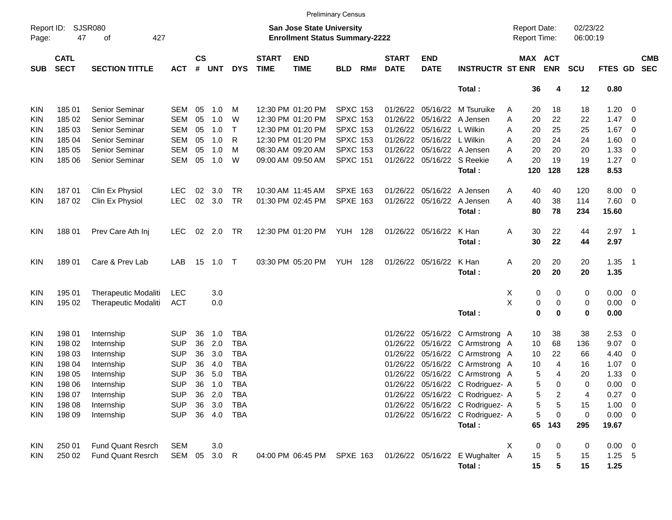|                     |                            |                             |              |                    |            |            |                             |                                                                           | <b>Preliminary Census</b> |     |                             |                            |                                  |                                     |                       |                      |             |                            |                          |
|---------------------|----------------------------|-----------------------------|--------------|--------------------|------------|------------|-----------------------------|---------------------------------------------------------------------------|---------------------------|-----|-----------------------------|----------------------------|----------------------------------|-------------------------------------|-----------------------|----------------------|-------------|----------------------------|--------------------------|
| Report ID:<br>Page: | 47                         | <b>SJSR080</b><br>427<br>οf |              |                    |            |            |                             | <b>San Jose State University</b><br><b>Enrollment Status Summary-2222</b> |                           |     |                             |                            |                                  | <b>Report Date:</b><br>Report Time: |                       | 02/23/22<br>06:00:19 |             |                            |                          |
| <b>SUB</b>          | <b>CATL</b><br><b>SECT</b> | <b>SECTION TITTLE</b>       | <b>ACT</b>   | $\mathsf{cs}$<br># | <b>UNT</b> | <b>DYS</b> | <b>START</b><br><b>TIME</b> | <b>END</b><br><b>TIME</b>                                                 | <b>BLD</b>                | RM# | <b>START</b><br><b>DATE</b> | <b>END</b><br><b>DATE</b>  | <b>INSTRUCTR ST ENR</b>          |                                     | MAX ACT<br><b>ENR</b> | <b>SCU</b>           | FTES GD     |                            | <b>CMB</b><br><b>SEC</b> |
|                     |                            |                             |              |                    |            |            |                             |                                                                           |                           |     |                             |                            | Total:                           | 36                                  | 4                     | 12                   | 0.80        |                            |                          |
| KIN                 | 185 01                     | Senior Seminar              | SEM          | 05                 | 1.0        | М          |                             | 12:30 PM 01:20 PM                                                         | <b>SPXC 153</b>           |     |                             | 01/26/22 05/16/22          | M Tsuruike                       | A<br>20                             | 18                    | 18                   | 1.20        | $\overline{0}$             |                          |
| KIN                 | 185 02                     | Senior Seminar              | <b>SEM</b>   | 05                 | 1.0        | W          |                             | 12:30 PM 01:20 PM                                                         | <b>SPXC 153</b>           |     | 01/26/22                    | 05/16/22                   | A Jensen                         | 20<br>Α                             | 22                    | 22                   | 1.47        | 0                          |                          |
| KIN                 | 185 03                     | Senior Seminar              | <b>SEM</b>   | 05                 | 1.0        | $\top$     |                             | 12:30 PM 01:20 PM                                                         | <b>SPXC 153</b>           |     | 01/26/22                    | 05/16/22                   | L Wilkin                         | Α<br>20                             | 25                    | 25                   | 1.67        | 0                          |                          |
| KIN                 | 185 04                     | Senior Seminar              | <b>SEM</b>   | 05                 | 1.0        | R          |                             | 12:30 PM 01:20 PM                                                         | <b>SPXC 153</b>           |     | 01/26/22                    | 05/16/22                   | L Wilkin                         | 20<br>Α                             | 24                    | 24                   | 1.60        | 0                          |                          |
| KIN                 | 185 05                     | Senior Seminar              | <b>SEM</b>   | 05                 | 1.0        | М          |                             | 08:30 AM 09:20 AM                                                         | <b>SPXC 153</b>           |     | 01/26/22                    |                            | 05/16/22 A Jensen                | 20<br>Α                             | 20                    | 20                   | 1.33        | 0                          |                          |
| KIN                 | 185 06                     | Senior Seminar              | SEM          | 05                 | 1.0        | W          |                             | 09:00 AM 09:50 AM                                                         | <b>SPXC 151</b>           |     |                             | 01/26/22 05/16/22 S Reekie |                                  | 20<br>А                             | 19                    | 19                   | 1.27        | $\overline{\mathbf{0}}$    |                          |
|                     |                            |                             |              |                    |            |            |                             |                                                                           |                           |     |                             |                            | Total:                           | 120                                 | 128                   | 128                  | 8.53        |                            |                          |
| KIN                 | 18701                      | Clin Ex Physiol             | <b>LEC</b>   | 02                 | 3.0        | <b>TR</b>  |                             | 10:30 AM 11:45 AM                                                         | <b>SPXE 163</b>           |     |                             | 01/26/22 05/16/22          | A Jensen                         | 40<br>A                             | 40                    | 120                  | 8.00        | 0                          |                          |
| KIN                 | 18702                      | Clin Ex Physiol             | <b>LEC</b>   | 02                 | 3.0        | <b>TR</b>  |                             | 01:30 PM 02:45 PM                                                         | <b>SPXE 163</b>           |     |                             | 01/26/22 05/16/22          | A Jensen                         | 40<br>A                             | 38                    | 114                  | 7.60        | 0                          |                          |
|                     |                            |                             |              |                    |            |            |                             |                                                                           |                           |     |                             |                            | Total:                           | 80                                  | 78                    | 234                  | 15.60       |                            |                          |
|                     |                            |                             |              |                    |            |            |                             |                                                                           |                           |     |                             |                            |                                  |                                     |                       |                      |             |                            |                          |
| KIN                 | 18801                      | Prev Care Ath Inj           | <b>LEC</b>   | 02                 | 2.0        | TR         |                             | 12:30 PM 01:20 PM                                                         | <b>YUH 128</b>            |     |                             | 01/26/22 05/16/22          | K Han                            | Α<br>30                             | 22                    | 44                   | 2.97        | $\overline{\phantom{0}}$ 1 |                          |
|                     |                            |                             |              |                    |            |            |                             |                                                                           |                           |     |                             |                            | Total:                           | 30                                  | 22                    | 44                   | 2.97        |                            |                          |
|                     |                            |                             |              |                    |            |            |                             |                                                                           |                           |     |                             |                            |                                  |                                     |                       |                      |             |                            |                          |
| KIN                 | 18901                      | Care & Prev Lab             | LAB          | 15                 | 1.0        | $\top$     |                             | 03:30 PM 05:20 PM                                                         | YUH                       | 128 |                             | 01/26/22 05/16/22          | K Han                            | Α<br>20                             | 20                    | 20                   | 1.35        | $\overline{\phantom{0}}$ 1 |                          |
|                     |                            |                             |              |                    |            |            |                             |                                                                           |                           |     |                             |                            | Total:                           | 20                                  | 20                    | 20                   | 1.35        |                            |                          |
|                     |                            |                             |              |                    |            |            |                             |                                                                           |                           |     |                             |                            |                                  |                                     |                       |                      |             |                            |                          |
| KIN                 | 195 01                     | <b>Therapeutic Modaliti</b> | <b>LEC</b>   |                    | 3.0        |            |                             |                                                                           |                           |     |                             |                            |                                  | Х                                   | 0<br>0                | 0                    | 0.00        | $\overline{\mathbf{0}}$    |                          |
| KIN                 | 195 02                     | <b>Therapeutic Modaliti</b> | <b>ACT</b>   |                    | 0.0        |            |                             |                                                                           |                           |     |                             |                            |                                  | X                                   | 0<br>0                | 0                    | 0.00        | 0                          |                          |
|                     |                            |                             |              |                    |            |            |                             |                                                                           |                           |     |                             |                            | Total:                           |                                     | 0<br>0                | 0                    | 0.00        |                            |                          |
| KIN                 | 198 01                     | Internship                  | <b>SUP</b>   | 36                 | 1.0        | TBA        |                             |                                                                           |                           |     |                             | 01/26/22 05/16/22          | C Armstrong A                    | 10                                  | 38                    | 38                   | 2.53        | 0                          |                          |
| KIN                 | 198 02                     | Internship                  | <b>SUP</b>   | 36                 | 2.0        | <b>TBA</b> |                             |                                                                           |                           |     | 01/26/22                    | 05/16/22                   | C Armstrong A                    | 10                                  | 68                    | 136                  | 9.07        | 0                          |                          |
| KIN                 | 198 03                     | Internship                  | <b>SUP</b>   | 36                 | 3.0        | <b>TBA</b> |                             |                                                                           |                           |     |                             | 01/26/22 05/16/22          | C Armstrong A                    | 10                                  | 22                    | 66                   | 4.40        | 0                          |                          |
| KIN                 | 198 04                     | Internship                  | <b>SUP</b>   | 36                 | 4.0        | <b>TBA</b> |                             |                                                                           |                           |     |                             | 01/26/22 05/16/22          | C Armstrong A                    | 10                                  | 4                     | 16                   | 1.07        | 0                          |                          |
| KIN                 | 198 05                     | Internship                  | <b>SUP</b>   | 36                 | 5.0        | <b>TBA</b> |                             |                                                                           |                           |     | 01/26/22                    | 05/16/22                   | C Armstrong A                    |                                     | 5<br>4                | 20                   | 1.33        | 0                          |                          |
| KIN                 | 198 06                     | Internship                  | <b>SUP</b>   | 36                 | 1.0        | <b>TBA</b> |                             |                                                                           |                           |     |                             |                            | 01/26/22 05/16/22 C Rodriguez- A |                                     | 5<br>0                | 0                    | 0.00        | 0                          |                          |
| KIN                 | 198 07                     | Internship                  | <b>SUP</b>   | 36                 | 2.0        | TBA        |                             |                                                                           |                           |     |                             |                            | 01/26/22 05/16/22 C Rodriguez- A |                                     | 5<br>2                | 4                    | $0.27$ 0    |                            |                          |
| KIN                 | 198 08                     | Internship                  | <b>SUP</b>   | 36                 | 3.0        | <b>TBA</b> |                             |                                                                           |                           |     |                             |                            | 01/26/22 05/16/22 C Rodriguez- A |                                     | 5<br>5                | 15                   | 1.00        | $\overline{\mathbf{0}}$    |                          |
| KIN                 | 198 09                     | Internship                  | <b>SUP</b>   |                    | 36 4.0     | TBA        |                             |                                                                           |                           |     |                             |                            | 01/26/22 05/16/22 C Rodriguez- A |                                     | 5<br>0                | 0                    | $0.00 \t 0$ |                            |                          |
|                     |                            |                             |              |                    |            |            |                             |                                                                           |                           |     |                             |                            | Total:                           | 65                                  | 143                   | 295                  | 19.67       |                            |                          |
| KIN                 | 250 01                     | <b>Fund Quant Resrch</b>    | <b>SEM</b>   |                    | 3.0        |            |                             |                                                                           |                           |     |                             |                            |                                  | Χ                                   | 0<br>0                | 0                    | $0.00 \t 0$ |                            |                          |
| <b>KIN</b>          | 250 02                     | <b>Fund Quant Resrch</b>    | SEM 05 3.0 R |                    |            |            |                             | 04:00 PM 06:45 PM SPXE 163                                                |                           |     |                             |                            | 01/26/22 05/16/22 E Wughalter A  | 15                                  | 5                     | 15                   | $1.25$ 5    |                            |                          |
|                     |                            |                             |              |                    |            |            |                             |                                                                           |                           |     |                             |                            | Total:                           | 15                                  | 5                     | 15                   | 1.25        |                            |                          |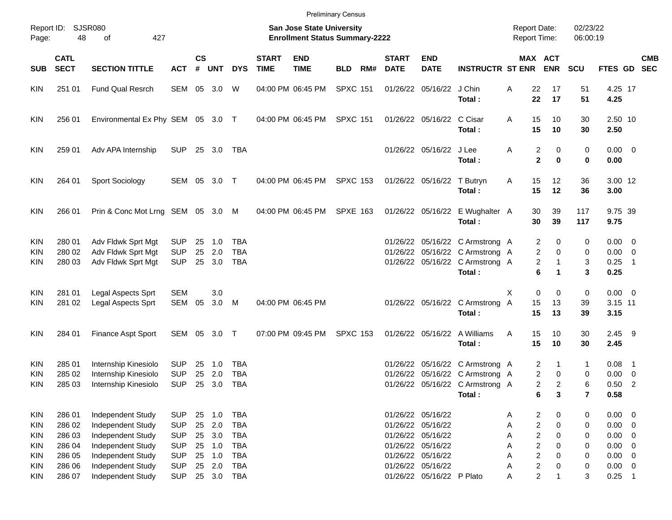|                                        |                                      |                                                                                  |                                                      |                      |                          |                                                      |                             |                                                                    | <b>Preliminary Census</b> |     |                             |                                                                                  |                                                                                                                 |                     |                                                                                                                                   |                      |                                                          |                            |            |
|----------------------------------------|--------------------------------------|----------------------------------------------------------------------------------|------------------------------------------------------|----------------------|--------------------------|------------------------------------------------------|-----------------------------|--------------------------------------------------------------------|---------------------------|-----|-----------------------------|----------------------------------------------------------------------------------|-----------------------------------------------------------------------------------------------------------------|---------------------|-----------------------------------------------------------------------------------------------------------------------------------|----------------------|----------------------------------------------------------|----------------------------|------------|
| Page:                                  | Report ID: SJSR080<br>48             | 427<br>of                                                                        |                                                      |                      |                          |                                                      |                             | San Jose State University<br><b>Enrollment Status Summary-2222</b> |                           |     |                             |                                                                                  |                                                                                                                 | <b>Report Date:</b> | <b>Report Time:</b>                                                                                                               | 02/23/22<br>06:00:19 |                                                          |                            |            |
| <b>SUB</b>                             | <b>CATL</b><br><b>SECT</b>           | <b>SECTION TITTLE</b>                                                            | <b>ACT</b>                                           | $\mathsf{cs}$<br>#   | <b>UNT</b>               | <b>DYS</b>                                           | <b>START</b><br><b>TIME</b> | <b>END</b><br><b>TIME</b>                                          | <b>BLD</b>                | RM# | <b>START</b><br><b>DATE</b> | <b>END</b><br><b>DATE</b>                                                        | <b>INSTRUCTR ST ENR</b>                                                                                         |                     | MAX ACT<br><b>ENR</b>                                                                                                             | <b>SCU</b>           | FTES GD SEC                                              |                            | <b>CMB</b> |
| <b>KIN</b>                             | 251 01                               | <b>Fund Qual Resrch</b>                                                          | SEM                                                  |                      | 05 3.0                   | W                                                    |                             | 04:00 PM 06:45 PM                                                  | <b>SPXC 151</b>           |     |                             | 01/26/22 05/16/22 J Chin                                                         | Total:                                                                                                          | Α                   | 22<br>17<br>22<br>17                                                                                                              | 51<br>51             | 4.25 17<br>4.25                                          |                            |            |
| <b>KIN</b>                             | 256 01                               | Environmental Ex Phy SEM 05 3.0 T                                                |                                                      |                      |                          |                                                      |                             | 04:00 PM 06:45 PM                                                  | <b>SPXC 151</b>           |     |                             | 01/26/22 05/16/22 C Cisar                                                        | Total:                                                                                                          | Α                   | 15<br>10<br>15<br>10                                                                                                              | 30<br>30             | 2.50 10<br>2.50                                          |                            |            |
| <b>KIN</b>                             | 259 01                               | Adv APA Internship                                                               | <b>SUP</b>                                           |                      | 25 3.0                   | TBA                                                  |                             |                                                                    |                           |     |                             | 01/26/22 05/16/22 J Lee                                                          | Total:                                                                                                          | Α                   | 2<br>0<br>$\mathbf 2$<br>$\bf{0}$                                                                                                 | 0<br>0               | $0.00 \t 0$<br>0.00                                      |                            |            |
| <b>KIN</b>                             | 264 01                               | Sport Sociology                                                                  | SEM 05 3.0 T                                         |                      |                          |                                                      |                             | 04:00 PM 06:45 PM                                                  | <b>SPXC 153</b>           |     |                             | 01/26/22 05/16/22                                                                | T Butryn<br>Total:                                                                                              | Α                   | 15<br>12<br>15<br>12                                                                                                              | 36<br>36             | 3.00 12<br>3.00                                          |                            |            |
| <b>KIN</b>                             | 266 01                               | Prin & Conc Mot Lrng SEM 05 3.0 M                                                |                                                      |                      |                          |                                                      |                             | 04:00 PM 06:45 PM                                                  | <b>SPXE 163</b>           |     |                             |                                                                                  | 01/26/22 05/16/22 E Wughalter A<br>Total:                                                                       |                     | 30<br>39<br>30<br>39                                                                                                              | 117<br>117           | 9.75 39<br>9.75                                          |                            |            |
| <b>KIN</b><br><b>KIN</b><br><b>KIN</b> | 280 01<br>280 02<br>280 03           | Adv Fldwk Sprt Mgt<br>Adv Fldwk Sprt Mgt<br>Adv Fldwk Sprt Mgt                   | <b>SUP</b><br><b>SUP</b><br><b>SUP</b>               | 25<br>25<br>25       | 1.0<br>2.0<br>3.0        | TBA<br><b>TBA</b><br><b>TBA</b>                      |                             |                                                                    |                           |     |                             |                                                                                  | 01/26/22 05/16/22 C Armstrong A<br>01/26/22 05/16/22 C Armstrong A<br>01/26/22 05/16/22 C Armstrong A<br>Total: |                     | 2<br>0<br>2<br>0<br>2<br>1<br>6                                                                                                   | 0<br>0<br>3<br>3     | $0.00 \t 0$<br>$0.00 \ 0$<br>0.25<br>0.25                | $\overline{\phantom{0}}$ 1 |            |
| <b>KIN</b><br><b>KIN</b>               | 281 01<br>281 02                     | Legal Aspects Sprt<br>Legal Aspects Sprt                                         | <b>SEM</b><br>SEM                                    | 05                   | 3.0<br>3.0               | M                                                    |                             | 04:00 PM 06:45 PM                                                  |                           |     |                             |                                                                                  | 01/26/22 05/16/22 C Armstrong A<br>Total:                                                                       | X                   | $\mathbf 0$<br>0<br>15<br>13<br>15<br>13                                                                                          | 0<br>39<br>39        | $0.00 \t 0$<br>3.15 11<br>3.15                           |                            |            |
| <b>KIN</b>                             | 284 01                               | Finance Aspt Sport                                                               | SEM 05 3.0 T                                         |                      |                          |                                                      |                             | 07:00 PM 09:45 PM                                                  | <b>SPXC 153</b>           |     |                             |                                                                                  | 01/26/22 05/16/22 A Williams<br>Total:                                                                          | Α                   | 15<br>10<br>15<br>10                                                                                                              | 30<br>30             | $2.45$ 9<br>2.45                                         |                            |            |
| <b>KIN</b><br><b>KIN</b><br><b>KIN</b> | 285 01<br>285 02<br>285 03           | Internship Kinesiolo<br>Internship Kinesiolo<br>Internship Kinesiolo             | <b>SUP</b><br><b>SUP</b><br><b>SUP</b>               | 25<br>25             | 1.0<br>2.0<br>25 3.0     | TBA<br><b>TBA</b><br>TBA                             |                             |                                                                    |                           |     | 01/26/22<br>01/26/22        |                                                                                  | 05/16/22 C Armstrong A<br>05/16/22 C Armstrong A<br>01/26/22 05/16/22 C Armstrong A<br>Total:                   |                     | 2<br>1<br>2<br>0<br>2<br>2<br>6<br>3                                                                                              | 1<br>0<br>6<br>7     | 0.08<br>$0.00 \ 0$<br>$0.50$ 2<br>0.58                   | $\overline{\phantom{1}}$   |            |
| KIN<br>KIN<br><b>KIN</b><br>KIN        | 286 01<br>286 02<br>286 03<br>286 04 | Independent Study<br>Independent Study<br>Independent Study<br>Independent Study | <b>SUP</b><br><b>SUP</b><br><b>SUP</b><br><b>SUP</b> | 25<br>25<br>25<br>25 | 1.0<br>2.0<br>3.0<br>1.0 | <b>TBA</b><br><b>TBA</b><br><b>TBA</b><br><b>TBA</b> |                             |                                                                    |                           |     |                             | 01/26/22 05/16/22<br>01/26/22 05/16/22<br>01/26/22 05/16/22<br>01/26/22 05/16/22 |                                                                                                                 | Α<br>Α<br>Α<br>Α    | 2<br>0<br>$\overline{\mathbf{c}}$<br>$\mathbf 0$<br>$\overline{\mathbf{c}}$<br>$\mathbf 0$<br>$\overline{\mathbf{c}}$<br>$\Omega$ | 0<br>0<br>0<br>0     | $0.00 \t 0$<br>$0.00 \t 0$<br>$0.00 \t 0$<br>$0.00 \t 0$ |                            |            |
| KIN<br><b>KIN</b><br>KIN               | 286 05<br>286 06<br>286 07           | Independent Study<br>Independent Study<br>Independent Study                      | <b>SUP</b><br><b>SUP</b><br><b>SUP</b>               | 25<br>25             | 1.0<br>2.0<br>25 3.0     | <b>TBA</b><br><b>TBA</b><br><b>TBA</b>               |                             |                                                                    |                           |     |                             | 01/26/22 05/16/22<br>01/26/22 05/16/22<br>01/26/22 05/16/22 P Plato              |                                                                                                                 | Α<br>Α<br>A         | $\overline{c}$<br>$\Omega$<br>$\overline{\mathbf{c}}$<br>0<br>$\overline{c}$<br>$\mathbf{1}$                                      | 0<br>0<br>3          | $0.00 \t 0$<br>$0.00 \t 0$<br>$0.25$ 1                   |                            |            |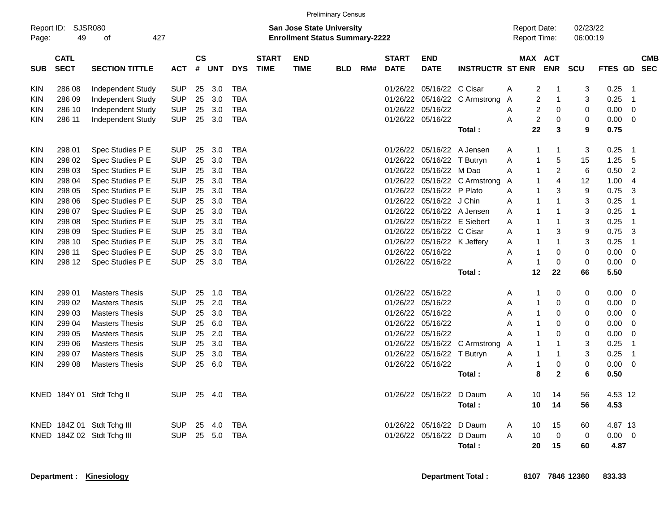|                     |                            |                             |            |                |     |            |                             |                                                                           | <b>Preliminary Census</b> |     |                             |                             |                               |                                            |                                        |                           |                |                |                          |
|---------------------|----------------------------|-----------------------------|------------|----------------|-----|------------|-----------------------------|---------------------------------------------------------------------------|---------------------------|-----|-----------------------------|-----------------------------|-------------------------------|--------------------------------------------|----------------------------------------|---------------------------|----------------|----------------|--------------------------|
| Report ID:<br>Page: | 49                         | <b>SJSR080</b><br>427<br>οf |            |                |     |            |                             | <b>San Jose State University</b><br><b>Enrollment Status Summary-2222</b> |                           |     |                             |                             |                               | <b>Report Date:</b><br><b>Report Time:</b> |                                        | 02/23/22<br>06:00:19      |                |                |                          |
| <b>SUB</b>          | <b>CATL</b><br><b>SECT</b> | <b>SECTION TITTLE</b>       | АСТ        | <b>CS</b><br># | UNT | <b>DYS</b> | <b>START</b><br><b>TIME</b> | <b>END</b><br><b>TIME</b>                                                 | <b>BLD</b>                | RM# | <b>START</b><br><b>DATE</b> | <b>END</b><br><b>DATE</b>   | <b>INSTRUCTR ST ENR</b>       |                                            | MAX ACT<br><b>ENR</b>                  | <b>SCU</b>                | <b>FTES GD</b> |                | <b>CMB</b><br><b>SEC</b> |
|                     |                            |                             |            |                |     |            |                             |                                                                           |                           |     |                             |                             |                               |                                            |                                        |                           |                |                |                          |
| KIN                 | 286 08                     | Independent Study           | <b>SUP</b> | 25             | 3.0 | <b>TBA</b> |                             |                                                                           |                           |     | 01/26/22                    | 05/16/22 C Cisar            |                               | Α                                          | 2<br>1                                 | 3                         | 0.25           | $\mathbf 1$    |                          |
| KIN                 | 286 09                     | Independent Study           | <b>SUP</b> | 25             | 3.0 | <b>TBA</b> |                             |                                                                           |                           |     |                             |                             | 01/26/22 05/16/22 C Armstrong | A                                          | $\overline{c}$<br>$\mathbf{1}$         | $\ensuremath{\mathsf{3}}$ | 0.25           | -1             |                          |
| KIN                 | 286 10                     | Independent Study           | <b>SUP</b> | 25             | 3.0 | <b>TBA</b> |                             |                                                                           |                           |     | 01/26/22                    | 05/16/22                    |                               | Α                                          | $\overline{c}$<br>0                    | 0                         | 0.00           | 0              |                          |
| KIN                 | 286 11                     | Independent Study           | <b>SUP</b> | 25             | 3.0 | <b>TBA</b> |                             |                                                                           |                           |     |                             | 01/26/22 05/16/22           |                               | A                                          | $\overline{\mathbf{c}}$<br>$\mathbf 0$ | 0                         | 0.00           | $\mathbf 0$    |                          |
|                     |                            |                             |            |                |     |            |                             |                                                                           |                           |     |                             |                             | Total:                        |                                            | 22<br>3                                | 9                         | 0.75           |                |                          |
| <b>KIN</b>          | 298 01                     | Spec Studies P E            | <b>SUP</b> | 25             | 3.0 | <b>TBA</b> |                             |                                                                           |                           |     | 01/26/22                    |                             | 05/16/22 A Jensen             | Α                                          | 1<br>1                                 | 3                         | 0.25           | -1             |                          |
| KIN                 | 298 02                     | Spec Studies P E            | <b>SUP</b> | 25             | 3.0 | <b>TBA</b> |                             |                                                                           |                           |     | 01/26/22                    | 05/16/22 T Butryn           |                               | Α                                          | 5<br>1                                 | 15                        | 1.25           | 5              |                          |
| KIN                 | 298 03                     | Spec Studies P E            | <b>SUP</b> | 25             | 3.0 | <b>TBA</b> |                             |                                                                           |                           |     |                             | 01/26/22 05/16/22 M Dao     |                               | A                                          | 2<br>1                                 | 6                         | 0.50           | 2              |                          |
| <b>KIN</b>          | 298 04                     | Spec Studies P E            | <b>SUP</b> | 25             | 3.0 | <b>TBA</b> |                             |                                                                           |                           |     |                             |                             | 01/26/22 05/16/22 C Armstrong | A                                          | 4<br>1                                 | 12                        | 1.00           | 4              |                          |
| KIN                 | 298 05                     | Spec Studies P E            | <b>SUP</b> | 25             | 3.0 | <b>TBA</b> |                             |                                                                           |                           |     |                             | 01/26/22 05/16/22 P Plato   |                               | A                                          | 3<br>1                                 | $\boldsymbol{9}$          | 0.75           | 3              |                          |
| KIN                 | 298 06                     | Spec Studies P E            | <b>SUP</b> | 25             | 3.0 | <b>TBA</b> |                             |                                                                           |                           |     |                             | 01/26/22 05/16/22 J Chin    |                               | A                                          | 1<br>1                                 | 3                         | 0.25           | 1              |                          |
| <b>KIN</b>          | 298 07                     | Spec Studies P E            | <b>SUP</b> | 25             | 3.0 | <b>TBA</b> |                             |                                                                           |                           |     |                             | 01/26/22 05/16/22 A Jensen  |                               | Α                                          | 1<br>1                                 | 3                         | 0.25           | $\overline{1}$ |                          |
| KIN                 | 298 08                     | Spec Studies P E            | <b>SUP</b> | 25             | 3.0 | <b>TBA</b> |                             |                                                                           |                           |     | 01/26/22                    |                             | 05/16/22 E Siebert            | A                                          | $\mathbf{1}$<br>1                      | 3                         | 0.25           | 1              |                          |
| KIN                 | 298 09                     | Spec Studies P E            | <b>SUP</b> | 25             | 3.0 | <b>TBA</b> |                             |                                                                           |                           |     |                             | 01/26/22 05/16/22 C Cisar   |                               | A                                          | 3<br>1                                 | 9                         | 0.75           | 3              |                          |
| KIN                 | 298 10                     | Spec Studies P E            | <b>SUP</b> | 25             | 3.0 | <b>TBA</b> |                             |                                                                           |                           |     |                             | 01/26/22 05/16/22 K Jeffery |                               | A                                          | 1<br>1                                 | 3                         | 0.25           | 1              |                          |
| <b>KIN</b>          | 298 11                     | Spec Studies P E            | <b>SUP</b> | 25             | 3.0 | <b>TBA</b> |                             |                                                                           |                           |     |                             | 01/26/22 05/16/22           |                               | A                                          | 1<br>$\mathbf 0$                       | $\mathbf 0$               | 0.00           | $\mathbf 0$    |                          |
| <b>KIN</b>          | 298 12                     | Spec Studies P E            | <b>SUP</b> | 25             | 3.0 | <b>TBA</b> |                             |                                                                           |                           |     |                             | 01/26/22 05/16/22           |                               | A                                          | $\mathbf 0$<br>1                       | 0                         | 0.00           | 0              |                          |
|                     |                            |                             |            |                |     |            |                             |                                                                           |                           |     |                             |                             | Total:                        |                                            | 12<br>22                               | 66                        | 5.50           |                |                          |
| KIN                 | 299 01                     | <b>Masters Thesis</b>       | <b>SUP</b> | 25             | 1.0 | TBA        |                             |                                                                           |                           |     |                             | 01/26/22 05/16/22           |                               | A                                          | 0<br>1                                 | 0                         | 0.00           | 0              |                          |
| KIN                 | 299 02                     | <b>Masters Thesis</b>       | <b>SUP</b> | 25             | 2.0 | <b>TBA</b> |                             |                                                                           |                           |     | 01/26/22                    | 05/16/22                    |                               | A                                          | $\mathbf 0$<br>1                       | 0                         | 0.00           | $\mathbf 0$    |                          |
| KIN                 | 299 03                     | <b>Masters Thesis</b>       | <b>SUP</b> | 25             | 3.0 | <b>TBA</b> |                             |                                                                           |                           |     |                             | 01/26/22 05/16/22           |                               | A                                          | $\mathbf 0$<br>1                       | 0                         | 0.00           | $\mathbf 0$    |                          |
| KIN                 | 299 04                     | <b>Masters Thesis</b>       | <b>SUP</b> | 25             | 6.0 | <b>TBA</b> |                             |                                                                           |                           |     |                             | 01/26/22 05/16/22           |                               | Α                                          | 0<br>1                                 | 0                         | 0.00           | 0              |                          |
| KIN                 | 299 05                     | <b>Masters Thesis</b>       | <b>SUP</b> | 25             | 2.0 | <b>TBA</b> |                             |                                                                           |                           |     |                             | 01/26/22 05/16/22           |                               | Α                                          | $\mathbf 0$<br>1                       | $\mathbf 0$               | 0.00           | 0              |                          |
| KIN                 | 299 06                     | <b>Masters Thesis</b>       | <b>SUP</b> | 25             | 3.0 | <b>TBA</b> |                             |                                                                           |                           |     |                             |                             | 01/26/22 05/16/22 C Armstrong | A                                          | 1<br>1                                 | 3                         | 0.25           | -1             |                          |
| KIN                 | 299 07                     | <b>Masters Thesis</b>       | <b>SUP</b> | 25             | 3.0 | <b>TBA</b> |                             |                                                                           |                           |     |                             | 01/26/22 05/16/22 T Butryn  |                               | A                                          | 1<br>1                                 | 3                         | 0.25           | -1             |                          |
| <b>KIN</b>          | 299 08                     | <b>Masters Thesis</b>       | <b>SUP</b> | 25             | 6.0 | <b>TBA</b> |                             |                                                                           |                           |     |                             | 01/26/22 05/16/22           |                               | A                                          | 0<br>1                                 | 0                         | 0.00           | $\mathbf 0$    |                          |
|                     |                            |                             |            |                |     |            |                             |                                                                           |                           |     |                             |                             | Total:                        |                                            | 8<br>$\mathbf 2$                       | 6                         | 0.50           |                |                          |
|                     |                            | KNED 184Y 01 Stdt Tchg II   | <b>SUP</b> | 25             | 4.0 | TBA        |                             |                                                                           |                           |     |                             | 01/26/22 05/16/22           | D Daum                        | Α                                          | 10<br>14                               | 56                        | 4.53 12        |                |                          |
|                     |                            |                             |            |                |     |            |                             |                                                                           |                           |     |                             |                             | Total:                        |                                            | 10<br>14                               | 56                        | 4.53           |                |                          |
|                     |                            | KNED 184Z 01 Stdt Tchg III  | <b>SUP</b> | 25             | 4.0 | TBA        |                             |                                                                           |                           |     |                             | 01/26/22 05/16/22           | D Daum                        | Α                                          | 15<br>10                               | 60                        | 4.87 13        |                |                          |
|                     |                            | KNED 184Z 02 Stdt Tchg III  | <b>SUP</b> | 25             | 5.0 | <b>TBA</b> |                             |                                                                           |                           |     |                             | 01/26/22 05/16/22           | D Daum                        | A                                          | 10<br>$\Omega$                         | $\Omega$                  | 0.00           | $\Omega$       |                          |
|                     |                            |                             |            |                |     |            |                             |                                                                           |                           |     |                             |                             | Total:                        |                                            | 20<br>15                               | 60                        | 4.87           |                |                          |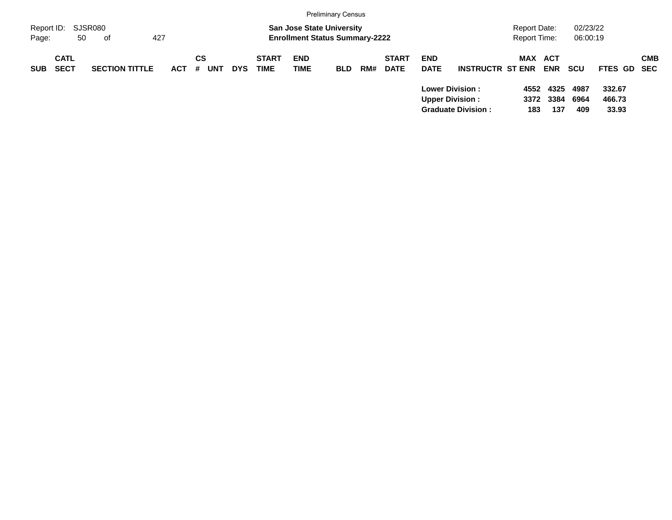|                     |                            |                       |            |           |                          |                             |                                                                           | <b>Preliminary Census</b> |     |                             |                           |                                                                               |                              |                     |                      |                           |            |
|---------------------|----------------------------|-----------------------|------------|-----------|--------------------------|-----------------------------|---------------------------------------------------------------------------|---------------------------|-----|-----------------------------|---------------------------|-------------------------------------------------------------------------------|------------------------------|---------------------|----------------------|---------------------------|------------|
| Report ID:<br>Page: | 50                         | SJSR080<br>427<br>of  |            |           |                          |                             | <b>San Jose State University</b><br><b>Enrollment Status Summary-2222</b> |                           |     |                             |                           |                                                                               | Report Date:<br>Report Time: |                     | 02/23/22<br>06:00:19 |                           |            |
| <b>SUB</b>          | <b>CATL</b><br><b>SECT</b> | <b>SECTION TITTLE</b> | <b>ACT</b> | СS<br>-#. | <b>UNT</b><br><b>DYS</b> | <b>START</b><br><b>TIME</b> | <b>END</b><br><b>TIME</b>                                                 | <b>BLD</b>                | RM# | <b>START</b><br><b>DATE</b> | <b>END</b><br><b>DATE</b> | <b>INSTRUCTR ST ENR</b>                                                       | MAX ACT                      | <b>ENR</b>          | <b>SCU</b>           | FTES GD SEC               | <b>CMB</b> |
|                     |                            |                       |            |           |                          |                             |                                                                           |                           |     |                             |                           | <b>Lower Division:</b><br><b>Upper Division:</b><br><b>Graduate Division:</b> | 4552<br>3372<br>183          | 4325<br>3384<br>137 | 4987<br>6964<br>409  | 332.67<br>466.73<br>33.93 |            |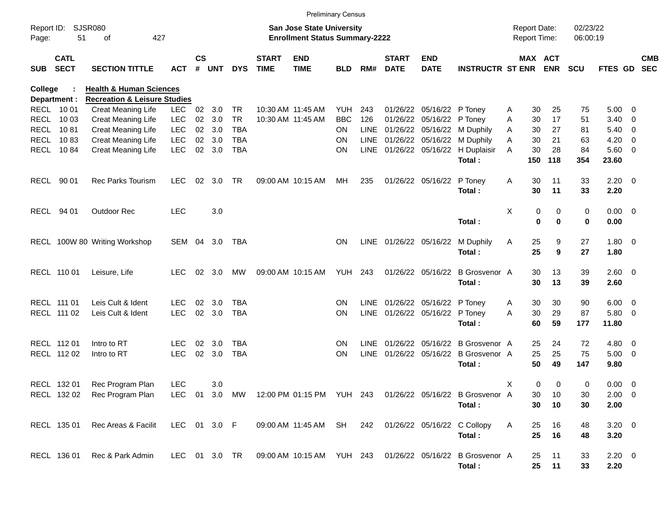|             |                            |                                         |                          |               |            |                          |                             | <b>Preliminary Census</b>                                          |                        |             |                             |                           |                                                                         |              |                                     |          |                      |                |                          |            |
|-------------|----------------------------|-----------------------------------------|--------------------------|---------------|------------|--------------------------|-----------------------------|--------------------------------------------------------------------|------------------------|-------------|-----------------------------|---------------------------|-------------------------------------------------------------------------|--------------|-------------------------------------|----------|----------------------|----------------|--------------------------|------------|
| Page:       | Report ID: SJSR080<br>51   | 427<br>of                               |                          |               |            |                          |                             | San Jose State University<br><b>Enrollment Status Summary-2222</b> |                        |             |                             |                           |                                                                         |              | <b>Report Date:</b><br>Report Time: |          | 02/23/22<br>06:00:19 |                |                          |            |
| <b>SUB</b>  | <b>CATL</b><br><b>SECT</b> | <b>SECTION TITTLE</b>                   | <b>ACT</b>               | $\mathsf{cs}$ | # UNT      | <b>DYS</b>               | <b>START</b><br><b>TIME</b> | <b>END</b><br><b>TIME</b>                                          | <b>BLD</b>             | RM#         | <b>START</b><br><b>DATE</b> | <b>END</b><br><b>DATE</b> | <b>INSTRUCTR ST ENR ENR</b>                                             |              |                                     | MAX ACT  | <b>SCU</b>           | FTES GD SEC    |                          | <b>CMB</b> |
| College     |                            | <b>Health &amp; Human Sciences</b>      |                          |               |            |                          |                             |                                                                    |                        |             |                             |                           |                                                                         |              |                                     |          |                      |                |                          |            |
|             | Department :               | <b>Recreation &amp; Leisure Studies</b> |                          |               |            |                          |                             |                                                                    |                        |             |                             |                           |                                                                         |              |                                     |          |                      |                |                          |            |
|             | RECL 1001                  | Creat Meaning Life                      | <b>LEC</b>               | 02            | 3.0        | <b>TR</b>                |                             | 10:30 AM 11:45 AM                                                  | YUH                    | 243         |                             | 01/26/22 05/16/22 P Toney |                                                                         | A            | 30                                  | 25       | 75                   | $5.00 \t 0$    |                          |            |
| <b>RECL</b> | 10 03                      | Creat Meaning Life                      | <b>LEC</b>               | 02            | 3.0        | <b>TR</b>                |                             | 10:30 AM 11:45 AM                                                  | <b>BBC</b>             | 126         |                             | 01/26/22 05/16/22         | P Toney                                                                 | Α            | 30                                  | 17       | 51                   | $3.40 \ 0$     |                          |            |
| <b>RECL</b> | 1081<br>1083               | Creat Meaning Life                      | <b>LEC</b><br><b>LEC</b> | 02            | 02 3.0     | <b>TBA</b><br><b>TBA</b> |                             |                                                                    | <b>ON</b><br><b>ON</b> |             | LINE 01/26/22 05/16/22      |                           | M Duphily                                                               | A            | 30<br>30                            | 27       | 81                   | $5.40 \ 0$     |                          |            |
| <b>RECL</b> | RECL 1084                  | Creat Meaning Life                      | <b>LEC</b>               |               | 3.0<br>3.0 |                          |                             |                                                                    |                        |             | LINE 01/26/22 05/16/22      |                           | M Duphily                                                               | A            | 30                                  | 21<br>28 | 63<br>84             | 4.20<br>5.60 0 | $\overline{\phantom{0}}$ |            |
|             |                            | Creat Meaning Life                      |                          | 02            |            | <b>TBA</b>               |                             |                                                                    | ON                     | LINE        |                             |                           | 01/26/22 05/16/22 H Duplaisir<br>Total:                                 | A            | 150                                 | 118      | 354                  | 23.60          |                          |            |
| RECL        | 90 01                      | Rec Parks Tourism                       | <b>LEC</b>               | 02            | 3.0        | <b>TR</b>                |                             | 09:00 AM 10:15 AM                                                  | МH                     | 235         |                             | 01/26/22 05/16/22         | P Toney                                                                 | Α            | 30                                  | 11       | 33                   | $2.20 \t 0$    |                          |            |
|             |                            |                                         |                          |               |            |                          |                             |                                                                    |                        |             |                             |                           | Total:                                                                  |              | 30                                  | 11       | 33                   | 2.20           |                          |            |
|             |                            |                                         |                          |               |            |                          |                             |                                                                    |                        |             |                             |                           |                                                                         |              |                                     |          |                      |                |                          |            |
|             | RECL 94 01                 | Outdoor Rec                             | <b>LEC</b>               |               | 3.0        |                          |                             |                                                                    |                        |             |                             |                           |                                                                         | X            | 0                                   | 0        | 0                    | $0.00 \t 0$    |                          |            |
|             |                            |                                         |                          |               |            |                          |                             |                                                                    |                        |             |                             |                           | Total:                                                                  |              | 0                                   | 0        | 0                    | 0.00           |                          |            |
|             |                            |                                         |                          |               |            |                          |                             |                                                                    |                        |             |                             |                           |                                                                         |              |                                     |          |                      |                |                          |            |
|             |                            | RECL 100W 80 Writing Workshop           | SEM 04                   |               | 3.0        | TBA                      |                             |                                                                    | <b>ON</b>              |             | LINE 01/26/22 05/16/22      |                           | M Duphily                                                               | A            | 25                                  | 9        | 27                   | $1.80 \ 0$     |                          |            |
|             |                            |                                         |                          |               |            |                          |                             |                                                                    |                        |             |                             |                           | Total:                                                                  |              | 25                                  | 9        | 27                   | 1.80           |                          |            |
|             |                            |                                         |                          |               |            |                          |                             |                                                                    |                        |             |                             |                           |                                                                         |              |                                     |          |                      |                |                          |            |
|             | RECL 110 01                | Leisure, Life                           | <b>LEC</b>               | 02            | 3.0        | MW                       |                             | 09:00 AM 10:15 AM                                                  | <b>YUH 243</b>         |             |                             | 01/26/22 05/16/22         | <b>B</b> Grosvenor A                                                    |              | 30                                  | 13       | 39                   | $2.60 \t 0$    |                          |            |
|             |                            |                                         |                          |               |            |                          |                             |                                                                    |                        |             |                             |                           | Total:                                                                  |              | 30                                  | 13       | 39                   | 2.60           |                          |            |
|             |                            |                                         |                          |               |            |                          |                             |                                                                    |                        |             |                             |                           |                                                                         |              |                                     |          |                      |                |                          |            |
|             | RECL 111 01                | Leis Cult & Ident                       | <b>LEC</b>               | 02            | 3.0        | <b>TBA</b>               |                             |                                                                    | <b>ON</b>              | LINE        |                             | 01/26/22 05/16/22         | P Toney                                                                 | A            | 30                                  | 30       | 90                   | $6.00 \quad 0$ |                          |            |
|             | RECL 111 02                | Leis Cult & Ident                       | <b>LEC</b>               | 02            | 3.0        | <b>TBA</b>               |                             |                                                                    | <b>ON</b>              | LINE        |                             | 01/26/22 05/16/22         | P Toney                                                                 | A            | 30                                  | 29       | 87                   | 5.80 0         |                          |            |
|             |                            |                                         |                          |               |            |                          |                             |                                                                    |                        |             |                             |                           | Total:                                                                  |              | 60                                  | 59       | 177                  | 11.80          |                          |            |
|             |                            |                                         |                          |               |            |                          |                             |                                                                    |                        |             |                             |                           |                                                                         |              |                                     |          |                      |                |                          |            |
|             | RECL 112 01                | Intro to RT                             | <b>LEC</b>               | 02            | 3.0        | <b>TBA</b>               |                             |                                                                    | <b>ON</b>              | <b>LINE</b> |                             | 01/26/22 05/16/22         | B Grosvenor A                                                           |              | 25                                  | 24       | 72                   | $4.80$ 0       |                          |            |
|             | RECL 112 02                | Intro to RT                             | <b>LEC</b>               | 02            | 3.0        | <b>TBA</b>               |                             |                                                                    | <b>ON</b>              | <b>LINE</b> |                             |                           | 01/26/22 05/16/22 B Grosvenor A                                         |              | 25                                  | 25       | 75                   | $5.00 \t 0$    |                          |            |
|             |                            |                                         |                          |               |            |                          |                             |                                                                    |                        |             |                             |                           | Total:                                                                  |              | 50                                  | 49       | 147                  | 9.80           |                          |            |
|             |                            |                                         |                          |               |            |                          |                             |                                                                    |                        |             |                             |                           |                                                                         |              |                                     |          |                      |                |                          |            |
|             | RECL 132 01                | Rec Program Plan                        | LEC                      |               | 3.0        |                          |                             |                                                                    |                        |             |                             |                           |                                                                         | Χ            | 0                                   | 0        | 0                    | $0.00 \t 0$    |                          |            |
|             |                            | RECL 132 02 Rec Program Plan            |                          |               |            |                          |                             |                                                                    |                        |             |                             |                           | LEC 01 3.0 MW 12:00 PM 01:15 PM YUH 243 01/26/22 05/16/22 B Grosvenor A |              | 30                                  | 10       | 30                   | $2.00 \t 0$    |                          |            |
|             |                            |                                         |                          |               |            |                          |                             |                                                                    |                        |             |                             |                           | Total:                                                                  |              | 30                                  | 10       | 30                   | 2.00           |                          |            |
|             |                            |                                         |                          |               |            |                          |                             |                                                                    |                        |             |                             |                           |                                                                         |              |                                     |          |                      |                |                          |            |
|             | RECL 135 01                | Rec Areas & Facilit                     | LEC 01 3.0 F             |               |            |                          |                             | 09:00 AM 11:45 AM SH 242                                           |                        |             |                             |                           | 01/26/22 05/16/22 C Collopy                                             | $\mathsf{A}$ | 25                                  | 16       | 48                   | $3.20 \ 0$     |                          |            |
|             |                            |                                         |                          |               |            |                          |                             |                                                                    |                        |             |                             |                           | Total:                                                                  |              | 25                                  | 16       | 48                   | 3.20           |                          |            |
|             |                            |                                         |                          |               |            |                          |                             |                                                                    |                        |             |                             |                           |                                                                         |              |                                     |          |                      |                |                          |            |
|             | RECL 136 01                | Rec & Park Admin                        |                          |               |            | LEC 01 3.0 TR            |                             | 09:00 AM 10:15 AM YUH 243                                          |                        |             |                             |                           | 01/26/22 05/16/22 B Grosvenor A                                         |              | 25                                  | 11       | 33                   | $2.20 \t 0$    |                          |            |
|             |                            |                                         |                          |               |            |                          |                             |                                                                    |                        |             |                             |                           | Total:                                                                  |              | 25                                  | 11       | 33                   | 2.20           |                          |            |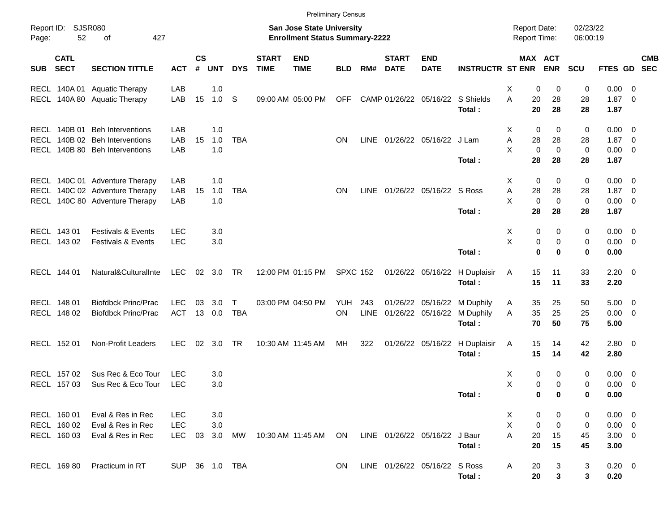|            |                            |                                        |                          |                             |            |                            |                             | <b>Preliminary Census</b>                                          |                  |      |                             |                               |                         |                                            |                   |                      |                            |            |
|------------|----------------------------|----------------------------------------|--------------------------|-----------------------------|------------|----------------------------|-----------------------------|--------------------------------------------------------------------|------------------|------|-----------------------------|-------------------------------|-------------------------|--------------------------------------------|-------------------|----------------------|----------------------------|------------|
| Page:      | Report ID: SJSR080<br>52   | 427<br>οf                              |                          |                             |            |                            |                             | San Jose State University<br><b>Enrollment Status Summary-2222</b> |                  |      |                             |                               |                         | <b>Report Date:</b><br><b>Report Time:</b> |                   | 02/23/22<br>06:00:19 |                            |            |
| <b>SUB</b> | <b>CATL</b><br><b>SECT</b> | <b>SECTION TITTLE</b>                  | <b>ACT</b>               | $\mathsf{cs}$<br>$\pmb{\#}$ | <b>UNT</b> | <b>DYS</b>                 | <b>START</b><br><b>TIME</b> | <b>END</b><br><b>TIME</b>                                          | <b>BLD</b>       | RM#  | <b>START</b><br><b>DATE</b> | <b>END</b><br><b>DATE</b>     | <b>INSTRUCTR ST ENR</b> | <b>MAX ACT</b>                             | <b>ENR</b>        | <b>SCU</b>           | FTES GD SEC                | <b>CMB</b> |
|            | RECL 140A 01               | <b>Aquatic Therapy</b>                 | LAB                      |                             | 1.0        |                            |                             |                                                                    |                  |      |                             |                               |                         | X<br>0                                     | 0                 | 0                    | $0.00 \t 0$                |            |
|            |                            | RECL 140A 80 Aquatic Therapy           | LAB                      | 15                          | 1.0 S      |                            |                             | 09:00 AM 05:00 PM                                                  | <b>OFF</b>       |      |                             | CAMP 01/26/22 05/16/22        | S Shields<br>Total:     | A<br>20<br>20                              | 28<br>28          | 28<br>28             | $1.87 \ 0$<br>1.87         |            |
|            | RECL 140B 01               | <b>Beh Interventions</b>               | LAB                      |                             | 1.0        |                            |                             |                                                                    |                  |      |                             |                               |                         | 0<br>Х                                     | 0                 | 0                    | $0.00 \t 0$                |            |
|            |                            | RECL 140B 02 Beh Interventions         | LAB                      | 15                          | 1.0        | <b>TBA</b>                 |                             |                                                                    | <b>ON</b>        | LINE |                             | 01/26/22 05/16/22 J Lam       |                         | Α<br>28                                    | 28                | 28                   | $1.87 \ 0$                 |            |
|            |                            | RECL 140B 80 Beh Interventions         | LAB                      |                             | 1.0        |                            |                             |                                                                    |                  |      |                             |                               | Total:                  | X<br>$\mathbf 0$<br>28                     | $\mathbf 0$<br>28 | $\mathbf 0$<br>28    | $0.00 \t 0$<br>1.87        |            |
|            |                            |                                        |                          |                             |            |                            |                             |                                                                    |                  |      |                             |                               |                         |                                            |                   |                      |                            |            |
|            |                            | RECL 140C 01 Adventure Therapy         | LAB                      |                             | 1.0        |                            |                             |                                                                    |                  |      |                             |                               |                         | 0<br>Х                                     | 0                 | 0                    | $0.00 \t 0$                |            |
|            |                            | RECL 140C 02 Adventure Therapy         | LAB                      | 15                          | 1.0        | <b>TBA</b>                 |                             |                                                                    | <b>ON</b>        | LINE |                             | 01/26/22 05/16/22 S Ross      |                         | Α<br>28                                    | 28                | 28                   | $1.87 \ 0$                 |            |
|            |                            | RECL 140C 80 Adventure Therapy         | LAB                      |                             | 1.0        |                            |                             |                                                                    |                  |      |                             |                               |                         | X<br>$\mathbf 0$                           | $\mathbf 0$       | 0                    | $0.00 \t 0$                |            |
|            |                            |                                        |                          |                             |            |                            |                             |                                                                    |                  |      |                             |                               | Total:                  | 28                                         | 28                | 28                   | 1.87                       |            |
|            | RECL 143 01                | <b>Festivals &amp; Events</b>          | <b>LEC</b>               |                             | 3.0        |                            |                             |                                                                    |                  |      |                             |                               |                         | Х<br>0                                     | 0                 | 0                    | $0.00 \t 0$                |            |
|            | RECL 143 02                | <b>Festivals &amp; Events</b>          | <b>LEC</b>               |                             | 3.0        |                            |                             |                                                                    |                  |      |                             |                               |                         | X<br>0                                     | 0                 | 0                    | $0.00 \t 0$                |            |
|            |                            |                                        |                          |                             |            |                            |                             |                                                                    |                  |      |                             |                               | Total:                  | $\bf{0}$                                   | $\bf{0}$          | 0                    | 0.00                       |            |
|            | RECL 144 01                | Natural&CulturalInte                   | LEC                      |                             | 02 3.0 TR  |                            |                             | 12:00 PM 01:15 PM                                                  | <b>SPXC 152</b>  |      |                             | 01/26/22 05/16/22             | H Duplaisir             | 15<br>A                                    | 11                | 33                   | $2.20 \t 0$                |            |
|            |                            |                                        |                          |                             |            |                            |                             |                                                                    |                  |      |                             |                               | Total:                  | 15                                         | 11                | 33                   | 2.20                       |            |
|            |                            |                                        |                          |                             |            |                            |                             |                                                                    |                  |      |                             |                               |                         |                                            |                   |                      |                            |            |
|            | RECL 148 01                | <b>Biofdbck Princ/Prac</b>             | <b>LEC</b><br><b>ACT</b> | 03                          | 3.0        | $\mathsf{T}$<br><b>TBA</b> |                             | 03:00 PM 04:50 PM                                                  | YUH<br><b>ON</b> | 243  |                             | 01/26/22 05/16/22             | M Duphily               | 35<br>A                                    | 25                | 50                   | $5.00 \t 0$                |            |
|            | RECL 148 02                | <b>Biofdbck Princ/Prac</b>             |                          |                             | 13 0.0     |                            |                             |                                                                    |                  | LINE | 01/26/22 05/16/22           |                               | M Duphily<br>Total:     | 35<br>A<br>70                              | 25<br>50          | 25<br>75             | $0.00 \t 0$<br>5.00        |            |
|            |                            |                                        |                          |                             |            |                            |                             |                                                                    |                  |      |                             |                               |                         |                                            |                   |                      |                            |            |
|            | RECL 152 01                | Non-Profit Leaders                     | <b>LEC</b>               |                             | 02 3.0 TR  |                            |                             | 10:30 AM 11:45 AM                                                  | MH               | 322  |                             | 01/26/22 05/16/22             | H Duplaisir             | 15<br>A                                    | 14                | 42                   | $2.80 \t 0$                |            |
|            |                            |                                        |                          |                             |            |                            |                             |                                                                    |                  |      |                             |                               | Total:                  | 15                                         | 14                | 42                   | 2.80                       |            |
|            | RECL 157 02                | Sus Rec & Eco Tour                     | <b>LEC</b>               |                             | 3.0        |                            |                             |                                                                    |                  |      |                             |                               |                         | 0<br>Х                                     | 0                 | 0                    | $0.00 \t 0$                |            |
|            | RECL 157 03                | Sus Rec & Eco Tour                     | <b>LEC</b>               |                             | 3.0        |                            |                             |                                                                    |                  |      |                             |                               |                         | X<br>0                                     | 0                 | 0                    | $0.00 \t 0$                |            |
|            |                            |                                        |                          |                             |            |                            |                             |                                                                    |                  |      |                             |                               | Total:                  | 0                                          | 0                 | 0                    | 0.00                       |            |
|            |                            |                                        |                          |                             |            |                            |                             |                                                                    |                  |      |                             |                               |                         |                                            |                   |                      |                            |            |
|            | RECL 160 01<br>RECL 160 02 | Eval & Res in Rec<br>Eval & Res in Rec | <b>LEC</b><br><b>LEC</b> |                             | 3.0<br>3.0 |                            |                             |                                                                    |                  |      |                             |                               |                         | 0<br>X<br>Χ<br>0                           | 0<br>$\pmb{0}$    | 0<br>0               | $0.00 \t 0$<br>$0.00 \t 0$ |            |
|            | RECL 160 03                | Eval & Res in Rec                      | <b>LEC</b>               |                             | 03 3.0     | <b>MW</b>                  |                             | 10:30 AM 11:45 AM                                                  | <b>ON</b>        |      |                             | LINE 01/26/22 05/16/22 J Baur |                         | A<br>20                                    | 15                | 45                   | $3.00 \ 0$                 |            |
|            |                            |                                        |                          |                             |            |                            |                             |                                                                    |                  |      |                             |                               | Total:                  | 20                                         | 15                | 45                   | 3.00                       |            |
|            |                            |                                        |                          |                             |            |                            |                             |                                                                    |                  |      |                             |                               |                         |                                            |                   |                      |                            |            |
|            | RECL 169 80                | Practicum in RT                        | SUP 36 1.0 TBA           |                             |            |                            |                             |                                                                    | <b>ON</b>        |      |                             | LINE 01/26/22 05/16/22 S Ross | Total:                  | 20<br>A<br>20                              | 3<br>3            | 3<br>3               | $0.20 \ 0$<br>0.20         |            |
|            |                            |                                        |                          |                             |            |                            |                             |                                                                    |                  |      |                             |                               |                         |                                            |                   |                      |                            |            |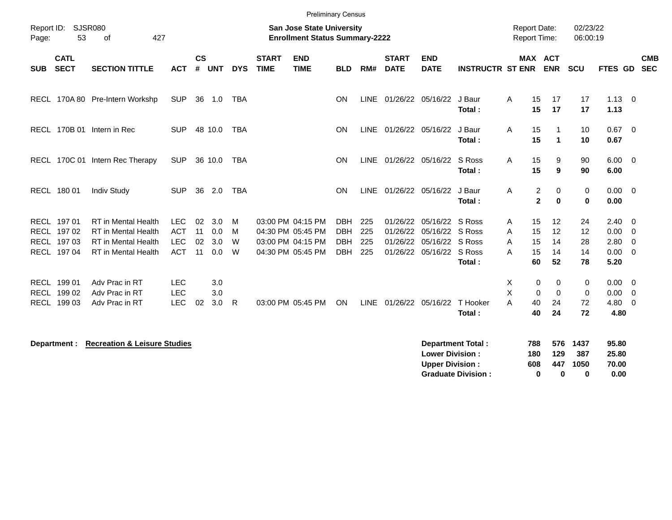| Report ID:<br>Page: | 53                         | <b>SJSR080</b><br>427<br>of             |            |                             |            |            |                             | <b>Preliminary Census</b><br><b>San Jose State University</b><br><b>Enrollment Status Summary-2222</b> |            |      |                             |                                                  |                                                       |                   | <b>Report Date:</b><br><b>Report Time:</b> |                                      | 02/23/22<br>06:00:19            |                                 |                          |                          |
|---------------------|----------------------------|-----------------------------------------|------------|-----------------------------|------------|------------|-----------------------------|--------------------------------------------------------------------------------------------------------|------------|------|-----------------------------|--------------------------------------------------|-------------------------------------------------------|-------------------|--------------------------------------------|--------------------------------------|---------------------------------|---------------------------------|--------------------------|--------------------------|
| <b>SUB</b>          | <b>CATL</b><br><b>SECT</b> | <b>SECTION TITTLE</b>                   | <b>ACT</b> | $\mathsf{cs}$<br>$\pmb{\#}$ | <b>UNT</b> | <b>DYS</b> | <b>START</b><br><b>TIME</b> | <b>END</b><br><b>TIME</b>                                                                              | <b>BLD</b> | RM#  | <b>START</b><br><b>DATE</b> | <b>END</b><br><b>DATE</b>                        | <b>INSTRUCTR ST ENR</b>                               |                   | MAX ACT<br><b>ENR</b>                      |                                      | <b>SCU</b>                      | <b>FTES GD</b>                  |                          | <b>CMB</b><br><b>SEC</b> |
|                     |                            | RECL 170A 80 Pre-Intern Workshp         | <b>SUP</b> |                             | 36 1.0     | <b>TBA</b> |                             |                                                                                                        | <b>ON</b>  |      | LINE 01/26/22 05/16/22      |                                                  | J Baur<br>Total:                                      | A                 | 15<br>17<br>17<br>15                       |                                      | 17<br>17                        | $1.13 \ 0$<br>1.13              |                          |                          |
|                     |                            | RECL 170B 01 Intern in Rec              | <b>SUP</b> |                             | 48 10.0    | <b>TBA</b> |                             |                                                                                                        | ON         |      | LINE 01/26/22 05/16/22      |                                                  | J Baur<br>Total:                                      | Α                 | 15<br>15                                   | $\mathbf{1}$<br>$\blacktriangleleft$ | 10<br>10                        | 0.67<br>0.67                    | $\overline{\phantom{0}}$ |                          |
|                     |                            | RECL 170C 01 Intern Rec Therapy         | <b>SUP</b> |                             | 36 10.0    | <b>TBA</b> |                             |                                                                                                        | <b>ON</b>  |      | LINE 01/26/22 05/16/22      |                                                  | S Ross<br>Total:                                      | Α                 | 15<br>15                                   | 9<br>9                               | 90<br>90                        | $6.00 \quad 0$<br>6.00          |                          |                          |
|                     | RECL 180 01                | <b>Indiv Study</b>                      | <b>SUP</b> |                             | 36 2.0     | <b>TBA</b> |                             |                                                                                                        | <b>ON</b>  | LINE | 01/26/22 05/16/22           |                                                  | J Baur<br>Total:                                      | Α                 | $\overline{c}$<br>$\overline{2}$           | $\pmb{0}$<br>$\bf{0}$                | 0<br>$\bf{0}$                   | $0.00 \t 0$<br>0.00             |                          |                          |
|                     | RECL 197 01                | <b>RT</b> in Mental Health              | <b>LEC</b> | 02                          | 3.0        | м          | 03:00 PM 04:15 PM           |                                                                                                        | <b>DBH</b> | 225  | 01/26/22                    | 05/16/22                                         | S Ross                                                | Α                 | 15<br>12                                   |                                      | 24                              | 2.40                            | $\overline{\mathbf{0}}$  |                          |
|                     | RECL 197 02                | <b>RT</b> in Mental Health              | <b>ACT</b> | 11                          | 0.0        | м          | 04:30 PM 05:45 PM           |                                                                                                        | <b>DBH</b> | 225  |                             | 01/26/22 05/16/22 S Ross                         |                                                       | A                 | 12<br>15                                   |                                      | 12                              | 0.00                            | $\overline{0}$           |                          |
|                     | RECL 197 03                | <b>RT</b> in Mental Health              | <b>LEC</b> | 02                          | 3.0        | W          | 03:00 PM 04:15 PM           |                                                                                                        | <b>DBH</b> | 225  |                             | 01/26/22 05/16/22 S Ross                         |                                                       | A                 | 15<br>14                                   |                                      | 28                              | 2.80                            | $\overline{\mathbf{0}}$  |                          |
|                     | RECL 197 04                | RT in Mental Health                     | <b>ACT</b> | 11                          | 0.0        | W          |                             | 04:30 PM 05:45 PM                                                                                      | <b>DBH</b> | 225  |                             | 01/26/22 05/16/22 S Ross                         | Total:                                                | A                 | 15<br>14<br>52<br>60                       |                                      | 14<br>78                        | $0.00 \t 0$<br>5.20             |                          |                          |
|                     | RECL 199 01                | Adv Prac in RT                          | <b>LEC</b> |                             | 3.0        |            |                             |                                                                                                        |            |      |                             |                                                  |                                                       | X                 | 0                                          | 0                                    | 0                               | $0.00 \t 0$                     |                          |                          |
|                     | RECL 199 02                | Adv Prac in RT                          | <b>LEC</b> |                             | 3.0        |            |                             |                                                                                                        |            |      |                             |                                                  |                                                       | X                 | $\Omega$                                   | $\Omega$                             | $\mathbf 0$                     | 0.00                            | $\overline{0}$           |                          |
|                     | RECL 199 03                | Adv Prac in RT                          | <b>LEC</b> | 02                          | 3.0        | R          |                             | 03:00 PM 05:45 PM                                                                                      | ON         |      | LINE 01/26/22 05/16/22      |                                                  | T Hooker                                              | A                 | 40<br>24                                   |                                      | 72                              | 4.80 0                          |                          |                          |
|                     |                            |                                         |            |                             |            |            |                             |                                                                                                        |            |      |                             |                                                  | Total:                                                |                   | 40<br>24                                   |                                      | 72                              | 4.80                            |                          |                          |
|                     | Department :               | <b>Recreation &amp; Leisure Studies</b> |            |                             |            |            |                             |                                                                                                        |            |      |                             | <b>Lower Division:</b><br><b>Upper Division:</b> | <b>Department Total:</b><br><b>Graduate Division:</b> | 788<br>180<br>608 | $\bf{0}$                                   | 576<br>129<br>447<br>$\bf{0}$        | 1437<br>387<br>1050<br>$\bf{0}$ | 95.80<br>25.80<br>70.00<br>0.00 |                          |                          |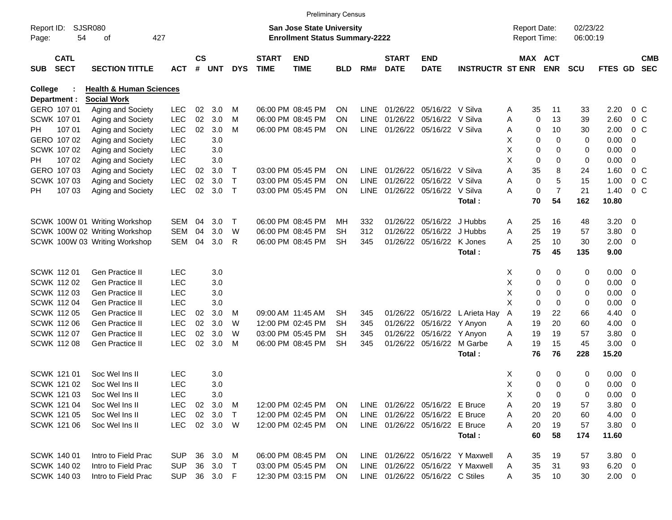|            |                            |                                    |            |               |          |             |                             | <b>Preliminary Census</b>             |            |             |                             |                                 |                                  |                     |                     |            |                |                          |                          |
|------------|----------------------------|------------------------------------|------------|---------------|----------|-------------|-----------------------------|---------------------------------------|------------|-------------|-----------------------------|---------------------------------|----------------------------------|---------------------|---------------------|------------|----------------|--------------------------|--------------------------|
| Report ID: |                            | <b>SJSR080</b>                     |            |               |          |             |                             | <b>San Jose State University</b>      |            |             |                             |                                 |                                  | <b>Report Date:</b> |                     | 02/23/22   |                |                          |                          |
| Page:      | 54                         | οf                                 | 427        |               |          |             |                             | <b>Enrollment Status Summary-2222</b> |            |             |                             |                                 |                                  | Report Time:        |                     | 06:00:19   |                |                          |                          |
| <b>SUB</b> | <b>CATL</b><br><b>SECT</b> | <b>SECTION TITTLE</b>              | <b>ACT</b> | $\mathsf{cs}$ | # UNT    | <b>DYS</b>  | <b>START</b><br><b>TIME</b> | <b>END</b><br><b>TIME</b>             | <b>BLD</b> | RM#         | <b>START</b><br><b>DATE</b> | <b>END</b><br><b>DATE</b>       | <b>INSTRUCTR ST ENR</b>          |                     | MAX ACT<br>ENR      | <b>SCU</b> | FTES GD        |                          | <b>CMB</b><br><b>SEC</b> |
| College    |                            | <b>Health &amp; Human Sciences</b> |            |               |          |             |                             |                                       |            |             |                             |                                 |                                  |                     |                     |            |                |                          |                          |
|            | Department :               | <b>Social Work</b>                 |            |               |          |             |                             |                                       |            |             |                             |                                 |                                  |                     |                     |            |                |                          |                          |
|            | GERO 107 01                | Aging and Society                  | <b>LEC</b> | 02            | 3.0      | м           |                             | 06:00 PM 08:45 PM                     | <b>ON</b>  | LINE        |                             | 01/26/22 05/16/22 V Silva       |                                  | 35<br>Α             | 11                  | 33         | 2.20           | 0 <sup>o</sup>           |                          |
|            | SCWK 107 01                | Aging and Society                  | <b>LEC</b> | 02            | 3.0      | M           |                             | 06:00 PM 08:45 PM                     | ON         | LINE        |                             | 01/26/22 05/16/22 V Silva       |                                  | Α                   | 0<br>13             | 39         | 2.60           | 0 <sup>o</sup>           |                          |
| PH         | 107 01                     | Aging and Society                  | <b>LEC</b> | 02            | 3.0      | M           |                             | 06:00 PM 08:45 PM                     | <b>ON</b>  | LINE        |                             | 01/26/22 05/16/22 V Silva       |                                  | Α                   | 10<br>0             | 30         | 2.00           | 0 <sup>o</sup>           |                          |
|            | GERO 107 02                | Aging and Society                  | <b>LEC</b> |               | 3.0      |             |                             |                                       |            |             |                             |                                 |                                  | Х                   | 0<br>$\mathbf 0$    | 0          | 0.00           | 0                        |                          |
|            | SCWK 107 02                | Aging and Society                  | <b>LEC</b> |               | 3.0      |             |                             |                                       |            |             |                             |                                 |                                  | X                   | 0<br>$\Omega$       | 0          | 0.00           | 0                        |                          |
| PH         | 107 02                     | Aging and Society                  | <b>LEC</b> |               | 3.0      |             |                             |                                       |            |             |                             |                                 |                                  | х                   | 0<br>$\Omega$       | 0          | 0.00           | 0                        |                          |
|            | GERO 107 03                | Aging and Society                  | <b>LEC</b> | 02            | 3.0      | Т           |                             | 03:00 PM 05:45 PM                     | <b>ON</b>  | LINE        |                             | 01/26/22 05/16/22 V Silva       |                                  | A<br>35             | 8                   | 24         | 1.60           | $0\,C$                   |                          |
|            | <b>SCWK 107 03</b>         | Aging and Society                  | <b>LEC</b> | 02            | 3.0      | $\mathsf T$ |                             | 03:00 PM 05:45 PM                     | ON         | LINE        |                             | 01/26/22 05/16/22 V Silva       |                                  | Α                   | 5<br>0              | 15         | 1.00           | 0 <sup>o</sup>           |                          |
| РH         | 107 03                     | Aging and Society                  | <b>LEC</b> | 02            | 3.0      | $\top$      |                             | 03:00 PM 05:45 PM                     | <b>ON</b>  | <b>LINE</b> |                             | 01/26/22 05/16/22 V Silva       |                                  | Α                   | $\overline{7}$<br>0 | 21         | 1.40           | 0 <sup>o</sup>           |                          |
|            |                            |                                    |            |               |          |             |                             |                                       |            |             |                             |                                 | Total:                           | 70                  | 54                  | 162        | 10.80          |                          |                          |
|            |                            | SCWK 100W 01 Writing Workshop      | SEM        | 04            | 3.0      | Τ           |                             | 06:00 PM 08:45 PM                     | MН         | 332         |                             | 01/26/22 05/16/22 J Hubbs       |                                  | 25<br>A             | 16                  | 48         | 3.20           | $\overline{\mathbf{0}}$  |                          |
|            |                            | SCWK 100W 02 Writing Workshop      | <b>SEM</b> | 04            | 3.0      | W           |                             | 06:00 PM 08:45 PM                     | SН         | 312         |                             | 01/26/22 05/16/22 J Hubbs       |                                  | 25<br>Α             | 19                  | 57         | 3.80           | $\overline{\mathbf{0}}$  |                          |
|            |                            | SCWK 100W 03 Writing Workshop      | SEM        | 04            | 3.0      | R           |                             | 06:00 PM 08:45 PM                     | <b>SH</b>  | 345         |                             | 01/26/22 05/16/22               | K Jones                          | 25<br>Α             | 10                  | 30         | 2.00           | $\overline{\phantom{0}}$ |                          |
|            |                            |                                    |            |               |          |             |                             |                                       |            |             |                             |                                 | Total:                           | 75                  | 45                  | 135        | 9.00           |                          |                          |
|            |                            |                                    |            |               |          |             |                             |                                       |            |             |                             |                                 |                                  |                     |                     |            |                |                          |                          |
|            | <b>SCWK 11201</b>          | Gen Practice II                    | <b>LEC</b> |               | 3.0      |             |                             |                                       |            |             |                             |                                 |                                  | X                   | 0<br>0              | 0          | $0.00 \t 0$    |                          |                          |
|            | <b>SCWK 11202</b>          | Gen Practice II                    | <b>LEC</b> |               | 3.0      |             |                             |                                       |            |             |                             |                                 |                                  | х                   | 0<br>0              | 0          | 0.00           | $\overline{\mathbf{0}}$  |                          |
|            | <b>SCWK 11203</b>          | Gen Practice II                    | <b>LEC</b> |               | 3.0      |             |                             |                                       |            |             |                             |                                 |                                  | X                   | 0<br>$\Omega$       | 0          | 0.00           | $\overline{0}$           |                          |
|            | <b>SCWK 11204</b>          | Gen Practice II                    | <b>LEC</b> |               | 3.0      |             |                             |                                       |            |             |                             |                                 |                                  | X                   | 0<br>$\mathbf 0$    | 0          | 0.00           | $\overline{0}$           |                          |
|            | <b>SCWK 112 05</b>         | Gen Practice II                    | <b>LEC</b> | 02            | 3.0      | м           |                             | 09:00 AM 11:45 AM                     | SН         | 345         |                             |                                 | 01/26/22 05/16/22 L Arieta Hay   | 19<br>A             | 22                  | 66         | 4.40           | $\overline{0}$           |                          |
|            | <b>SCWK 11206</b>          | <b>Gen Practice II</b>             | <b>LEC</b> | 02            | 3.0      | W           |                             | 12:00 PM 02:45 PM                     | SН         | 345         |                             | 01/26/22 05/16/22 Y Anyon       |                                  | 19<br>A             | 20                  | 60         | 4.00           | 0                        |                          |
|            | <b>SCWK 112 07</b>         | <b>Gen Practice II</b>             | <b>LEC</b> | 02            | 3.0      | W           |                             | 03:00 PM 05:45 PM                     | SН         | 345         |                             | 01/26/22 05/16/22 Y Anyon       |                                  | 19<br>Α             | 19                  | 57         | 3.80           | 0                        |                          |
|            | SCWK 112 08                | <b>Gen Practice II</b>             | <b>LEC</b> | 02            | 3.0      | M           |                             | 06:00 PM 08:45 PM                     | <b>SH</b>  | 345         |                             | 01/26/22 05/16/22 M Garbe       |                                  | 19<br>A             | 15                  | 45         | 3.00           | $\overline{\phantom{0}}$ |                          |
|            |                            |                                    |            |               |          |             |                             |                                       |            |             |                             |                                 | Total:                           | 76                  | 76                  | 228        | 15.20          |                          |                          |
|            | <b>SCWK 121 01</b>         | Soc Wel Ins II                     | <b>LEC</b> |               | 3.0      |             |                             |                                       |            |             |                             |                                 |                                  | X                   | 0<br>0              | 0          | $0.00 \t 0$    |                          |                          |
|            | SCWK 121 02                | Soc Wel Ins II                     | <b>LEC</b> |               | 3.0      |             |                             |                                       |            |             |                             |                                 |                                  | X                   | 0<br>$\Omega$       | 0          | 0.00           | $\overline{\phantom{0}}$ |                          |
|            | SCWK 121 03                | Soc Wel Ins II                     | LEC        |               | 3.0      |             |                             |                                       |            |             |                             |                                 |                                  | Х                   | 0<br>0              | 0          | $0.00 \t 0$    |                          |                          |
|            | SCWK 121 04                | Soc Wel Ins II                     | <b>LEC</b> |               | 02 3.0   | M           |                             | 12:00 PM 02:45 PM                     | ON.        |             |                             | LINE 01/26/22 05/16/22 E Bruce  |                                  | Α<br>20             | 19                  | 57         | $3.80\ 0$      |                          |                          |
|            | SCWK 121 05                | Soc Wel Ins II                     | <b>LEC</b> |               | 02 3.0   | T.          |                             | 12:00 PM 02:45 PM                     | ON.        |             |                             | LINE 01/26/22 05/16/22 E Bruce  |                                  | 20<br>Α             | 20                  | 60         | $4.00 \ 0$     |                          |                          |
|            | <b>SCWK 121 06</b>         | Soc Wel Ins II                     | <b>LEC</b> |               | 02 3.0 W |             |                             | 12:00 PM 02:45 PM                     | ON.        |             |                             | LINE 01/26/22 05/16/22 E Bruce  |                                  | 20<br>Α             | 19                  | 57         | $3.80\ 0$      |                          |                          |
|            |                            |                                    |            |               |          |             |                             |                                       |            |             |                             |                                 | Total:                           | 60                  | 58                  | 174        | 11.60          |                          |                          |
|            | SCWK 140 01                | Intro to Field Prac                | <b>SUP</b> |               | 36 3.0   | M           |                             | 06:00 PM 08:45 PM                     | ON.        |             |                             |                                 | LINE 01/26/22 05/16/22 Y Maxwell | 35<br>A             | 19                  | 57         | 3.80 0         |                          |                          |
|            | SCWK 140 02                | Intro to Field Prac                | <b>SUP</b> |               | 36 3.0   | $\top$      |                             | 03:00 PM 05:45 PM                     | ON.        |             |                             |                                 | LINE 01/26/22 05/16/22 Y Maxwell | 35<br>A             | 31                  | 93         | $6.20 \quad 0$ |                          |                          |
|            | SCWK 140 03                | Intro to Field Prac                | <b>SUP</b> |               | 36 3.0 F |             |                             | 12:30 PM 03:15 PM                     | ON         |             |                             | LINE 01/26/22 05/16/22 C Stiles |                                  | 35<br>A             | 10                  | 30         | $2.00 \t 0$    |                          |                          |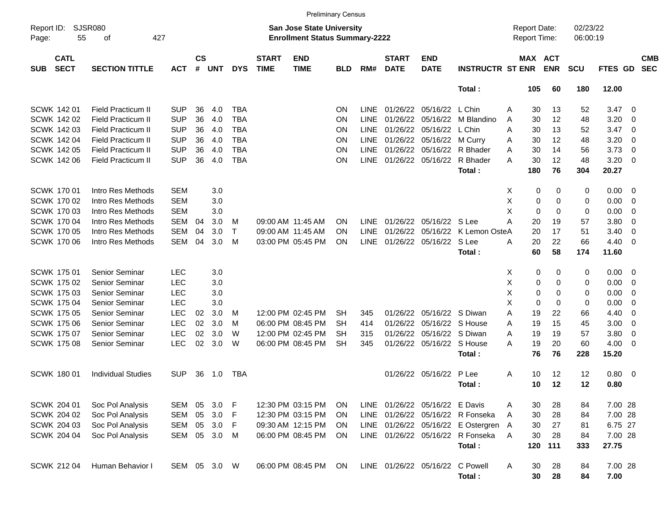|                     |                            |                           |            |                    |            |            |                             | <b>Preliminary Census</b>                                                 |            |             |                             |                                 |                                      |                                     |             |                       |                      |         |                          |                          |
|---------------------|----------------------------|---------------------------|------------|--------------------|------------|------------|-----------------------------|---------------------------------------------------------------------------|------------|-------------|-----------------------------|---------------------------------|--------------------------------------|-------------------------------------|-------------|-----------------------|----------------------|---------|--------------------------|--------------------------|
| Report ID:<br>Page: | 55                         | SJSR080<br>οf             | 427        |                    |            |            |                             | <b>San Jose State University</b><br><b>Enrollment Status Summary-2222</b> |            |             |                             |                                 |                                      | <b>Report Date:</b><br>Report Time: |             |                       | 02/23/22<br>06:00:19 |         |                          |                          |
| <b>SUB</b>          | <b>CATL</b><br><b>SECT</b> | <b>SECTION TITTLE</b>     | <b>ACT</b> | $\mathsf{cs}$<br># | <b>UNT</b> | <b>DYS</b> | <b>START</b><br><b>TIME</b> | <b>END</b><br><b>TIME</b>                                                 | <b>BLD</b> | RM#         | <b>START</b><br><b>DATE</b> | <b>END</b><br><b>DATE</b>       | <b>INSTRUCTR ST ENR</b>              |                                     |             | MAX ACT<br><b>ENR</b> | <b>SCU</b>           | FTES GD |                          | <b>CMB</b><br><b>SEC</b> |
|                     |                            |                           |            |                    |            |            |                             |                                                                           |            |             |                             |                                 | Total:                               |                                     | 105         | 60                    | 180                  | 12.00   |                          |                          |
|                     | SCWK 142 01                | <b>Field Practicum II</b> | SUP        | 36                 | 4.0        | <b>TBA</b> |                             |                                                                           | <b>ON</b>  | <b>LINE</b> |                             | 01/26/22 05/16/22               | L Chin                               | A                                   | 30          | 13                    | 52                   | 3.47    | - 0                      |                          |
|                     | <b>SCWK 14202</b>          | <b>Field Practicum II</b> | <b>SUP</b> | 36                 | 4.0        | <b>TBA</b> |                             |                                                                           | <b>ON</b>  | <b>LINE</b> | 01/26/22                    | 05/16/22                        | M Blandino                           | A                                   | 30          | 12                    | 48                   | 3.20    | 0                        |                          |
|                     | <b>SCWK 14203</b>          | <b>Field Practicum II</b> | <b>SUP</b> | 36                 | 4.0        | <b>TBA</b> |                             |                                                                           | <b>ON</b>  | <b>LINE</b> | 01/26/22                    | 05/16/22                        | L Chin                               | Α                                   | 30          | 13                    | 52                   | 3.47    | - 0                      |                          |
|                     | SCWK 142 04                | <b>Field Practicum II</b> | <b>SUP</b> | 36                 | 4.0        | <b>TBA</b> |                             |                                                                           | <b>ON</b>  | <b>LINE</b> | 01/26/22                    | 05/16/22                        | M Curry                              | Α                                   | 30          | 12                    | 48                   | 3.20    | - 0                      |                          |
|                     | <b>SCWK 142 05</b>         | <b>Field Practicum II</b> | <b>SUP</b> | 36                 | 4.0        | <b>TBA</b> |                             |                                                                           | <b>ON</b>  | <b>LINE</b> | 01/26/22                    | 05/16/22                        | R Bhader                             | A                                   | 30          | 14                    | 56                   | 3.73    | $\overline{0}$           |                          |
|                     | <b>SCWK 14206</b>          | <b>Field Practicum II</b> | <b>SUP</b> | 36                 | 4.0        | <b>TBA</b> |                             |                                                                           | <b>ON</b>  | <b>LINE</b> |                             | 01/26/22 05/16/22               | R Bhader                             | Α                                   | 30          | 12                    | 48                   | 3.20    | - 0                      |                          |
|                     |                            |                           |            |                    |            |            |                             |                                                                           |            |             |                             |                                 | Total:                               |                                     | 180         | 76                    | 304                  | 20.27   |                          |                          |
|                     | SCWK 170 01                | Intro Res Methods         | <b>SEM</b> |                    | 3.0        |            |                             |                                                                           |            |             |                             |                                 |                                      | Χ                                   | 0           | 0                     | 0                    | 0.00    | $\overline{\phantom{0}}$ |                          |
|                     | <b>SCWK 17002</b>          | Intro Res Methods         | <b>SEM</b> |                    | 3.0        |            |                             |                                                                           |            |             |                             |                                 |                                      | Χ                                   | 0           | 0                     | 0                    | 0.00    | - 0                      |                          |
|                     | <b>SCWK 17003</b>          | Intro Res Methods         | <b>SEM</b> |                    | 3.0        |            |                             |                                                                           |            |             |                             |                                 |                                      | X                                   | $\mathbf 0$ | 0                     | 0                    | 0.00    | - 0                      |                          |
|                     | <b>SCWK 17004</b>          | Intro Res Methods         | <b>SEM</b> | 04                 | 3.0        | м          |                             | 09:00 AM 11:45 AM                                                         | <b>ON</b>  | <b>LINE</b> | 01/26/22                    | 05/16/22 S Lee                  |                                      | Α                                   | 20          | 19                    | 57                   | 3.80    | 0                        |                          |
|                     | <b>SCWK 17005</b>          | Intro Res Methods         | <b>SEM</b> | 04                 | 3.0        | Τ          |                             | 09:00 AM 11:45 AM                                                         | <b>ON</b>  | <b>LINE</b> | 01/26/22                    | 05/16/22                        | K Lemon OsteA                        |                                     | 20          | 17                    | 51                   | 3.40    | $\overline{0}$           |                          |
|                     | <b>SCWK 170 06</b>         | Intro Res Methods         | <b>SEM</b> | 04                 | 3.0        | M          |                             | 03:00 PM 05:45 PM                                                         | <b>ON</b>  | <b>LINE</b> | 01/26/22                    | 05/16/22                        | S Lee                                | Α                                   | 20          | 22                    | 66                   | 4.40    | - 0                      |                          |
|                     |                            |                           |            |                    |            |            |                             |                                                                           |            |             |                             |                                 | Total:                               |                                     | 60          | 58                    | 174                  | 11.60   |                          |                          |
|                     | SCWK 175 01                | Senior Seminar            | <b>LEC</b> |                    | 3.0        |            |                             |                                                                           |            |             |                             |                                 |                                      | Χ                                   | 0           | 0                     | 0                    | 0.00    | $\overline{\phantom{0}}$ |                          |
|                     | <b>SCWK 175 02</b>         | Senior Seminar            | <b>LEC</b> |                    | 3.0        |            |                             |                                                                           |            |             |                             |                                 |                                      | Χ                                   | 0           | 0                     | 0                    | 0.00    | - 0                      |                          |
|                     | <b>SCWK 17503</b>          | Senior Seminar            | <b>LEC</b> |                    | 3.0        |            |                             |                                                                           |            |             |                             |                                 |                                      | X                                   | 0           | 0                     | 0                    | 0.00    | - 0                      |                          |
|                     | <b>SCWK 175 04</b>         | Senior Seminar            | LEC        |                    | 3.0        |            |                             |                                                                           |            |             |                             |                                 |                                      | X                                   | $\mathbf 0$ | 0                     | 0                    | 0.00    | - 0                      |                          |
|                     | <b>SCWK 175 05</b>         | Senior Seminar            | <b>LEC</b> | 02                 | 3.0        | м          |                             | 12:00 PM 02:45 PM                                                         | <b>SH</b>  | 345         | 01/26/22                    | 05/16/22                        | S Diwan                              | Α                                   | 19          | 22                    | 66                   | 4.40    | - 0                      |                          |
|                     | <b>SCWK 175 06</b>         | Senior Seminar            | <b>LEC</b> | 02                 | 3.0        | M          |                             | 06:00 PM 08:45 PM                                                         | <b>SH</b>  | 414         | 01/26/22                    | 05/16/22                        | S House                              | A                                   | 19          | 15                    | 45                   | 3.00    | - 0                      |                          |
|                     | <b>SCWK 17507</b>          | Senior Seminar            | <b>LEC</b> | 02                 | 3.0        | W          |                             | 12:00 PM 02:45 PM                                                         | SH         | 315         | 01/26/22                    | 05/16/22                        | S Diwan                              | A                                   | 19          | 19                    | 57                   | 3.80    | 0                        |                          |
|                     | <b>SCWK 175 08</b>         | <b>Senior Seminar</b>     | <b>LEC</b> | 02                 | 3.0        | W          |                             | 06:00 PM 08:45 PM                                                         | <b>SH</b>  | 345         | 01/26/22                    | 05/16/22 S House                |                                      | A                                   | 19          | 20                    | 60                   | 4.00    | - 0                      |                          |
|                     |                            |                           |            |                    |            |            |                             |                                                                           |            |             |                             |                                 | Total:                               |                                     | 76          | 76                    | 228                  | 15.20   |                          |                          |
|                     | <b>SCWK 18001</b>          | <b>Individual Studies</b> | SUP        | 36                 | 1.0        | TBA        |                             |                                                                           |            |             |                             | 01/26/22 05/16/22               | P Lee                                | A                                   | 10          | 12                    | 12                   | 0.80    | $\overline{\phantom{0}}$ |                          |
|                     |                            |                           |            |                    |            |            |                             |                                                                           |            |             |                             |                                 | Total:                               |                                     | 10          | 12                    | 12                   | 0.80    |                          |                          |
|                     | SCWK 204 01                | Soc Pol Analysis          | <b>SEM</b> | 05                 | 3.0        | F          |                             | 12:30 PM 03:15 PM                                                         | ON         |             |                             | LINE 01/26/22 05/16/22 E Davis  |                                      | Α                                   | 30          | 28                    | 84                   | 7.00 28 |                          |                          |
|                     | SCWK 204 02                | Soc Pol Analysis          | SEM        | 05                 | 3.0        | F          |                             | 12:30 PM 03:15 PM                                                         | ON         |             |                             |                                 | LINE 01/26/22 05/16/22 R Fonseka     | A                                   | 30          | 28                    | 84                   | 7.00 28 |                          |                          |
|                     | SCWK 204 03                | Soc Pol Analysis          | SEM        | 05                 | 3.0        | F          |                             | 09:30 AM 12:15 PM                                                         | ON         |             |                             |                                 | LINE 01/26/22 05/16/22 E Ostergren A |                                     | 30          | 27                    | 81                   | 6.75 27 |                          |                          |
|                     | <b>SCWK 204 04</b>         | Soc Pol Analysis          | SEM        | 05                 | 3.0        | M          |                             | 06:00 PM 08:45 PM                                                         | ON         |             |                             |                                 | LINE 01/26/22 05/16/22 R Fonseka     | $\overline{A}$                      | 30          | 28                    | 84                   | 7.00 28 |                          |                          |
|                     |                            |                           |            |                    |            |            |                             |                                                                           |            |             |                             |                                 | Total:                               |                                     | 120         | 111                   | 333                  | 27.75   |                          |                          |
|                     | <b>SCWK 212 04</b>         | Human Behavior I          | SEM 05 3.0 |                    |            | W          |                             | 06:00 PM 08:45 PM                                                         | ON         |             |                             | LINE 01/26/22 05/16/22 C Powell |                                      | Α                                   | 30          | 28                    | 84                   | 7.00 28 |                          |                          |
|                     |                            |                           |            |                    |            |            |                             |                                                                           |            |             |                             |                                 | Total:                               |                                     | 30          | 28                    | 84                   | 7.00    |                          |                          |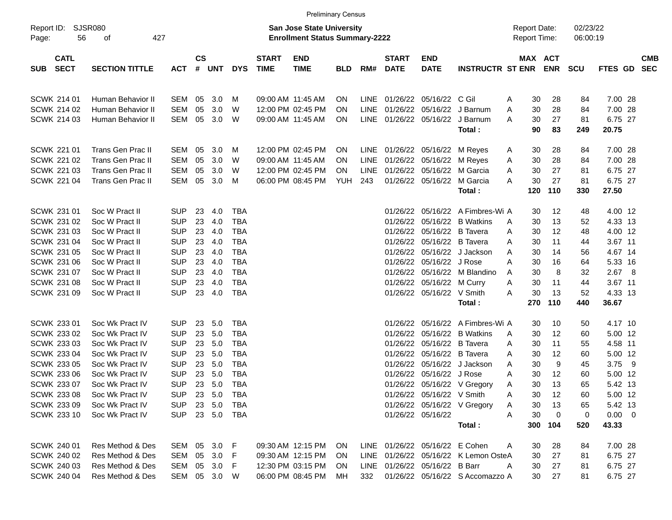|                                          |                             |            |                    |            |            |                             |                                                                    | <b>Preliminary Census</b> |      |                             |                                |                                      |                                     |                       |                      |                      |                          |
|------------------------------------------|-----------------------------|------------|--------------------|------------|------------|-----------------------------|--------------------------------------------------------------------|---------------------------|------|-----------------------------|--------------------------------|--------------------------------------|-------------------------------------|-----------------------|----------------------|----------------------|--------------------------|
| Report ID:<br>56<br>Page:                | <b>SJSR080</b><br>427<br>of |            |                    |            |            |                             | San Jose State University<br><b>Enrollment Status Summary-2222</b> |                           |      |                             |                                |                                      | <b>Report Date:</b><br>Report Time: |                       | 02/23/22<br>06:00:19 |                      |                          |
| <b>CATL</b><br><b>SECT</b><br><b>SUB</b> | <b>SECTION TITTLE</b>       | <b>ACT</b> | $\mathsf{cs}$<br># | <b>UNT</b> | <b>DYS</b> | <b>START</b><br><b>TIME</b> | <b>END</b><br><b>TIME</b>                                          | <b>BLD</b>                | RM#  | <b>START</b><br><b>DATE</b> | <b>END</b><br><b>DATE</b>      | <b>INSTRUCTR ST ENR</b>              |                                     | MAX ACT<br><b>ENR</b> | <b>SCU</b>           | FTES GD              | <b>CMB</b><br><b>SEC</b> |
| SCWK 214 01                              | Human Behavior II           | SEM        | 05                 | 3.0        | M          |                             | 09:00 AM 11:45 AM                                                  | <b>ON</b>                 |      |                             | LINE 01/26/22 05/16/22 C Gil   |                                      | 30<br>A                             | 28                    | 84                   | 7.00 28              |                          |
| SCWK 214 02                              | <b>Human Behavior II</b>    | <b>SEM</b> | 05                 | 3.0        | W          |                             | 12:00 PM 02:45 PM                                                  | <b>ON</b>                 | LINE | 01/26/22                    | 05/16/22                       | J Barnum                             | 30<br>A                             | 28                    | 84                   | 7.00 28              |                          |
| SCWK 214 03                              | Human Behavior II           | <b>SEM</b> | 05                 | 3.0        | W          |                             | 09:00 AM 11:45 AM                                                  | <b>ON</b>                 |      |                             | LINE 01/26/22 05/16/22         | J Barnum<br>Total:                   | 30<br>A<br>90                       | 27<br>83              | 81<br>249            | 6.75 27<br>20.75     |                          |
| <b>SCWK 221 01</b>                       | Trans Gen Prac II           | SEM        | 05                 | 3.0        | M          |                             | 12:00 PM 02:45 PM                                                  | <b>ON</b>                 |      |                             | LINE 01/26/22 05/16/22         | M Reyes                              | 30<br>A                             | 28                    | 84                   | 7.00 28              |                          |
| <b>SCWK 221 02</b>                       | <b>Trans Gen Prac II</b>    | <b>SEM</b> | 05                 | 3.0        | W          |                             | 09:00 AM 11:45 AM                                                  | <b>ON</b>                 | LINE |                             | 01/26/22 05/16/22              | M Reyes                              | 30<br>Α                             | 28                    | 84                   | 7.00 28              |                          |
| <b>SCWK 221 03</b>                       | Trans Gen Prac II           | <b>SEM</b> | 05                 | 3.0        | W          |                             | 12:00 PM 02:45 PM                                                  | ON                        | LINE |                             | 01/26/22 05/16/22              | M Garcia                             | 30<br>A                             | 27                    | 81                   | 6.75 27              |                          |
| <b>SCWK 221 04</b>                       | Trans Gen Prac II           | <b>SEM</b> | 05                 | 3.0        | M          |                             | 06:00 PM 08:45 PM                                                  | YUH                       | 243  |                             | 01/26/22 05/16/22              | M Garcia<br>Total:                   | 30<br>A<br>120                      | 27<br>110             | 81<br>330            | 6.75 27<br>27.50     |                          |
| SCWK 231 01                              | Soc W Pract II              | <b>SUP</b> | 23                 | 4.0        | <b>TBA</b> |                             |                                                                    |                           |      |                             |                                | 01/26/22 05/16/22 A Fimbres-Wi A     | 30                                  | 12                    | 48                   | 4.00 12              |                          |
| SCWK 231 02                              | Soc W Pract II              | <b>SUP</b> | 23                 | 4.0        | <b>TBA</b> |                             |                                                                    |                           |      | 01/26/22                    | 05/16/22                       | <b>B</b> Watkins                     | 30<br>A                             | 13                    | 52                   | 4.33 13              |                          |
| <b>SCWK 231 03</b>                       | Soc W Pract II              | <b>SUP</b> | 23                 | 4.0        | <b>TBA</b> |                             |                                                                    |                           |      | 01/26/22                    | 05/16/22                       | <b>B</b> Tavera                      | Α<br>30                             | 12                    | 48                   | 4.00 12              |                          |
| <b>SCWK 231 04</b>                       | Soc W Pract II              | <b>SUP</b> | 23                 | 4.0        | <b>TBA</b> |                             |                                                                    |                           |      |                             | 01/26/22 05/16/22              | <b>B</b> Tavera                      | 30<br>Α                             | 11                    | 44                   | 3.67 11              |                          |
| <b>SCWK 231 05</b>                       | Soc W Pract II              | <b>SUP</b> | 23                 | 4.0        | <b>TBA</b> |                             |                                                                    |                           |      | 01/26/22                    | 05/16/22                       | J Jackson                            | A<br>30                             | 14                    | 56                   | 4.67 14              |                          |
| <b>SCWK 231 06</b>                       | Soc W Pract II              | <b>SUP</b> | 23                 | 4.0        | <b>TBA</b> |                             |                                                                    |                           |      |                             | 01/26/22 05/16/22              | J Rose                               | Α<br>30                             | 16                    | 64                   | 5.33 16              |                          |
| SCWK 231 07                              | Soc W Pract II              | <b>SUP</b> | 23                 | 4.0        | <b>TBA</b> |                             |                                                                    |                           |      |                             | 01/26/22 05/16/22              | M Blandino                           | 30<br>A                             | 8                     | 32                   | 2.67 8               |                          |
| <b>SCWK 231 08</b>                       | Soc W Pract II              | <b>SUP</b> | 23                 | 4.0        | <b>TBA</b> |                             |                                                                    |                           |      |                             | 01/26/22 05/16/22 M Curry      |                                      | 30<br>Α                             | 11                    | 44                   | 3.67 11              |                          |
| <b>SCWK 231 09</b>                       | Soc W Pract II              | <b>SUP</b> | 23                 | 4.0        | <b>TBA</b> |                             |                                                                    |                           |      |                             | 01/26/22 05/16/22 V Smith      |                                      | 30<br>A                             | 13                    | 52                   | 4.33 13              |                          |
|                                          |                             |            |                    |            |            |                             |                                                                    |                           |      |                             |                                | Total:                               | 270                                 | 110                   | 440                  | 36.67                |                          |
| SCWK 233 01                              | Soc Wk Pract IV             | <b>SUP</b> | 23                 | 5.0        | <b>TBA</b> |                             |                                                                    |                           |      |                             |                                | 01/26/22 05/16/22 A Fimbres-Wi A     | 30                                  | 10                    | 50                   | 4.17 10              |                          |
| SCWK 233 02                              | Soc Wk Pract IV             | <b>SUP</b> | 23                 | 5.0        | <b>TBA</b> |                             |                                                                    |                           |      | 01/26/22                    | 05/16/22                       | <b>B</b> Watkins                     | 30<br>A                             | 12                    | 60                   | 5.00 12              |                          |
| SCWK 233 03                              | Soc Wk Pract IV             | <b>SUP</b> | 23                 | 5.0        | <b>TBA</b> |                             |                                                                    |                           |      | 01/26/22                    | 05/16/22                       | <b>B</b> Tavera                      | Α<br>30                             | 11                    | 55                   | 4.58 11              |                          |
| SCWK 233 04                              | Soc Wk Pract IV             | <b>SUP</b> | 23                 | 5.0        | <b>TBA</b> |                             |                                                                    |                           |      | 01/26/22                    | 05/16/22                       | <b>B</b> Tavera                      | 30<br>Α                             | 12                    | 60                   | 5.00 12              |                          |
| <b>SCWK 233 05</b>                       | Soc Wk Pract IV             | <b>SUP</b> | 23                 | 5.0        | <b>TBA</b> |                             |                                                                    |                           |      |                             | 01/26/22 05/16/22              | J Jackson                            | 30<br>A                             | 9                     | 45                   | 3.75<br>9            |                          |
| <b>SCWK 233 06</b>                       | Soc Wk Pract IV             | <b>SUP</b> | 23                 | 5.0        | <b>TBA</b> |                             |                                                                    |                           |      | 01/26/22                    | 05/16/22                       | J Rose                               | 30<br>Α                             | 12                    | 60                   | 5.00 12              |                          |
| SCWK 233 07                              | Soc Wk Pract IV             | <b>SUP</b> | 23                 | 5.0        | <b>TBA</b> |                             |                                                                    |                           |      |                             |                                | 01/26/22 05/16/22 V Gregory          | 30<br>A                             | 13                    | 65                   | 5.42 13              |                          |
| SCWK 233 08                              | Soc Wk Pract IV             | <b>SUP</b> |                    | 23 5.0     | TBA        |                             |                                                                    |                           |      |                             | 01/26/22 05/16/22 V Smith      |                                      | Α<br>30                             | 12                    | 60                   | 5.00 12              |                          |
| SCWK 233 09                              | Soc Wk Pract IV             | <b>SUP</b> |                    | 23 5.0     | TBA        |                             |                                                                    |                           |      |                             |                                | 01/26/22 05/16/22 V Gregory          | 30<br>Α                             | 13                    | 65                   | 5.42 13              |                          |
| <b>SCWK 233 10</b>                       | Soc Wk Pract IV             | <b>SUP</b> |                    | 23 5.0     | TBA        |                             |                                                                    |                           |      |                             | 01/26/22 05/16/22              | Total:                               | Α<br>30<br>300                      | 0<br>104              | 0<br>520             | $0.00 \t 0$<br>43.33 |                          |
|                                          |                             |            |                    |            |            |                             |                                                                    |                           |      |                             |                                |                                      |                                     |                       |                      |                      |                          |
| SCWK 240 01                              | Res Method & Des            |            |                    | SEM 05 3.0 | - F        |                             | 09:30 AM 12:15 PM                                                  | <b>ON</b>                 |      |                             | LINE 01/26/22 05/16/22 E Cohen |                                      | A<br>30                             | 28                    | 84                   | 7.00 28              |                          |
| SCWK 240 02                              | Res Method & Des            | SEM 05 3.0 |                    |            | -F         |                             | 09:30 AM 12:15 PM                                                  | <b>ON</b>                 |      |                             |                                | LINE 01/26/22 05/16/22 K Lemon OsteA | 30                                  | 27                    | 81                   | 6.75 27              |                          |
| SCWK 240 03                              | Res Method & Des            | SEM        |                    | 05 3.0     | F.         |                             | 12:30 PM 03:15 PM                                                  | <b>ON</b>                 |      |                             | LINE 01/26/22 05/16/22 B Barr  |                                      | Α<br>30                             | 27                    | 81                   | 6.75 27              |                          |
| SCWK 240 04                              | Res Method & Des            |            |                    | SEM 05 3.0 | W          |                             | 06:00 PM 08:45 PM                                                  | МH                        | 332  |                             |                                | 01/26/22 05/16/22 S Accomazzo A      | 30                                  | 27                    | 81                   | 6.75 27              |                          |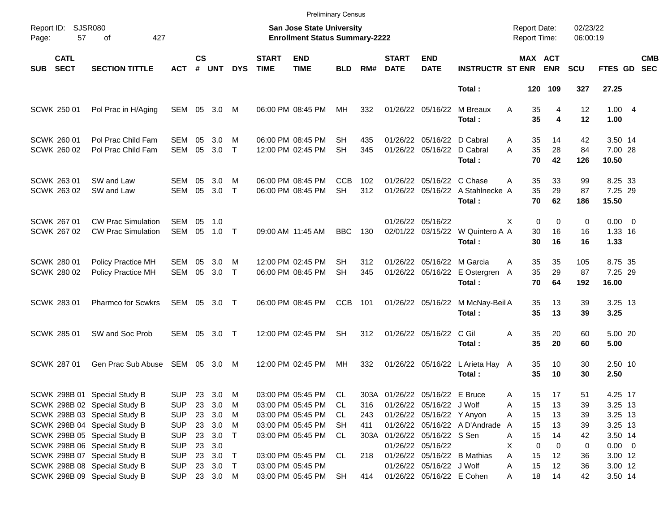| <b>SJSR080</b><br>02/23/22<br>Report ID:<br><b>San Jose State University</b><br><b>Report Date:</b><br>57<br>427<br><b>Enrollment Status Summary-2222</b><br>Report Time:<br>06:00:19<br>Page:<br>of<br>$\mathsf{cs}$<br><b>CMB</b><br><b>CATL</b><br><b>START</b><br><b>END</b><br><b>START</b><br><b>END</b><br>MAX ACT<br><b>SECT</b><br><b>SECTION TITTLE</b><br># UNT<br><b>TIME</b><br><b>DATE</b><br><b>ENR</b><br>FTES GD<br><b>SEC</b><br><b>DYS</b><br><b>TIME</b><br><b>BLD</b><br>RM#<br><b>DATE</b><br><b>INSTRUCTR ST ENR</b><br><b>SCU</b><br><b>SUB</b><br>ACT<br>Total:<br>120 109<br>327<br>27.25<br>06:00 PM 08:45 PM<br>1.004<br>SCWK 250 01<br>Pol Prac in H/Aging<br>SEM 05<br>3.0<br>M<br>MН<br>332<br>01/26/22 05/16/22<br>M Breaux<br>A<br>35<br>4<br>12<br>35<br>4<br>12<br>Total:<br>1.00<br>SCWK 260 01<br>Pol Prac Child Fam<br>06:00 PM 08:45 PM<br>01/26/22 05/16/22 D Cabral<br>42<br>3.50 14<br>SEM<br>05<br>3.0<br>M<br>SH<br>435<br>35<br>14<br>A<br>35<br>05<br>28<br>SCWK 260 02<br>Pol Prac Child Fam<br><b>SEM</b><br>3.0<br>$\mathsf{T}$<br>12:00 PM 02:45 PM<br><b>SH</b><br>345<br>01/26/22 05/16/22<br>D Cabral<br>A<br>84<br>7.00 28<br>70<br>42<br>Total:<br>126<br>10.50<br>SCWK 263 01<br>SW and Law<br>06:00 PM 08:45 PM<br><b>CCB</b><br>01/26/22 05/16/22 C Chase<br>35<br>33<br>99<br>8.25 33<br>SEM<br>05<br>3.0<br>M<br>102<br>A<br>35<br>29<br>SCWK 263 02<br>SW and Law<br><b>SEM</b><br>05<br>3.0<br>$\top$<br>06:00 PM 08:45 PM<br><b>SH</b><br>312<br>01/26/22 05/16/22 A Stahlnecke A<br>87<br>7.25 29<br>70<br>62<br>Total:<br>186<br>15.50<br>SCWK 267 01<br><b>CW Prac Simulation</b><br>05<br>01/26/22 05/16/22<br>$\Omega$<br>$\Omega$<br>0<br>$0.00 \t 0$<br>SEM<br>1.0<br>X<br>16<br>SCWK 267 02<br><b>CW Prac Simulation</b><br><b>SEM</b><br>05<br>$\top$<br><b>BBC</b><br>130<br>02/01/22 03/15/22 W Quintero A A<br>30<br>1.33 16<br>1.0<br>09:00 AM 11:45 AM<br>16<br>16<br>Total:<br>30<br>16<br>1.33<br>12:00 PM 02:45 PM<br>01/26/22 05/16/22 M Garcia |
|----------------------------------------------------------------------------------------------------------------------------------------------------------------------------------------------------------------------------------------------------------------------------------------------------------------------------------------------------------------------------------------------------------------------------------------------------------------------------------------------------------------------------------------------------------------------------------------------------------------------------------------------------------------------------------------------------------------------------------------------------------------------------------------------------------------------------------------------------------------------------------------------------------------------------------------------------------------------------------------------------------------------------------------------------------------------------------------------------------------------------------------------------------------------------------------------------------------------------------------------------------------------------------------------------------------------------------------------------------------------------------------------------------------------------------------------------------------------------------------------------------------------------------------------------------------------------------------------------------------------------------------------------------------------------------------------------------------------------------------------------------------------------------------------------------------------------------------------------------------------------------------------------------------------------------------------------------------------------------------------------------------------------------|
|                                                                                                                                                                                                                                                                                                                                                                                                                                                                                                                                                                                                                                                                                                                                                                                                                                                                                                                                                                                                                                                                                                                                                                                                                                                                                                                                                                                                                                                                                                                                                                                                                                                                                                                                                                                                                                                                                                                                                                                                                                  |
|                                                                                                                                                                                                                                                                                                                                                                                                                                                                                                                                                                                                                                                                                                                                                                                                                                                                                                                                                                                                                                                                                                                                                                                                                                                                                                                                                                                                                                                                                                                                                                                                                                                                                                                                                                                                                                                                                                                                                                                                                                  |
|                                                                                                                                                                                                                                                                                                                                                                                                                                                                                                                                                                                                                                                                                                                                                                                                                                                                                                                                                                                                                                                                                                                                                                                                                                                                                                                                                                                                                                                                                                                                                                                                                                                                                                                                                                                                                                                                                                                                                                                                                                  |
|                                                                                                                                                                                                                                                                                                                                                                                                                                                                                                                                                                                                                                                                                                                                                                                                                                                                                                                                                                                                                                                                                                                                                                                                                                                                                                                                                                                                                                                                                                                                                                                                                                                                                                                                                                                                                                                                                                                                                                                                                                  |
|                                                                                                                                                                                                                                                                                                                                                                                                                                                                                                                                                                                                                                                                                                                                                                                                                                                                                                                                                                                                                                                                                                                                                                                                                                                                                                                                                                                                                                                                                                                                                                                                                                                                                                                                                                                                                                                                                                                                                                                                                                  |
|                                                                                                                                                                                                                                                                                                                                                                                                                                                                                                                                                                                                                                                                                                                                                                                                                                                                                                                                                                                                                                                                                                                                                                                                                                                                                                                                                                                                                                                                                                                                                                                                                                                                                                                                                                                                                                                                                                                                                                                                                                  |
|                                                                                                                                                                                                                                                                                                                                                                                                                                                                                                                                                                                                                                                                                                                                                                                                                                                                                                                                                                                                                                                                                                                                                                                                                                                                                                                                                                                                                                                                                                                                                                                                                                                                                                                                                                                                                                                                                                                                                                                                                                  |
| <b>SCWK 280 01</b><br>35<br>105<br>8.75 35<br>Policy Practice MH<br>SEM<br>05<br>3.0<br>SH<br>312<br>35<br>M<br>A<br>35<br>29<br>SEM<br>05<br>3.0<br>$\top$<br>06:00 PM 08:45 PM<br>345<br>01/26/22 05/16/22 E Ostergren<br>87<br>7.25 29<br>SCWK 280 02<br>Policy Practice MH<br><b>SH</b><br>A<br>Total:<br>70<br>64<br>192<br>16.00                                                                                                                                                                                                                                                                                                                                                                                                                                                                                                                                                                                                                                                                                                                                                                                                                                                                                                                                                                                                                                                                                                                                                                                                                                                                                                                                                                                                                                                                                                                                                                                                                                                                                           |
| <b>SCWK 283 01</b><br>Pharmco for Scwkrs<br>SEM 05 3.0 T<br>CCB<br>01/26/22 05/16/22<br>35<br>13<br>39<br>3.25 13<br>06:00 PM 08:45 PM<br>101<br>M McNay-Beil A<br>35<br>13<br>3.25<br>Total:<br>39                                                                                                                                                                                                                                                                                                                                                                                                                                                                                                                                                                                                                                                                                                                                                                                                                                                                                                                                                                                                                                                                                                                                                                                                                                                                                                                                                                                                                                                                                                                                                                                                                                                                                                                                                                                                                              |
| <b>SCWK 285 01</b><br>SW and Soc Prob<br><b>SEM</b><br>- 05<br>12:00 PM 02:45 PM<br>01/26/22 05/16/22<br>C Gil<br>35<br>20<br>60<br>5.00 20<br>3.0 T<br>SH.<br>312<br>A<br>35<br>Total:<br>20<br>60<br>5.00                                                                                                                                                                                                                                                                                                                                                                                                                                                                                                                                                                                                                                                                                                                                                                                                                                                                                                                                                                                                                                                                                                                                                                                                                                                                                                                                                                                                                                                                                                                                                                                                                                                                                                                                                                                                                      |
| Gen Prac Sub Abuse SEM 05 3.0<br>12:00 PM 02:45 PM<br>01/26/22 05/16/22<br>30<br>2.50 10<br><b>SCWK 287 01</b><br>МH<br>332<br>L Arieta Hay A<br>35<br>10<br>M<br>35<br>10<br>30<br>2.50<br>Total:                                                                                                                                                                                                                                                                                                                                                                                                                                                                                                                                                                                                                                                                                                                                                                                                                                                                                                                                                                                                                                                                                                                                                                                                                                                                                                                                                                                                                                                                                                                                                                                                                                                                                                                                                                                                                               |
| SCWK 298B 01 Special Study B<br><b>SUP</b><br>23 3.0<br>M<br>03:00 PM 05:45 PM<br>CL<br>303A<br>01/26/22 05/16/22 E Bruce<br>17<br>51<br>4.25 17<br>15<br>A<br>23 3.0<br>3.25 13<br>SCWK 298B 02 Special Study B<br><b>SUP</b><br>03:00 PM 05:45 PM<br>01/26/22 05/16/22 J Wolf<br>15<br>13<br>39<br>M<br>CL.<br>316<br>Α                                                                                                                                                                                                                                                                                                                                                                                                                                                                                                                                                                                                                                                                                                                                                                                                                                                                                                                                                                                                                                                                                                                                                                                                                                                                                                                                                                                                                                                                                                                                                                                                                                                                                                        |
| SCWK 298B 03 Special Study B<br>23 3.0<br>01/26/22 05/16/22 Y Anyon<br>15<br>3.25 13<br><b>SUP</b><br>M<br>03:00 PM 05:45 PM<br>CL<br>13<br>39<br>243<br>Α<br>SCWK 298B 04 Special Study B<br>23 3.0<br>03:00 PM 05:45 PM<br>01/26/22 05/16/22 A D'Andrade<br>15<br>3.25 13<br><b>SUP</b><br>M<br>SH.<br>411<br>13<br>39<br>A<br>SCWK 298B 05 Special Study B<br><b>SUP</b><br>23 3.0<br>$\top$<br>03:00 PM 05:45 PM<br>01/26/22 05/16/22 S Sen<br>15<br>3.50 14<br>CL<br>303A<br>Α<br>14<br>42                                                                                                                                                                                                                                                                                                                                                                                                                                                                                                                                                                                                                                                                                                                                                                                                                                                                                                                                                                                                                                                                                                                                                                                                                                                                                                                                                                                                                                                                                                                                  |
| SCWK 298B 06 Special Study B<br><b>SUP</b><br>23 3.0<br>01/26/22 05/16/22<br>0<br>0<br>$0.00 \t 0$<br>X<br>0<br>SCWK 298B 07 Special Study B<br><b>SUP</b><br>23 3.0<br>03:00 PM 05:45 PM<br>01/26/22 05/16/22 B Mathias<br>15<br>12<br>3.00 12<br>$\top$<br>CL<br>218<br>Α<br>36<br>SCWK 298B 08 Special Study B<br><b>SUP</b><br>23 3.0<br>03:00 PM 05:45 PM<br>01/26/22 05/16/22 J Wolf<br>15<br>3.00 12<br>$\top$<br>Α<br>12<br>36<br>SCWK 298B 09 Special Study B<br>SUP<br>23 3.0 M<br>03:00 PM 05:45 PM<br>01/26/22 05/16/22 E Cohen<br>18<br>14<br>42<br>3.50 14<br>SH<br>414<br>A                                                                                                                                                                                                                                                                                                                                                                                                                                                                                                                                                                                                                                                                                                                                                                                                                                                                                                                                                                                                                                                                                                                                                                                                                                                                                                                                                                                                                                       |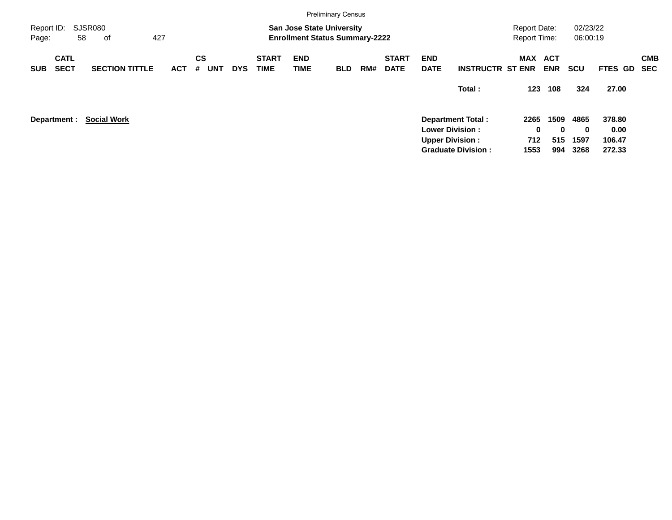|                     |                            |                       |     |            |                |            |            |                             |                    | <b>Preliminary Census</b>                                                 |     |                             |                           |                           |                                            |            |                      |         |                          |
|---------------------|----------------------------|-----------------------|-----|------------|----------------|------------|------------|-----------------------------|--------------------|---------------------------------------------------------------------------|-----|-----------------------------|---------------------------|---------------------------|--------------------------------------------|------------|----------------------|---------|--------------------------|
| Report ID:<br>Page: |                            | SJSR080<br>58<br>οf   | 427 |            |                |            |            |                             |                    | <b>San Jose State University</b><br><b>Enrollment Status Summary-2222</b> |     |                             |                           |                           | <b>Report Date:</b><br><b>Report Time:</b> |            | 02/23/22<br>06:00:19 |         |                          |
| <b>SUB</b>          | <b>CATL</b><br><b>SECT</b> | <b>SECTION TITTLE</b> |     | <b>ACT</b> | <b>CS</b><br># | <b>UNT</b> | <b>DYS</b> | <b>START</b><br><b>TIME</b> | <b>END</b><br>TIME | <b>BLD</b>                                                                | RM# | <b>START</b><br><b>DATE</b> | <b>END</b><br><b>DATE</b> | <b>INSTRUCTR ST ENR</b>   | MAX ACT                                    | <b>ENR</b> | <b>SCU</b>           | FTES GD | <b>CMB</b><br><b>SEC</b> |
|                     |                            |                       |     |            |                |            |            |                             |                    |                                                                           |     |                             |                           | Total:                    | 123                                        | 108        | 324                  | 27.00   |                          |
|                     | Department :               | <b>Social Work</b>    |     |            |                |            |            |                             |                    |                                                                           |     |                             |                           | <b>Department Total:</b>  | 2265                                       | 1509       | 4865                 | 378.80  |                          |
|                     |                            |                       |     |            |                |            |            |                             |                    |                                                                           |     |                             |                           | <b>Lower Division:</b>    | 0                                          | $\bf{0}$   | $\bf{0}$             | 0.00    |                          |
|                     |                            |                       |     |            |                |            |            |                             |                    |                                                                           |     |                             |                           | <b>Upper Division:</b>    | 712                                        | 515        | 1597                 | 106.47  |                          |
|                     |                            |                       |     |            |                |            |            |                             |                    |                                                                           |     |                             |                           | <b>Graduate Division:</b> | 1553                                       | 994        | 3268                 | 272.33  |                          |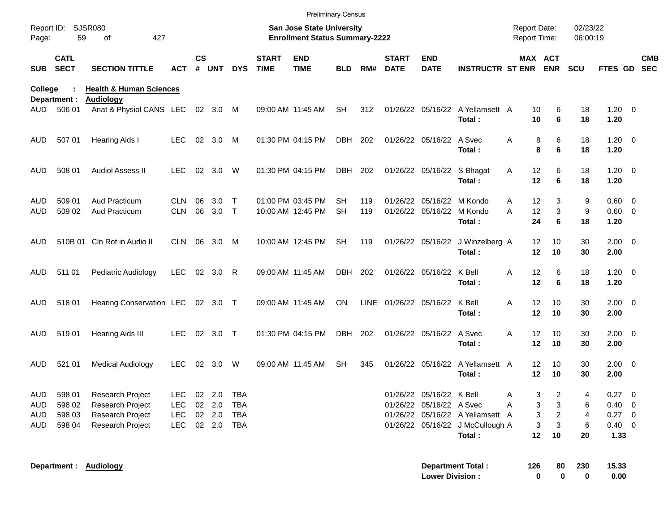|                     |                            |                                             |                          |               |              |             |                             | <b>Preliminary Census</b>                                          |                 |            |                             |                                                |                                            |                                            |                     |                      |                          |                          |
|---------------------|----------------------------|---------------------------------------------|--------------------------|---------------|--------------|-------------|-----------------------------|--------------------------------------------------------------------|-----------------|------------|-----------------------------|------------------------------------------------|--------------------------------------------|--------------------------------------------|---------------------|----------------------|--------------------------|--------------------------|
| Report ID:<br>Page: | 59                         | <b>SJSR080</b><br>427<br>of                 |                          |               |              |             |                             | San Jose State University<br><b>Enrollment Status Summary-2222</b> |                 |            |                             |                                                |                                            | <b>Report Date:</b><br><b>Report Time:</b> |                     | 02/23/22<br>06:00:19 |                          |                          |
| <b>SUB</b>          | <b>CATL</b><br><b>SECT</b> | <b>SECTION TITTLE</b>                       | ACT                      | $\mathsf{cs}$ | # UNT        | <b>DYS</b>  | <b>START</b><br><b>TIME</b> | <b>END</b><br><b>TIME</b>                                          | BLD             | RM#        | <b>START</b><br><b>DATE</b> | <b>END</b><br><b>DATE</b>                      | <b>INSTRUCTR ST ENR ENR</b>                |                                            | MAX ACT             | <b>SCU</b>           | <b>FTES GD</b>           | <b>CMB</b><br><b>SEC</b> |
| College             |                            | <b>Health &amp; Human Sciences</b>          |                          |               |              |             |                             |                                                                    |                 |            |                             |                                                |                                            |                                            |                     |                      |                          |                          |
| AUD                 | Department :<br>506 01     | <b>Audiology</b><br>Anat & Physiol CANS LEC |                          |               | 02 3.0       | M           |                             | 09:00 AM 11:45 AM                                                  | <b>SH</b>       | 312        |                             | 01/26/22 05/16/22                              | A Yellamsett A<br>Total:                   | 10<br>10                                   | 6<br>6              | 18<br>18             | $1.20 \t 0$<br>1.20      |                          |
| AUD                 | 507 01                     | <b>Hearing Aids I</b>                       | <b>LEC</b>               | 02            | 3.0          | M           |                             | 01:30 PM 04:15 PM                                                  | DBH             | 202        |                             | 01/26/22 05/16/22 A Svec                       | Total:                                     | Α                                          | 6<br>8<br>8<br>6    | 18<br>18             | $1.20 \t 0$<br>1.20      |                          |
| AUD                 | 508 01                     | Audiol Assess II                            | <b>LEC</b>               | 02            | 3.0          | W           |                             | 01:30 PM 04:15 PM                                                  | DBH             | 202        |                             | 01/26/22 05/16/22 S Bhagat                     | Total:                                     | 12<br>Α<br>12                              | 6<br>6              | 18<br>18             | $1.20 \t 0$<br>1.20      |                          |
| AUD<br>AUD          | 509 01<br>509 02           | Aud Practicum<br><b>Aud Practicum</b>       | <b>CLN</b><br><b>CLN</b> | 06<br>06      | 3.0<br>3.0   | Т<br>$\top$ |                             | 01:00 PM 03:45 PM<br>10:00 AM 12:45 PM                             | SН<br><b>SH</b> | 119<br>119 |                             | 01/26/22 05/16/22 M Kondo<br>01/26/22 05/16/22 | M Kondo<br>Total:                          | 12<br>A<br>A<br>12<br>24                   | 3<br>3<br>6         | 9<br>9<br>18         | 0.60 0<br>0.60 0<br>1.20 |                          |
| AUD.                |                            | 510B 01 Cln Rot in Audio II                 | CLN.                     | 06            | 3.0          | M           |                             | 10:00 AM 12:45 PM                                                  | <b>SH</b>       | 119        |                             | 01/26/22 05/16/22                              | J Winzelberg A<br>Total:                   | 12<br>12                                   | 10<br>10            | 30<br>30             | $2.00 \t 0$<br>2.00      |                          |
| AUD                 | 511 01                     | Pediatric Audiology                         | <b>LEC</b>               | 02            | 3.0          | R           | 09:00 AM 11:45 AM           |                                                                    | <b>DBH</b>      | 202        |                             | 01/26/22 05/16/22                              | K Bell<br>Total:                           | 12<br>Α<br>12                              | 6<br>6              | 18<br>18             | $1.20 \t 0$<br>1.20      |                          |
| AUD                 | 51801                      | Hearing Conservation LEC                    |                          |               | 02 3.0 T     |             |                             | 09:00 AM 11:45 AM                                                  | ON.             | LINE       |                             | 01/26/22 05/16/22                              | K Bell<br>Total:                           | 12<br>Α<br>12                              | 10<br>10            | 30<br>30             | $2.00 \t 0$<br>2.00      |                          |
| AUD                 | 51901                      | <b>Hearing Aids III</b>                     | <b>LEC</b>               | 02            | 3.0          | $\top$      |                             | 01:30 PM 04:15 PM                                                  | <b>DBH</b>      | 202        |                             | 01/26/22 05/16/22                              | A Svec<br>Total:                           | 12<br>A<br>12                              | 10<br>10            | 30<br>30             | $2.00 \t 0$<br>2.00      |                          |
| AUD                 | 521 01                     | <b>Medical Audiology</b>                    | <b>LEC</b>               | 02            | 3.0          | W           |                             | 09:00 AM 11:45 AM                                                  | <b>SH</b>       | 345        |                             | 01/26/22 05/16/22                              | A Yellamsett A<br>Total:                   | 12<br>12                                   | 10<br>10            | 30<br>30             | $2.00 \t 0$<br>2.00      |                          |
| <b>AUD</b>          | 598 01                     | <b>Research Project</b>                     | <b>LEC</b>               |               | 02 2.0       | TBA         |                             |                                                                    |                 |            |                             | 01/26/22 05/16/22 K Bell                       |                                            | A                                          | 3<br>2              | 4                    | $0.27$ 0                 |                          |
| AUD                 | 598 02                     | Research Project                            | <b>LEC</b>               |               | 02 2.0       | <b>TBA</b>  |                             |                                                                    |                 |            |                             | 01/26/22 05/16/22 A Svec                       |                                            | Α                                          | 3<br>3              | 6                    | $0.40 \ 0$               |                          |
| AUD                 | 598 03                     | Research Project                            | <b>LEC</b>               |               | 02 2.0       | TBA         |                             |                                                                    |                 |            |                             |                                                | 01/26/22 05/16/22 A Yellamsett A           |                                            | 3<br>$\overline{c}$ | $\overline{4}$       | $0.27$ 0                 |                          |
| AUD                 | 598 04                     | <b>Research Project</b>                     | <b>LEC</b>               |               | 02  2.0  TBA |             |                             |                                                                    |                 |            |                             |                                                | 01/26/22 05/16/22 J McCullough A<br>Total: | 12                                         | 3<br>3<br>10        | 6<br>20              | $0.40 \ 0$<br>1.33       |                          |
|                     |                            | Department: Audiology                       |                          |               |              |             |                             |                                                                    |                 |            |                             | <b>Lower Division:</b>                         | <b>Department Total:</b>                   | 126                                        | 80<br>0<br>0        | 230<br>$\bf{0}$      | 15.33<br>0.00            |                          |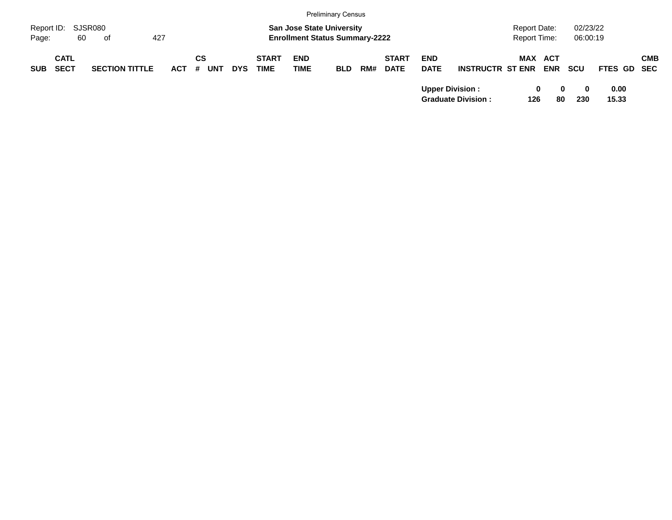|                                          |    |                       |         |                  |            |                             |                                                                           | <b>Preliminary Census</b> |     |                             |                           |                           |                                     |                |                      |               |            |
|------------------------------------------|----|-----------------------|---------|------------------|------------|-----------------------------|---------------------------------------------------------------------------|---------------------------|-----|-----------------------------|---------------------------|---------------------------|-------------------------------------|----------------|----------------------|---------------|------------|
| Report ID: SJSR080<br>Page:              | 60 | of                    | 427     |                  |            |                             | <b>San Jose State University</b><br><b>Enrollment Status Summary-2222</b> |                           |     |                             |                           |                           | <b>Report Date:</b><br>Report Time: |                | 02/23/22<br>06:00:19 |               |            |
| <b>CATL</b><br><b>SECT</b><br><b>SUB</b> |    | <b>SECTION TITTLE</b> | $ACT$ # | СS<br><b>UNT</b> | <b>DYS</b> | <b>START</b><br><b>TIME</b> | <b>END</b><br><b>TIME</b>                                                 | <b>BLD</b>                | RM# | <b>START</b><br><b>DATE</b> | <b>END</b><br><b>DATE</b> | <b>INSTRUCTR ST ENR</b>   | <b>MAX ACT</b>                      | <b>ENR</b>     | <b>SCU</b>           | FTES GD SEC   | <b>CMB</b> |
|                                          |    |                       |         |                  |            |                             |                                                                           |                           |     |                             | <b>Upper Division:</b>    | <b>Graduate Division:</b> | 0<br>126                            | $\bf{0}$<br>80 | 0<br>230             | 0.00<br>15.33 |            |